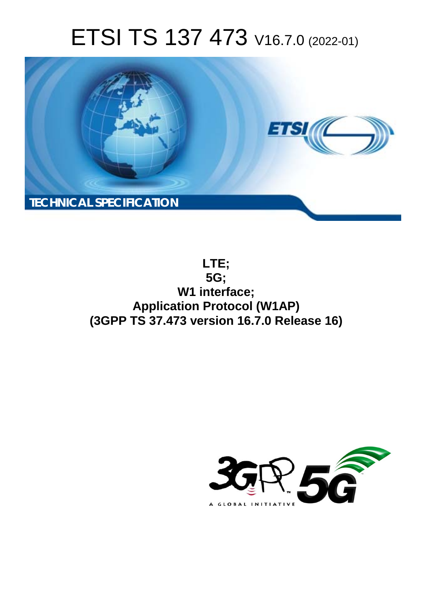# ETSI TS 137 473 V16.7.0 (2022-01)



**LTE; 5G; W1 interface; Application Protocol (W1AP) (3GPP TS 37.473 version 16.7.0 Release 16)** 

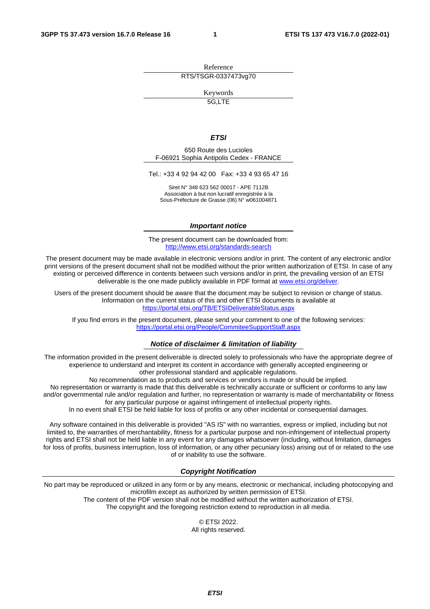Reference RTS/TSGR-0337473vg70

Keywords

5G,LTE

#### *ETSI*

650 Route des Lucioles F-06921 Sophia Antipolis Cedex - FRANCE

Tel.: +33 4 92 94 42 00 Fax: +33 4 93 65 47 16

Siret N° 348 623 562 00017 - APE 7112B Association à but non lucratif enregistrée à la Sous-Préfecture de Grasse (06) N° w061004871

#### *Important notice*

The present document can be downloaded from: <http://www.etsi.org/standards-search>

The present document may be made available in electronic versions and/or in print. The content of any electronic and/or print versions of the present document shall not be modified without the prior written authorization of ETSI. In case of any existing or perceived difference in contents between such versions and/or in print, the prevailing version of an ETSI deliverable is the one made publicly available in PDF format at [www.etsi.org/deliver](http://www.etsi.org/deliver).

Users of the present document should be aware that the document may be subject to revision or change of status. Information on the current status of this and other ETSI documents is available at <https://portal.etsi.org/TB/ETSIDeliverableStatus.aspx>

If you find errors in the present document, please send your comment to one of the following services: <https://portal.etsi.org/People/CommiteeSupportStaff.aspx>

#### *Notice of disclaimer & limitation of liability*

The information provided in the present deliverable is directed solely to professionals who have the appropriate degree of experience to understand and interpret its content in accordance with generally accepted engineering or other professional standard and applicable regulations.

No recommendation as to products and services or vendors is made or should be implied.

No representation or warranty is made that this deliverable is technically accurate or sufficient or conforms to any law and/or governmental rule and/or regulation and further, no representation or warranty is made of merchantability or fitness for any particular purpose or against infringement of intellectual property rights.

In no event shall ETSI be held liable for loss of profits or any other incidental or consequential damages.

Any software contained in this deliverable is provided "AS IS" with no warranties, express or implied, including but not limited to, the warranties of merchantability, fitness for a particular purpose and non-infringement of intellectual property rights and ETSI shall not be held liable in any event for any damages whatsoever (including, without limitation, damages for loss of profits, business interruption, loss of information, or any other pecuniary loss) arising out of or related to the use of or inability to use the software.

#### *Copyright Notification*

No part may be reproduced or utilized in any form or by any means, electronic or mechanical, including photocopying and microfilm except as authorized by written permission of ETSI. The content of the PDF version shall not be modified without the written authorization of ETSI.

The copyright and the foregoing restriction extend to reproduction in all media.

© ETSI 2022. All rights reserved.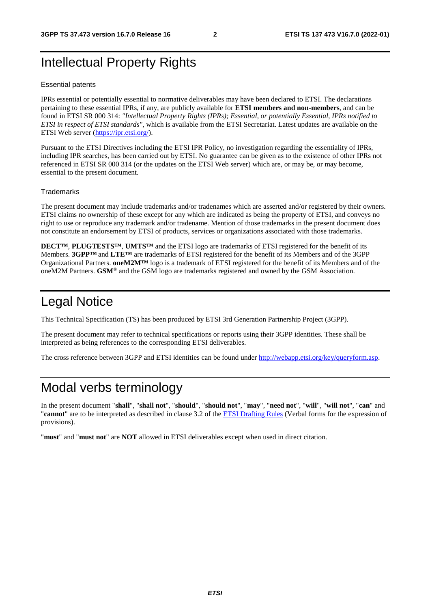## Intellectual Property Rights

#### Essential patents

IPRs essential or potentially essential to normative deliverables may have been declared to ETSI. The declarations pertaining to these essential IPRs, if any, are publicly available for **ETSI members and non-members**, and can be found in ETSI SR 000 314: *"Intellectual Property Rights (IPRs); Essential, or potentially Essential, IPRs notified to ETSI in respect of ETSI standards"*, which is available from the ETSI Secretariat. Latest updates are available on the ETSI Web server ([https://ipr.etsi.org/\)](https://ipr.etsi.org/).

Pursuant to the ETSI Directives including the ETSI IPR Policy, no investigation regarding the essentiality of IPRs, including IPR searches, has been carried out by ETSI. No guarantee can be given as to the existence of other IPRs not referenced in ETSI SR 000 314 (or the updates on the ETSI Web server) which are, or may be, or may become, essential to the present document.

#### **Trademarks**

The present document may include trademarks and/or tradenames which are asserted and/or registered by their owners. ETSI claims no ownership of these except for any which are indicated as being the property of ETSI, and conveys no right to use or reproduce any trademark and/or tradename. Mention of those trademarks in the present document does not constitute an endorsement by ETSI of products, services or organizations associated with those trademarks.

**DECT™**, **PLUGTESTS™**, **UMTS™** and the ETSI logo are trademarks of ETSI registered for the benefit of its Members. **3GPP™** and **LTE™** are trademarks of ETSI registered for the benefit of its Members and of the 3GPP Organizational Partners. **oneM2M™** logo is a trademark of ETSI registered for the benefit of its Members and of the oneM2M Partners. **GSM**® and the GSM logo are trademarks registered and owned by the GSM Association.

## Legal Notice

This Technical Specification (TS) has been produced by ETSI 3rd Generation Partnership Project (3GPP).

The present document may refer to technical specifications or reports using their 3GPP identities. These shall be interpreted as being references to the corresponding ETSI deliverables.

The cross reference between 3GPP and ETSI identities can be found under<http://webapp.etsi.org/key/queryform.asp>.

## Modal verbs terminology

In the present document "**shall**", "**shall not**", "**should**", "**should not**", "**may**", "**need not**", "**will**", "**will not**", "**can**" and "**cannot**" are to be interpreted as described in clause 3.2 of the [ETSI Drafting Rules](https://portal.etsi.org/Services/editHelp!/Howtostart/ETSIDraftingRules.aspx) (Verbal forms for the expression of provisions).

"**must**" and "**must not**" are **NOT** allowed in ETSI deliverables except when used in direct citation.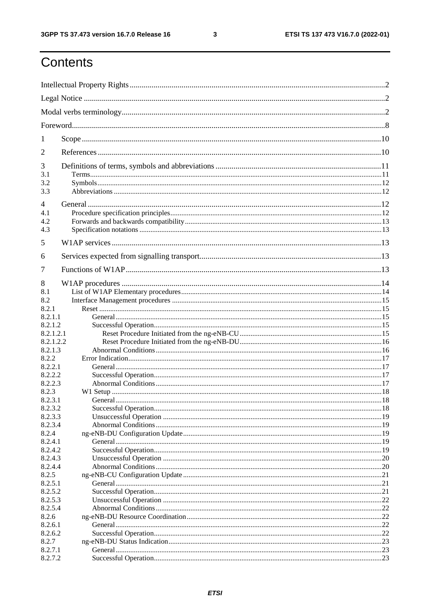ETSI TS 137 473 V16.7.0 (2022-01)

## Contents

| 1                |  |    |
|------------------|--|----|
| 2                |  |    |
| 3                |  |    |
| 3.1              |  |    |
| 3.2<br>3.3       |  |    |
|                  |  |    |
| 4                |  |    |
| 4.1              |  |    |
| 4.2<br>4.3       |  |    |
|                  |  |    |
| 5                |  |    |
| 6                |  |    |
| 7                |  |    |
| 8                |  |    |
| 8.1              |  |    |
| 8.2              |  |    |
| 8.2.1            |  |    |
| 8.2.1.1          |  |    |
| 8.2.1.2          |  |    |
| 8.2.1.2.1        |  |    |
| 8.2.1.2.2        |  |    |
| 8.2.1.3<br>8.2.2 |  |    |
| 8.2.2.1          |  |    |
| 8.2.2.2          |  |    |
| 8.2.2.3          |  |    |
| 8.2.3            |  |    |
| 8.2.3.1          |  |    |
| 8.2.3.2          |  |    |
| 8.2.3.3          |  |    |
| 8.2.3.4          |  |    |
| 8.2.4            |  |    |
| 8.2.4.1          |  |    |
| 8.2.4.2          |  |    |
| 8.2.4.3          |  |    |
| 8.2.4.4<br>8.2.5 |  |    |
| 8.2.5.1          |  |    |
| 8.2.5.2          |  | 21 |
| 8.2.5.3          |  |    |
| 8.2.5.4          |  |    |
| 8.2.6            |  |    |
| 8.2.6.1          |  |    |
| 8.2.6.2          |  |    |
| 8.2.7            |  |    |
| 8.2.7.1          |  |    |
| 8.2.7.2          |  |    |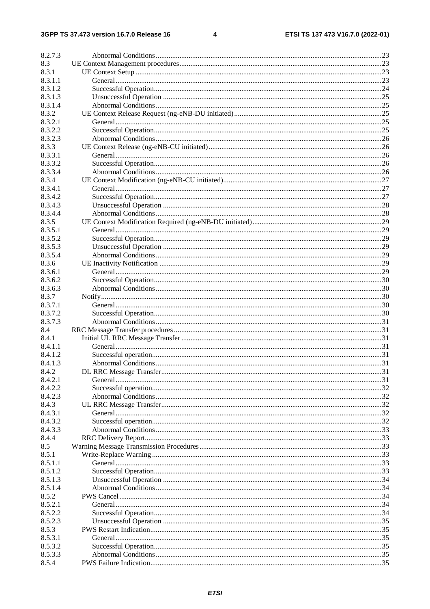$\overline{\mathbf{4}}$ 

| 8.2.7.3 |  |
|---------|--|
| 8.3     |  |
| 8.3.1   |  |
| 8.3.1.1 |  |
| 8.3.1.2 |  |
| 8.3.1.3 |  |
| 8.3.1.4 |  |
| 8.3.2   |  |
| 8.3.2.1 |  |
| 8.3.2.2 |  |
| 8.3.2.3 |  |
| 8.3.3   |  |
| 8.3.3.1 |  |
| 8.3.3.2 |  |
| 8.3.3.4 |  |
| 8.3.4   |  |
| 8.3.4.1 |  |
| 8.3.4.2 |  |
| 8.3.4.3 |  |
| 8.3.4.4 |  |
| 8.3.5   |  |
| 8.3.5.1 |  |
| 8.3.5.2 |  |
| 8.3.5.3 |  |
| 8.3.5.4 |  |
| 8.3.6   |  |
| 8.3.6.1 |  |
| 8.3.6.2 |  |
| 8.3.6.3 |  |
| 8.3.7   |  |
| 8.3.7.1 |  |
| 8.3.7.2 |  |
| 8.3.7.3 |  |
| 8.4     |  |
| 8.4.1   |  |
| 8.4.1.1 |  |
| 8.4.1.2 |  |
| 8.4.1.3 |  |
| 8.4.2   |  |
| 8.4.2.1 |  |
| 8.4.2.2 |  |
| 8.4.2.3 |  |
| 8.4.3   |  |
| 8.4.3.1 |  |
| 8.4.3.2 |  |
| 8.4.3.3 |  |
| 8.4.4   |  |
| 8.5     |  |
| 8.5.1   |  |
| 8.5.1.1 |  |
| 8.5.1.2 |  |
| 8.5.1.3 |  |
| 8.5.1.4 |  |
| 8.5.2   |  |
| 8.5.2.1 |  |
| 8.5.2.2 |  |
| 8.5.2.3 |  |
| 8.5.3   |  |
| 8.5.3.1 |  |
| 8.5.3.2 |  |
| 8.5.3.3 |  |
| 8.5.4   |  |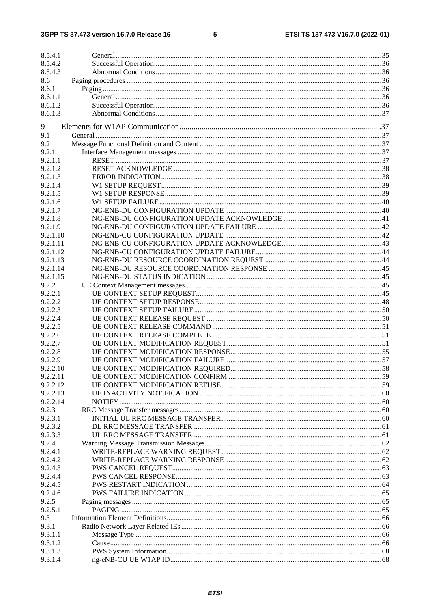#### $5\phantom{a}$

| 8.5.4.1            |  |
|--------------------|--|
| 8.5.4.2            |  |
| 8.5.4.3            |  |
| 8.6                |  |
| 8.6.1              |  |
| 8.6.1.1            |  |
| 8.6.1.2            |  |
| 8.6.1.3            |  |
| 9                  |  |
| 9.1                |  |
| 9.2                |  |
| 9.2.1              |  |
| 9.2.1.1            |  |
| 9.2.1.2            |  |
| 9.2.1.3            |  |
| 9.2.1.4            |  |
| 9.2.1.5            |  |
| 9.2.1.6            |  |
| 9.2.1.7            |  |
| 9.2.1.8            |  |
| 9.2.1.9            |  |
| 9.2.1.10           |  |
| 9.2.1.11           |  |
| 9.2.1.12           |  |
| 9.2.1.13           |  |
| 9.2.1.14           |  |
| 9.2.1.15           |  |
| 9.2.2              |  |
| 9.2.2.1            |  |
| 9.2.2.2            |  |
| 9.2.2.3            |  |
| 9.2.2.4            |  |
| 9.2.2.5            |  |
| 9.2.2.6            |  |
| 9.2.2.7            |  |
| 9.2.2.8            |  |
| 9.2.2.9            |  |
| 9.2.2.10           |  |
| 9.2.2.11           |  |
| 9.2.2.12           |  |
| 9.2.2.13           |  |
| 9.2.2.14           |  |
| 9.2.3              |  |
| 9.2.3.1            |  |
| 9.2.3.2            |  |
| 9.2.3.3            |  |
| 9.2.4              |  |
| 9.2.4.1            |  |
| 9.2.4.2            |  |
| 9.2.4.3            |  |
| 9.2.4.4            |  |
| 9.2.4.5            |  |
| 9.2.4.6            |  |
| 9.2.5              |  |
| 9.2.5.1            |  |
| 9.3                |  |
| 9.3.1              |  |
| 9.3.1.1            |  |
| 9.3.1.2            |  |
| 9.3.1.3<br>9.3.1.4 |  |
|                    |  |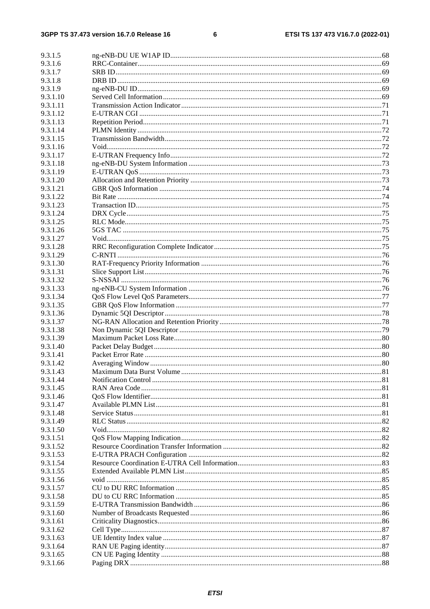#### $\bf 6$

| 9.3.1.5              |  |
|----------------------|--|
| 9.3.1.6              |  |
| 9.3.1.7              |  |
| 9.3.1.8              |  |
| 9.3.1.9              |  |
| 9.3.1.10             |  |
| 9.3.1.11             |  |
| 9.3.1.12             |  |
| 9.3.1.13             |  |
| 9.3.1.14             |  |
| 9.3.1.15             |  |
| 9.3.1.16             |  |
| 9.3.1.17             |  |
| 9.3.1.18             |  |
| 9.3.1.19             |  |
| 9.3.1.20             |  |
| 9.3.1.21             |  |
| 9.3.1.22<br>9.3.1.23 |  |
| 9.3.1.24             |  |
| 9.3.1.25             |  |
| 9.3.1.26             |  |
| 9.3.1.27             |  |
| 9.3.1.28             |  |
| 9.3.1.29             |  |
| 9.3.1.30             |  |
| 9.3.1.31             |  |
| 9.3.1.32             |  |
| 9.3.1.33             |  |
| 9.3.1.34             |  |
| 9.3.1.35             |  |
| 9.3.1.36             |  |
| 9.3.1.37             |  |
| 9.3.1.38             |  |
| 9.3.1.39             |  |
| 9.3.1.40             |  |
| 9.3.1.41             |  |
| 9.3.1.42<br>9.3.1.43 |  |
| 9.3.1.44             |  |
| 9.3.1.45             |  |
| 9.3.1.46             |  |
| 9.3.1.47             |  |
| 9.3.1.48             |  |
| 9.3.1.49             |  |
| 9.3.1.50             |  |
| 9.3.1.51             |  |
| 9.3.1.52             |  |
| 9.3.1.53             |  |
| 9.3.1.54             |  |
| 9.3.1.55             |  |
| 9.3.1.56             |  |
| 9.3.1.57             |  |
| 9.3.1.58             |  |
| 9.3.1.59             |  |
| 9.3.1.60             |  |
| 9.3.1.61             |  |
| 9.3.1.62<br>9.3.1.63 |  |
| 9.3.1.64             |  |
| 9.3.1.65             |  |
| 9.3.1.66             |  |
|                      |  |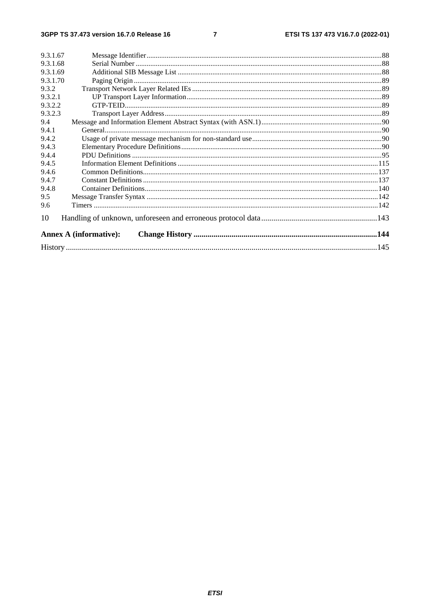$\overline{7}$ 

| 9.3.1.67 |                               |  |
|----------|-------------------------------|--|
| 9.3.1.68 |                               |  |
| 9.3.1.69 |                               |  |
| 9.3.1.70 |                               |  |
| 9.3.2    |                               |  |
| 9.3.2.1  |                               |  |
| 9.3.2.2  |                               |  |
| 9.3.2.3  |                               |  |
| 9.4      |                               |  |
| 9.4.1    |                               |  |
| 9.4.2    |                               |  |
| 9.4.3    |                               |  |
| 9.4.4    |                               |  |
| 9.4.5    |                               |  |
| 9.4.6    |                               |  |
| 9.4.7    |                               |  |
| 9.4.8    |                               |  |
| 9.5      |                               |  |
| 9.6      |                               |  |
| 10       |                               |  |
|          | <b>Annex A (informative):</b> |  |
|          |                               |  |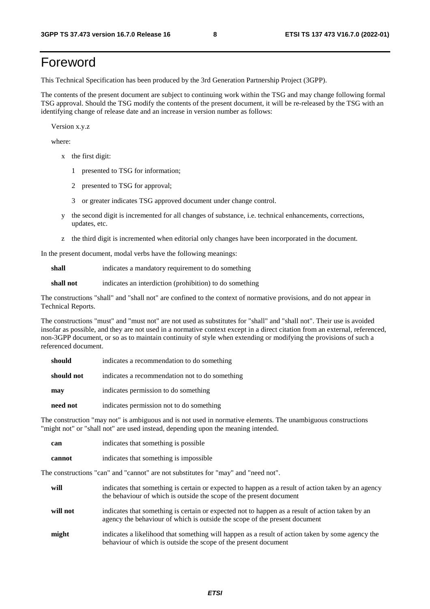## Foreword

This Technical Specification has been produced by the 3rd Generation Partnership Project (3GPP).

The contents of the present document are subject to continuing work within the TSG and may change following formal TSG approval. Should the TSG modify the contents of the present document, it will be re-released by the TSG with an identifying change of release date and an increase in version number as follows:

Version x.y.z

where:

- x the first digit:
	- 1 presented to TSG for information;
	- 2 presented to TSG for approval;
	- 3 or greater indicates TSG approved document under change control.
- y the second digit is incremented for all changes of substance, i.e. technical enhancements, corrections, updates, etc.
- z the third digit is incremented when editorial only changes have been incorporated in the document.

In the present document, modal verbs have the following meanings:

**shall** indicates a mandatory requirement to do something

**shall not** indicates an interdiction (prohibition) to do something

The constructions "shall" and "shall not" are confined to the context of normative provisions, and do not appear in Technical Reports.

The constructions "must" and "must not" are not used as substitutes for "shall" and "shall not". Their use is avoided insofar as possible, and they are not used in a normative context except in a direct citation from an external, referenced, non-3GPP document, or so as to maintain continuity of style when extending or modifying the provisions of such a referenced document.

| should     | indicates a recommendation to do something     |
|------------|------------------------------------------------|
| should not | indicates a recommendation not to do something |
| may        | indicates permission to do something           |
| need not   | indicates permission not to do something       |

The construction "may not" is ambiguous and is not used in normative elements. The unambiguous constructions "might not" or "shall not" are used instead, depending upon the meaning intended.

| can    | indicates that something is possible   |  |  |
|--------|----------------------------------------|--|--|
| cannot | indicates that something is impossible |  |  |

The constructions "can" and "cannot" are not substitutes for "may" and "need not".

| will     | indicates that something is certain or expected to happen as a result of action taken by an agency<br>the behaviour of which is outside the scope of the present document     |
|----------|-------------------------------------------------------------------------------------------------------------------------------------------------------------------------------|
| will not | indicates that something is certain or expected not to happen as a result of action taken by an<br>agency the behaviour of which is outside the scope of the present document |
| might    | indicates a likelihood that something will happen as a result of action taken by some agency the<br>behaviour of which is outside the scope of the present document           |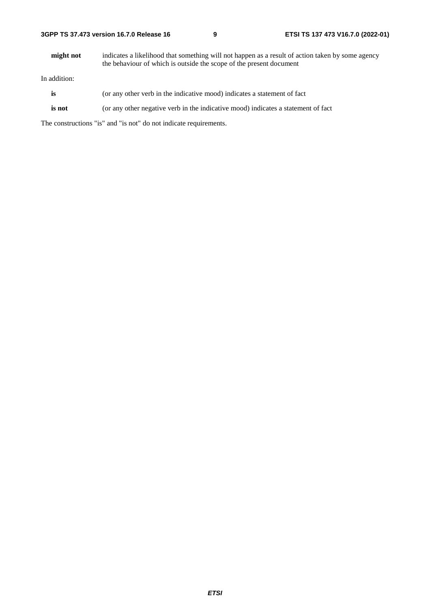**might not** indicates a likelihood that something will not happen as a result of action taken by some agency the behaviour of which is outside the scope of the present document

In addition:

- is (or any other verb in the indicative mood) indicates a statement of fact
- **is not** (or any other negative verb in the indicative mood) indicates a statement of fact

The constructions "is" and "is not" do not indicate requirements.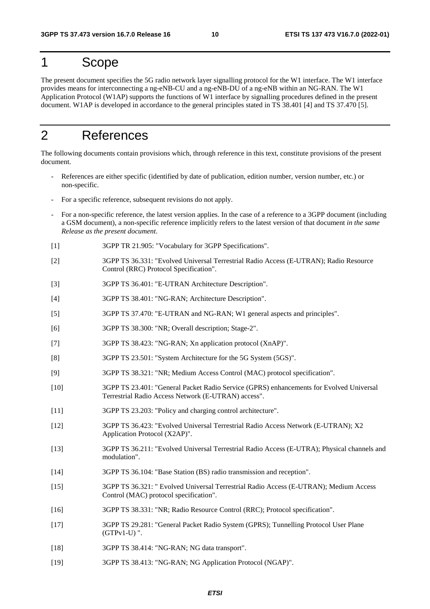## 1 Scope

The present document specifies the 5G radio network layer signalling protocol for the W1 interface. The W1 interface provides means for interconnecting a ng-eNB-CU and a ng-eNB-DU of a ng-eNB within an NG-RAN. The W1 Application Protocol (W1AP) supports the functions of W1 interface by signalling procedures defined in the present document. W1AP is developed in accordance to the general principles stated in TS 38.401 [4] and TS 37.470 [5].

## 2 References

The following documents contain provisions which, through reference in this text, constitute provisions of the present document.

- References are either specific (identified by date of publication, edition number, version number, etc.) or non-specific.
- For a specific reference, subsequent revisions do not apply.
- For a non-specific reference, the latest version applies. In the case of a reference to a 3GPP document (including a GSM document), a non-specific reference implicitly refers to the latest version of that document *in the same Release as the present document*.
- [1] 3GPP TR 21.905: "Vocabulary for 3GPP Specifications".
- [2] 3GPP TS 36.331: "Evolved Universal Terrestrial Radio Access (E-UTRAN); Radio Resource Control (RRC) Protocol Specification".
- [3] 3GPP TS 36.401: "E-UTRAN Architecture Description".
- [4] 3GPP TS 38.401: "NG-RAN; Architecture Description".
- [5] 3GPP TS 37.470: "E-UTRAN and NG-RAN; W1 general aspects and principles".
- [6] 3GPP TS 38.300: "NR; Overall description; Stage-2".
- [7] 3GPP TS 38.423: "NG-RAN; Xn application protocol (XnAP)".
- [8] 3GPP TS 23.501: "System Architecture for the 5G System (5GS)".
- [9] 3GPP TS 38.321: "NR; Medium Access Control (MAC) protocol specification".
- [10] 3GPP TS 23.401: "General Packet Radio Service (GPRS) enhancements for Evolved Universal Terrestrial Radio Access Network (E-UTRAN) access".
- [11] 3GPP TS 23.203: "Policy and charging control architecture".
- [12] 3GPP TS 36.423: "Evolved Universal Terrestrial Radio Access Network (E-UTRAN); X2 Application Protocol (X2AP)".
- [13] 3GPP TS 36.211: "Evolved Universal Terrestrial Radio Access (E-UTRA); Physical channels and modulation".
- [14] 3GPP TS 36.104: "Base Station (BS) radio transmission and reception".
- [15] 3GPP TS 36.321: " Evolved Universal Terrestrial Radio Access (E-UTRAN); Medium Access Control (MAC) protocol specification".
- [16] 3GPP TS 38.331: "NR; Radio Resource Control (RRC); Protocol specification".
- [17] 3GPP TS 29.281: "General Packet Radio System (GPRS); Tunnelling Protocol User Plane (GTPv1-U) ".
- [18] 3GPP TS 38.414: "NG-RAN; NG data transport".
- [19] 3GPP TS 38.413: "NG-RAN; NG Application Protocol (NGAP)".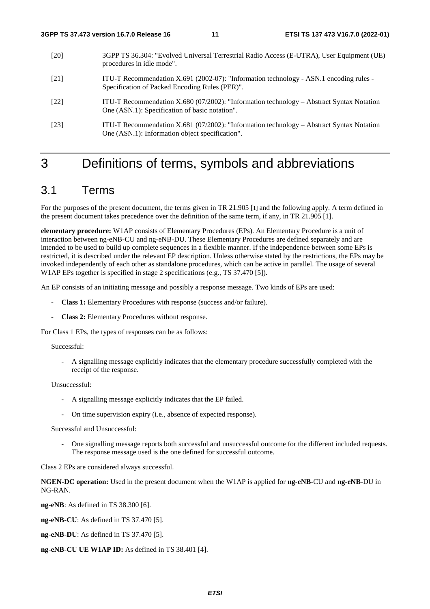- [20] 3GPP TS 36.304: "Evolved Universal Terrestrial Radio Access (E-UTRA), User Equipment (UE) procedures in idle mode".
- [21] ITU-T Recommendation X.691 (2002-07): "Information technology ASN.1 encoding rules Specification of Packed Encoding Rules (PER)".
- [22] ITU-T Recommendation X.680 (07/2002): "Information technology Abstract Syntax Notation One (ASN.1): Specification of basic notation".
- [23] ITU-T Recommendation X.681 (07/2002): "Information technology Abstract Syntax Notation One (ASN.1): Information object specification".

## 3 Definitions of terms, symbols and abbreviations

## 3.1 Terms

For the purposes of the present document, the terms given in TR 21.905 [1] and the following apply. A term defined in the present document takes precedence over the definition of the same term, if any, in TR 21.905 [1].

**elementary procedure:** W1AP consists of Elementary Procedures (EPs). An Elementary Procedure is a unit of interaction between ng-eNB-CU and ng-eNB-DU. These Elementary Procedures are defined separately and are intended to be used to build up complete sequences in a flexible manner. If the independence between some EPs is restricted, it is described under the relevant EP description. Unless otherwise stated by the restrictions, the EPs may be invoked independently of each other as standalone procedures, which can be active in parallel. The usage of several W1AP EPs together is specified in stage 2 specifications (e.g., TS 37.470 [5]).

An EP consists of an initiating message and possibly a response message. Two kinds of EPs are used:

- **Class 1:** Elementary Procedures with response (success and/or failure).
- **Class 2:** Elementary Procedures without response.

For Class 1 EPs, the types of responses can be as follows:

#### Successful:

- A signalling message explicitly indicates that the elementary procedure successfully completed with the receipt of the response.

Unsuccessful:

- A signalling message explicitly indicates that the EP failed.
- On time supervision expiry (i.e., absence of expected response).

Successful and Unsuccessful:

- One signalling message reports both successful and unsuccessful outcome for the different included requests. The response message used is the one defined for successful outcome.

Class 2 EPs are considered always successful.

**NGEN-DC operation:** Used in the present document when the W1AP is applied for **ng-eNB**-CU and **ng-eNB**-DU in NG-RAN.

**ng-eNB**: As defined in TS 38.300 [6].

**ng-eNB-CU**: As defined in TS 37.470 [5].

**ng-eNB-DU**: As defined in TS 37.470 [5].

**ng-eNB-CU UE W1AP ID:** As defined in TS 38.401 [4].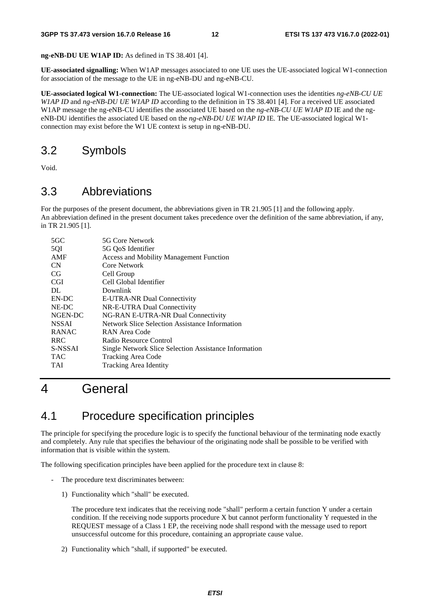**ng-eNB-DU UE W1AP ID:** As defined in TS 38.401 [4].

**UE-associated signalling:** When W1AP messages associated to one UE uses the UE-associated logical W1-connection for association of the message to the UE in ng-eNB-DU and ng-eNB-CU.

**UE-associated logical W1-connection:** The UE-associated logical W1-connection uses the identities *ng-eNB-CU UE W1AP ID* and *ng-eNB-DU UE W1AP ID* according to the definition in TS 38.401 [4]. For a received UE associated W1AP message the ng-eNB-CU identifies the associated UE based on the *ng-eNB-CU UE W1AP ID* IE and the ngeNB-DU identifies the associated UE based on the *ng-eNB-DU UE W1AP ID* IE*.* The UE-associated logical W1 connection may exist before the W1 UE context is setup in ng-eNB-DU.

## 3.2 Symbols

Void.

## 3.3 Abbreviations

For the purposes of the present document, the abbreviations given in TR 21.905 [1] and the following apply. An abbreviation defined in the present document takes precedence over the definition of the same abbreviation, if any, in TR 21.905 [1].

| $5 \times C$ | 5G Core Network                                       |  |
|--------------|-------------------------------------------------------|--|
| 5QI          | 5G QoS Identifier                                     |  |
| AMF          | Access and Mobility Management Function               |  |
| <b>CN</b>    | Core Network                                          |  |
| CG           | Cell Group                                            |  |
| <b>CGI</b>   | Cell Global Identifier                                |  |
| DL.          | Downlink                                              |  |
| EN-DC        | E-UTRA-NR Dual Connectivity                           |  |
| NE-DC        | NR-E-UTRA Dual Connectivity                           |  |
| NGEN-DC      | NG-RAN E-UTRA-NR Dual Connectivity                    |  |
| <b>NSSAI</b> | Network Slice Selection Assistance Information        |  |
| <b>RANAC</b> | RAN Area Code                                         |  |
| <b>RRC</b>   | Radio Resource Control                                |  |
| S-NSSAI      | Single Network Slice Selection Assistance Information |  |
| TAC          | Tracking Area Code                                    |  |
| TAI          | <b>Tracking Area Identity</b>                         |  |
|              |                                                       |  |

## 4 General

## 4.1 Procedure specification principles

The principle for specifying the procedure logic is to specify the functional behaviour of the terminating node exactly and completely. Any rule that specifies the behaviour of the originating node shall be possible to be verified with information that is visible within the system.

The following specification principles have been applied for the procedure text in clause 8:

- The procedure text discriminates between:
	- 1) Functionality which "shall" be executed.

 The procedure text indicates that the receiving node "shall" perform a certain function Y under a certain condition. If the receiving node supports procedure X but cannot perform functionality Y requested in the REQUEST message of a Class 1 EP, the receiving node shall respond with the message used to report unsuccessful outcome for this procedure, containing an appropriate cause value.

2) Functionality which "shall, if supported" be executed.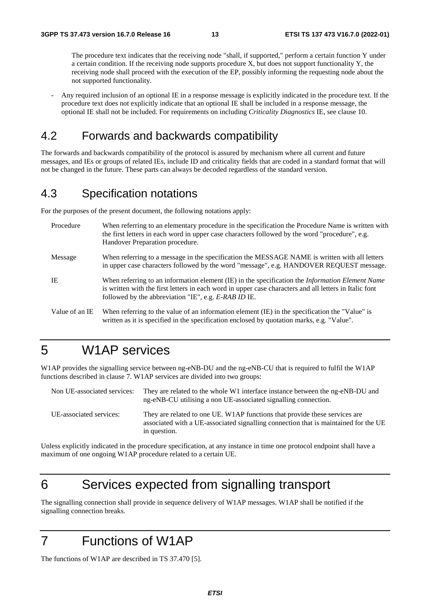The procedure text indicates that the receiving node "shall, if supported," perform a certain function Y under a certain condition. If the receiving node supports procedure X, but does not support functionality Y, the receiving node shall proceed with the execution of the EP, possibly informing the requesting node about the not supported functionality.

- Any required inclusion of an optional IE in a response message is explicitly indicated in the procedure text. If the procedure text does not explicitly indicate that an optional IE shall be included in a response message, the optional IE shall not be included. For requirements on including *Criticality Diagnostics* IE, see clause 10.

## 4.2 Forwards and backwards compatibility

The forwards and backwards compatibility of the protocol is assured by mechanism where all current and future messages, and IEs or groups of related IEs, include ID and criticality fields that are coded in a standard format that will not be changed in the future. These parts can always be decoded regardless of the standard version.

## 4.3 Specification notations

For the purposes of the present document, the following notations apply:

| Procedure      | When referring to an elementary procedure in the specification the Procedure Name is written with<br>the first letters in each word in upper case characters followed by the word "procedure", e.g.<br>Handover Preparation procedure.                                   |
|----------------|--------------------------------------------------------------------------------------------------------------------------------------------------------------------------------------------------------------------------------------------------------------------------|
| Message        | When referring to a message in the specification the MESSAGE NAME is written with all letters<br>in upper case characters followed by the word "message", e.g. HANDOVER REQUEST message.                                                                                 |
| IE             | When referring to an information element (IE) in the specification the <i>Information Element Name</i><br>is written with the first letters in each word in upper case characters and all letters in Italic font<br>followed by the abbreviation "IE", e.g. E-RAB ID IE. |
| Value of an IE | When referring to the value of an information element (IE) in the specification the "Value" is<br>written as it is specified in the specification enclosed by quotation marks, e.g. "Value".                                                                             |

## 5 W1AP services

W1AP provides the signalling service between ng-eNB-DU and the ng-eNB-CU that is required to fulfil the W1AP functions described in clause 7. W1AP services are divided into two groups:

| Non UE-associated services: | They are related to the whole W1 interface instance between the ng-eNB-DU and<br>ng-eNB-CU utilising a non UE-associated signalling connection.                                   |  |
|-----------------------------|-----------------------------------------------------------------------------------------------------------------------------------------------------------------------------------|--|
| UE-associated services:     | They are related to one UE. W1AP functions that provide these services are<br>associated with a UE-associated signalling connection that is maintained for the UE<br>in question. |  |

Unless explicitly indicated in the procedure specification, at any instance in time one protocol endpoint shall have a maximum of one ongoing W1AP procedure related to a certain UE.

## 6 Services expected from signalling transport

The signalling connection shall provide in sequence delivery of W1AP messages. W1AP shall be notified if the signalling connection breaks.

## 7 Functions of W1AP

The functions of W1AP are described in TS 37.470 [5].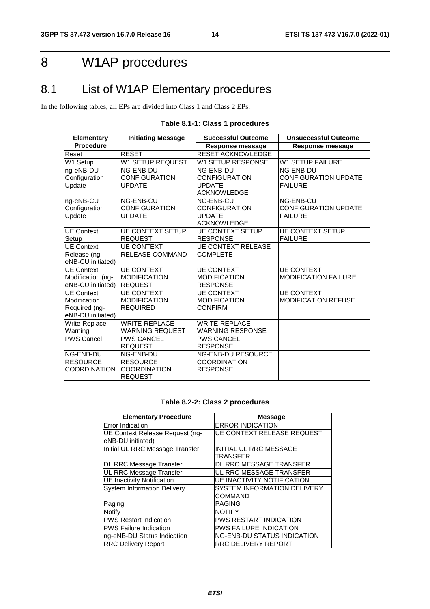## 8 W1AP procedures

## 8.1 List of W1AP Elementary procedures

In the following tables, all EPs are divided into Class 1 and Class 2 EPs:

| <b>Elementary</b>                       | <b>Initiating Message</b>              | <b>Successful Outcome</b>       | <b>Unsuccessful Outcome</b> |
|-----------------------------------------|----------------------------------------|---------------------------------|-----------------------------|
| <b>Procedure</b>                        |                                        | Response message                | Response message            |
| Reset                                   | <b>RESET</b>                           | <b>RESET ACKNOWLEDGE</b>        |                             |
| W1 Setup                                | <b>W1 SETUP REQUEST</b>                | W1 SETUP RESPONSE               | <b>W1 SETUP FAILURE</b>     |
| ng-eNB-DU                               | NG-ENB-DU                              | NG-ENB-DU                       | NG-ENB-DU                   |
| Configuration                           | <b>CONFIGURATION</b>                   | CONFIGURATION                   | CONFIGURATION UPDATE        |
| Update                                  | <b>UPDATE</b>                          | <b>UPDATE</b>                   | <b>FAILURE</b>              |
|                                         |                                        | <b>ACKNOWLEDGE</b>              |                             |
| ng-eNB-CU                               | NG-ENB-CU                              | <b>NG-ENB-CU</b>                | NG-ENB-CU                   |
| Configuration                           | <b>CONFIGURATION</b>                   | <b>CONFIGURATION</b>            | <b>CONFIGURATION UPDATE</b> |
| Update                                  | <b>UPDATE</b>                          | <b>UPDATE</b>                   | <b>FAILURE</b>              |
|                                         |                                        | <b>ACKNOWLEDGE</b>              |                             |
| <b>UE Context</b>                       | <b>UE CONTEXT SETUP</b>                | <b>UE CONTEXT SETUP</b>         | <b>UE CONTEXT SETUP</b>     |
| Setup                                   | <b>REQUEST</b>                         | <b>RESPONSE</b>                 | <b>FAILURE</b>              |
| UE Context                              | <b>UE CONTEXT</b>                      | <b>UE CONTEXT RELEASE</b>       |                             |
| Release (ng-                            | <b>RELEASE COMMAND</b>                 | <b>COMPLETE</b>                 |                             |
| eNB-CU initiated)                       |                                        |                                 |                             |
| UE Context                              | <b>UE CONTEXT</b>                      | <b>UE CONTEXT</b>               | <b>UE CONTEXT</b>           |
| Modification (ng-                       | <b>MODIFICATION</b>                    | <b>MODIFICATION</b>             | <b>MODIFICATION FAILURE</b> |
| eNB-CU initiated)                       | <b>REQUEST</b>                         | <b>RESPONSE</b>                 |                             |
| <b>UE Context</b>                       | <b>UE CONTEXT</b>                      | <b>UE CONTEXT</b>               | <b>UE CONTEXT</b>           |
| Modification                            | <b>MODIFICATION</b>                    | <b>MODIFICATION</b>             | <b>MODIFICATION REFUSE</b>  |
| Required (ng-                           | <b>REQUIRED</b>                        | <b>CONFIRM</b>                  |                             |
| eNB-DU initiated)                       |                                        |                                 |                             |
| Write-Replace                           | <b>WRITE-REPLACE</b>                   | <b>WRITE-REPLACE</b>            |                             |
| Warning                                 | <b>WARNING REQUEST</b>                 | <b>WARNING RESPONSE</b>         |                             |
| <b>PWS Cancel</b>                       | <b>PWS CANCEL</b>                      | <b>PWS CANCEL</b>               |                             |
|                                         | <b>REQUEST</b>                         | <b>RESPONSE</b>                 |                             |
| NG-ENB-DU                               | NG-ENB-DU                              | <b>NG-ENB-DU RESOURCE</b>       |                             |
| <b>RESOURCE</b><br><b>ICOORDINATION</b> | <b>RESOURCE</b><br><b>COORDINATION</b> | COORDINATION<br><b>RESPONSE</b> |                             |
|                                         | <b>REQUEST</b>                         |                                 |                             |
|                                         |                                        |                                 |                             |

## **Table 8.1-1: Class 1 procedures**

#### **Table 8.2-2: Class 2 procedures**

| <b>Elementary Procedure</b>                          | <b>Message</b>                                |
|------------------------------------------------------|-----------------------------------------------|
| Error Indication                                     | <b>ERROR INDICATION</b>                       |
| UE Context Release Request (ng-<br>eNB-DU initiated) | <b>UE CONTEXT RELEASE REQUEST</b>             |
| Initial UL RRC Message Transfer                      | <b>INITIAL UL RRC MESSAGE</b><br>TRANSFER     |
| DL RRC Message Transfer                              | DL RRC MESSAGE TRANSFER                       |
| UL RRC Message Transfer                              | UL RRC MESSAGE TRANSFER                       |
| <b>UE Inactivity Notification</b>                    | <b>UE INACTIVITY NOTIFICATION</b>             |
| <b>System Information Delivery</b>                   | <b>SYSTEM INFORMATION DELIVERY</b><br>COMMAND |
| Paging                                               | <b>PAGING</b>                                 |
| Notify                                               | <b>NOTIFY</b>                                 |
| <b>PWS Restart Indication</b>                        | <b>PWS RESTART INDICATION</b>                 |
| <b>PWS Failure Indication</b>                        | <b>PWS FAILURE INDICATION</b>                 |
| ng-eNB-DU Status Indication                          | <b>NG-ENB-DU STATUS INDICATION</b>            |
| <b>RRC Delivery Report</b>                           | <b>RRC DELIVERY REPORT</b>                    |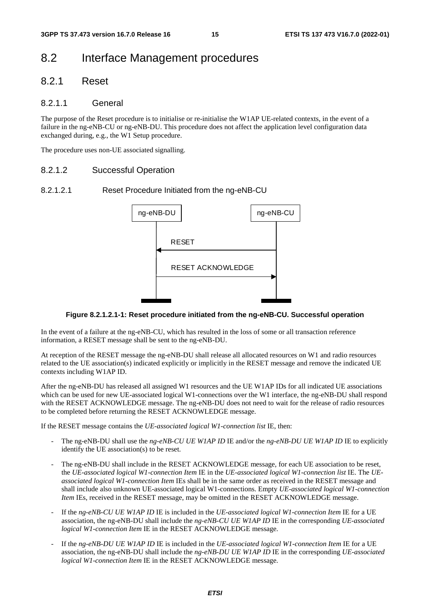## 8.2 Interface Management procedures

## 8.2.1 Reset

### 8.2.1.1 General

The purpose of the Reset procedure is to initialise or re-initialise the W1AP UE-related contexts, in the event of a failure in the ng-eNB-CU or ng-eNB-DU. This procedure does not affect the application level configuration data exchanged during, e.g., the W1 Setup procedure.

The procedure uses non-UE associated signalling.

#### 8.2.1.2 Successful Operation

### 8.2.1.2.1 Reset Procedure Initiated from the ng-eNB-CU



#### **Figure 8.2.1.2.1-1: Reset procedure initiated from the ng-eNB-CU. Successful operation**

In the event of a failure at the ng-eNB-CU, which has resulted in the loss of some or all transaction reference information, a RESET message shall be sent to the ng-eNB-DU.

At reception of the RESET message the ng-eNB-DU shall release all allocated resources on W1 and radio resources related to the UE association(s) indicated explicitly or implicitly in the RESET message and remove the indicated UE contexts including W1AP ID.

After the ng-eNB-DU has released all assigned W1 resources and the UE W1AP IDs for all indicated UE associations which can be used for new UE-associated logical W1-connections over the W1 interface, the ng-eNB-DU shall respond with the RESET ACKNOWLEDGE message. The ng-eNB-DU does not need to wait for the release of radio resources to be completed before returning the RESET ACKNOWLEDGE message.

If the RESET message contains the *UE-associated logical W1-connection list* IE, then:

- The ng-eNB-DU shall use the *ng-eNB-CU UE W1AP ID* IE and/or the *ng-eNB-DU UE W1AP ID* IE to explicitly identify the UE association(s) to be reset.
- The ng-eNB-DU shall include in the RESET ACKNOWLEDGE message, for each UE association to be reset. the *UE-associated logical W1-connection Item* IE in the *UE-associated logical W1-connection list* IE. The *UEassociated logical W1-connection Item* IEs shall be in the same order as received in the RESET message and shall include also unknown UE-associated logical W1-connections. Empty *UE-associated logical W1-connection Item* IEs, received in the RESET message, may be omitted in the RESET ACKNOWLEDGE message.
- If the *ng-eNB-CU UE W1AP ID* IE is included in the *UE-associated logical W1-connection Item* IE for a UE association, the ng-eNB-DU shall include the *ng-eNB-CU UE W1AP ID* IE in the corresponding *UE-associated logical W1-connection Item* IE in the RESET ACKNOWLEDGE message.
- If the *ng-eNB-DU UE W1AP ID* IE is included in the *UE-associated logical W1-connection Item* IE for a UE association, the ng-eNB-DU shall include the *ng-eNB-DU UE W1AP ID* IE in the corresponding *UE-associated logical W1-connection Item* IE in the RESET ACKNOWLEDGE message.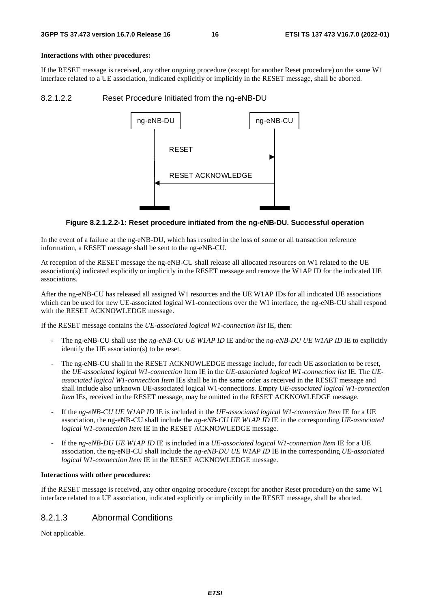#### **Interactions with other procedures:**

If the RESET message is received, any other ongoing procedure (except for another Reset procedure) on the same W1 interface related to a UE association, indicated explicitly or implicitly in the RESET message, shall be aborted.

#### 8.2.1.2.2 Reset Procedure Initiated from the ng-eNB-DU



#### **Figure 8.2.1.2.2-1: Reset procedure initiated from the ng-eNB-DU. Successful operation**

In the event of a failure at the ng-eNB-DU, which has resulted in the loss of some or all transaction reference information, a RESET message shall be sent to the ng-eNB-CU.

At reception of the RESET message the ng-eNB-CU shall release all allocated resources on W1 related to the UE association(s) indicated explicitly or implicitly in the RESET message and remove the W1AP ID for the indicated UE associations.

After the ng-eNB-CU has released all assigned W1 resources and the UE W1AP IDs for all indicated UE associations which can be used for new UE-associated logical W1-connections over the W1 interface, the ng-eNB-CU shall respond with the RESET ACKNOWLEDGE message.

If the RESET message contains the *UE-associated logical W1-connection list* IE, then:

- The ng-eNB-CU shall use the *ng-eNB-CU UE W1AP ID* IE and/or the *ng-eNB-DU UE W1AP ID* IE to explicitly identify the UE association(s) to be reset.
- The ng-eNB-CU shall in the RESET ACKNOWLEDGE message include, for each UE association to be reset, the *UE-associated logical W1-connection* Item IE in the *UE-associated logical W1-connection list* IE. The *UEassociated logical W1-connection Item* IEs shall be in the same order as received in the RESET message and shall include also unknown UE-associated logical W1-connections. Empty *UE-associated logical W1-connection Item* IEs, received in the RESET message, may be omitted in the RESET ACKNOWLEDGE message.
- If the *ng-eNB-CU UE W1AP ID* IE is included in the *UE-associated logical W1-connection Item* IE for a UE association, the ng-eNB-CU shall include the *ng-eNB-CU UE W1AP ID* IE in the corresponding *UE-associated logical W1-connection Item* IE in the RESET ACKNOWLEDGE message.
- If the *ng-eNB-DU UE W1AP ID* IE is included in a *UE-associated logical W1-connection Item* IE for a UE association, the ng-eNB-CU shall include the *ng-eNB-DU UE W1AP ID* IE in the corresponding *UE-associated logical W1-connection Item* IE in the RESET ACKNOWLEDGE message.

#### **Interactions with other procedures:**

If the RESET message is received, any other ongoing procedure (except for another Reset procedure) on the same W1 interface related to a UE association, indicated explicitly or implicitly in the RESET message, shall be aborted.

## 8.2.1.3 Abnormal Conditions

Not applicable.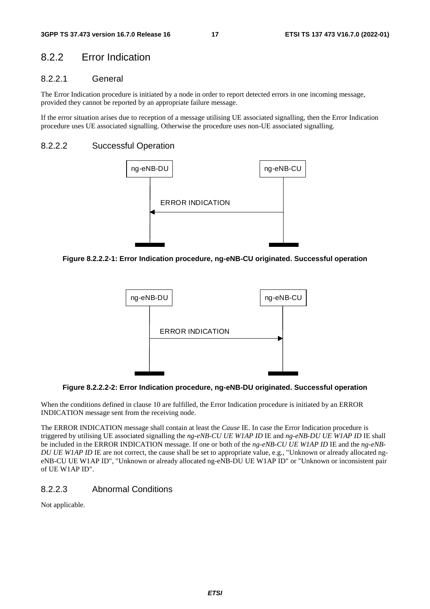## 8.2.2 Error Indication

## 8.2.2.1 General

The Error Indication procedure is initiated by a node in order to report detected errors in one incoming message, provided they cannot be reported by an appropriate failure message.

If the error situation arises due to reception of a message utilising UE associated signalling, then the Error Indication procedure uses UE associated signalling. Otherwise the procedure uses non-UE associated signalling.

#### 8.2.2.2 Successful Operation



**Figure 8.2.2.2-1: Error Indication procedure, ng-eNB-CU originated. Successful operation** 



**Figure 8.2.2.2-2: Error Indication procedure, ng-eNB-DU originated. Successful operation** 

When the conditions defined in clause 10 are fulfilled, the Error Indication procedure is initiated by an ERROR INDICATION message sent from the receiving node.

The ERROR INDICATION message shall contain at least the *Cause* IE. In case the Error Indication procedure is triggered by utilising UE associated signalling the *ng-eNB-CU UE W1AP ID* IE and *ng-eNB-DU UE W1AP ID* IE shall be included in the ERROR INDICATION message. If one or both of the *ng-eNB-CU UE W1AP ID* IE and the *ng-eNB-DU UE WIAP ID* IE are not correct, the cause shall be set to appropriate value, e.g., "Unknown or already allocated ngeNB-CU UE W1AP ID", "Unknown or already allocated ng-eNB-DU UE W1AP ID" or "Unknown or inconsistent pair of UE W1AP ID".

### 8.2.2.3 Abnormal Conditions

Not applicable.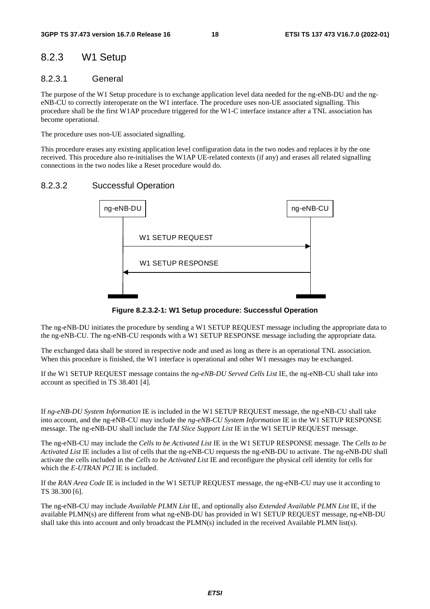## 8.2.3 W1 Setup

## 8.2.3.1 General

The purpose of the W1 Setup procedure is to exchange application level data needed for the ng-eNB-DU and the ngeNB-CU to correctly interoperate on the W1 interface. The procedure uses non-UE associated signalling. This procedure shall be the first W1AP procedure triggered for the W1-C interface instance after a TNL association has become operational.

The procedure uses non-UE associated signalling.

This procedure erases any existing application level configuration data in the two nodes and replaces it by the one received. This procedure also re-initialises the W1AP UE-related contexts (if any) and erases all related signalling connections in the two nodes like a Reset procedure would do.

## 8.2.3.2 Successful Operation



**Figure 8.2.3.2-1: W1 Setup procedure: Successful Operation** 

The ng-eNB-DU initiates the procedure by sending a W1 SETUP REQUEST message including the appropriate data to the ng-eNB-CU. The ng-eNB-CU responds with a W1 SETUP RESPONSE message including the appropriate data.

The exchanged data shall be stored in respective node and used as long as there is an operational TNL association. When this procedure is finished, the W1 interface is operational and other W1 messages may be exchanged.

If the W1 SETUP REQUEST message contains the *ng-eNB-DU Served Cells List* IE, the ng-eNB-CU shall take into account as specified in TS 38.401 [4].

If *ng-eNB-DU System Information* IE is included in the W1 SETUP REQUEST message, the ng-eNB-CU shall take into account, and the ng-eNB-CU may include the *ng-eNB-CU System Information* IE in the W1 SETUP RESPONSE message. The ng-eNB-DU shall include the *TAI Slice Support List* IE in the W1 SETUP REQUEST message.

The ng-eNB-CU may include the *Cells to be Activated List* IE in the W1 SETUP RESPONSE message. The *Cells to be Activated List* IE includes a list of cells that the ng-eNB-CU requests the ng-eNB-DU to activate. The ng-eNB-DU shall activate the cells included in the *Cells to be Activated List* IE and reconfigure the physical cell identity for cells for which the *E-UTRAN PCI* IE is included.

If the *RAN Area Code* IE is included in the W1 SETUP REQUEST message, the ng-eNB-CU may use it according to TS 38.300 [6].

The ng-eNB-CU may include *Available PLMN List* IE, and optionally also *Extended Available PLMN List* IE, if the available PLMN(s) are different from what ng-eNB-DU has provided in W1 SETUP REQUEST message, ng-eNB-DU shall take this into account and only broadcast the PLMN(s) included in the received Available PLMN list(s).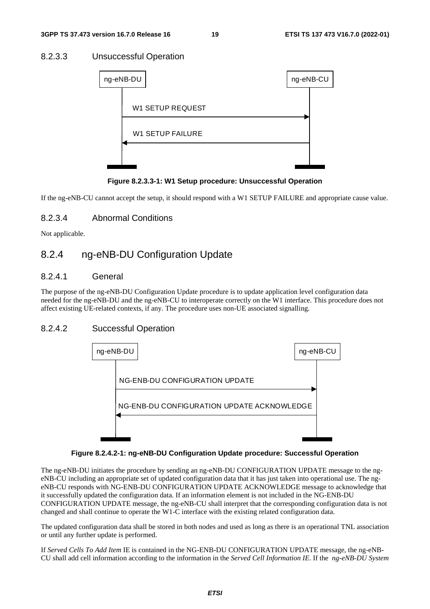## 8.2.3.3 Unsuccessful Operation

| ng-eNB-DU               | ng-eNB-CU |  |
|-------------------------|-----------|--|
| <b>W1 SETUP REQUEST</b> |           |  |
|                         |           |  |
| <b>W1 SETUP FAILURE</b> |           |  |
|                         |           |  |
|                         |           |  |

**Figure 8.2.3.3-1: W1 Setup procedure: Unsuccessful Operation** 

If the ng-eNB-CU cannot accept the setup, it should respond with a W1 SETUP FAILURE and appropriate cause value.

## 8.2.3.4 Abnormal Conditions

Not applicable.

## 8.2.4 ng-eNB-DU Configuration Update

### 8.2.4.1 General

The purpose of the ng-eNB-DU Configuration Update procedure is to update application level configuration data needed for the ng-eNB-DU and the ng-eNB-CU to interoperate correctly on the W1 interface. This procedure does not affect existing UE-related contexts, if any. The procedure uses non-UE associated signalling.

## 8.2.4.2 Successful Operation



#### **Figure 8.2.4.2-1: ng-eNB-DU Configuration Update procedure: Successful Operation**

The ng-eNB-DU initiates the procedure by sending an ng-eNB-DU CONFIGURATION UPDATE message to the ngeNB-CU including an appropriate set of updated configuration data that it has just taken into operational use. The ngeNB-CU responds with NG-ENB-DU CONFIGURATION UPDATE ACKNOWLEDGE message to acknowledge that it successfully updated the configuration data. If an information element is not included in the NG-ENB-DU CONFIGURATION UPDATE message, the ng-eNB-CU shall interpret that the corresponding configuration data is not changed and shall continue to operate the W1-C interface with the existing related configuration data.

The updated configuration data shall be stored in both nodes and used as long as there is an operational TNL association or until any further update is performed.

If *Served Cells To Add Item* IE is contained in the NG-ENB-DU CONFIGURATION UPDATE message, the ng-eNB-CU shall add cell information according to the information in the *Served Cell Information IE*. If the *ng-eNB-DU System*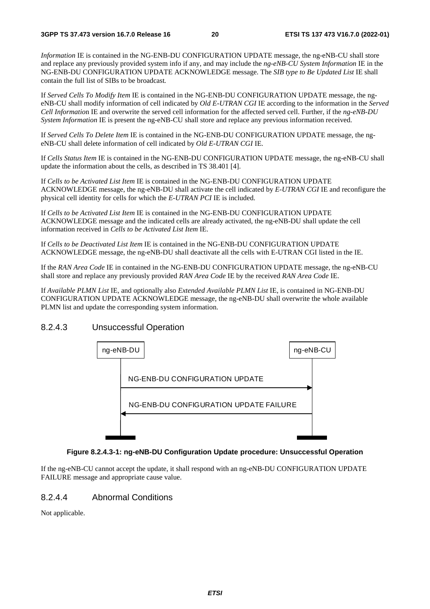*Information* IE is contained in the NG-ENB-DU CONFIGURATION UPDATE message, the ng-eNB-CU shall store and replace any previously provided system info if any, and may include the *ng-eNB-CU System Information* IE in the NG-ENB-DU CONFIGURATION UPDATE ACKNOWLEDGE message. The *SIB type to Be Updated List* IE shall contain the full list of SIBs to be broadcast*.*

If *Served Cells To Modify Item* IE is contained in the NG-ENB-DU CONFIGURATION UPDATE message, the ngeNB-CU shall modify information of cell indicated by *Old E-UTRAN CGI* IE according to the information in the *Served Cell Informatio*n IE and overwrite the served cell information for the affected served cell. Further, if the *ng-eNB-DU System Information* IE is present the ng-eNB-CU shall store and replace any previous information received.

If *Served Cells To Delete Item* IE is contained in the NG-ENB-DU CONFIGURATION UPDATE message, the ngeNB-CU shall delete information of cell indicated by *Old E-UTRAN CGI* IE.

If *Cells Status Item* IE is contained in the NG-ENB-DU CONFIGURATION UPDATE message, the ng-eNB-CU shall update the information about the cells, as described in TS 38.401 [4].

If *Cells to be Activated List Item* IE is contained in the NG-ENB-DU CONFIGURATION UPDATE ACKNOWLEDGE message, the ng-eNB-DU shall activate the cell indicated by *E-UTRAN CGI* IE and reconfigure the physical cell identity for cells for which the *E-UTRAN PCI* IE is included.

If *Cells to be Activated List Item* IE is contained in the NG-ENB-DU CONFIGURATION UPDATE ACKNOWLEDGE message and the indicated cells are already activated, the ng-eNB-DU shall update the cell information received in *Cells to be Activated List Item* IE.

If *Cells to be Deactivated List Item* IE is contained in the NG-ENB-DU CONFIGURATION UPDATE ACKNOWLEDGE message, the ng-eNB-DU shall deactivate all the cells with E-UTRAN CGI listed in the IE.

If the *RAN Area Code* IE in contained in the NG-ENB-DU CONFIGURATION UPDATE message, the ng-eNB-CU shall store and replace any previously provided *RAN Area Code* IE by the received *RAN Area Code* IE.

If *Available PLMN List* IE, and optionally also *Extended Available PLMN List* IE, is contained in NG-ENB-DU CONFIGURATION UPDATE ACKNOWLEDGE message, the ng-eNB-DU shall overwrite the whole available PLMN list and update the corresponding system information.

## 8.2.4.3 Unsuccessful Operation



#### **Figure 8.2.4.3-1: ng-eNB-DU Configuration Update procedure: Unsuccessful Operation**

If the ng-eNB-CU cannot accept the update, it shall respond with an ng-eNB-DU CONFIGURATION UPDATE FAILURE message and appropriate cause value.

## 8.2.4.4 Abnormal Conditions

Not applicable.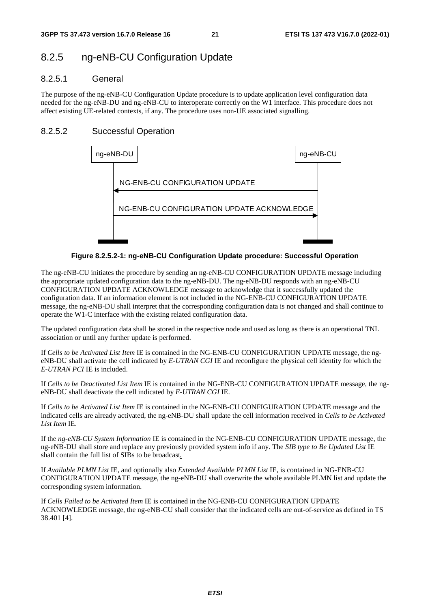## 8.2.5 ng-eNB-CU Configuration Update

## 8.2.5.1 General

The purpose of the ng-eNB-CU Configuration Update procedure is to update application level configuration data needed for the ng-eNB-DU and ng-eNB-CU to interoperate correctly on the W1 interface. This procedure does not affect existing UE-related contexts, if any. The procedure uses non-UE associated signalling.

## 8.2.5.2 Successful Operation



**Figure 8.2.5.2-1: ng-eNB-CU Configuration Update procedure: Successful Operation** 

The ng-eNB-CU initiates the procedure by sending an ng-eNB-CU CONFIGURATION UPDATE message including the appropriate updated configuration data to the ng-eNB-DU. The ng-eNB-DU responds with an ng-eNB-CU CONFIGURATION UPDATE ACKNOWLEDGE message to acknowledge that it successfully updated the configuration data. If an information element is not included in the NG-ENB-CU CONFIGURATION UPDATE message, the ng-eNB-DU shall interpret that the corresponding configuration data is not changed and shall continue to operate the W1-C interface with the existing related configuration data.

The updated configuration data shall be stored in the respective node and used as long as there is an operational TNL association or until any further update is performed.

If *Cells to be Activated List Item* IE is contained in the NG-ENB-CU CONFIGURATION UPDATE message, the ngeNB-DU shall activate the cell indicated by *E-UTRAN CGI* IE and reconfigure the physical cell identity for which the *E-UTRAN PCI* IE is included.

If *Cells to be Deactivated List Item* IE is contained in the NG-ENB-CU CONFIGURATION UPDATE message, the ngeNB-DU shall deactivate the cell indicated by *E-UTRAN CGI* IE.

If *Cells to be Activated List Item* IE is contained in the NG-ENB-CU CONFIGURATION UPDATE message and the indicated cells are already activated, the ng-eNB-DU shall update the cell information received in *Cells to be Activated List Item* IE.

If the *ng-eNB-CU System Information* IE is contained in the NG-ENB-CU CONFIGURATION UPDATE message, the ng-eNB-DU shall store and replace any previously provided system info if any. The *SIB type to Be Updated List* IE shall contain the full list of SIBs to be broadcast*.*

If *Available PLMN List* IE, and optionally also *Extended Available PLMN List* IE, is contained in NG-ENB-CU CONFIGURATION UPDATE message, the ng-eNB-DU shall overwrite the whole available PLMN list and update the corresponding system information.

If *Cells Failed to be Activated Item* IE is contained in the NG-ENB-CU CONFIGURATION UPDATE ACKNOWLEDGE message, the ng-eNB-CU shall consider that the indicated cells are out-of-service as defined in TS 38.401 [4].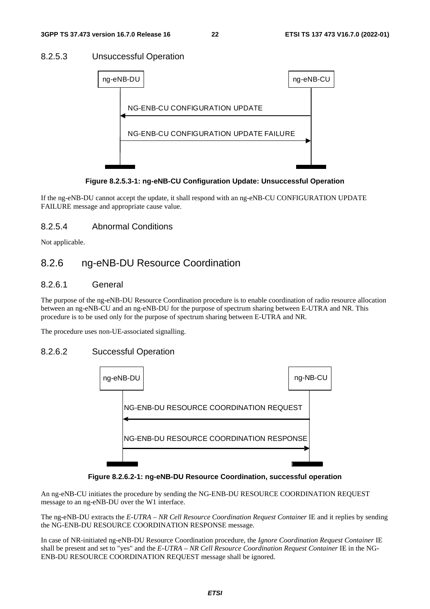## 8.2.5.3 Unsuccessful Operation



**Figure 8.2.5.3-1: ng-eNB-CU Configuration Update: Unsuccessful Operation** 

If the ng-eNB-DU cannot accept the update, it shall respond with an ng-eNB-CU CONFIGURATION UPDATE FAILURE message and appropriate cause value.

### 8.2.5.4 Abnormal Conditions

Not applicable.

## 8.2.6 ng-eNB-DU Resource Coordination

### 8.2.6.1 General

The purpose of the ng-eNB-DU Resource Coordination procedure is to enable coordination of radio resource allocation between an ng-eNB-CU and an ng-eNB-DU for the purpose of spectrum sharing between E-UTRA and NR. This procedure is to be used only for the purpose of spectrum sharing between E-UTRA and NR.

The procedure uses non-UE-associated signalling.

## 8.2.6.2 Successful Operation



**Figure 8.2.6.2-1: ng-eNB-DU Resource Coordination, successful operation** 

An ng-eNB-CU initiates the procedure by sending the NG-ENB-DU RESOURCE COORDINATION REQUEST message to an ng-eNB-DU over the W1 interface.

The ng-eNB-DU extracts the *E-UTRA – NR Cell Resource Coordination Request Container* IE and it replies by sending the NG-ENB-DU RESOURCE COORDINATION RESPONSE message.

In case of NR-initiated ng-eNB-DU Resource Coordination procedure, the *Ignore Coordination Request Container* IE shall be present and set to "yes" and the *E-UTRA – NR Cell Resource Coordination Request Container* IE in the NG-ENB-DU RESOURCE COORDINATION REQUEST message shall be ignored.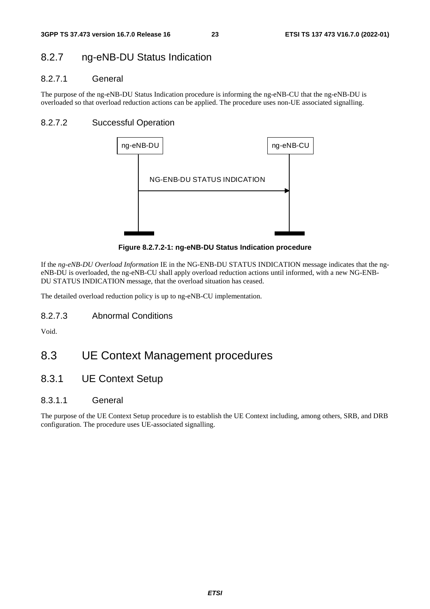## 8.2.7 ng-eNB-DU Status Indication

## 8.2.7.1 General

The purpose of the ng-eNB-DU Status Indication procedure is informing the ng-eNB-CU that the ng-eNB-DU is overloaded so that overload reduction actions can be applied. The procedure uses non-UE associated signalling.

## 8.2.7.2 Successful Operation



**Figure 8.2.7.2-1: ng-eNB-DU Status Indication procedure** 

If the *ng-eNB-DU Overload Information* IE in the NG-ENB-DU STATUS INDICATION message indicates that the ngeNB-DU is overloaded, the ng-eNB-CU shall apply overload reduction actions until informed, with a new NG-ENB-DU STATUS INDICATION message, that the overload situation has ceased.

The detailed overload reduction policy is up to ng-eNB-CU implementation.

8.2.7.3 Abnormal Conditions

Void.

## 8.3 UE Context Management procedures

8.3.1 UE Context Setup

## 8.3.1.1 General

The purpose of the UE Context Setup procedure is to establish the UE Context including, among others, SRB, and DRB configuration. The procedure uses UE-associated signalling.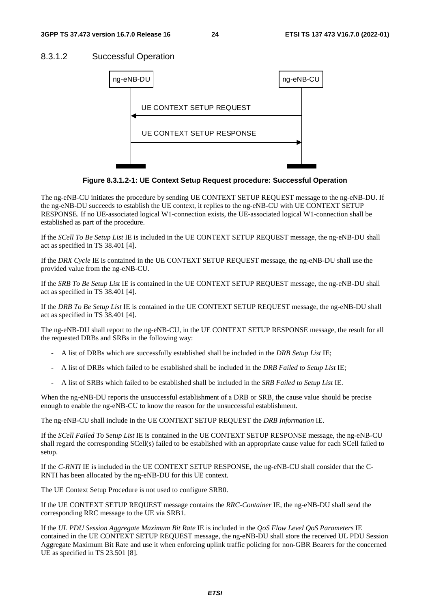## 8.3.1.2 Successful Operation



**Figure 8.3.1.2-1: UE Context Setup Request procedure: Successful Operation** 

The ng-eNB-CU initiates the procedure by sending UE CONTEXT SETUP REQUEST message to the ng-eNB-DU. If the ng-eNB-DU succeeds to establish the UE context, it replies to the ng-eNB-CU with UE CONTEXT SETUP RESPONSE. If no UE-associated logical W1-connection exists, the UE-associated logical W1-connection shall be established as part of the procedure.

If the *SCell To Be Setup List* IE is included in the UE CONTEXT SETUP REQUEST message, the ng-eNB-DU shall act as specified in TS 38.401 [4].

If the *DRX Cycle* IE is contained in the UE CONTEXT SETUP REQUEST message, the ng-eNB-DU shall use the provided value from the ng-eNB-CU.

If the *SRB To Be Setup List* IE is contained in the UE CONTEXT SETUP REQUEST message, the ng-eNB-DU shall act as specified in TS 38.401 [4].

If the *DRB To Be Setup List* IE is contained in the UE CONTEXT SETUP REQUEST message, the ng-eNB-DU shall act as specified in TS 38.401 [4].

The ng-eNB-DU shall report to the ng-eNB-CU, in the UE CONTEXT SETUP RESPONSE message, the result for all the requested DRBs and SRBs in the following way:

- A list of DRBs which are successfully established shall be included in the *DRB Setup List* IE;
- A list of DRBs which failed to be established shall be included in the *DRB Failed to Setup List* IE;
- A list of SRBs which failed to be established shall be included in the *SRB Failed to Setup List* IE.

When the ng-eNB-DU reports the unsuccessful establishment of a DRB or SRB, the cause value should be precise enough to enable the ng-eNB-CU to know the reason for the unsuccessful establishment.

The ng-eNB-CU shall include in the UE CONTEXT SETUP REQUEST the *DRB Information* IE.

If the *SCell Failed To Setup List* IE is contained in the UE CONTEXT SETUP RESPONSE message, the ng-eNB-CU shall regard the corresponding SCell(s) failed to be established with an appropriate cause value for each SCell failed to setup.

If the *C-RNTI* IE is included in the UE CONTEXT SETUP RESPONSE, the ng-eNB-CU shall consider that the C-RNTI has been allocated by the ng-eNB-DU for this UE context.

The UE Context Setup Procedure is not used to configure SRB0.

If the UE CONTEXT SETUP REQUEST message contains the *RRC-Container* IE, the ng-eNB-DU shall send the corresponding RRC message to the UE via SRB1.

If the *UL PDU Session Aggregate Maximum Bit Rate* IE is included in the *QoS Flow Level QoS Parameters* IE contained in the UE CONTEXT SETUP REQUEST message, the ng-eNB-DU shall store the received UL PDU Session Aggregate Maximum Bit Rate and use it when enforcing uplink traffic policing for non-GBR Bearers for the concerned UE as specified in TS 23.501 [8].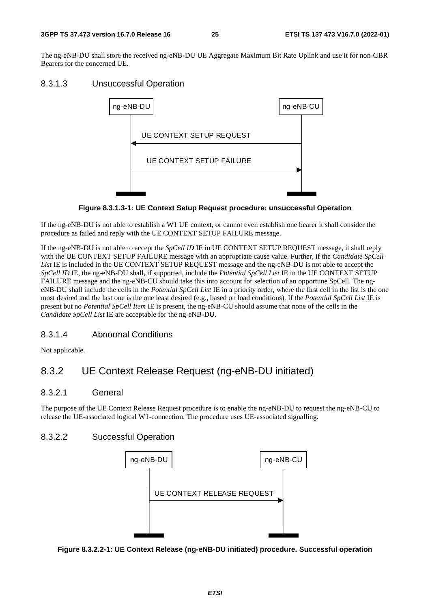The ng-eNB-DU shall store the received ng-eNB-DU UE Aggregate Maximum Bit Rate Uplink and use it for non-GBR Bearers for the concerned UE.

## 8.3.1.3 Unsuccessful Operation



**Figure 8.3.1.3-1: UE Context Setup Request procedure: unsuccessful Operation** 

If the ng-eNB-DU is not able to establish a W1 UE context, or cannot even establish one bearer it shall consider the procedure as failed and reply with the UE CONTEXT SETUP FAILURE message.

If the ng-eNB-DU is not able to accept the *SpCell ID* IE in UE CONTEXT SETUP REQUEST message, it shall reply with the UE CONTEXT SETUP FAILURE message with an appropriate cause value. Further, if the *Candidate SpCell*  List IE is included in the UE CONTEXT SETUP REQUEST message and the ng-eNB-DU is not able to accept the *SpCell ID* IE, the ng-eNB-DU shall, if supported, include the *Potential SpCell List* IE in the UE CONTEXT SETUP FAILURE message and the ng-eNB-CU should take this into account for selection of an opportune SpCell. The ngeNB-DU shall include the cells in the *Potential SpCell List* IE in a priority order, where the first cell in the list is the one most desired and the last one is the one least desired (e.g., based on load conditions). If the *Potential SpCell List* IE is present but no *Potential SpCell Item* IE is present, the ng-eNB-CU should assume that none of the cells in the *Candidate SpCell List* IE are acceptable for the ng-eNB-DU.

## 8.3.1.4 Abnormal Conditions

Not applicable.

## 8.3.2 UE Context Release Request (ng-eNB-DU initiated)

## 8.3.2.1 General

The purpose of the UE Context Release Request procedure is to enable the ng-eNB-DU to request the ng-eNB-CU to release the UE-associated logical W1-connection. The procedure uses UE-associated signalling.

## 8.3.2.2 Successful Operation



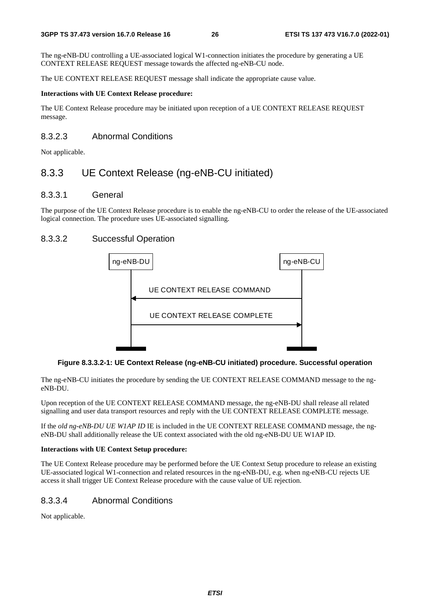The ng-eNB-DU controlling a UE-associated logical W1-connection initiates the procedure by generating a UE CONTEXT RELEASE REQUEST message towards the affected ng-eNB-CU node.

The UE CONTEXT RELEASE REQUEST message shall indicate the appropriate cause value.

#### **Interactions with UE Context Release procedure:**

The UE Context Release procedure may be initiated upon reception of a UE CONTEXT RELEASE REQUEST message.

### 8.3.2.3 Abnormal Conditions

Not applicable.

## 8.3.3 UE Context Release (ng-eNB-CU initiated)

### 8.3.3.1 General

The purpose of the UE Context Release procedure is to enable the ng-eNB-CU to order the release of the UE-associated logical connection. The procedure uses UE-associated signalling.

### 8.3.3.2 Successful Operation



#### **Figure 8.3.3.2-1: UE Context Release (ng-eNB-CU initiated) procedure. Successful operation**

The ng-eNB-CU initiates the procedure by sending the UE CONTEXT RELEASE COMMAND message to the ngeNB-DU.

Upon reception of the UE CONTEXT RELEASE COMMAND message, the ng-eNB-DU shall release all related signalling and user data transport resources and reply with the UE CONTEXT RELEASE COMPLETE message.

If the *old ng-eNB-DU UE W1AP ID* IE is included in the UE CONTEXT RELEASE COMMAND message, the ngeNB-DU shall additionally release the UE context associated with the old ng-eNB-DU UE W1AP ID.

#### **Interactions with UE Context Setup procedure:**

The UE Context Release procedure may be performed before the UE Context Setup procedure to release an existing UE-associated logical W1-connection and related resources in the ng-eNB-DU, e.g. when ng-eNB-CU rejects UE access it shall trigger UE Context Release procedure with the cause value of UE rejection.

## 8.3.3.4 Abnormal Conditions

Not applicable.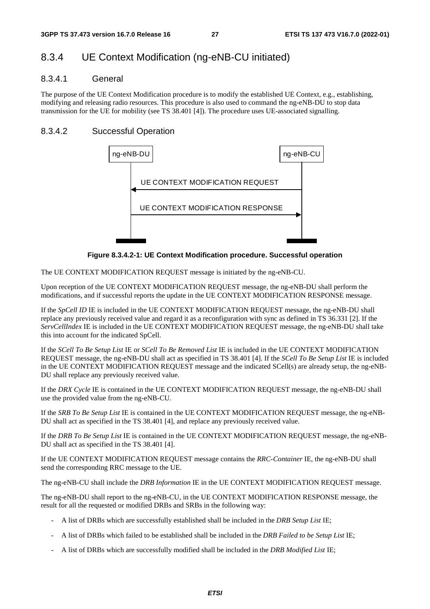## 8.3.4 UE Context Modification (ng-eNB-CU initiated)

### 8.3.4.1 General

The purpose of the UE Context Modification procedure is to modify the established UE Context, e.g., establishing, modifying and releasing radio resources. This procedure is also used to command the ng-eNB-DU to stop data transmission for the UE for mobility (see TS 38.401 [4]). The procedure uses UE-associated signalling.

## 8.3.4.2 Successful Operation



**Figure 8.3.4.2-1: UE Context Modification procedure. Successful operation** 

The UE CONTEXT MODIFICATION REQUEST message is initiated by the ng-eNB-CU.

Upon reception of the UE CONTEXT MODIFICATION REQUEST message, the ng-eNB-DU shall perform the modifications, and if successful reports the update in the UE CONTEXT MODIFICATION RESPONSE message.

If the *SpCell ID* IE is included in the UE CONTEXT MODIFICATION REQUEST message, the ng-eNB-DU shall replace any previously received value and regard it as a reconfiguration with sync as defined in TS 36.331 [2]. If the *ServCellIndex* IE is included in the UE CONTEXT MODIFICATION REQUEST message, the ng-eNB-DU shall take this into account for the indicated SpCell.

If the *SCell To Be Setup List* IE or *SCell To Be Removed List* IE is included in the UE CONTEXT MODIFICATION REQUEST message, the ng-eNB-DU shall act as specified in TS 38.401 [4]. If the *SCell To Be Setup List* IE is included in the UE CONTEXT MODIFICATION REQUEST message and the indicated SCell(s) are already setup, the ng-eNB-DU shall replace any previously received value.

If the *DRX Cycle* IE is contained in the UE CONTEXT MODIFICATION REQUEST message, the ng-eNB-DU shall use the provided value from the ng-eNB-CU.

If the *SRB To Be Setup List* IE is contained in the UE CONTEXT MODIFICATION REQUEST message, the ng-eNB-DU shall act as specified in the TS 38.401 [4], and replace any previously received value.

If the *DRB To Be Setup List* IE is contained in the UE CONTEXT MODIFICATION REQUEST message, the ng-eNB-DU shall act as specified in the TS 38.401 [4].

If the UE CONTEXT MODIFICATION REQUEST message contains the *RRC-Container* IE, the ng-eNB-DU shall send the corresponding RRC message to the UE.

The ng-eNB-CU shall include the *DRB Information* IE in the UE CONTEXT MODIFICATION REQUEST message.

The ng-eNB-DU shall report to the ng-eNB-CU, in the UE CONTEXT MODIFICATION RESPONSE message, the result for all the requested or modified DRBs and SRBs in the following way:

- A list of DRBs which are successfully established shall be included in the *DRB Setup List* IE;
- A list of DRBs which failed to be established shall be included in the *DRB Failed to be Setup List* IE;
- A list of DRBs which are successfully modified shall be included in the *DRB Modified List* IE;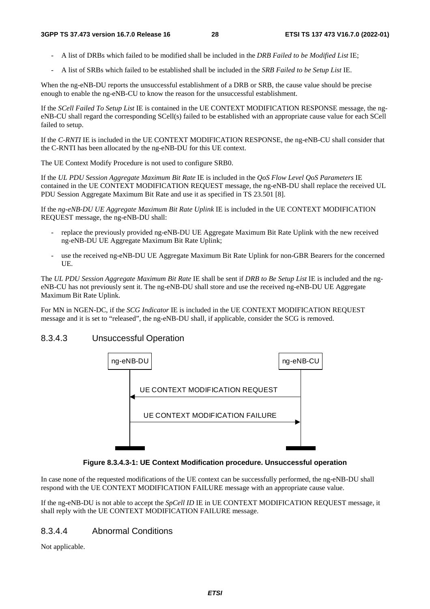- A list of DRBs which failed to be modified shall be included in the *DRB Failed to be Modified List* IE;
- A list of SRBs which failed to be established shall be included in the *SRB Failed to be Setup List* IE.

When the ng-eNB-DU reports the unsuccessful establishment of a DRB or SRB, the cause value should be precise enough to enable the ng-eNB-CU to know the reason for the unsuccessful establishment.

If the *SCell Failed To Setup List* IE is contained in the UE CONTEXT MODIFICATION RESPONSE message, the ngeNB-CU shall regard the corresponding SCell(s) failed to be established with an appropriate cause value for each SCell failed to setup.

If the *C-RNTI* IE is included in the UE CONTEXT MODIFICATION RESPONSE, the ng-eNB-CU shall consider that the C-RNTI has been allocated by the ng-eNB-DU for this UE context.

The UE Context Modify Procedure is not used to configure SRB0.

If the *UL PDU Session Aggregate Maximum Bit Rate* IE is included in the *QoS Flow Level QoS Parameters* IE contained in the UE CONTEXT MODIFICATION REQUEST message, the ng-eNB-DU shall replace the received UL PDU Session Aggregate Maximum Bit Rate and use it as specified in TS 23.501 [8].

If the *ng-eNB-DU UE Aggregate Maximum Bit Rate Uplink* IE is included in the UE CONTEXT MODIFICATION REQUEST message, the ng-eNB-DU shall:

- replace the previously provided ng-eNB-DU UE Aggregate Maximum Bit Rate Uplink with the new received ng-eNB-DU UE Aggregate Maximum Bit Rate Uplink;
- use the received ng-eNB-DU UE Aggregate Maximum Bit Rate Uplink for non-GBR Bearers for the concerned UE.

The *UL PDU Session Aggregate Maximum Bit Rate* IE shall be sent if *DRB to Be Setup List* IE is included and the ngeNB-CU has not previously sent it. The ng-eNB-DU shall store and use the received ng-eNB-DU UE Aggregate Maximum Bit Rate Uplink.

For MN in NGEN-DC, if the *SCG Indicator* IE is included in the UE CONTEXT MODIFICATION REQUEST message and it is set to "released", the ng-eNB-DU shall, if applicable, consider the SCG is removed.

## 8.3.4.3 Unsuccessful Operation



**Figure 8.3.4.3-1: UE Context Modification procedure. Unsuccessful operation** 

In case none of the requested modifications of the UE context can be successfully performed, the ng-eNB-DU shall respond with the UE CONTEXT MODIFICATION FAILURE message with an appropriate cause value.

If the ng-eNB-DU is not able to accept the *SpCell ID* IE in UE CONTEXT MODIFICATION REQUEST message, it shall reply with the UE CONTEXT MODIFICATION FAILURE message.

## 8.3.4.4 Abnormal Conditions

Not applicable.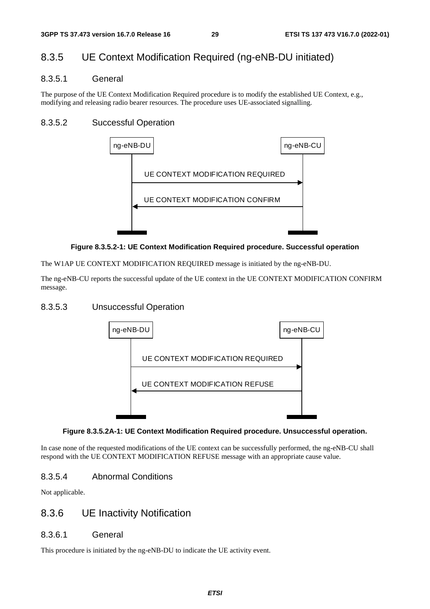## 8.3.5 UE Context Modification Required (ng-eNB-DU initiated)

### 8.3.5.1 General

The purpose of the UE Context Modification Required procedure is to modify the established UE Context, e.g., modifying and releasing radio bearer resources. The procedure uses UE-associated signalling.

## 8.3.5.2 Successful Operation



#### **Figure 8.3.5.2-1: UE Context Modification Required procedure. Successful operation**

The W1AP UE CONTEXT MODIFICATION REQUIRED message is initiated by the ng-eNB-DU.

The ng-eNB-CU reports the successful update of the UE context in the UE CONTEXT MODIFICATION CONFIRM message.

## 8.3.5.3 Unsuccessful Operation



#### **Figure 8.3.5.2A-1: UE Context Modification Required procedure. Unsuccessful operation.**

In case none of the requested modifications of the UE context can be successfully performed, the ng-eNB-CU shall respond with the UE CONTEXT MODIFICATION REFUSE message with an appropriate cause value.

## 8.3.5.4 Abnormal Conditions

Not applicable.

## 8.3.6 UE Inactivity Notification

## 8.3.6.1 General

This procedure is initiated by the ng-eNB-DU to indicate the UE activity event.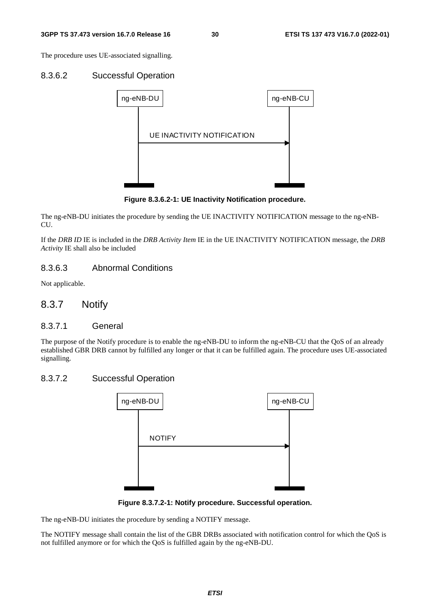The procedure uses UE-associated signalling.

#### 8.3.6.2 Successful Operation



**Figure 8.3.6.2-1: UE Inactivity Notification procedure.** 

The ng-eNB-DU initiates the procedure by sending the UE INACTIVITY NOTIFICATION message to the ng-eNB-CU.

If the *DRB ID* IE is included in the *DRB Activity Item* IE in the UE INACTIVITY NOTIFICATION message, the *DRB Activity* IE shall also be included

## 8.3.6.3 Abnormal Conditions

Not applicable.

## 8.3.7 Notify

#### 8.3.7.1 General

The purpose of the Notify procedure is to enable the ng-eNB-DU to inform the ng-eNB-CU that the QoS of an already established GBR DRB cannot by fulfilled any longer or that it can be fulfilled again. The procedure uses UE-associated signalling.

## 8.3.7.2 Successful Operation



**Figure 8.3.7.2-1: Notify procedure. Successful operation.** 

The ng-eNB-DU initiates the procedure by sending a NOTIFY message.

The NOTIFY message shall contain the list of the GBR DRBs associated with notification control for which the QoS is not fulfilled anymore or for which the QoS is fulfilled again by the ng-eNB-DU.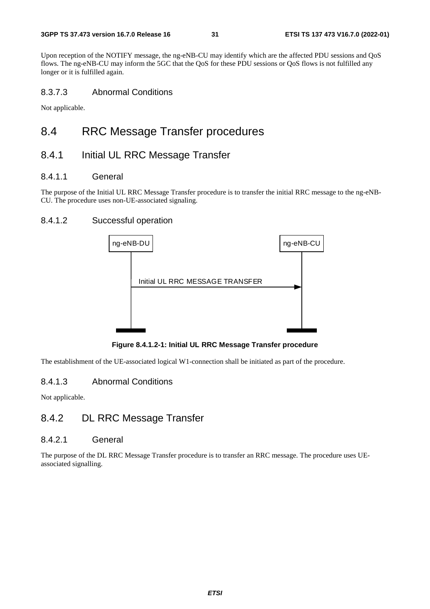Upon reception of the NOTIFY message, the ng-eNB-CU may identify which are the affected PDU sessions and QoS flows. The ng-eNB-CU may inform the 5GC that the QoS for these PDU sessions or QoS flows is not fulfilled any longer or it is fulfilled again.

## 8.3.7.3 Abnormal Conditions

Not applicable.

## 8.4 RRC Message Transfer procedures

## 8.4.1 Initial UL RRC Message Transfer

### 8.4.1.1 General

The purpose of the Initial UL RRC Message Transfer procedure is to transfer the initial RRC message to the ng-eNB-CU. The procedure uses non-UE-associated signaling.

## 8.4.1.2 Successful operation



**Figure 8.4.1.2-1: Initial UL RRC Message Transfer procedure** 

The establishment of the UE-associated logical W1-connection shall be initiated as part of the procedure.

## 8.4.1.3 Abnormal Conditions

Not applicable.

## 8.4.2 DL RRC Message Transfer

#### 8.4.2.1 General

The purpose of the DL RRC Message Transfer procedure is to transfer an RRC message. The procedure uses UEassociated signalling.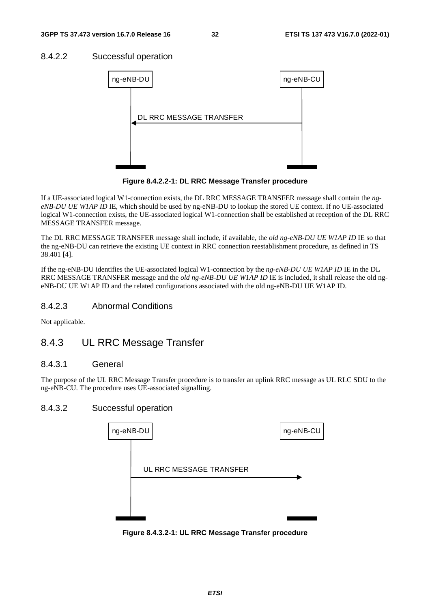## 8.4.2.2 Successful operation



**Figure 8.4.2.2-1: DL RRC Message Transfer procedure** 

If a UE-associated logical W1-connection exists, the DL RRC MESSAGE TRANSFER message shall contain the *ngeNB-DU UE W1AP ID* IE, which should be used by ng-eNB-DU to lookup the stored UE context. If no UE-associated logical W1-connection exists, the UE-associated logical W1-connection shall be established at reception of the DL RRC MESSAGE TRANSFER message.

The DL RRC MESSAGE TRANSFER message shall include, if available, the *old ng-eNB-DU UE W1AP ID* IE so that the ng-eNB-DU can retrieve the existing UE context in RRC connection reestablishment procedure, as defined in TS 38.401 [4].

If the ng-eNB-DU identifies the UE-associated logical W1-connection by the *ng-eNB-DU UE W1AP ID* IE in the DL RRC MESSAGE TRANSFER message and the *old ng-eNB-DU UE W1AP ID* IE is included, it shall release the old ngeNB-DU UE W1AP ID and the related configurations associated with the old ng-eNB-DU UE W1AP ID.

## 8.4.2.3 Abnormal Conditions

Not applicable.

## 8.4.3 UL RRC Message Transfer

## 8.4.3.1 General

The purpose of the UL RRC Message Transfer procedure is to transfer an uplink RRC message as UL RLC SDU to the ng-eNB-CU. The procedure uses UE-associated signalling.

#### 8.4.3.2 Successful operation



**Figure 8.4.3.2-1: UL RRC Message Transfer procedure**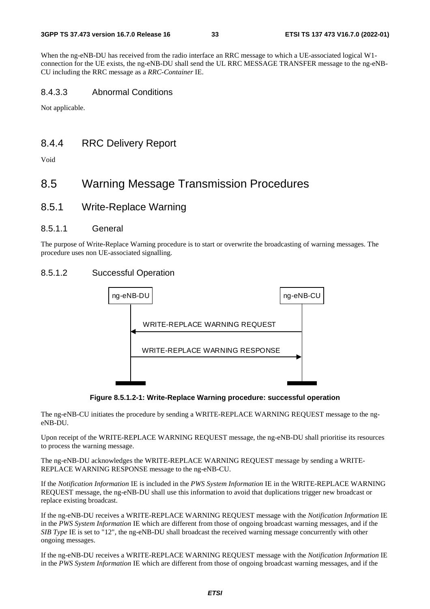When the ng-eNB-DU has received from the radio interface an RRC message to which a UE-associated logical W1 connection for the UE exists, the ng-eNB-DU shall send the UL RRC MESSAGE TRANSFER message to the ng-eNB-CU including the RRC message as a *RRC-Container* IE.

### 8.4.3.3 Abnormal Conditions

Not applicable.

## 8.4.4 RRC Delivery Report

Void

## 8.5 Warning Message Transmission Procedures

8.5.1 Write-Replace Warning

### 8.5.1.1 General

The purpose of Write-Replace Warning procedure is to start or overwrite the broadcasting of warning messages. The procedure uses non UE-associated signalling.

## 8.5.1.2 Successful Operation



**Figure 8.5.1.2-1: Write-Replace Warning procedure: successful operation** 

The ng-eNB-CU initiates the procedure by sending a WRITE-REPLACE WARNING REQUEST message to the ngeNB-DU.

Upon receipt of the WRITE-REPLACE WARNING REQUEST message, the ng-eNB-DU shall prioritise its resources to process the warning message.

The ng-eNB-DU acknowledges the WRITE-REPLACE WARNING REQUEST message by sending a WRITE-REPLACE WARNING RESPONSE message to the ng-eNB-CU.

If the *Notification Information* IE is included in the *PWS System Information* IE in the WRITE-REPLACE WARNING REQUEST message, the ng-eNB-DU shall use this information to avoid that duplications trigger new broadcast or replace existing broadcast.

If the ng-eNB-DU receives a WRITE-REPLACE WARNING REQUEST message with the *Notification Information* IE in the *PWS System Information* IE which are different from those of ongoing broadcast warning messages, and if the *SIB Type* IE is set to "12", the ng-eNB-DU shall broadcast the received warning message concurrently with other ongoing messages.

If the ng-eNB-DU receives a WRITE-REPLACE WARNING REQUEST message with the *Notification Information* IE in the *PWS System Information* IE which are different from those of ongoing broadcast warning messages, and if the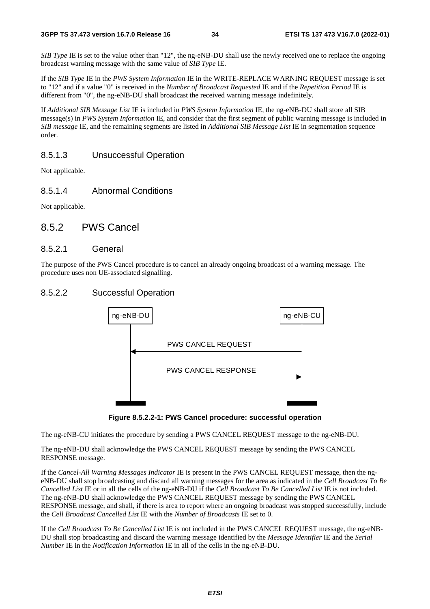*SIB Type* IE is set to the value other than "12", the ng-eNB-DU shall use the newly received one to replace the ongoing broadcast warning message with the same value of *SIB Type* IE.

If the *SIB Type* IE in the *PWS System Information* IE in the WRITE-REPLACE WARNING REQUEST message is set to "12" and if a value "0" is received in the *Number of Broadcast Requested* IE and if the *Repetition Period* IE is different from "0", the ng-eNB-DU shall broadcast the received warning message indefinitely.

If *Additional SIB Message List* IE is included in *PWS System Information* IE, the ng-eNB-DU shall store all SIB message(s) in *PWS System Information* IE, and consider that the first segment of public warning message is included in *SIB message* IE, and the remaining segments are listed in *Additional SIB Message List* IE in segmentation sequence order.

## 8.5.1.3 Unsuccessful Operation

Not applicable.

## 8.5.1.4 Abnormal Conditions

Not applicable.

## 8.5.2 PWS Cancel

#### 8.5.2.1 General

The purpose of the PWS Cancel procedure is to cancel an already ongoing broadcast of a warning message. The procedure uses non UE-associated signalling.

### 8.5.2.2 Successful Operation





The ng-eNB-CU initiates the procedure by sending a PWS CANCEL REQUEST message to the ng-eNB-DU.

The ng-eNB-DU shall acknowledge the PWS CANCEL REQUEST message by sending the PWS CANCEL RESPONSE message.

If the *Cancel-All Warning Messages Indicator* IE is present in the PWS CANCEL REQUEST message, then the ngeNB-DU shall stop broadcasting and discard all warning messages for the area as indicated in the *Cell Broadcast To Be Cancelled List* IE or in all the cells of the ng-eNB-DU if the *Cell Broadcast To Be Cancelled List* IE is not included. The ng-eNB-DU shall acknowledge the PWS CANCEL REQUEST message by sending the PWS CANCEL RESPONSE message, and shall, if there is area to report where an ongoing broadcast was stopped successfully, include the *Cell Broadcast Cancelled List* IE with the *Number of Broadcasts* IE set to 0.

If the *Cell Broadcast To Be Cancelled List* IE is not included in the PWS CANCEL REQUEST message, the ng-eNB-DU shall stop broadcasting and discard the warning message identified by the *Message Identifier* IE and the *Serial Number* IE in the *Notification Information* IE in all of the cells in the ng-eNB-DU.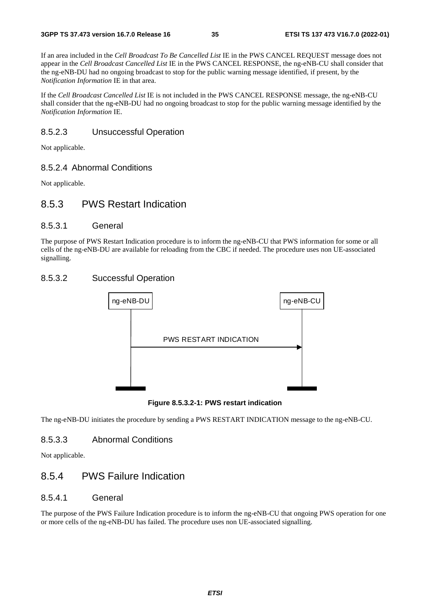If an area included in the *Cell Broadcast To Be Cancelled List* IE in the PWS CANCEL REQUEST message does not appear in the *Cell Broadcast Cancelled List* IE in the PWS CANCEL RESPONSE, the ng-eNB-CU shall consider that the ng-eNB-DU had no ongoing broadcast to stop for the public warning message identified, if present, by the *Notification Information* IE in that area.

If the *Cell Broadcast Cancelled List* IE is not included in the PWS CANCEL RESPONSE message, the ng-eNB-CU shall consider that the ng-eNB-DU had no ongoing broadcast to stop for the public warning message identified by the *Notification Information* IE.

### 8.5.2.3 Unsuccessful Operation

Not applicable.

#### 8.5.2.4 Abnormal Conditions

Not applicable.

## 8.5.3 PWS Restart Indication

### 8.5.3.1 General

The purpose of PWS Restart Indication procedure is to inform the ng-eNB-CU that PWS information for some or all cells of the ng-eNB-DU are available for reloading from the CBC if needed. The procedure uses non UE-associated signalling.

## 8.5.3.2 Successful Operation



**Figure 8.5.3.2-1: PWS restart indication** 

The ng-eNB-DU initiates the procedure by sending a PWS RESTART INDICATION message to the ng-eNB-CU.

### 8.5.3.3 Abnormal Conditions

Not applicable.

## 8.5.4 PWS Failure Indication

### 8.5.4.1 General

The purpose of the PWS Failure Indication procedure is to inform the ng-eNB-CU that ongoing PWS operation for one or more cells of the ng-eNB-DU has failed. The procedure uses non UE-associated signalling.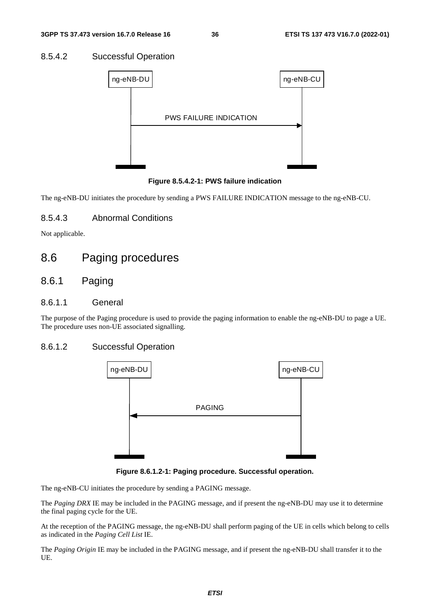#### 8.5.4.2 Successful Operation



**Figure 8.5.4.2-1: PWS failure indication** 

The ng-eNB-DU initiates the procedure by sending a PWS FAILURE INDICATION message to the ng-eNB-CU.

#### 8.5.4.3 Abnormal Conditions

Not applicable.

# 8.6 Paging procedures

# 8.6.1 Paging

#### 8.6.1.1 General

The purpose of the Paging procedure is used to provide the paging information to enable the ng-eNB-DU to page a UE. The procedure uses non-UE associated signalling.

#### 8.6.1.2 Successful Operation



**Figure 8.6.1.2-1: Paging procedure. Successful operation.** 

The ng-eNB-CU initiates the procedure by sending a PAGING message.

The *Paging DRX* IE may be included in the PAGING message, and if present the ng-eNB-DU may use it to determine the final paging cycle for the UE.

At the reception of the PAGING message, the ng-eNB-DU shall perform paging of the UE in cells which belong to cells as indicated in the *Paging Cell List* IE.

The *Paging Origin* IE may be included in the PAGING message, and if present the ng-eNB-DU shall transfer it to the UE.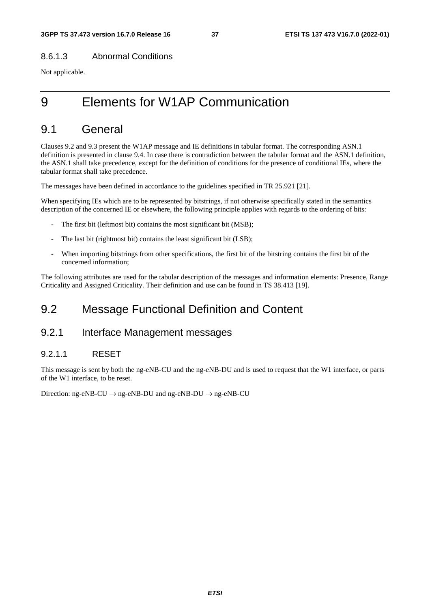#### 8.6.1.3 Abnormal Conditions

Not applicable.

# 9 Elements for W1AP Communication

# 9.1 General

Clauses 9.2 and 9.3 present the W1AP message and IE definitions in tabular format. The corresponding ASN.1 definition is presented in clause 9.4. In case there is contradiction between the tabular format and the ASN.1 definition, the ASN.1 shall take precedence, except for the definition of conditions for the presence of conditional IEs, where the tabular format shall take precedence.

The messages have been defined in accordance to the guidelines specified in TR 25.921 [21].

When specifying IEs which are to be represented by bitstrings, if not otherwise specifically stated in the semantics description of the concerned IE or elsewhere, the following principle applies with regards to the ordering of bits:

- The first bit (leftmost bit) contains the most significant bit (MSB);
- The last bit (rightmost bit) contains the least significant bit (LSB);
- When importing bitstrings from other specifications, the first bit of the bitstring contains the first bit of the concerned information;

The following attributes are used for the tabular description of the messages and information elements: Presence, Range Criticality and Assigned Criticality. Their definition and use can be found in TS 38.413 [19].

# 9.2 Message Functional Definition and Content

# 9.2.1 Interface Management messages

#### 9.2.1.1 RESET

This message is sent by both the ng-eNB-CU and the ng-eNB-DU and is used to request that the W1 interface, or parts of the W1 interface, to be reset.

Direction: ng-eNB-CU  $\rightarrow$  ng-eNB-DU and ng-eNB-DU  $\rightarrow$  ng-eNB-CU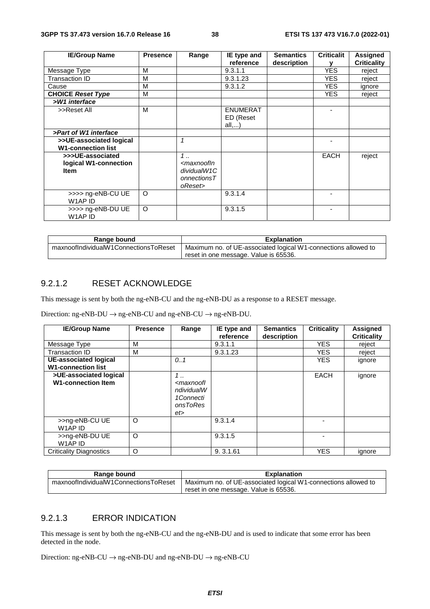| <b>IE/Group Name</b>                                     | <b>Presence</b> | Range                                                                                                            | IE type and                           | <b>Semantics</b> | <b>Criticalit</b> | <b>Assigned</b>    |
|----------------------------------------------------------|-----------------|------------------------------------------------------------------------------------------------------------------|---------------------------------------|------------------|-------------------|--------------------|
|                                                          |                 |                                                                                                                  | reference                             | description      |                   | <b>Criticality</b> |
| Message Type                                             | м               |                                                                                                                  | 9.3.1.1                               |                  | <b>YES</b>        | reject             |
| Transaction ID                                           | м               |                                                                                                                  | 9.3.1.23                              |                  | <b>YES</b>        | reject             |
| Cause                                                    | м               |                                                                                                                  | 9.3.1.2                               |                  | YES.              | ignore             |
| <b>CHOICE Reset Type</b>                                 | м               |                                                                                                                  |                                       |                  | <b>YES</b>        | reject             |
| >W1 interface                                            |                 |                                                                                                                  |                                       |                  |                   |                    |
| >>Reset All                                              | M               |                                                                                                                  | <b>ENUMERAT</b><br>ED (Reset<br>all,) |                  |                   |                    |
| >Part of W1 interface                                    |                 |                                                                                                                  |                                       |                  |                   |                    |
| >>UE-associated logical<br><b>W1-connection list</b>     |                 | $\mathbf{1}$                                                                                                     |                                       |                  |                   |                    |
| >>>UE-associated<br>logical W1-connection<br><b>Item</b> |                 | $1 \ldots$<br><maxnoofin<br>dividualW1C<br/><math>onnections <math>T</math></math><br/>oReset&gt;</maxnoofin<br> |                                       |                  | <b>EACH</b>       | reject             |
| >>>> ng-eNB-CU UE<br>W1AP ID                             | $\circ$         |                                                                                                                  | 9.3.1.4                               |                  |                   |                    |
| >>>> ng-eNB-DU UE<br>W1AP ID                             | $\circ$         |                                                                                                                  | 9.3.1.5                               |                  |                   |                    |

| Range bound                           | <b>Explanation</b>                                             |  |  |  |  |
|---------------------------------------|----------------------------------------------------------------|--|--|--|--|
| maxnoofIndividualW1ConnectionsToReset | Maximum no. of UE-associated logical W1-connections allowed to |  |  |  |  |
|                                       | reset in one message. Value is 65536.                          |  |  |  |  |

#### 9.2.1.2 RESET ACKNOWLEDGE

This message is sent by both the ng-eNB-CU and the ng-eNB-DU as a response to a RESET message.

Direction:  $ng-eNB-DU \rightarrow ng-eNB-CU$  and  $ng-eNB-CU \rightarrow ng-eNB-DU$ .

| <b>IE/Group Name</b>                                      | <b>Presence</b> | Range                                                                                 | IE type and<br>reference | <b>Semantics</b><br>description | <b>Criticality</b> | <b>Assigned</b><br><b>Criticality</b> |
|-----------------------------------------------------------|-----------------|---------------------------------------------------------------------------------------|--------------------------|---------------------------------|--------------------|---------------------------------------|
| Message Type                                              | М               |                                                                                       | 9.3.1.1                  |                                 | <b>YES</b>         | reject                                |
| Transaction ID                                            | м               |                                                                                       | 9.3.1.23                 |                                 | <b>YES</b>         | reject                                |
| <b>UE-associated logical</b><br><b>W1-connection list</b> |                 | 0.1                                                                                   |                          |                                 | <b>YES</b>         | ignore                                |
| >UE-associated logical<br><b>W1-connection Item</b>       |                 | $1 \,$<br><maxnoofl<br>ndividualW<br/>1Connecti<br/>onsToRes<br/>et&gt;</maxnoofl<br> |                          |                                 | <b>EACH</b>        | ignore                                |
| >>ng-eNB-CU UE<br>W1AP ID                                 | O               |                                                                                       | 9.3.1.4                  |                                 | ٠                  |                                       |
| >>ng-eNB-DU UE<br>W1AP ID                                 | O               |                                                                                       | 9.3.1.5                  |                                 | ٠                  |                                       |
| <b>Criticality Diagnostics</b>                            | $\circ$         |                                                                                       | 9.3.1.61                 |                                 | <b>YES</b>         | ignore                                |

| Range bound                           | <b>Explanation</b>                                             |  |  |  |
|---------------------------------------|----------------------------------------------------------------|--|--|--|
| maxnoofIndividualW1ConnectionsToReset | Maximum no. of UE-associated logical W1-connections allowed to |  |  |  |
|                                       | reset in one message. Value is 65536.                          |  |  |  |

#### 9.2.1.3 ERROR INDICATION

This message is sent by both the ng-eNB-CU and the ng-eNB-DU and is used to indicate that some error has been detected in the node.

Direction: ng-eNB-CU  $\rightarrow$  ng-eNB-DU and ng-eNB-DU  $\rightarrow$  ng-eNB-CU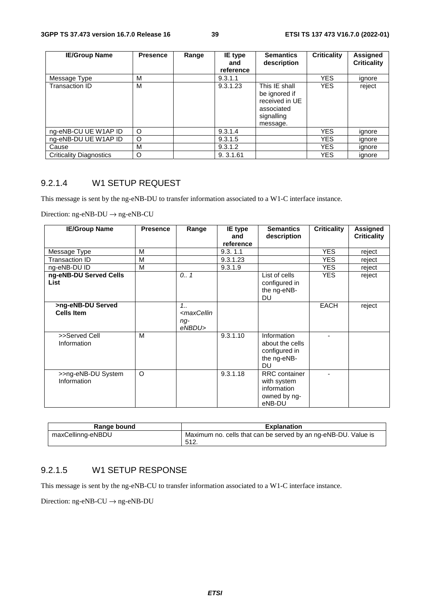| <b>IE/Group Name</b>           | <b>Presence</b> | Range | IE type<br>and<br>reference | <b>Semantics</b><br>description                                                          | <b>Criticality</b> | Assigned<br><b>Criticality</b> |
|--------------------------------|-----------------|-------|-----------------------------|------------------------------------------------------------------------------------------|--------------------|--------------------------------|
| Message Type                   | м               |       | 9.3.1.1                     |                                                                                          | YES.               | ignore                         |
| Transaction ID                 | М               |       | 9.3.1.23                    | This IE shall<br>be ignored if<br>received in UE<br>associated<br>signalling<br>message. | <b>YES</b>         | reject                         |
| ng-eNB-CU UE W1AP ID           | O               |       | 9.3.1.4                     |                                                                                          | YES.               | ignore                         |
| ng-eNB-DU UE W1AP ID           | $\circ$         |       | 9.3.1.5                     |                                                                                          | YES.               | ignore                         |
| Cause                          | М               |       | 9.3.1.2                     |                                                                                          | <b>YES</b>         | ignore                         |
| <b>Criticality Diagnostics</b> | O               |       | 9.3.1.61                    |                                                                                          | YES.               | ignore                         |

# 9.2.1.4 W1 SETUP REQUEST

This message is sent by the ng-eNB-DU to transfer information associated to a W1-C interface instance.

Direction:  $ng-eNB-DU \rightarrow ng-eNB-CU$ 

| <b>IE/Group Name</b>                   | <b>Presence</b> | Range                                                              | IE type<br>and | <b>Semantics</b>                                                             | <b>Criticality</b> | <b>Assigned</b>    |
|----------------------------------------|-----------------|--------------------------------------------------------------------|----------------|------------------------------------------------------------------------------|--------------------|--------------------|
|                                        |                 |                                                                    | reference      | description                                                                  |                    | <b>Criticality</b> |
| Message Type                           | M               |                                                                    | 9.3.11         |                                                                              | <b>YES</b>         | reject             |
| <b>Transaction ID</b>                  | M               |                                                                    | 9.3.1.23       |                                                                              | <b>YES</b>         | reject             |
| ng-eNB-DU ID                           | M               |                                                                    | 9.3.1.9        |                                                                              | <b>YES</b>         | reject             |
| ng-eNB-DU Served Cells<br><b>List</b>  |                 | 0.7                                                                |                | List of cells<br>configured in<br>the ng-eNB-<br><b>DU</b>                   | <b>YES</b>         | reject             |
| >ng-eNB-DU Served<br><b>Cells Item</b> |                 | 1.1<br><maxcellin<br><math>nq-</math><br/>eNBDU&gt;</maxcellin<br> |                |                                                                              | <b>EACH</b>        | reject             |
| >>Served Cell<br>Information           | M               |                                                                    | 9.3.1.10       | Information<br>about the cells<br>configured in<br>the ng-eNB-<br>DU         |                    |                    |
| >>ng-eNB-DU System<br>Information      | $\circ$         |                                                                    | 9.3.1.18       | <b>RRC</b> container<br>with system<br>information<br>owned by ng-<br>eNB-DU |                    |                    |

| Range bound       | <b>Explanation</b>                                                     |
|-------------------|------------------------------------------------------------------------|
| maxCellinng-eNBDU | Maximum no. cells that can be served by an ng-eNB-DU. Value is<br>512. |

#### 9.2.1.5 W1 SETUP RESPONSE

This message is sent by the ng-eNB-CU to transfer information associated to a W1-C interface instance.

Direction: ng-eNB-CU  $\rightarrow$  ng-eNB-DU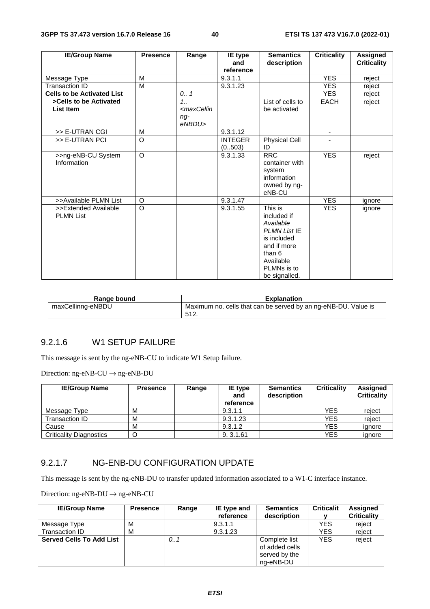| <b>IE/Group Name</b>                     | <b>Presence</b> | Range                                                                           | IE type<br>and           | <b>Semantics</b><br>description                                                                                                                 | <b>Criticality</b>       | <b>Assigned</b><br><b>Criticality</b> |
|------------------------------------------|-----------------|---------------------------------------------------------------------------------|--------------------------|-------------------------------------------------------------------------------------------------------------------------------------------------|--------------------------|---------------------------------------|
|                                          |                 |                                                                                 | reference                |                                                                                                                                                 |                          |                                       |
| Message Type                             | M               |                                                                                 | 9.3.1.1                  |                                                                                                                                                 | <b>YES</b>               | reject                                |
| <b>Transaction ID</b>                    | M               |                                                                                 | 9.3.1.23                 |                                                                                                                                                 | <b>YES</b>               | reject                                |
| <b>Cells to be Activated List</b>        |                 | 0.1                                                                             |                          |                                                                                                                                                 | <b>YES</b>               | reject                                |
| >Cells to be Activated                   |                 | 1.1                                                                             |                          | List of cells to                                                                                                                                | EACH                     | reject                                |
| List Item                                |                 | <maxcellin< td=""><td></td><td>be activated</td><td></td><td></td></maxcellin<> |                          | be activated                                                                                                                                    |                          |                                       |
|                                          |                 | $ng-$<br>eNBDU>                                                                 |                          |                                                                                                                                                 |                          |                                       |
| >> E-UTRAN CGI                           | M               |                                                                                 | 9.3.1.12                 |                                                                                                                                                 | $\overline{\phantom{a}}$ |                                       |
| >> E-UTRAN PCI                           | $\Omega$        |                                                                                 | <b>INTEGER</b><br>(0503) | <b>Physical Cell</b><br>ID                                                                                                                      |                          |                                       |
| >>ng-eNB-CU System<br>Information        | $\Omega$        |                                                                                 | 9.3.1.33                 | <b>RRC</b><br>container with<br>system<br>information<br>owned by ng-<br>eNB-CU                                                                 | <b>YES</b>               | reject                                |
| >>Available PLMN List                    | $\Omega$        |                                                                                 | 9.3.1.47                 |                                                                                                                                                 | <b>YES</b>               | ignore                                |
| >>Extended Available<br><b>PLMN List</b> | $\circ$         |                                                                                 | 9.3.1.55                 | This is<br>included if<br>Available<br><b>PLMN List IE</b><br>is included<br>and if more<br>than 6<br>Available<br>PLMNs is to<br>be signalled. | <b>YES</b>               | ignore                                |

| Range bound       | <b>Explanation</b>                                                      |
|-------------------|-------------------------------------------------------------------------|
| maxCellinng-eNBDU | Maximum no. cells that can be served by an ng-eNB-DU. Value is<br>-512. |

## 9.2.1.6 W1 SETUP FAILURE

This message is sent by the ng-eNB-CU to indicate W1 Setup failure.

Direction: ng-eNB-CU  $\rightarrow$  ng-eNB-DU

| <b>IE/Group Name</b>           | <b>Presence</b> | Range | IE type<br>and<br>reference | <b>Semantics</b><br>description | <b>Criticality</b> | Assigned<br><b>Criticality</b> |
|--------------------------------|-----------------|-------|-----------------------------|---------------------------------|--------------------|--------------------------------|
| Message Type                   | М               |       | 9.3.1.1                     |                                 | YES                | reiect                         |
| Transaction ID                 | М               |       | 9.3.1.23                    |                                 | YES                | reiect                         |
| Cause                          | М               |       | 9.3.1.2                     |                                 | YES                | ignore                         |
| <b>Criticality Diagnostics</b> |                 |       | 9.3.1.61                    |                                 | YES                | ignore                         |

#### 9.2.1.7 NG-ENB-DU CONFIGURATION UPDATE

This message is sent by the ng-eNB-DU to transfer updated information associated to a W1-C interface instance.

Direction: ng-eNB-DU → ng-eNB-CU

| <b>IE/Group Name</b>            | <b>Presence</b> | Range | IE type and | <b>Semantics</b>                | <b>Criticalit</b> | Assigned           |
|---------------------------------|-----------------|-------|-------------|---------------------------------|-------------------|--------------------|
|                                 |                 |       | reference   | description                     |                   | <b>Criticality</b> |
| Message Type                    | M               |       | 9.3.1.1     |                                 | YES               | reiect             |
| Transaction ID                  | М               |       | 9.3.1.23    |                                 | YES               | reject             |
| <b>Served Cells To Add List</b> |                 | 0.1   |             | Complete list<br>of added cells | <b>YES</b>        | reject             |
|                                 |                 |       |             | served by the                   |                   |                    |
|                                 |                 |       |             | ng-eNB-DU                       |                   |                    |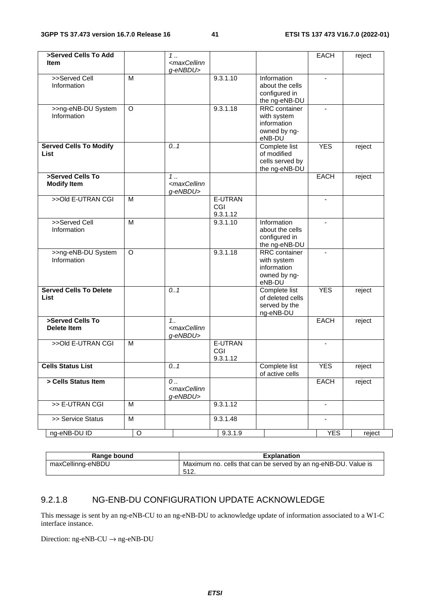| >Served Cells To Add<br><b>Item</b>          |   | 1.<br><maxcellinn<br>g-eNBDU&gt;</maxcellinn<br>  |                            |                                                                              | EACH                     | reject |
|----------------------------------------------|---|---------------------------------------------------|----------------------------|------------------------------------------------------------------------------|--------------------------|--------|
| >>Served Cell<br>Information                 | M |                                                   | 9.3.1.10                   | Information<br>about the cells<br>configured in<br>the ng-eNB-DU             | $\blacksquare$           |        |
| >>ng-eNB-DU System<br>Information            | O |                                                   | 9.3.1.18                   | RRC container<br>with system<br>information<br>owned by ng-<br>eNB-DU        | $\overline{\phantom{a}}$ |        |
| <b>Served Cells To Modify</b><br><b>List</b> |   | 0.1                                               |                            | Complete list<br>of modified<br>cells served by<br>the ng-eNB-DU             | <b>YES</b>               | reject |
| >Served Cells To<br><b>Modify Item</b>       |   | 1<br><maxcellinn<br>g-eNBDU&gt;</maxcellinn<br>   |                            |                                                                              | EACH                     | reject |
| >>Old E-UTRAN CGI                            | M |                                                   | E-UTRAN<br>CGI<br>9.3.1.12 |                                                                              | $\blacksquare$           |        |
| >>Served Cell<br>Information                 | M |                                                   | 9.3.1.10                   | Information<br>about the cells<br>configured in<br>the ng-eNB-DU             |                          |        |
| >>ng-eNB-DU System<br>Information            | O |                                                   | 9.3.1.18                   | <b>RRC</b> container<br>with system<br>information<br>owned by ng-<br>eNB-DU |                          |        |
| <b>Served Cells To Delete</b><br>List        |   | 0.1                                               |                            | Complete list<br>of deleted cells<br>served by the<br>ng-eNB-DU              | <b>YES</b>               | reject |
| >Served Cells To<br><b>Delete Item</b>       |   | 1.1<br><maxcellinn<br>g-eNBDU&gt;</maxcellinn<br> |                            |                                                                              | <b>EACH</b>              | reject |
| >>Old E-UTRAN CGI                            | M |                                                   | E-UTRAN<br>CGI<br>9.3.1.12 |                                                                              |                          |        |
| <b>Cells Status List</b>                     |   | 0.1                                               |                            | Complete list<br>of active cells                                             | <b>YES</b>               | reject |
| > Cells Status Item                          |   | 0<br><maxcellinn<br>g-eNBDU&gt;</maxcellinn<br>   |                            |                                                                              | EACH                     | reject |
| >> E-UTRAN CGI                               | м |                                                   | 9.3.1.12                   |                                                                              |                          |        |
| >> Service Status                            | M |                                                   | 9.3.1.48                   |                                                                              | $\overline{\phantom{a}}$ |        |
| ng-eNB-DU ID                                 | O |                                                   | 9.3.1.9                    |                                                                              | <b>YES</b>               | reject |

| Range bound       | <b>Explanation</b>                                             |
|-------------------|----------------------------------------------------------------|
| maxCellinng-eNBDU | Maximum no. cells that can be served by an ng-eNB-DU. Value is |
|                   | 51C<br>◡ । ∠.                                                  |

# 9.2.1.8 NG-ENB-DU CONFIGURATION UPDATE ACKNOWLEDGE

This message is sent by an ng-eNB-CU to an ng-eNB-DU to acknowledge update of information associated to a W1-C interface instance.

Direction: ng-eNB-CU → ng-eNB-DU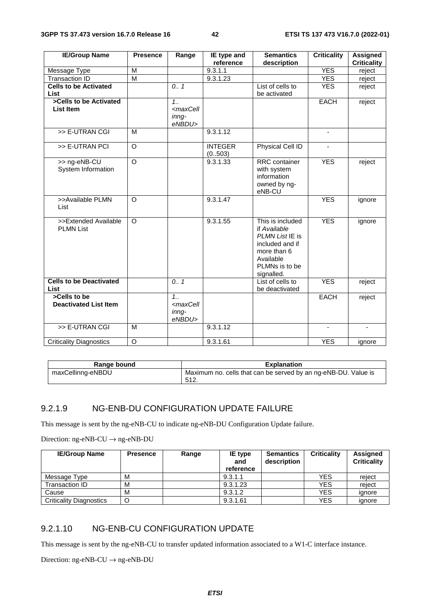| <b>IE/Group Name</b>           | <b>Presence</b> | Range                                                           | IE type and    | <b>Semantics</b>     | <b>Criticality</b>       | <b>Assigned</b>    |
|--------------------------------|-----------------|-----------------------------------------------------------------|----------------|----------------------|--------------------------|--------------------|
|                                |                 |                                                                 | reference      | description          |                          | <b>Criticality</b> |
| Message Type                   | M               |                                                                 | 9.3.1.1        |                      | <b>YES</b>               | reject             |
| <b>Transaction ID</b>          | $\overline{M}$  |                                                                 | 9.3.1.23       |                      | <b>YES</b>               | reject             |
| <b>Cells to be Activated</b>   |                 | 0.1                                                             |                | List of cells to     | <b>YES</b>               | reject             |
| <b>List</b>                    |                 |                                                                 |                | be activated         |                          |                    |
| >Cells to be Activated         |                 | 1.1                                                             |                |                      | <b>EACH</b>              | reject             |
| <b>List Item</b>               |                 | <maxcell< td=""><td></td><td></td><td></td><td></td></maxcell<> |                |                      |                          |                    |
|                                |                 | $in nq-$                                                        |                |                      |                          |                    |
|                                |                 | eNBDU>                                                          |                |                      |                          |                    |
| >> E-UTRAN CGI                 | M               |                                                                 | 9.3.1.12       |                      | $\blacksquare$           |                    |
| >> E-UTRAN PCI                 | $\overline{O}$  |                                                                 | <b>INTEGER</b> | Physical Cell ID     | $\overline{\phantom{m}}$ |                    |
|                                |                 |                                                                 | (0.503)        |                      |                          |                    |
| >> ng-eNB-CU                   | $\circ$         |                                                                 | 9.3.1.33       | <b>RRC</b> container | <b>YES</b>               | reject             |
| System Information             |                 |                                                                 |                | with system          |                          |                    |
|                                |                 |                                                                 |                | information          |                          |                    |
|                                |                 |                                                                 |                | owned by ng-         |                          |                    |
|                                |                 |                                                                 |                | eNB-CU               |                          |                    |
| >>Available PLMN               | $\Omega$        |                                                                 | 9.3.1.47       |                      | <b>YES</b>               | ignore             |
| List                           |                 |                                                                 |                |                      |                          |                    |
| >>Extended Available           | $\circ$         |                                                                 | 9.3.1.55       | This is included     | <b>YES</b>               |                    |
| <b>PLMN List</b>               |                 |                                                                 |                | if Available         |                          | ignore             |
|                                |                 |                                                                 |                | PLMN List IE is      |                          |                    |
|                                |                 |                                                                 |                | included and if      |                          |                    |
|                                |                 |                                                                 |                | more than 6          |                          |                    |
|                                |                 |                                                                 |                | Available            |                          |                    |
|                                |                 |                                                                 |                | PLMNs is to be       |                          |                    |
|                                |                 |                                                                 |                | signalled.           |                          |                    |
| <b>Cells to be Deactivated</b> |                 | 0.7                                                             |                | List of cells to     | <b>YES</b>               | reject             |
| List                           |                 |                                                                 |                | be deactivated       |                          |                    |
| >Cells to be                   |                 | 1.1                                                             |                |                      | <b>EACH</b>              | reject             |
| <b>Deactivated List Item</b>   |                 | <maxcell< td=""><td></td><td></td><td></td><td></td></maxcell<> |                |                      |                          |                    |
|                                |                 | inng-                                                           |                |                      |                          |                    |
|                                |                 | eNBDU>                                                          |                |                      |                          |                    |
| >> E-UTRAN CGI                 | M               |                                                                 | 9.3.1.12       |                      |                          |                    |
| <b>Criticality Diagnostics</b> | O               |                                                                 | 9.3.1.61       |                      | <b>YES</b>               | ignore             |

| Range bound       | <b>Explanation</b>                                             |
|-------------------|----------------------------------------------------------------|
| maxCellinng-eNBDU | Maximum no. cells that can be served by an ng-eNB-DU. Value is |
|                   | -512.                                                          |

### 9.2.1.9 NG-ENB-DU CONFIGURATION UPDATE FAILURE

This message is sent by the ng-eNB-CU to indicate ng-eNB-DU Configuration Update failure.

Direction: ng-eNB-CU  $\rightarrow$  ng-eNB-DU

| <b>IE/Group Name</b>           | <b>Presence</b> | Range | <b>IE</b> type<br>and<br>reference | <b>Semantics</b><br>description | <b>Criticality</b> | Assigned<br><b>Criticality</b> |
|--------------------------------|-----------------|-------|------------------------------------|---------------------------------|--------------------|--------------------------------|
| Message Type                   | M               |       | 9.3.1.1                            |                                 | YES                | reject                         |
| Transaction ID                 | M               |       | 9.3.1.23                           |                                 | YES                | reject                         |
| Cause                          | M               |       | 9.3.1.2                            |                                 | <b>YES</b>         | ignore                         |
| <b>Criticality Diagnostics</b> | C               |       | 9.3.1.61                           |                                 | <b>YES</b>         | ignore                         |

# 9.2.1.10 NG-ENB-CU CONFIGURATION UPDATE

This message is sent by the ng-eNB-CU to transfer updated information associated to a W1-C interface instance.

Direction: ng-eNB-CU  $\rightarrow$  ng-eNB-DU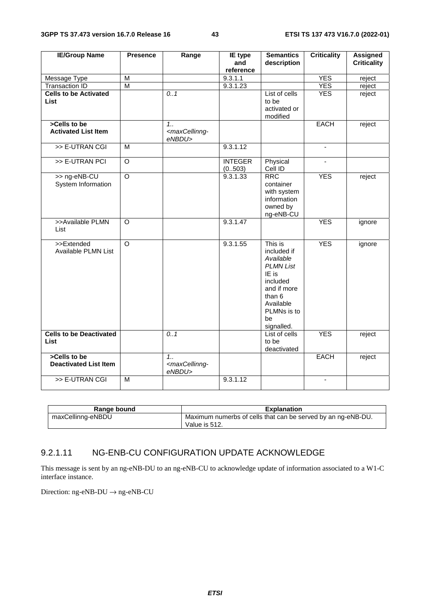| <b>IE/Group Name</b>                          | <b>Presence</b>         | Range                                                          | <b>IE</b> type<br>and     | <b>Semantics</b><br>description                                                                                                                       | <b>Criticality</b> | <b>Assigned</b><br><b>Criticality</b> |
|-----------------------------------------------|-------------------------|----------------------------------------------------------------|---------------------------|-------------------------------------------------------------------------------------------------------------------------------------------------------|--------------------|---------------------------------------|
|                                               |                         |                                                                | reference                 |                                                                                                                                                       |                    |                                       |
| Message Type                                  | M                       |                                                                | 9.3.1.1                   |                                                                                                                                                       | <b>YES</b>         | reject                                |
| <b>Transaction ID</b>                         | $\overline{\mathsf{M}}$ |                                                                | 9.3.1.23                  |                                                                                                                                                       | <b>YES</b>         | reject                                |
| <b>Cells to be Activated</b><br><b>List</b>   |                         | 0.1                                                            |                           | List of cells<br>to be<br>activated or<br>modified                                                                                                    | <b>YES</b>         | reject                                |
| >Cells to be<br><b>Activated List Item</b>    |                         | $1_{1}$<br><maxcellinng-<br>eNBDU&gt;</maxcellinng-<br>        |                           |                                                                                                                                                       | <b>EACH</b>        | reject                                |
| >> E-UTRAN CGI                                | $\overline{M}$          |                                                                | 9.3.1.12                  |                                                                                                                                                       | $\blacksquare$     |                                       |
| >> E-UTRAN PCI                                | $\overline{\circ}$      |                                                                | <b>INTEGER</b><br>(0.503) | Physical<br>Cell ID                                                                                                                                   | $\blacksquare$     |                                       |
| >> ng-eNB-CU<br>System Information            | $\overline{\circ}$      |                                                                | 9.3.1.33                  | <b>RRC</b><br>container<br>with system<br>information<br>owned by<br>ng-eNB-CU                                                                        | <b>YES</b>         | reject                                |
| >>Available PLMN<br>List                      | $\circ$                 |                                                                | 9.3.1.47                  |                                                                                                                                                       | <b>YES</b>         | ignore                                |
| >>Extended<br>Available PLMN List             | $\overline{O}$          |                                                                | 9.3.1.55                  | This is<br>included if<br>Available<br><b>PLMN List</b><br>IE is<br>included<br>and if more<br>than 6<br>Available<br>PLMNs is to<br>be<br>signalled. | <b>YES</b>         | ignore                                |
| <b>Cells to be Deactivated</b><br><b>List</b> |                         | 0.1                                                            |                           | List of cells<br>to be<br>deactivated                                                                                                                 | <b>YES</b>         | reject                                |
| >Cells to be<br><b>Deactivated List Item</b>  |                         | 1 <sub>1</sub><br><maxcellinng-<br>eNBDU&gt;</maxcellinng-<br> |                           |                                                                                                                                                       | <b>EACH</b>        | reject                                |
| >> E-UTRAN CGI                                | $\overline{M}$          |                                                                | 9.3.1.12                  |                                                                                                                                                       | $\blacksquare$     |                                       |

| Range bound       | Explanation                                                  |
|-------------------|--------------------------------------------------------------|
| maxCellinng-eNBDU | Maximum numerbs of cells that can be served by an ng-eNB-DU. |
|                   | Value is 512.                                                |

#### 9.2.1.11 NG-ENB-CU CONFIGURATION UPDATE ACKNOWLEDGE

This message is sent by an ng-eNB-DU to an ng-eNB-CU to acknowledge update of information associated to a W1-C interface instance.

Direction: ng-eNB-DU → ng-eNB-CU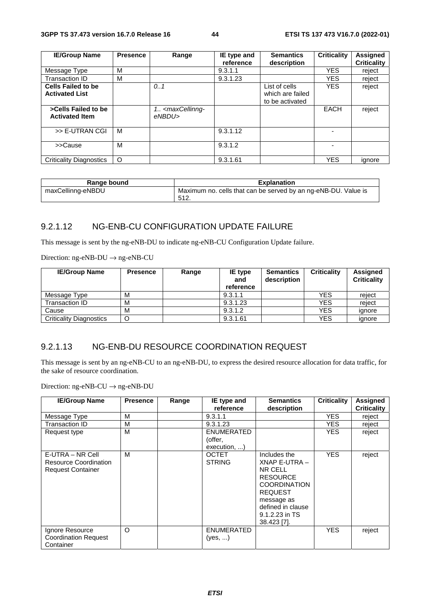| <b>IE/Group Name</b>           | <b>Presence</b> | Range                                                                                         | IE type and | <b>Semantics</b> | <b>Criticality</b> | Assigned           |
|--------------------------------|-----------------|-----------------------------------------------------------------------------------------------|-------------|------------------|--------------------|--------------------|
|                                |                 |                                                                                               | reference   | description      |                    | <b>Criticality</b> |
| Message Type                   | M               |                                                                                               | 9.3.1.1     |                  | <b>YES</b>         | reject             |
| <b>Transaction ID</b>          | м               |                                                                                               | 9.3.1.23    |                  | YES.               | reject             |
| <b>Cells Failed to be</b>      |                 | 0.1                                                                                           |             | List of cells    | YES.               | reject             |
| <b>Activated List</b>          |                 |                                                                                               |             | which are failed |                    |                    |
|                                |                 |                                                                                               |             | to be activated  |                    |                    |
| >Cells Failed to be            |                 | 1. <maxcellinng-< td=""><td></td><td></td><td><b>EACH</b></td><td>reject</td></maxcellinng-<> |             |                  | <b>EACH</b>        | reject             |
| <b>Activated Item</b>          |                 | eNBDU>                                                                                        |             |                  |                    |                    |
|                                |                 |                                                                                               |             |                  |                    |                    |
| >> E-UTRAN CGI                 | M               |                                                                                               | 9.3.1.12    |                  |                    |                    |
|                                |                 |                                                                                               |             |                  |                    |                    |
| >>Cause                        | M               |                                                                                               | 9.3.1.2     |                  |                    |                    |
|                                |                 |                                                                                               |             |                  |                    |                    |
| <b>Criticality Diagnostics</b> | O               |                                                                                               | 9.3.1.61    |                  | <b>YES</b>         | ignore             |

| Range bound       | <b>Explanation</b>                                             |
|-------------------|----------------------------------------------------------------|
| maxCellinng-eNBDU | Maximum no. cells that can be served by an ng-eNB-DU. Value is |
|                   | 512.                                                           |

#### 9.2.1.12 NG-ENB-CU CONFIGURATION UPDATE FAILURE

This message is sent by the ng-eNB-DU to indicate ng-eNB-CU Configuration Update failure.

Direction: ng-eNB-DU  $\rightarrow$  ng-eNB-CU

| <b>IE/Group Name</b>           | <b>Presence</b> | Range | IE type<br>and<br>reference | <b>Semantics</b><br>description | <b>Criticality</b> | Assigned<br><b>Criticality</b> |
|--------------------------------|-----------------|-------|-----------------------------|---------------------------------|--------------------|--------------------------------|
| Message Type                   | M               |       | 9.3.1.1                     |                                 | <b>YES</b>         | reject                         |
| Transaction ID                 | M               |       | 9.3.1.23                    |                                 | YES                | reiect                         |
| Cause                          | M               |       | 9.3.1.2                     |                                 | YES                | ignore                         |
| <b>Criticality Diagnostics</b> | O               |       | 9.3.1.61                    |                                 | YES                | ignore                         |

# 9.2.1.13 NG-ENB-DU RESOURCE COORDINATION REQUEST

This message is sent by an ng-eNB-CU to an ng-eNB-DU, to express the desired resource allocation for data traffic, for the sake of resource coordination.

Direction: ng-eNB-CU → ng-eNB-DU

| <b>IE/Group Name</b>                                                         | <b>Presence</b> | Range | IE type and<br>reference                     | <b>Semantics</b><br>description                                                                                                                                         | <b>Criticality</b> | <b>Assigned</b><br><b>Criticality</b> |
|------------------------------------------------------------------------------|-----------------|-------|----------------------------------------------|-------------------------------------------------------------------------------------------------------------------------------------------------------------------------|--------------------|---------------------------------------|
| Message Type                                                                 | M               |       | 9.3.1.1                                      |                                                                                                                                                                         | <b>YES</b>         | reject                                |
| Transaction ID                                                               | M               |       | 9.3.1.23                                     |                                                                                                                                                                         | YES.               | reject                                |
| Request type                                                                 | M               |       | <b>ENUMERATED</b><br>(offer,<br>execution, ) |                                                                                                                                                                         | YES.               | reject                                |
| E-UTRA – NR Cell<br><b>Resource Coordination</b><br><b>Request Container</b> | M               |       | <b>OCTET</b><br><b>STRING</b>                | Includes the<br>XNAP E-UTRA-<br>NR CELL<br><b>RESOURCE</b><br><b>COORDINATION</b><br><b>REQUEST</b><br>message as<br>defined in clause<br>9.1.2.23 in TS<br>38.423 [7]. | <b>YES</b>         | reject                                |
| Ignore Resource<br><b>Coordination Request</b><br>Container                  | $\circ$         |       | <b>ENUMERATED</b><br>$(yes, \ldots)$         |                                                                                                                                                                         | <b>YES</b>         | reject                                |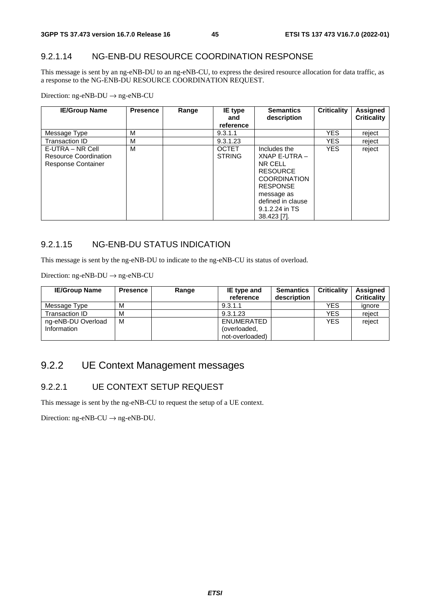### 9.2.1.14 NG-ENB-DU RESOURCE COORDINATION RESPONSE

This message is sent by an ng-eNB-DU to an ng-eNB-CU, to express the desired resource allocation for data traffic, as a response to the NG-ENB-DU RESOURCE COORDINATION REQUEST.

Direction: ng-eNB-DU → ng-eNB-CU

| <b>IE/Group Name</b>                                                   | <b>Presence</b> | Range | IE type<br>and<br>reference   | <b>Semantics</b><br>description                                                                                                                                           | Criticality | Assigned<br><b>Criticality</b> |
|------------------------------------------------------------------------|-----------------|-------|-------------------------------|---------------------------------------------------------------------------------------------------------------------------------------------------------------------------|-------------|--------------------------------|
| Message Type                                                           | М               |       | 9.3.1.1                       |                                                                                                                                                                           | <b>YES</b>  | reject                         |
| Transaction ID                                                         | M               |       | 9.3.1.23                      |                                                                                                                                                                           | <b>YES</b>  | reject                         |
| E-UTRA – NR Cell<br>Resource Coordination<br><b>Response Container</b> | M               |       | <b>OCTET</b><br><b>STRING</b> | Includes the<br>XNAP E-UTRA -<br>NR CELL<br><b>RESOURCE</b><br><b>COORDINATION</b><br><b>RESPONSE</b><br>message as<br>defined in clause<br>9.1.2.24 in TS<br>38.423 [7]. | <b>YES</b>  | reject                         |

# 9.2.1.15 NG-ENB-DU STATUS INDICATION

This message is sent by the ng-eNB-DU to indicate to the ng-eNB-CU its status of overload.

Direction: ng-eNB-DU → ng-eNB-CU

| <b>IE/Group Name</b> | <b>Presence</b> | Range | <b>IE</b> type and<br>reference | <b>Semantics</b><br>description | <b>Criticality</b> | <b>Assigned</b><br><b>Criticality</b> |
|----------------------|-----------------|-------|---------------------------------|---------------------------------|--------------------|---------------------------------------|
| Message Type         | М               |       | 9.3.1.1                         |                                 | <b>YES</b>         | ignore                                |
| Transaction ID       | М               |       | 9.3.1.23                        |                                 | YES                | reject                                |
| ng-eNB-DU Overload   | M               |       | ENUMERATED                      |                                 | <b>YES</b>         | reject                                |
| Information          |                 |       | (overloaded,                    |                                 |                    |                                       |
|                      |                 |       | not-overloaded)                 |                                 |                    |                                       |

# 9.2.2 UE Context Management messages

#### 9.2.2.1 UE CONTEXT SETUP REQUEST

This message is sent by the ng-eNB-CU to request the setup of a UE context.

Direction:  $ng-eNB-CU \rightarrow ng-eNB-DU$ .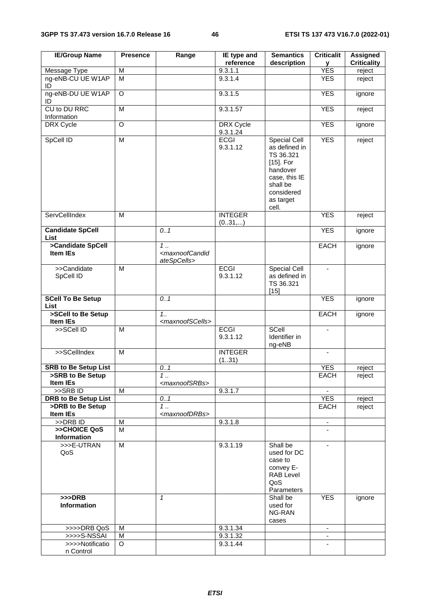| <b>IE/Group Name</b>                            | <b>Presence</b> | Range                                                        | IE type and<br>reference     | <b>Semantics</b><br>description                                                                                                         | <b>Criticalit</b><br>У   | <b>Assigned</b><br><b>Criticality</b> |
|-------------------------------------------------|-----------------|--------------------------------------------------------------|------------------------------|-----------------------------------------------------------------------------------------------------------------------------------------|--------------------------|---------------------------------------|
| <b>Message Type</b>                             | M               |                                                              | 9.3.1.1                      |                                                                                                                                         | <b>YES</b>               | reject                                |
| ng-eNB-CU UE W1AP<br>ID                         | M               |                                                              | 9.3.1.4                      |                                                                                                                                         | <b>YES</b>               | reject                                |
| ng-eNB-DU UE W1AP<br>ID                         | O               |                                                              | 9.3.1.5                      |                                                                                                                                         | <b>YES</b>               | ignore                                |
| CU to DU RRC<br>Information                     | M               |                                                              | 9.3.1.57                     |                                                                                                                                         | <b>YES</b>               | reject                                |
| DRX Cycle                                       | O               |                                                              | <b>DRX</b> Cycle<br>9.3.1.24 |                                                                                                                                         | <b>YES</b>               | ignore                                |
| SpCell ID                                       | M               |                                                              | <b>ECGI</b><br>9.3.1.12      | Special Cell<br>as defined in<br>TS 36.321<br>$[15]$ . For<br>handover<br>case, this IE<br>shall be<br>considered<br>as target<br>cell. | <b>YES</b>               | reject                                |
| ServCellIndex                                   | M               |                                                              | <b>INTEGER</b><br>(031,)     |                                                                                                                                         | <b>YES</b>               | reject                                |
| <b>Candidate SpCell</b><br>List                 |                 | 0.1                                                          |                              |                                                                                                                                         | <b>YES</b>               | ignore                                |
| >Candidate SpCell<br><b>Item IEs</b>            |                 | $1$ .<br><maxnoofcandid<br>ateSpCells&gt;</maxnoofcandid<br> |                              |                                                                                                                                         | <b>EACH</b>              | ignore                                |
| >>Candidate<br>SpCell ID                        | M               |                                                              | <b>ECGI</b><br>9.3.1.12      | <b>Special Cell</b><br>as defined in<br>TS 36.321<br>$[15]$                                                                             | $\blacksquare$           |                                       |
| <b>SCell To Be Setup</b><br><b>List</b>         |                 | 0.1                                                          |                              |                                                                                                                                         | <b>YES</b>               | ignore                                |
| >SCell to Be Setup<br>Item IEs                  |                 | 1.1<br><maxnoofscells></maxnoofscells>                       |                              |                                                                                                                                         | <b>EACH</b>              | ignore                                |
| >>SCell ID                                      | M               |                                                              | <b>ECGI</b><br>9.3.1.12      | SCell<br>Identifier in<br>ng-eNB                                                                                                        | $\sim$                   |                                       |
| >>SCellIndex                                    | M               |                                                              | <b>INTEGER</b><br>(131)      |                                                                                                                                         |                          |                                       |
| <b>SRB to Be Setup List</b>                     |                 | 0.1                                                          |                              |                                                                                                                                         | <b>YES</b>               | reject                                |
| >SRB to Be Setup                                |                 | 1                                                            |                              |                                                                                                                                         | EACH                     | reject                                |
| Item IEs                                        |                 | <maxnoofsrbs></maxnoofsrbs>                                  |                              |                                                                                                                                         |                          |                                       |
| >>SRBID                                         | M               |                                                              | 9.3.1.7                      |                                                                                                                                         |                          |                                       |
| <b>DRB to Be Setup List</b><br>>DRB to Be Setup |                 | 0.1                                                          |                              |                                                                                                                                         | <b>YES</b><br>EACH       | reject                                |
| <b>Item IEs</b>                                 |                 | 1<br><maxnoofdrbs></maxnoofdrbs>                             |                              |                                                                                                                                         |                          | reject                                |
| >>DRB ID                                        | M               |                                                              | 9.3.1.8                      |                                                                                                                                         | $\overline{\phantom{a}}$ |                                       |
| >>CHOICE QoS                                    | M               |                                                              |                              |                                                                                                                                         |                          |                                       |
| Information<br>>>>E-UTRAN                       |                 |                                                              |                              |                                                                                                                                         |                          |                                       |
| QoS                                             | M               |                                                              | 9.3.1.19                     | Shall be<br>used for DC<br>case to<br>convey E-<br><b>RAB Level</b><br>QoS<br>Parameters                                                | $\overline{\phantom{a}}$ |                                       |
| $>>$ DRB<br>Information                         |                 | $\mathbf{1}$                                                 |                              | Shall be<br>used for<br>NG-RAN<br>cases                                                                                                 | <b>YES</b>               | ignore                                |
| >>>>DRB QoS                                     | м               |                                                              | 9.3.1.34                     |                                                                                                                                         | $\blacksquare$           |                                       |
| >>>>S-NSSAI                                     | M               |                                                              | 9.3.1.32                     |                                                                                                                                         |                          |                                       |
| >>>>Notificatio                                 | O               |                                                              | 9.3.1.44                     |                                                                                                                                         |                          |                                       |
| n Control                                       |                 |                                                              |                              |                                                                                                                                         |                          |                                       |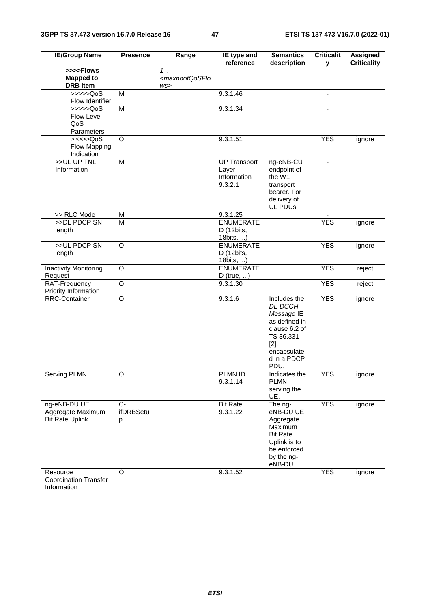| <b>IE/Group Name</b>                                        | <b>Presence</b>        | Range                                         | IE type and<br>reference                               | <b>Semantics</b><br>description                                                                                                     | <b>Criticalit</b><br>y | <b>Assigned</b><br><b>Criticality</b> |
|-------------------------------------------------------------|------------------------|-----------------------------------------------|--------------------------------------------------------|-------------------------------------------------------------------------------------------------------------------------------------|------------------------|---------------------------------------|
| >>>>Flows<br><b>Mapped to</b><br><b>DRB</b> Item            |                        | 1.<br><maxnoofqosflo<br>WS</maxnoofqosflo<br> |                                                        |                                                                                                                                     |                        |                                       |
| >>>>QoS<br>Flow Identifier                                  | M                      |                                               | 9.3.1.46                                               |                                                                                                                                     | $\blacksquare$         |                                       |
| >>>>>QoS<br>Flow Level<br>QoS<br>Parameters                 | $\overline{M}$         |                                               | 9.3.1.34                                               |                                                                                                                                     |                        |                                       |
| $\rightarrow$ >>>Q0S<br>Flow Mapping<br>Indication          | $\overline{O}$         |                                               | 9.3.1.51                                               |                                                                                                                                     | <b>YES</b>             | ignore                                |
| >>UL UP TNL<br>Information                                  | M                      |                                               | <b>UP Transport</b><br>Layer<br>Information<br>9.3.2.1 | ng-eNB-CU<br>endpoint of<br>the W1<br>transport<br>bearer. For<br>delivery of<br>UL PDUs.                                           |                        |                                       |
| >> RLC Mode                                                 | M                      |                                               | 9.3.1.25                                               |                                                                                                                                     |                        |                                       |
| >>DL PDCP SN<br>length                                      | $\overline{M}$         |                                               | <b>ENUMERATE</b><br>D (12bits,<br>18bits, )            |                                                                                                                                     | <b>YES</b>             | ignore                                |
| >>UL PDCP SN<br>length                                      | O                      |                                               | <b>ENUMERATE</b><br>D (12bits,<br>18bits, )            |                                                                                                                                     | <b>YES</b>             | ignore                                |
| <b>Inactivity Monitoring</b><br>Request                     | O                      |                                               | <b>ENUMERATE</b><br>$D$ (true, )                       |                                                                                                                                     | <b>YES</b>             | reject                                |
| RAT-Frequency<br>Priority Information                       | $\overline{O}$         |                                               | 9.3.1.30                                               |                                                                                                                                     | <b>YES</b>             | reject                                |
| RRC-Container                                               | $\circ$                |                                               | 9.3.1.6                                                | Includes the<br>DL-DCCH-<br>Message IE<br>as defined in<br>clause 6.2 of<br>TS 36.331<br>[2],<br>encapsulate<br>d in a PDCP<br>PDU. | <b>YES</b>             | ignore                                |
| <b>Serving PLMN</b>                                         | O                      |                                               | PLMN ID<br>9.3.1.14                                    | Indicates the<br><b>PLMN</b><br>serving the<br>UE.                                                                                  | <b>YES</b>             | ignore                                |
| ng-eNB-DU UE<br>Aggregate Maximum<br><b>Bit Rate Uplink</b> | $C-$<br>ifDRBSetu<br>р |                                               | <b>Bit Rate</b><br>9.3.1.22                            | The ng-<br>eNB-DU UE<br>Aggregate<br>Maximum<br><b>Bit Rate</b><br>Uplink is to<br>be enforced<br>by the ng-<br>eNB-DU.             | <b>YES</b>             | ignore                                |
| Resource<br><b>Coordination Transfer</b><br>Information     | $\circ$                |                                               | 9.3.1.52                                               |                                                                                                                                     | <b>YES</b>             | ignore                                |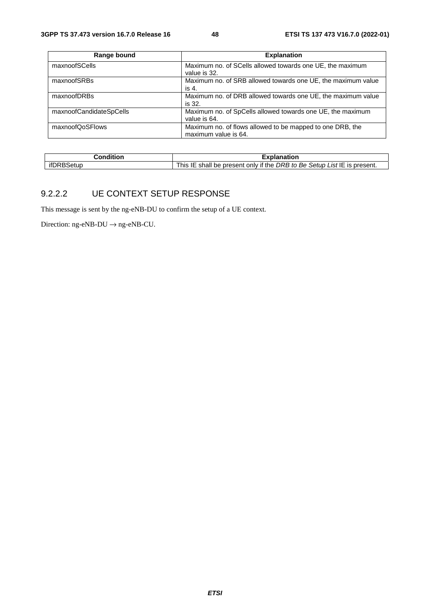| Range bound             | <b>Explanation</b>                                           |
|-------------------------|--------------------------------------------------------------|
| maxnoofSCells           | Maximum no. of SCells allowed towards one UE, the maximum    |
|                         | value is 32.                                                 |
| maxnoofSRBs             | Maximum no. of SRB allowed towards one UE, the maximum value |
|                         | is 4.                                                        |
| maxnoofDRBs             | Maximum no. of DRB allowed towards one UE, the maximum value |
|                         | is 32.                                                       |
| maxnoofCandidateSpCells | Maximum no. of SpCells allowed towards one UE, the maximum   |
|                         | value is 64.                                                 |
| maxnoofQoSFlows         | Maximum no. of flows allowed to be mapped to one DRB, the    |
|                         | maximum value is 64.                                         |

| ∶ondition | $-100$<br>kplanation                                                                               |
|-----------|----------------------------------------------------------------------------------------------------|
| ∗tun      | List IE is present.<br>if the<br>Setup L<br>DRB to<br>Be,<br>This .<br>shall<br>only<br>be present |

#### 9.2.2.2 UE CONTEXT SETUP RESPONSE

This message is sent by the ng-eNB-DU to confirm the setup of a UE context.

Direction:  $ng-eNB-DU \rightarrow ng-eNB-CU$ .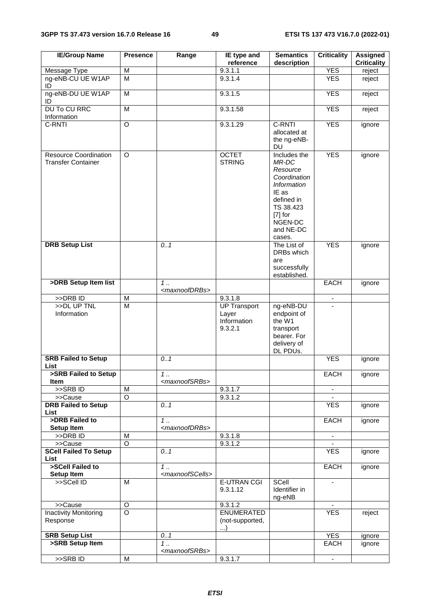| <b>IE/Group Name</b>                                      | <b>Presence</b>         | Range                             | IE type and<br>reference                               | <b>Semantics</b><br>description                                                                                                                            | <b>Criticality</b> | <b>Assigned</b><br><b>Criticality</b> |
|-----------------------------------------------------------|-------------------------|-----------------------------------|--------------------------------------------------------|------------------------------------------------------------------------------------------------------------------------------------------------------------|--------------------|---------------------------------------|
| Message Type                                              | M                       |                                   | 9.3.1.1                                                |                                                                                                                                                            | <b>YES</b>         | reject                                |
| ng-eNB-CU UE W1AP<br>ID                                   | $\overline{\mathsf{M}}$ |                                   | 9.3.1.4                                                |                                                                                                                                                            | <b>YES</b>         | reject                                |
| ng-eNB-DU UE W1AP<br>ID                                   | M                       |                                   | 9.3.1.5                                                |                                                                                                                                                            | <b>YES</b>         | reject                                |
| <b>DU To CU RRC</b><br>Information                        | M                       |                                   | 9.3.1.58                                               |                                                                                                                                                            | <b>YES</b>         | reject                                |
| C-RNTI                                                    | $\circ$                 |                                   | 9.3.1.29                                               | C-RNTI<br>allocated at<br>the ng-eNB-<br><b>DU</b>                                                                                                         | <b>YES</b>         | ignore                                |
| <b>Resource Coordination</b><br><b>Transfer Container</b> | $\circ$                 |                                   | <b>OCTET</b><br><b>STRING</b>                          | Includes the<br>MR-DC<br>Resource<br>Coordination<br><b>Information</b><br>IE as<br>defined in<br>TS 38.423<br>$[7]$ for<br>NGEN-DC<br>and NE-DC<br>cases. | <b>YES</b>         | ignore                                |
| <b>DRB Setup List</b>                                     |                         | 0.1                               |                                                        | The List of<br>DRBs which<br>are<br>successfully<br>established.                                                                                           | <b>YES</b>         | ignore                                |
| >DRB Setup Item list                                      |                         | 1.<br><maxnoofdrbs></maxnoofdrbs> |                                                        |                                                                                                                                                            | <b>EACH</b>        | ignore                                |
| >>DRB ID                                                  | M                       |                                   | 9.3.1.8                                                |                                                                                                                                                            | $\blacksquare$     |                                       |
| >>DL UP TNL<br>Information                                | $\overline{\mathsf{M}}$ |                                   | <b>UP Transport</b><br>Layer<br>Information<br>9.3.2.1 | ng-eNB-DU<br>endpoint of<br>the W1<br>transport<br>bearer. For<br>delivery of<br>DL PDUs.                                                                  |                    |                                       |
| <b>SRB Failed to Setup</b><br>List                        |                         | 0.1                               |                                                        |                                                                                                                                                            | <b>YES</b>         | ignore                                |
| >SRB Failed to Setup<br>Item                              |                         | 1.<br><maxnoofsrbs></maxnoofsrbs> |                                                        |                                                                                                                                                            | <b>EACH</b>        | ignore                                |
| $>$ SRB ID                                                | M                       |                                   | 9.3.1.7                                                |                                                                                                                                                            | $\sim$             |                                       |
| >>Cause                                                   | $\overline{O}$          |                                   | 9.3.1.2                                                |                                                                                                                                                            |                    |                                       |
| <b>DRB Failed to Setup</b><br>List                        |                         | 0.1                               |                                                        |                                                                                                                                                            | <b>YES</b>         | ignore                                |
| >DRB Failed to<br>Setup Item                              |                         | 1.<br><maxnoofdrbs></maxnoofdrbs> |                                                        |                                                                                                                                                            | <b>EACH</b>        | ignore                                |
| >>DRB ID                                                  | M                       |                                   | 9.3.1.8                                                |                                                                                                                                                            | $\blacksquare$     |                                       |
| >>Cause                                                   | $\overline{O}$          |                                   | 9.3.1.2                                                |                                                                                                                                                            |                    |                                       |
| <b>SCell Failed To Setup</b><br>List                      |                         | 0.1                               |                                                        |                                                                                                                                                            | <b>YES</b>         | ignore                                |
| >SCell Failed to                                          |                         | 1.                                |                                                        |                                                                                                                                                            | <b>EACH</b>        | ignore                                |
| Setup Item                                                |                         | <maxnoofscells></maxnoofscells>   |                                                        |                                                                                                                                                            |                    |                                       |
| >>SCell ID                                                | M                       |                                   | <b>E-UTRAN CGI</b><br>9.3.1.12                         | SCell<br>Identifier in<br>ng-eNB                                                                                                                           |                    |                                       |
| >>Cause                                                   | O                       |                                   | 9.3.1.2                                                |                                                                                                                                                            |                    |                                       |
| <b>Inactivity Monitoring</b><br>Response                  | $\overline{\circ}$      |                                   | <b>ENUMERATED</b><br>(not-supported,<br>$\ldots$       |                                                                                                                                                            | <b>YES</b>         | reject                                |
| <b>SRB Setup List</b>                                     |                         | 0.1                               |                                                        |                                                                                                                                                            | <b>YES</b>         | ignore                                |
| >SRB Setup Item                                           |                         | 1.<br><maxnoofsrbs></maxnoofsrbs> |                                                        |                                                                                                                                                            | EACH               | ignore                                |
| >>SRBID                                                   | M                       |                                   | 9.3.1.7                                                |                                                                                                                                                            | $\blacksquare$     |                                       |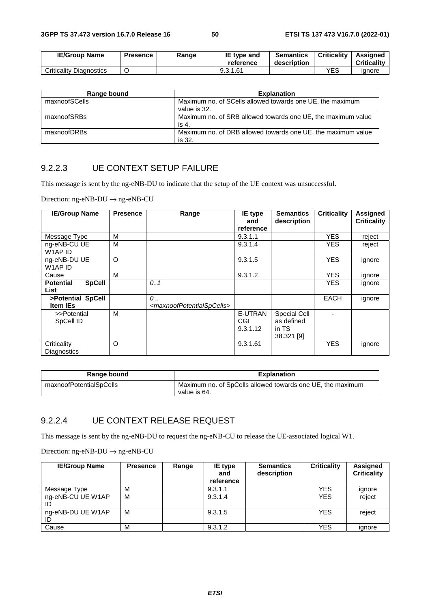| <b>IE/Group Name</b>           | <b>Presence</b> | Range | IE type and<br>reference | <b>Semantics</b><br>description | <b>Criticality</b> | Assigned<br><b>Criticality</b> |
|--------------------------------|-----------------|-------|--------------------------|---------------------------------|--------------------|--------------------------------|
| <b>Criticality Diagnostics</b> |                 |       | 9.3.1.61                 |                                 | YES                | ignore                         |

| Range bound   | <b>Explanation</b>                                                        |
|---------------|---------------------------------------------------------------------------|
| maxnoofSCells | Maximum no. of SCells allowed towards one UE, the maximum<br>value is 32. |
| maxnoofSRBs   | Maximum no. of SRB allowed towards one UE, the maximum value<br>is 4.     |
| maxnoofDRBs   | Maximum no. of DRB allowed towards one UE, the maximum value<br>is 32.    |

#### 9.2.2.3 UE CONTEXT SETUP FAILURE

This message is sent by the ng-eNB-DU to indicate that the setup of the UE context was unsuccessful.

Direction: ng-eNB-DU → ng-eNB-CU

| <b>IE/Group Name</b>                      | <b>Presence</b> | Range                                                                | IE type<br>and             | <b>Semantics</b><br>description                   | <b>Criticality</b> | Assigned<br><b>Criticality</b> |
|-------------------------------------------|-----------------|----------------------------------------------------------------------|----------------------------|---------------------------------------------------|--------------------|--------------------------------|
|                                           |                 |                                                                      | reference                  |                                                   |                    |                                |
| Message Type                              | М               |                                                                      | 9.3.1.1                    |                                                   | <b>YES</b>         | reject                         |
| ng-eNB-CU UE<br>W1AP ID                   | М               |                                                                      | 9.3.1.4                    |                                                   | <b>YES</b>         | reject                         |
| ng-eNB-DU UE<br>W1AP ID                   | O               |                                                                      | 9.3.1.5                    |                                                   | <b>YES</b>         | ignore                         |
| Cause                                     | М               |                                                                      | 9.3.1.2                    |                                                   | <b>YES</b>         | ignore                         |
| <b>SpCell</b><br><b>Potential</b><br>List |                 | 0.1                                                                  |                            |                                                   | <b>YES</b>         | ignore                         |
| >Potential SpCell<br><b>Item IEs</b>      |                 | $\mathcal{O}$<br><maxnoofpotentialspcells></maxnoofpotentialspcells> |                            |                                                   | <b>EACH</b>        | ignore                         |
| >>Potential<br>SpCell ID                  | М               |                                                                      | E-UTRAN<br>CGI<br>9.3.1.12 | Special Cell<br>as defined<br>in TS<br>38.321 [9] |                    |                                |
| Criticality<br><b>Diagnostics</b>         | O               |                                                                      | 9.3.1.61                   |                                                   | <b>YES</b>         | ignore                         |

| Range bound             | <b>Explanation</b>                                                         |  |  |
|-------------------------|----------------------------------------------------------------------------|--|--|
| maxnoofPotentialSpCells | Maximum no. of SpCells allowed towards one UE, the maximum<br>value is 64. |  |  |

# 9.2.2.4 UE CONTEXT RELEASE REQUEST

This message is sent by the ng-eNB-DU to request the ng-eNB-CU to release the UE-associated logical W1.

Direction: ng-eNB-DU → ng-eNB-CU

| <b>IE/Group Name</b> | <b>Presence</b> | Range | <b>IE</b> type<br>and<br>reference | <b>Semantics</b><br>description | <b>Criticality</b> | <b>Assigned</b><br><b>Criticality</b> |
|----------------------|-----------------|-------|------------------------------------|---------------------------------|--------------------|---------------------------------------|
| Message Type         | M               |       | 9.3.1.1                            |                                 | <b>YES</b>         | ignore                                |
| ng-eNB-CU UE W1AP    | M               |       | 9.3.1.4                            |                                 | <b>YES</b>         | reject                                |
| ng-eNB-DU UE W1AP    | M               |       | 9.3.1.5                            |                                 | <b>YES</b>         | reject                                |
| Cause                | M               |       | 9.3.1.2                            |                                 | YES                | ianore                                |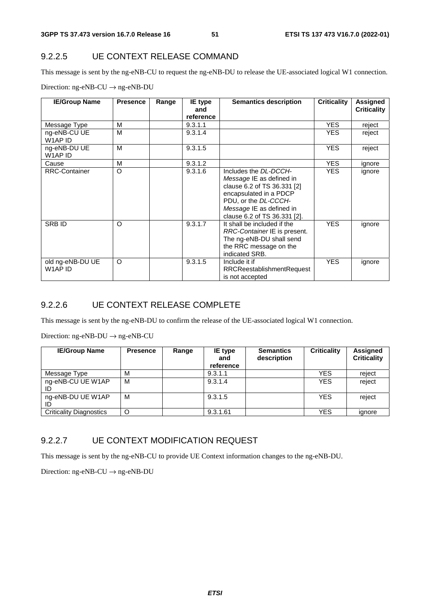#### 9.2.2.5 UE CONTEXT RELEASE COMMAND

This message is sent by the ng-eNB-CU to request the ng-eNB-DU to release the UE-associated logical W1 connection.

| <b>IE/Group Name</b>        | <b>Presence</b> | Range | IE type   | <b>Semantics description</b>                                                                                                                                                                   | <b>Criticality</b> | Assigned           |
|-----------------------------|-----------------|-------|-----------|------------------------------------------------------------------------------------------------------------------------------------------------------------------------------------------------|--------------------|--------------------|
|                             |                 |       | and       |                                                                                                                                                                                                |                    | <b>Criticality</b> |
|                             |                 |       | reference |                                                                                                                                                                                                |                    |                    |
| Message Type                | M               |       | 9.3.1.1   |                                                                                                                                                                                                | <b>YES</b>         | reject             |
| ng-eNB-CU UE<br>W1AP ID     | M               |       | 9.3.1.4   |                                                                                                                                                                                                | YES.               | reject             |
| ng-eNB-DU UE<br>W1AP ID     | M               |       | 9.3.1.5   |                                                                                                                                                                                                | YES.               | reject             |
| Cause                       | M               |       | 9.3.1.2   |                                                                                                                                                                                                | <b>YES</b>         | ignore             |
| <b>RRC-Container</b>        | $\circ$         |       | 9.3.1.6   | Includes the DL-DCCH-<br>Message IE as defined in<br>clause 6.2 of TS 36.331 [2]<br>encapsulated in a PDCP<br>PDU, or the DL-CCCH-<br>Message IE as defined in<br>clause 6.2 of TS 36.331 [2]. | <b>YES</b>         | ignore             |
| <b>SRBID</b>                | $\Omega$        |       | 9.3.1.7   | It shall be included if the<br>RRC-Container IE is present.<br>The ng-eNB-DU shall send<br>the RRC message on the<br>indicated SRB.                                                            | <b>YES</b>         | ignore             |
| old ng-eNB-DU UE<br>W1AP ID | $\circ$         |       | 9.3.1.5   | Include it if<br><b>RRCReestablishmentRequest</b><br>is not accepted                                                                                                                           | <b>YES</b>         | ignore             |

Direction: ng-eNB-CU → ng-eNB-DU

#### 9.2.2.6 UE CONTEXT RELEASE COMPLETE

This message is sent by the ng-eNB-DU to confirm the release of the UE-associated logical W1 connection.

Direction: ng-eNB-DU → ng-eNB-CU

| <b>IE/Group Name</b>           | <b>Presence</b> | Range | <b>IE</b> type<br>and<br>reference | <b>Semantics</b><br>description | <b>Criticality</b> | Assigned<br><b>Criticality</b> |
|--------------------------------|-----------------|-------|------------------------------------|---------------------------------|--------------------|--------------------------------|
| Message Type                   | M               |       | 9.3.1.1                            |                                 | <b>YES</b>         | reject                         |
| ng-eNB-CU UE W1AP              | M               |       | 9.3.1.4                            |                                 | <b>YES</b>         | reject                         |
| ng-eNB-DU UE W1AP<br>ID        | M               |       | 9.3.1.5                            |                                 | <b>YES</b>         | reject                         |
| <b>Criticality Diagnostics</b> | O               |       | 9.3.1.61                           |                                 | YES                | ignore                         |

#### 9.2.2.7 UE CONTEXT MODIFICATION REQUEST

This message is sent by the ng-eNB-CU to provide UE Context information changes to the ng-eNB-DU.

Direction: ng-eNB-CU  $\rightarrow$  ng-eNB-DU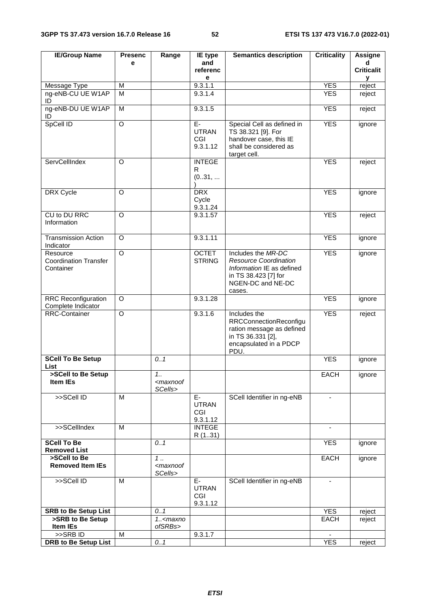| <b>IE/Group Name</b>                                  | <b>Presenc</b>     | Range                                      | IE type                                 | <b>Semantics description</b>                                                                                                           | <b>Criticality</b> | <b>Assigne</b>    |
|-------------------------------------------------------|--------------------|--------------------------------------------|-----------------------------------------|----------------------------------------------------------------------------------------------------------------------------------------|--------------------|-------------------|
|                                                       | e                  |                                            | and                                     |                                                                                                                                        |                    | d                 |
|                                                       |                    |                                            | referenc<br>е                           |                                                                                                                                        |                    | <b>Criticalit</b> |
| Message Type                                          | M                  |                                            | 9.3.1.1                                 |                                                                                                                                        | <b>YES</b>         | у<br>reject       |
| ng-eNB-CU UE W1AP<br>ID                               | M                  |                                            | 9.3.1.4                                 |                                                                                                                                        | <b>YES</b>         | reject            |
| ng-eNB-DU UE W1AP<br>ID                               | M                  |                                            | 9.3.1.5                                 |                                                                                                                                        | <b>YES</b>         | reject            |
| SpCell ID                                             | $\overline{O}$     |                                            | $E-$<br><b>UTRAN</b><br>CGI<br>9.3.1.12 | Special Cell as defined in<br>TS 38.321 [9]. For<br>handover case, this IE<br>shall be considered as<br>target cell.                   | <b>YES</b>         | ignore            |
| ServCellIndex                                         | $\Omega$           |                                            | <b>INTEGE</b><br>R<br>(031,             |                                                                                                                                        | <b>YES</b>         | reject            |
| DRX Cycle                                             | $\Omega$           |                                            | <b>DRX</b><br>Cycle<br>9.3.1.24         |                                                                                                                                        | <b>YES</b>         | ignore            |
| CU to DU RRC<br>Information                           | O                  |                                            | 9.3.1.57                                |                                                                                                                                        | <b>YES</b>         | reject            |
| <b>Transmission Action</b><br>Indicator               | $\Omega$           |                                            | 9.3.1.11                                |                                                                                                                                        | <b>YES</b>         | ignore            |
| Resource<br><b>Coordination Transfer</b><br>Container | $\overline{\circ}$ |                                            | <b>OCTET</b><br><b>STRING</b>           | Includes the MR-DC<br><b>Resource Coordination</b><br>Information IE as defined<br>in TS 38.423 [7] for<br>NGEN-DC and NE-DC<br>cases. | <b>YES</b>         | ignore            |
| <b>RRC Reconfiguration</b><br>Complete Indicator      | O                  |                                            | 9.3.1.28                                |                                                                                                                                        | <b>YES</b>         | ignore            |
| <b>RRC-Container</b>                                  | $\circ$            |                                            | 9.3.1.6                                 | Includes the<br><b>RRCConnectionReconfigu</b><br>ration message as defined<br>in TS 36.331 [2],<br>encapsulated in a PDCP<br>PDU.      | <b>YES</b>         | reject            |
| <b>SCell To Be Setup</b><br>List                      |                    | 0.1                                        |                                         |                                                                                                                                        | <b>YES</b>         | ignore            |
| >SCell to Be Setup<br>Item IEs                        |                    | 1.1<br><maxnoof<br>SCells&gt;</maxnoof<br> |                                         |                                                                                                                                        | <b>EACH</b>        | ignore            |
| >>SCell ID                                            | M                  |                                            | E-<br><b>UTRAN</b><br>CGI<br>9.3.1.12   | SCell Identifier in ng-eNB                                                                                                             | $\blacksquare$     |                   |
| >>SCellIndex                                          | M                  |                                            | <b>INTEGE</b><br>R (131)                |                                                                                                                                        |                    |                   |
| <b>SCell To Be</b><br><b>Removed List</b>             |                    | 0.1                                        |                                         |                                                                                                                                        | <b>YES</b>         | ignore            |
| >SCell to Be<br><b>Removed Item IEs</b>               |                    | 1.<br><maxnoof<br>SCells&gt;</maxnoof<br>  |                                         |                                                                                                                                        | EACH               | ignore            |
| >>SCell ID                                            | M                  |                                            | E-<br><b>UTRAN</b><br>CGI<br>9.3.1.12   | SCell Identifier in ng-eNB                                                                                                             | $\blacksquare$     |                   |
| <b>SRB to Be Setup List</b>                           |                    | 0.1                                        |                                         |                                                                                                                                        | <b>YES</b>         | reject            |
| >SRB to Be Setup<br>Item IEs                          |                    | $1. maxnoofSRBs>$                          |                                         |                                                                                                                                        | <b>EACH</b>        | reject            |
| >>SRBID                                               | M                  |                                            | 9.3.1.7                                 |                                                                                                                                        |                    |                   |
| <b>DRB to Be Setup List</b>                           |                    | 0.1                                        |                                         |                                                                                                                                        | <b>YES</b>         | reject            |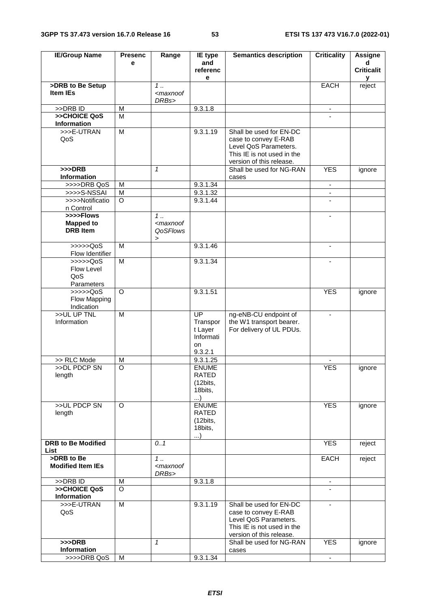| <b>IE/Group Name</b>                             | <b>Presenc</b> | Range                                                                                | IE type                                                              | <b>Semantics description</b>                                                                                                       | <b>Criticality</b> | <b>Assigne</b>         |
|--------------------------------------------------|----------------|--------------------------------------------------------------------------------------|----------------------------------------------------------------------|------------------------------------------------------------------------------------------------------------------------------------|--------------------|------------------------|
|                                                  | е              |                                                                                      | and<br>referenc<br>е                                                 |                                                                                                                                    |                    | d<br><b>Criticalit</b> |
| >DRB to Be Setup                                 |                | $1 \ldots$                                                                           |                                                                      |                                                                                                                                    | <b>EACH</b>        | v<br>reject            |
| <b>Item IEs</b>                                  |                | <maxnoof<br>DRBs&gt;</maxnoof<br>                                                    |                                                                      |                                                                                                                                    |                    |                        |
| >>DRB ID                                         | M              |                                                                                      | 9.3.1.8                                                              |                                                                                                                                    |                    |                        |
| >>CHOICE QoS<br><b>Information</b>               | M              |                                                                                      |                                                                      |                                                                                                                                    |                    |                        |
| >>>E-UTRAN<br>QoS                                | $\overline{M}$ |                                                                                      | 9.3.1.19                                                             | Shall be used for EN-DC<br>case to convey E-RAB<br>Level QoS Parameters.<br>This IE is not used in the<br>version of this release. |                    |                        |
| $>>$ DRB<br><b>Information</b>                   |                | $\mathbf{1}$                                                                         |                                                                      | Shall be used for NG-RAN<br>cases                                                                                                  | <b>YES</b>         | ignore                 |
| >>>>DRB QoS                                      | M              |                                                                                      | 9.3.1.34                                                             |                                                                                                                                    | ۰                  |                        |
| >>>>S-NSSAI                                      | M              |                                                                                      | 9.3.1.32                                                             |                                                                                                                                    | $\blacksquare$     |                        |
| >>>>Notificatio<br>n Control                     | $\circ$        |                                                                                      | 9.3.1.44                                                             |                                                                                                                                    |                    |                        |
| >>>>Flows<br><b>Mapped to</b><br><b>DRB</b> Item |                | $1 \ldots$<br><maxnoof<br>QoSFlows<br/><math display="inline">\,</math></maxnoof<br> |                                                                      |                                                                                                                                    | $\blacksquare$     |                        |
| >>>>QoS<br>Flow Identifier                       | M              |                                                                                      | 9.3.1.46                                                             |                                                                                                                                    | $\blacksquare$     |                        |
| > >> > > QoS<br>Flow Level<br>QoS<br>Parameters  | M              |                                                                                      | 9.3.1.34                                                             |                                                                                                                                    |                    |                        |
| >>>>QoS<br>Flow Mapping<br>Indication            | $\circ$        |                                                                                      | 9.3.1.51                                                             |                                                                                                                                    | <b>YES</b>         | ignore                 |
| >>UL UP TNL<br>Information                       | M              |                                                                                      | $\overline{UP}$<br>Transpor<br>t Layer<br>Informati<br>on<br>9.3.2.1 | ng-eNB-CU endpoint of<br>the W1 transport bearer.<br>For delivery of UL PDUs.                                                      | $\blacksquare$     |                        |
| >> RLC Mode                                      | M              |                                                                                      | 9.3.1.25                                                             |                                                                                                                                    |                    |                        |
| >>DL PDCP SN<br>length                           | O              |                                                                                      | <b>ENUME</b><br>RAIED<br>(12bits,<br>18bits,<br>)                    |                                                                                                                                    | <b>YES</b>         | ignore                 |
| >>UL PDCP SN<br>length                           | O              |                                                                                      | <b>ENUME</b><br>RATED<br>(12bits,<br>18bits,<br>)                    |                                                                                                                                    | <b>YES</b>         | ignore                 |
| <b>DRB to Be Modified</b><br>List                |                | 0.1                                                                                  |                                                                      |                                                                                                                                    | <b>YES</b>         | reject                 |
| >DRB to Be<br><b>Modified Item IEs</b>           |                | $1 \ldots$<br><maxnoof<br>DRBs&gt;</maxnoof<br>                                      |                                                                      |                                                                                                                                    | <b>EACH</b>        | reject                 |
| >>DRB ID                                         | M              |                                                                                      | 9.3.1.8                                                              |                                                                                                                                    | $\blacksquare$     |                        |
| >>CHOICE QoS<br><b>Information</b>               | $\circ$        |                                                                                      |                                                                      |                                                                                                                                    |                    |                        |
| >>>E-UTRAN<br>QoS                                | $\overline{M}$ |                                                                                      | 9.3.1.19                                                             | Shall be used for EN-DC<br>case to convey E-RAB<br>Level QoS Parameters.<br>This IE is not used in the<br>version of this release. |                    |                        |
| $>>$ DRB<br>Information                          |                | $\mathbf{1}$                                                                         |                                                                      | Shall be used for NG-RAN<br>cases                                                                                                  | <b>YES</b>         | ignore                 |
| >>>>DRB QoS                                      | м              |                                                                                      | 9.3.1.34                                                             |                                                                                                                                    | $\blacksquare$     |                        |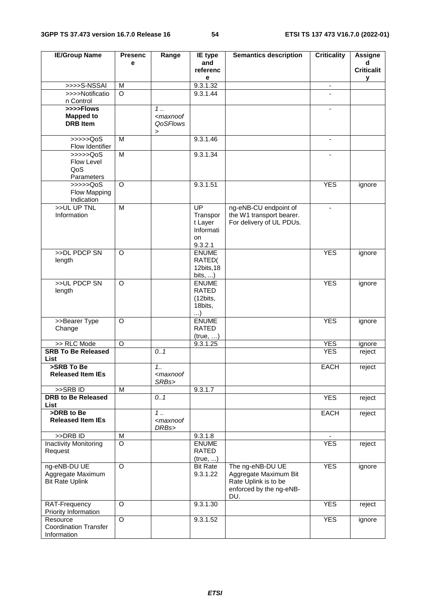| <b>IE/Group Name</b>                                                | <b>Presenc</b>     | Range                                                           | IE type                         | <b>Semantics description</b>                      | <b>Criticality</b>       | <b>Assigne</b>    |
|---------------------------------------------------------------------|--------------------|-----------------------------------------------------------------|---------------------------------|---------------------------------------------------|--------------------------|-------------------|
|                                                                     | e                  |                                                                 | and                             |                                                   |                          | d                 |
|                                                                     |                    |                                                                 | referenc                        |                                                   |                          | <b>Criticalit</b> |
| >>>>S-NSSAI                                                         | M                  |                                                                 | е<br>9.3.1.32                   |                                                   | $\overline{\phantom{a}}$ | у                 |
| >>>>Notificatio                                                     | $\circ$            |                                                                 | 9.3.1.44                        |                                                   |                          |                   |
| n Control                                                           |                    |                                                                 |                                 |                                                   |                          |                   |
| >>>>Flows                                                           |                    | $1 \ldots$                                                      |                                 |                                                   | $\blacksquare$           |                   |
| <b>Mapped to</b>                                                    |                    | <maxnoof< td=""><td></td><td></td><td></td><td></td></maxnoof<> |                                 |                                                   |                          |                   |
| <b>DRB</b> Item                                                     |                    | QoSFlows                                                        |                                 |                                                   |                          |                   |
|                                                                     |                    | $\,$                                                            |                                 |                                                   |                          |                   |
| $\rightarrow \rightarrow \rightarrow \text{QoS}$<br>Flow Identifier | M                  |                                                                 | 9.3.1.46                        |                                                   | $\blacksquare$           |                   |
| $\gg >> >QoS$                                                       | M                  |                                                                 | 9.3.1.34                        |                                                   |                          |                   |
| Flow Level                                                          |                    |                                                                 |                                 |                                                   |                          |                   |
| QoS                                                                 |                    |                                                                 |                                 |                                                   |                          |                   |
| Parameters                                                          |                    |                                                                 |                                 |                                                   |                          |                   |
| >>>>QoS                                                             | $\circ$            |                                                                 | 9.3.1.51                        |                                                   | <b>YES</b>               | ignore            |
| Flow Mapping                                                        |                    |                                                                 |                                 |                                                   |                          |                   |
| Indication<br>>>UL UP TNL                                           |                    |                                                                 |                                 |                                                   |                          |                   |
| Information                                                         | M                  |                                                                 | $\overline{UP}$<br>Transpor     | ng-eNB-CU endpoint of<br>the W1 transport bearer. | $\blacksquare$           |                   |
|                                                                     |                    |                                                                 | t Layer                         | For delivery of UL PDUs.                          |                          |                   |
|                                                                     |                    |                                                                 | Informati                       |                                                   |                          |                   |
|                                                                     |                    |                                                                 | on                              |                                                   |                          |                   |
|                                                                     |                    |                                                                 | 9.3.2.1                         |                                                   |                          |                   |
| >>DL PDCP SN                                                        | $\overline{O}$     |                                                                 | <b>ENUME</b>                    |                                                   | <b>YES</b>               | ignore            |
| length                                                              |                    |                                                                 | RATED(                          |                                                   |                          |                   |
|                                                                     |                    |                                                                 | 12bits, 18                      |                                                   |                          |                   |
| >>UL PDCP SN                                                        | $\overline{O}$     |                                                                 | bits, $\dots$ )<br><b>ENUME</b> |                                                   | <b>YES</b>               | ignore            |
| length                                                              |                    |                                                                 | <b>RATED</b>                    |                                                   |                          |                   |
|                                                                     |                    |                                                                 | (12bits,                        |                                                   |                          |                   |
|                                                                     |                    |                                                                 | 18bits,                         |                                                   |                          |                   |
|                                                                     |                    |                                                                 | $\ldots$                        |                                                   |                          |                   |
| >>Bearer Type                                                       | $\circ$            |                                                                 | <b>ENUME</b>                    |                                                   | <b>YES</b>               | ignore            |
| Change                                                              |                    |                                                                 | <b>RATED</b>                    |                                                   |                          |                   |
| >> RLC Mode                                                         | $\circ$            |                                                                 | (true, )<br>9.3.1.25            |                                                   | <b>YES</b>               | ignore            |
| <b>SRB To Be Released</b>                                           |                    | 0.1                                                             |                                 |                                                   | <b>YES</b>               | reject            |
| List                                                                |                    |                                                                 |                                 |                                                   |                          |                   |
| >SRB To Be                                                          |                    | 1.1                                                             |                                 |                                                   | <b>EACH</b>              | reject            |
| <b>Released Item IEs</b>                                            |                    | <maxnoof< td=""><td></td><td></td><td></td><td></td></maxnoof<> |                                 |                                                   |                          |                   |
|                                                                     |                    | SRBs>                                                           |                                 |                                                   |                          |                   |
| >>SRB ID<br><b>DRB</b> to Be Released                               | M                  |                                                                 | 9.3.1.7                         |                                                   |                          |                   |
| List                                                                |                    | 0.1                                                             |                                 |                                                   | <b>YES</b>               | reject            |
| >DRB to Be                                                          |                    | 1.                                                              |                                 |                                                   | EACH                     | reject            |
| <b>Released Item IEs</b>                                            |                    | <maxnoof< td=""><td></td><td></td><td></td><td></td></maxnoof<> |                                 |                                                   |                          |                   |
|                                                                     |                    | DRBs>                                                           |                                 |                                                   |                          |                   |
| >>DRB ID                                                            | M                  |                                                                 | 9.3.1.8                         |                                                   |                          |                   |
| <b>Inactivity Monitoring</b>                                        | $\overline{\circ}$ |                                                                 | <b>ENUME</b>                    |                                                   | <b>YES</b>               | reject            |
| Request                                                             |                    |                                                                 | <b>RATED</b>                    |                                                   |                          |                   |
| ng-eNB-DU UE                                                        | $\overline{O}$     |                                                                 | (true, )<br><b>Bit Rate</b>     | The ng-eNB-DU UE                                  | <b>YES</b>               |                   |
| Aggregate Maximum                                                   |                    |                                                                 | 9.3.1.22                        | Aggregate Maximum Bit                             |                          | ignore            |
| <b>Bit Rate Uplink</b>                                              |                    |                                                                 |                                 | Rate Uplink is to be                              |                          |                   |
|                                                                     |                    |                                                                 |                                 | enforced by the ng-eNB-                           |                          |                   |
|                                                                     |                    |                                                                 |                                 | DU.                                               |                          |                   |
| RAT-Frequency                                                       | $\overline{O}$     |                                                                 | 9.3.1.30                        |                                                   | <b>YES</b>               | reject            |
| Priority Information                                                |                    |                                                                 |                                 |                                                   |                          |                   |
| Resource<br><b>Coordination Transfer</b>                            | $\overline{O}$     |                                                                 | 9.3.1.52                        |                                                   | <b>YES</b>               | ignore            |
| Information                                                         |                    |                                                                 |                                 |                                                   |                          |                   |
|                                                                     |                    |                                                                 |                                 |                                                   |                          |                   |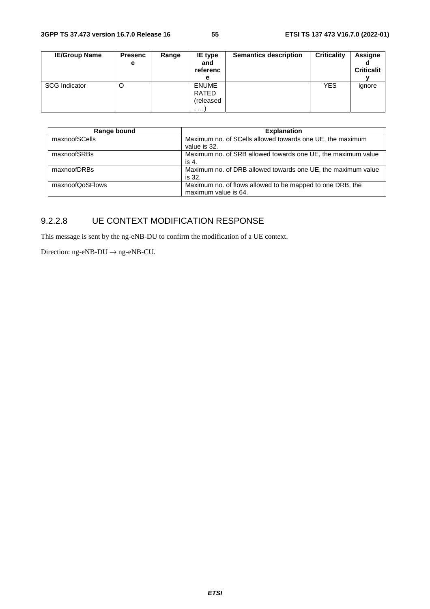| <b>IE/Group Name</b> | <b>Presenc</b><br>е | Range | <b>IE</b> type<br>and<br>referenc<br>е  | <b>Semantics description</b> | <b>Criticality</b> | <b>Assigne</b><br><b>Criticalit</b> |
|----------------------|---------------------|-------|-----------------------------------------|------------------------------|--------------------|-------------------------------------|
| <b>SCG Indicator</b> | O                   |       | <b>ENUME</b><br>RATED<br>(released<br>, |                              | <b>YES</b>         | ignore                              |

| Range bound     | <b>Explanation</b>                                                                |
|-----------------|-----------------------------------------------------------------------------------|
| maxnoofSCells   | Maximum no. of SCells allowed towards one UE, the maximum<br>value is 32.         |
| maxnoofSRBs     | Maximum no. of SRB allowed towards one UE, the maximum value<br>is 4.             |
| maxnoofDRBs     | Maximum no. of DRB allowed towards one UE, the maximum value<br>is 32.            |
| maxnoofQoSFlows | Maximum no. of flows allowed to be mapped to one DRB, the<br>maximum value is 64. |

# 9.2.2.8 UE CONTEXT MODIFICATION RESPONSE

This message is sent by the ng-eNB-DU to confirm the modification of a UE context.

Direction:  $ng-eNB-DU \rightarrow ng-eNB-CU$ .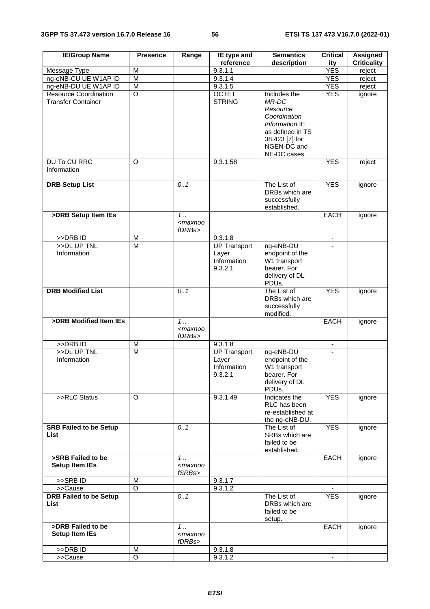| <b>IE/Group Name</b>                                      | <b>Presence</b> | Range                                                                        | IE type and                                            | <b>Semantics</b>                                                                                                                         | <b>Critical</b> | <b>Assigned</b>    |
|-----------------------------------------------------------|-----------------|------------------------------------------------------------------------------|--------------------------------------------------------|------------------------------------------------------------------------------------------------------------------------------------------|-----------------|--------------------|
|                                                           |                 |                                                                              | reference                                              | description                                                                                                                              | ity             | <b>Criticality</b> |
| Message Type                                              | M               |                                                                              | 9.3.1.1                                                |                                                                                                                                          | <b>YES</b>      | reject             |
| ng-eNB-CU UE W1AP ID                                      | M               |                                                                              | 9.3.1.4                                                |                                                                                                                                          | <b>YES</b>      | reject             |
| ng-eNB-DU UE W1AP ID                                      | M               |                                                                              | 9.3.1.5                                                |                                                                                                                                          | <b>YES</b>      | reject             |
| <b>Resource Coordination</b><br><b>Transfer Container</b> | $\circ$         |                                                                              | <b>OCTET</b><br><b>STRING</b>                          | Includes the<br>MR-DC<br>Resource<br>Coordination<br>Information IE<br>as defined in TS<br>38.423 [7] for<br>NGEN-DC and<br>NE-DC cases. | <b>YES</b>      | ignore             |
| <b>DU To CU RRC</b><br>Information                        | $\circ$         |                                                                              | 9.3.1.58                                               |                                                                                                                                          | <b>YES</b>      | reject             |
|                                                           |                 |                                                                              |                                                        |                                                                                                                                          |                 |                    |
| <b>DRB Setup List</b>                                     |                 | 0.1                                                                          |                                                        | The List of<br>DRBs which are<br>successfully<br>established.                                                                            | <b>YES</b>      | ignore             |
| >DRB Setup Item IEs                                       |                 | 1<br><maxnoo< td=""><td></td><td></td><td>EACH</td><td>ignore</td></maxnoo<> |                                                        |                                                                                                                                          | EACH            | ignore             |
|                                                           |                 | fDRBs>                                                                       |                                                        |                                                                                                                                          |                 |                    |
| >>DRB ID                                                  | M               |                                                                              | 9.3.1.8                                                |                                                                                                                                          | ٠               |                    |
| $>>$ DL UP TNL<br>Information                             | M               |                                                                              | <b>UP Transport</b><br>Layer<br>Information<br>9.3.2.1 | ng-eNB-DU<br>endpoint of the<br>W1 transport<br>bearer. For<br>delivery of DL<br>PDUs.                                                   |                 |                    |
| <b>DRB Modified List</b>                                  |                 | 0.1                                                                          |                                                        | The List of<br>DRBs which are<br>successfully<br>modified.                                                                               | <b>YES</b>      | ignore             |
| >DRB Modified Item IEs                                    |                 | $1 \ldots$<br><maxnoo<br>fDRBs&gt;</maxnoo<br>                               |                                                        |                                                                                                                                          | <b>EACH</b>     | ignore             |
| >>DRB ID                                                  | M               |                                                                              | 9.3.1.8                                                |                                                                                                                                          |                 |                    |
| >>DL UP TNL<br>Information                                | M               |                                                                              | <b>UP Transport</b><br>Layer<br>Information<br>9.3.2.1 | ng-eNB-DU<br>endpoint of the<br>W1 transport<br>bearer. For<br>delivery of DL<br>PDUs.                                                   |                 |                    |
| >>RLC Status                                              | O               |                                                                              | 9.3.1.49                                               | Indicates the<br>RLC has been<br>re-established at<br>the ng-eNB-DU.                                                                     | <b>YES</b>      | ignore             |
| <b>SRB Failed to be Setup</b><br>List                     |                 | 0.1                                                                          |                                                        | The List of<br>SRBs which are<br>failed to be<br>established.                                                                            | <b>YES</b>      | ignore             |
| >SRB Failed to be<br><b>Setup Item IEs</b>                |                 | $1 \ldots$<br><maxnoo<br>fSRBs&gt;</maxnoo<br>                               |                                                        |                                                                                                                                          | EACH            | ignore             |
| >>SRBID                                                   | м               |                                                                              | 9.3.1.7                                                |                                                                                                                                          |                 |                    |
| >>Cause                                                   | O               |                                                                              | 9.3.1.2                                                |                                                                                                                                          |                 |                    |
| <b>DRB Failed to be Setup</b><br>List                     |                 | 0.1                                                                          |                                                        | The List of<br>DRBs which are<br>failed to be<br>setup.                                                                                  | <b>YES</b>      | ignore             |
| >DRB Failed to be<br><b>Setup Item IEs</b>                |                 | $1 \ldots$<br><maxnoo<br>fDRBs&gt;</maxnoo<br>                               |                                                        |                                                                                                                                          | EACH            | ignore             |
| >>DRB ID                                                  | M               |                                                                              | 9.3.1.8                                                |                                                                                                                                          |                 |                    |
| >>Cause                                                   | O               |                                                                              | 9.3.1.2                                                |                                                                                                                                          |                 |                    |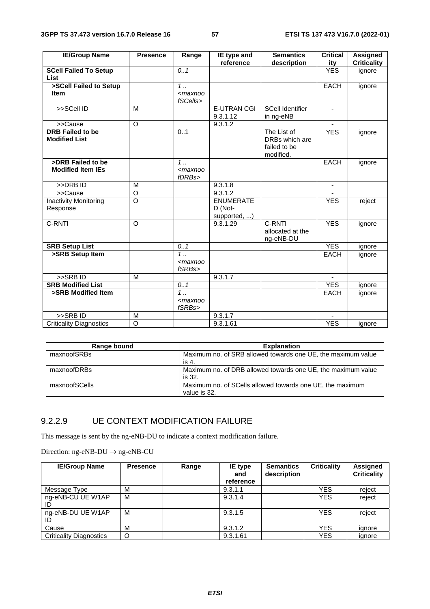| <b>IE/Group Name</b>           | <b>Presence</b> | Range                                                         | IE type and           | <b>Semantics</b>        | Critical                 | <b>Assigned</b>    |
|--------------------------------|-----------------|---------------------------------------------------------------|-----------------------|-------------------------|--------------------------|--------------------|
|                                |                 |                                                               | reference             | description             | ity                      | <b>Criticality</b> |
| <b>SCell Failed To Setup</b>   |                 | 0.1                                                           |                       |                         | <b>YES</b>               | ignore             |
| <b>List</b>                    |                 |                                                               |                       |                         |                          |                    |
| >SCell Failed to Setup         |                 | $1$                                                           |                       |                         | <b>EACH</b>              | ignore             |
| <b>Item</b>                    |                 | $<$ maxnoo                                                    |                       |                         |                          |                    |
|                                |                 | fSCells>                                                      |                       |                         |                          |                    |
| >>SCell ID                     | M               |                                                               | <b>E-UTRAN CGI</b>    | <b>SCell Identifier</b> | $\blacksquare$           |                    |
|                                |                 |                                                               | 9.3.1.12              | in ng-eNB               |                          |                    |
| >>Cause                        | $\circ$         |                                                               | 9.3.1.2               |                         |                          |                    |
| <b>DRB Failed to be</b>        |                 | 0.1                                                           |                       | The List of             | <b>YES</b>               | ignore             |
| <b>Modified List</b>           |                 |                                                               |                       | DRBs which are          |                          |                    |
|                                |                 |                                                               |                       | failed to be            |                          |                    |
|                                |                 |                                                               |                       | modified.               |                          |                    |
| >DRB Failed to be              |                 | $1 \ldots$                                                    |                       |                         | <b>EACH</b>              | ignore             |
| <b>Modified Item IEs</b>       |                 | <maxnoo< td=""><td></td><td></td><td></td><td></td></maxnoo<> |                       |                         |                          |                    |
|                                |                 | fDRBs>                                                        |                       |                         |                          |                    |
| $>>DRB$ ID                     | M               |                                                               | 9.3.1.8               |                         | $\overline{\phantom{a}}$ |                    |
| >>Cause                        | O               |                                                               | 9.3.1.2               |                         |                          |                    |
| <b>Inactivity Monitoring</b>   | $\Omega$        |                                                               | <b>ENUMERATE</b>      |                         | <b>YES</b>               | reject             |
| Response                       |                 |                                                               | D (Not-               |                         |                          |                    |
|                                |                 |                                                               | supported, )          |                         |                          |                    |
| C-RNTI                         | $\circ$         |                                                               | 9.3.1.29              | C-RNTI                  | <b>YES</b>               | ignore             |
|                                |                 |                                                               |                       | allocated at the        |                          |                    |
|                                |                 |                                                               |                       | ng-eNB-DU               |                          |                    |
| <b>SRB Setup List</b>          |                 | 0.1                                                           |                       |                         | <b>YES</b>               | ignore             |
| >SRB Setup Item                |                 | 1.                                                            |                       |                         | <b>EACH</b>              | ignore             |
|                                |                 | <maxnoo< td=""><td></td><td></td><td></td><td></td></maxnoo<> |                       |                         |                          |                    |
|                                |                 | fSRBs>                                                        |                       |                         |                          |                    |
| >>SRBID                        | M               |                                                               | 9.3.1.7               |                         |                          |                    |
| <b>SRB Modified List</b>       |                 | 0.1                                                           |                       |                         | <b>YES</b>               | ignore             |
| >SRB Modified Item             |                 | $1 \ldots$                                                    |                       |                         | <b>EACH</b>              | ignore             |
|                                |                 | $maxnoo$                                                      |                       |                         |                          |                    |
|                                |                 | fSRBs>                                                        |                       |                         |                          |                    |
| $>$ SRB ID                     | M               |                                                               | 9.3.1.7               |                         |                          |                    |
| <b>Criticality Diagnostics</b> | $\circ$         |                                                               | $\overline{9.3.1.61}$ |                         | <b>YES</b>               | ianore             |

| Range bound   | <b>Explanation</b>                                                        |
|---------------|---------------------------------------------------------------------------|
| maxnoofSRBs   | Maximum no. of SRB allowed towards one UE, the maximum value<br>is 4.     |
| maxnoofDRBs   | Maximum no. of DRB allowed towards one UE, the maximum value<br>is 32.    |
| maxnoofSCells | Maximum no. of SCells allowed towards one UE, the maximum<br>value is 32. |

### 9.2.2.9 UE CONTEXT MODIFICATION FAILURE

This message is sent by the ng-eNB-DU to indicate a context modification failure.

Direction: ng-eNB-DU → ng-eNB-CU

| <b>IE/Group Name</b>           | <b>Presence</b> | Range | IE type<br>and<br>reference | <b>Semantics</b><br>description | <b>Criticality</b> | Assigned<br><b>Criticality</b> |
|--------------------------------|-----------------|-------|-----------------------------|---------------------------------|--------------------|--------------------------------|
| Message Type                   | M               |       | 9.3.1.1                     |                                 | YES                | reject                         |
| ng-eNB-CU UE W1AP              | M               |       | 9.3.1.4                     |                                 | <b>YES</b>         | reject                         |
| ng-eNB-DU UE W1AP              | M               |       | 9.3.1.5                     |                                 | <b>YES</b>         | reject                         |
| Cause                          | M               |       | 9.3.1.2                     |                                 | <b>YES</b>         | ignore                         |
| <b>Criticality Diagnostics</b> | O               |       | 9.3.1.61                    |                                 | YES                | ignore                         |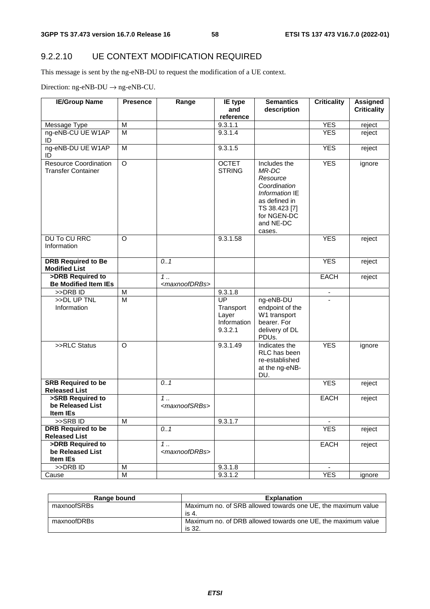# 9.2.2.10 UE CONTEXT MODIFICATION REQUIRED

This message is sent by the ng-eNB-DU to request the modification of a UE context.

Direction:  $ng$ -eNB-DU  $\rightarrow$   $ng$ -eNB-CU.

| <b>IE/Group Name</b>                                      | <b>Presence</b> | Range                              | IE type                                            | <b>Semantics</b>                                                                                                                            | <b>Criticality</b> | <b>Assigned</b>    |
|-----------------------------------------------------------|-----------------|------------------------------------|----------------------------------------------------|---------------------------------------------------------------------------------------------------------------------------------------------|--------------------|--------------------|
|                                                           |                 |                                    | and<br>reference                                   | description                                                                                                                                 |                    | <b>Criticality</b> |
| Message Type                                              | M               |                                    | 9.3.1.1                                            |                                                                                                                                             | <b>YES</b>         | reject             |
| ng-eNB-CU UE W1AP<br>ID                                   | M               |                                    | 9.3.1.4                                            |                                                                                                                                             | <b>YES</b>         | reject             |
| ng-eNB-DU UE W1AP<br>ID                                   | M               |                                    | 9.3.1.5                                            |                                                                                                                                             | <b>YES</b>         | reject             |
| <b>Resource Coordination</b><br><b>Transfer Container</b> | $\overline{O}$  |                                    | <b>OCTET</b><br><b>STRING</b>                      | Includes the<br>MR-DC<br>Resource<br>Coordination<br>Information IE<br>as defined in<br>TS 38.423 [7]<br>for NGEN-DC<br>and NE-DC<br>cases. | <b>YES</b>         | ignore             |
| <b>DU To CU RRC</b><br>Information                        | $\Omega$        |                                    | 9.3.1.58                                           |                                                                                                                                             | <b>YES</b>         | reject             |
| <b>DRB Required to Be</b><br><b>Modified List</b>         |                 | 0.1                                |                                                    |                                                                                                                                             | <b>YES</b>         | reject             |
| >DRB Required to<br><b>Be Modified Item IEs</b>           |                 | 1.<br><maxnoofdrbs></maxnoofdrbs>  |                                                    |                                                                                                                                             | EACH               | reject             |
| >>DRB ID                                                  | M               |                                    | 9.3.1.8                                            |                                                                                                                                             |                    |                    |
| >>DL UP TNL<br>Information                                | $\overline{M}$  |                                    | UP<br>Transport<br>Layer<br>Information<br>9.3.2.1 | ng-eNB-DU<br>endpoint of the<br>W1 transport<br>bearer. For<br>delivery of DL<br>PDUs.                                                      |                    |                    |
| >>RLC Status                                              | $\Omega$        |                                    | 9.3.1.49                                           | Indicates the<br>RLC has been<br>re-established<br>at the ng-eNB-<br>DU.                                                                    | <b>YES</b>         | ignore             |
| <b>SRB Required to be</b><br><b>Released List</b>         |                 | 0.1                                |                                                    |                                                                                                                                             | <b>YES</b>         | reject             |
| >SRB Required to<br>be Released List<br>Item IEs          |                 | $1$<br><maxnoofsrbs></maxnoofsrbs> |                                                    |                                                                                                                                             | <b>EACH</b>        | reject             |
| >>SRB ID                                                  | M               |                                    | 9.3.1.7                                            |                                                                                                                                             |                    |                    |
| <b>DRB Required to be</b>                                 |                 | 0.1                                |                                                    |                                                                                                                                             | <b>YES</b>         | reject             |
| <b>Released List</b>                                      |                 |                                    |                                                    |                                                                                                                                             |                    |                    |
| >DRB Required to<br>be Released List<br>Item IEs          |                 | $1$<br><maxnoofdrbs></maxnoofdrbs> |                                                    |                                                                                                                                             | <b>EACH</b>        | reject             |
| >>DRB ID                                                  | M               |                                    | 9.3.1.8                                            |                                                                                                                                             |                    |                    |
| Cause                                                     | M               |                                    | 9.3.1.2                                            |                                                                                                                                             | <b>YES</b>         | ignore             |

| Range bound | <b>Explanation</b>                                                     |
|-------------|------------------------------------------------------------------------|
| maxnoofSRBs | Maximum no. of SRB allowed towards one UE, the maximum value<br>is 4.  |
| maxnoofDRBs | Maximum no. of DRB allowed towards one UE, the maximum value<br>is 32. |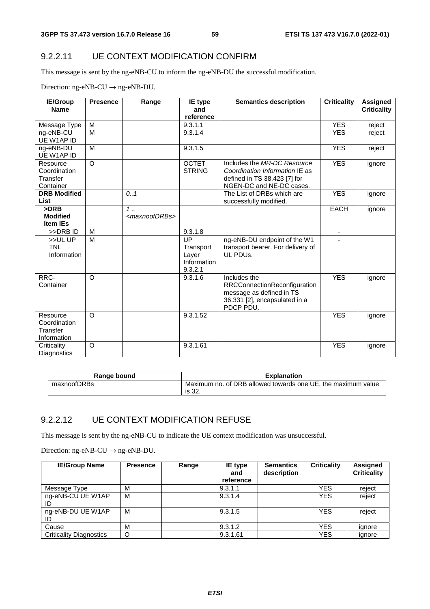#### 9.2.2.11 UE CONTEXT MODIFICATION CONFIRM

This message is sent by the ng-eNB-CU to inform the ng-eNB-DU the successful modification.

Direction:  $ng-eNB-CU \rightarrow ng-eNB-DU$ .

| <b>IE/Group</b>     | <b>Presence</b> | Range                       | IE type        | <b>Semantics description</b>      | <b>Criticality</b> | <b>Assigned</b>    |
|---------------------|-----------------|-----------------------------|----------------|-----------------------------------|--------------------|--------------------|
| <b>Name</b>         |                 |                             | and            |                                   |                    | <b>Criticality</b> |
|                     |                 |                             | reference      |                                   |                    |                    |
| Message Type        | M               |                             | 9.3.1.1        |                                   | <b>YES</b>         | reject             |
| ng-eNB-CU           | M               |                             | 9.3.1.4        |                                   | <b>YES</b>         | reject             |
| UE W1AP ID          |                 |                             |                |                                   |                    |                    |
| ng-eNB-DU           | M               |                             | 9.3.1.5        |                                   | <b>YES</b>         | reject             |
| UE W1AP ID          |                 |                             |                |                                   |                    |                    |
| Resource            | $\Omega$        |                             | <b>OCTET</b>   | Includes the MR-DC Resource       | <b>YES</b>         | ignore             |
| Coordination        |                 |                             | <b>STRING</b>  | Coordination Information IE as    |                    |                    |
| Transfer            |                 |                             |                | defined in TS 38.423 [7] for      |                    |                    |
| Container           |                 |                             |                | NGEN-DC and NE-DC cases.          |                    |                    |
| <b>DRB Modified</b> |                 | 0.1                         |                | The List of DRBs which are        | <b>YES</b>         | ignore             |
| List                |                 |                             |                | successfully modified.            |                    |                    |
| $>$ DRB             |                 | 1.                          |                |                                   | <b>EACH</b>        | ignore             |
| <b>Modified</b>     |                 | <maxnoofdrbs></maxnoofdrbs> |                |                                   |                    |                    |
| <b>Item IEs</b>     |                 |                             |                |                                   |                    |                    |
| >>DRBID             | M               |                             | 9.3.1.8        |                                   | $\blacksquare$     |                    |
| >>UL UP             | M               |                             | $_{\text{UP}}$ | ng-eNB-DU endpoint of the W1      |                    |                    |
| <b>TNL</b>          |                 |                             | Transport      | transport bearer. For delivery of |                    |                    |
| Information         |                 |                             | Layer          | UL PDUS.                          |                    |                    |
|                     |                 |                             | Information    |                                   |                    |                    |
|                     |                 |                             | 9.3.2.1        |                                   |                    |                    |
| RRC-                | $\Omega$        |                             | 9.3.1.6        | Includes the                      | <b>YES</b>         | ignore             |
| Container           |                 |                             |                | RRCConnectionReconfiguration      |                    |                    |
|                     |                 |                             |                | message as defined in TS          |                    |                    |
|                     |                 |                             |                | 36.331 [2], encapsulated in a     |                    |                    |
|                     |                 |                             |                | PDCP PDU.                         |                    |                    |
| Resource            | $\Omega$        |                             | 9.3.1.52       |                                   | <b>YES</b>         | ignore             |
| Coordination        |                 |                             |                |                                   |                    |                    |
| Transfer            |                 |                             |                |                                   |                    |                    |
| Information         |                 |                             |                |                                   |                    |                    |
| Criticality         | $\circ$         |                             | 9.3.1.61       |                                   | <b>YES</b>         | ignore             |
| Diagnostics         |                 |                             |                |                                   |                    |                    |

| Range bound | <b>Explanation</b>                                                     |
|-------------|------------------------------------------------------------------------|
| maxnoofDRBs | Maximum no. of DRB allowed towards one UE, the maximum value<br>is 32. |

#### 9.2.2.12 UE CONTEXT MODIFICATION REFUSE

This message is sent by the ng-eNB-CU to indicate the UE context modification was unsuccessful.

Direction: ng-eNB-CU  $\rightarrow$  ng-eNB-DU.

| <b>IE/Group Name</b>           | <b>Presence</b> | Range | IE type<br>and<br>reference | <b>Semantics</b><br>description | <b>Criticality</b> | Assigned<br><b>Criticality</b> |
|--------------------------------|-----------------|-------|-----------------------------|---------------------------------|--------------------|--------------------------------|
| Message Type                   | М               |       | 9.3.1.1                     |                                 | YES                | reject                         |
| ng-eNB-CU UE W1AP              | M               |       | 9.3.1.4                     |                                 | <b>YES</b>         | reject                         |
| ng-eNB-DU UE W1AP              | M               |       | 9.3.1.5                     |                                 | <b>YES</b>         | reject                         |
| Cause                          | M               |       | 9.3.1.2                     |                                 | <b>YES</b>         | ignore                         |
| <b>Criticality Diagnostics</b> | O               |       | 9.3.1.61                    |                                 | YES                | ignore                         |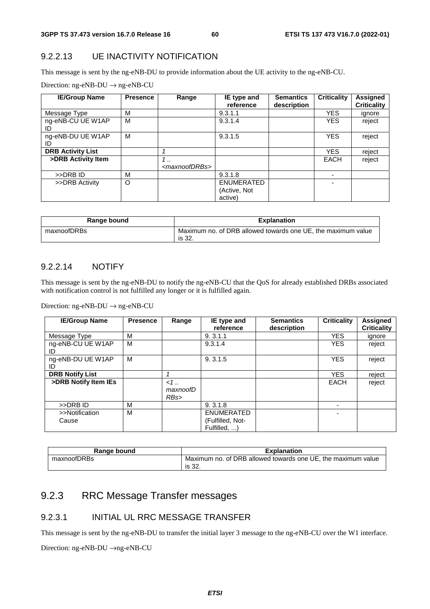#### 9.2.2.13 UE INACTIVITY NOTIFICATION

This message is sent by the ng-eNB-DU to provide information about the UE activity to the ng-eNB-CU.

|  |  | Direction: $ng\text{-eNB-DU} \rightarrow ng\text{-eNB-CU}$ |
|--|--|------------------------------------------------------------|
|--|--|------------------------------------------------------------|

| <b>IE/Group Name</b>     | <b>Presence</b> | Range                                    | IE type and<br>reference              | <b>Semantics</b><br>description | <b>Criticality</b> | <b>Assigned</b><br><b>Criticality</b> |
|--------------------------|-----------------|------------------------------------------|---------------------------------------|---------------------------------|--------------------|---------------------------------------|
| Message Type             | М               |                                          | 9.3.1.1                               |                                 | <b>YES</b>         | ignore                                |
| ng-eNB-CU UE W1AP<br>ID  | M               |                                          | 9.3.1.4                               |                                 | <b>YES</b>         | reject                                |
| ng-eNB-DU UE W1AP<br>ID  | M               |                                          | 9.3.1.5                               |                                 | <b>YES</b>         | reject                                |
| <b>DRB Activity List</b> |                 |                                          |                                       |                                 | <b>YES</b>         | reject                                |
| >DRB Activity Item       |                 | $\cdot$ .<br><maxnoofdrbs></maxnoofdrbs> |                                       |                                 | <b>EACH</b>        | reject                                |
| >>DRB ID                 | M               |                                          | 9.3.1.8                               |                                 |                    |                                       |
| >>DRB Activity           | O               |                                          | ENUMERATED<br>(Active, Not<br>active) |                                 |                    |                                       |

| Range bound | <b>Explanation</b>                                                     |
|-------------|------------------------------------------------------------------------|
| maxnoofDRBs | Maximum no. of DRB allowed towards one UE, the maximum value<br>is 32. |

#### 9.2.2.14 NOTIFY

This message is sent by the ng-eNB-DU to notify the ng-eNB-CU that the QoS for already established DRBs associated with notification control is not fulfilled any longer or it is fulfilled again.

Direction: ng-eNB-DU  $\rightarrow$  ng-eNB-CU

| <b>IE/Group Name</b>    | <b>Presence</b> | Range                      | IE type and<br>reference                              | <b>Semantics</b><br>description | <b>Criticality</b> | Assigned<br><b>Criticality</b> |
|-------------------------|-----------------|----------------------------|-------------------------------------------------------|---------------------------------|--------------------|--------------------------------|
| Message Type            | M               |                            | 9.3.1.1                                               |                                 | <b>YES</b>         | ignore                         |
| ng-eNB-CU UE W1AP<br>ID | M               |                            | 9.3.1.4                                               |                                 | <b>YES</b>         | reject                         |
| ng-eNB-DU UE W1AP<br>ID | м               |                            | 9.3.1.5                                               |                                 | <b>YES</b>         | reject                         |
| <b>DRB Notify List</b>  |                 | 4                          |                                                       |                                 | <b>YES</b>         | reject                         |
| >DRB Notify Item IEs    |                 | $\lt 1$<br>maxnoofD<br>RBs |                                                       |                                 | <b>EACH</b>        | reject                         |
| >>DRB ID                | M               |                            | 9.3.1.8                                               |                                 | ۰.                 |                                |
| >>Notification<br>Cause | M               |                            | <b>ENUMERATED</b><br>(Fulfilled, Not-<br>Fulfilled, ) |                                 | ۰                  |                                |

| Range bound | <b>Explanation</b>                                           |
|-------------|--------------------------------------------------------------|
| maxnoofDRBs | Maximum no. of DRB allowed towards one UE, the maximum value |
|             | is 32.                                                       |

# 9.2.3 RRC Message Transfer messages

#### 9.2.3.1 INITIAL UL RRC MESSAGE TRANSFER

This message is sent by the ng-eNB-DU to transfer the initial layer 3 message to the ng-eNB-CU over the W1 interface.

Direction: ng-eNB-DU →ng-eNB-CU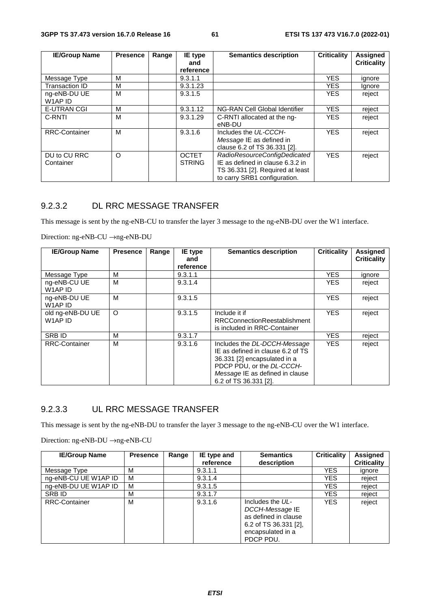| <b>IE/Group Name</b>      | <b>Presence</b> | Range | IE type                       | <b>Semantics description</b>                                                                                                         | <b>Criticality</b> | Assigned           |
|---------------------------|-----------------|-------|-------------------------------|--------------------------------------------------------------------------------------------------------------------------------------|--------------------|--------------------|
|                           |                 |       | and<br>reference              |                                                                                                                                      |                    | <b>Criticality</b> |
| Message Type              | м               |       | 9.3.1.1                       |                                                                                                                                      | <b>YES</b>         | ignore             |
| <b>Transaction ID</b>     | м               |       | 9.3.1.23                      |                                                                                                                                      | <b>YES</b>         | Ignore             |
| ng-eNB-DU UE<br>W1AP ID   | м               |       | 9.3.1.5                       |                                                                                                                                      | <b>YES</b>         | reject             |
| <b>E-UTRAN CGI</b>        | м               |       | 9.3.1.12                      | NG-RAN Cell Global Identifier                                                                                                        | <b>YES</b>         | reject             |
| C-RNTI                    | M               |       | 9.3.1.29                      | C-RNTI allocated at the ng-<br>eNB-DU                                                                                                | <b>YES</b>         | reject             |
| <b>RRC-Container</b>      | м               |       | 9.3.1.6                       | Includes the UL-CCCH-<br>Message IE as defined in<br>clause 6.2 of TS 36.331 [2].                                                    | <b>YES</b>         | reject             |
| DU to CU RRC<br>Container | O               |       | <b>OCTET</b><br><b>STRING</b> | RadioResourceConfigDedicated<br>IE as defined in clause 6.3.2 in<br>TS 36.331 [2]. Required at least<br>to carry SRB1 configuration. | <b>YES</b>         | reject             |

# 9.2.3.2 DL RRC MESSAGE TRANSFER

This message is sent by the ng-eNB-CU to transfer the layer 3 message to the ng-eNB-DU over the W1 interface.

Direction: ng-eNB-CU →ng-eNB-DU

| <b>IE/Group Name</b>                            | <b>Presence</b> | Range | IE type          | <b>Semantics description</b>                                                                                                                                                               | <b>Criticality</b> | <b>Assigned</b>    |
|-------------------------------------------------|-----------------|-------|------------------|--------------------------------------------------------------------------------------------------------------------------------------------------------------------------------------------|--------------------|--------------------|
|                                                 |                 |       | and<br>reference |                                                                                                                                                                                            |                    | <b>Criticality</b> |
| Message Type                                    | M               |       | 9.3.1.1          |                                                                                                                                                                                            | <b>YES</b>         | ignore             |
| ng-eNB-CU UE<br>W <sub>1</sub> AP <sub>ID</sub> | М               |       | 9.3.1.4          |                                                                                                                                                                                            | YES.               | reject             |
| ng-eNB-DU UE<br>W1AP ID                         | м               |       | 9.3.1.5          |                                                                                                                                                                                            | <b>YES</b>         | reject             |
| old ng-eNB-DU UE<br>W1AP ID                     | $\circ$         |       | 9.3.1.5          | Include it if<br><b>RRCConnectionReestablishment</b><br>is included in RRC-Container                                                                                                       | <b>YES</b>         | reject             |
| <b>SRB ID</b>                                   | M               |       | 9.3.1.7          |                                                                                                                                                                                            | <b>YES</b>         | reject             |
| <b>RRC-Container</b>                            | М               |       | 9.3.1.6          | Includes the DL-DCCH-Message<br>IE as defined in clause 6.2 of TS<br>36.331 [2] encapsulated in a<br>PDCP PDU, or the DL-CCCH-<br>Message IE as defined in clause<br>6.2 of TS 36.331 [2]. | <b>YES</b>         | reject             |

### 9.2.3.3 UL RRC MESSAGE TRANSFER

This message is sent by the ng-eNB-DU to transfer the layer 3 message to the ng-eNB-CU over the W1 interface.

Direction: ng-eNB-DU →ng-eNB-CU

| <b>IE/Group Name</b> | <b>Presence</b> | Range | IE type and | <b>Semantics</b>                                                                                                         | <b>Criticality</b> | <b>Assigned</b>    |
|----------------------|-----------------|-------|-------------|--------------------------------------------------------------------------------------------------------------------------|--------------------|--------------------|
|                      |                 |       | reference   | description                                                                                                              |                    | <b>Criticality</b> |
| Message Type         | м               |       | 9.3.1.1     |                                                                                                                          | <b>YES</b>         | ignore             |
| ng-eNB-CU UE W1AP ID | м               |       | 9.3.1.4     |                                                                                                                          | YES                | reject             |
| ng-eNB-DU UE W1AP ID | м               |       | 9.3.1.5     |                                                                                                                          | YES                | reject             |
| SRB ID               | М               |       | 9.3.1.7     |                                                                                                                          | YES                | reject             |
| <b>RRC-Container</b> | М               |       | 9.3.1.6     | Includes the UL-<br>DCCH-Message IE<br>as defined in clause<br>6.2 of TS $36.331$ [2],<br>encapsulated in a<br>PDCP PDU. | <b>YES</b>         | reject             |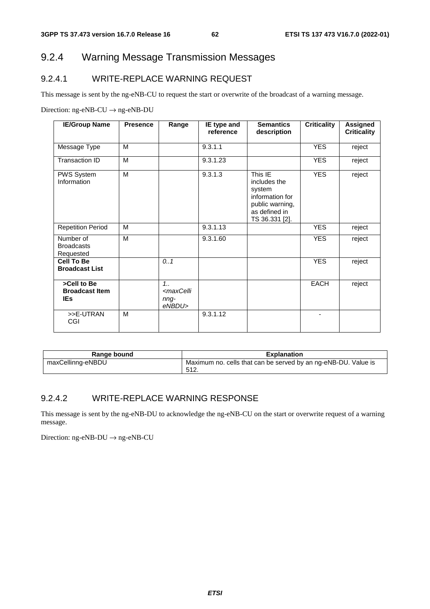# 9.2.4 Warning Message Transmission Messages

# 9.2.4.1 WRITE-REPLACE WARNING REQUEST

This message is sent by the ng-eNB-CU to request the start or overwrite of the broadcast of a warning message.

Direction: ng-eNB-CU  $\rightarrow$  ng-eNB-DU

| <b>IE/Group Name</b>                               | <b>Presence</b> | Range                                                    | IE type and<br>reference | <b>Semantics</b><br>description                                                                            | <b>Criticality</b> | <b>Assigned</b><br><b>Criticality</b> |
|----------------------------------------------------|-----------------|----------------------------------------------------------|--------------------------|------------------------------------------------------------------------------------------------------------|--------------------|---------------------------------------|
| Message Type                                       | M               |                                                          | 9.3.1.1                  |                                                                                                            | <b>YES</b>         | reject                                |
| Transaction ID                                     | M               |                                                          | 9.3.1.23                 |                                                                                                            | <b>YES</b>         | reject                                |
| PWS System<br>Information                          | M               |                                                          | 9.3.1.3                  | This IE<br>includes the<br>system<br>information for<br>public warning,<br>as defined in<br>TS 36.331 [2]. | <b>YES</b>         | reject                                |
| <b>Repetition Period</b>                           | M               |                                                          | 9.3.1.13                 |                                                                                                            | <b>YES</b>         | reject                                |
| Number of<br><b>Broadcasts</b><br>Requested        | M               |                                                          | $\overline{9.3.1.60}$    |                                                                                                            | <b>YES</b>         | reject                                |
| <b>Cell To Be</b><br><b>Broadcast List</b>         |                 | 0.1                                                      |                          |                                                                                                            | <b>YES</b>         | reject                                |
| >Cell to Be<br><b>Broadcast Item</b><br><b>IEs</b> |                 | $1_{1}$<br><maxcelli<br>nng-<br/>eNBDU&gt;</maxcelli<br> |                          |                                                                                                            | <b>EACH</b>        | reject                                |
| >>E-UTRAN<br>CGI                                   | M               |                                                          | 9.3.1.12                 |                                                                                                            | ٠                  |                                       |

| Range bound       | <b>Explanation</b>                                             |
|-------------------|----------------------------------------------------------------|
| maxCellinng-eNBDU | Maximum no. cells that can be served by an ng-eNB-DU. Value is |
|                   | -512.                                                          |

#### 9.2.4.2 WRITE-REPLACE WARNING RESPONSE

This message is sent by the ng-eNB-DU to acknowledge the ng-eNB-CU on the start or overwrite request of a warning message.

Direction: ng-eNB-DU → ng-eNB-CU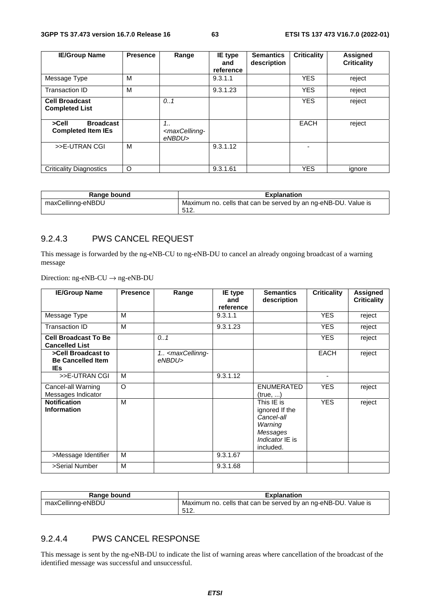| <b>IE/Group Name</b>                                   | <b>Presence</b> | Range                                                   | IE type<br>and<br>reference | <b>Semantics</b><br>description | <b>Criticality</b> | <b>Assigned</b><br><b>Criticality</b> |
|--------------------------------------------------------|-----------------|---------------------------------------------------------|-----------------------------|---------------------------------|--------------------|---------------------------------------|
| Message Type                                           | м               |                                                         | 9.3.1.1                     |                                 | <b>YES</b>         | reject                                |
| Transaction ID                                         | M               |                                                         | 9.3.1.23                    |                                 | <b>YES</b>         | reject                                |
| <b>Cell Broadcast</b><br><b>Completed List</b>         |                 | 0.1                                                     |                             |                                 | <b>YES</b>         | reject                                |
| <b>Broadcast</b><br>>Cell<br><b>Completed Item IEs</b> |                 | $1_{1}$<br><maxcellinng-<br>eNBDU&gt;</maxcellinng-<br> |                             |                                 | <b>EACH</b>        | reject                                |
| >>E-UTRAN CGI                                          | м               |                                                         | 9.3.1.12                    |                                 |                    |                                       |
| <b>Criticality Diagnostics</b>                         | O               |                                                         | 9.3.1.61                    |                                 | <b>YES</b>         | ignore                                |

| Range bound       | <b>Explanation</b>                                                     |
|-------------------|------------------------------------------------------------------------|
| maxCellinng-eNBDU | Maximum no. cells that can be served by an ng-eNB-DU. Value is<br>512. |

#### 9.2.4.3 PWS CANCEL REQUEST

This message is forwarded by the ng-eNB-CU to ng-eNB-DU to cancel an already ongoing broadcast of a warning message

Direction: ng-eNB-CU → ng-eNB-DU

| <b>IE/Group Name</b>                                         | <b>Presence</b> | Range                                           | IE type<br>and<br>reference | <b>Semantics</b><br>description                                                                   | <b>Criticality</b> | <b>Assigned</b><br><b>Criticality</b> |
|--------------------------------------------------------------|-----------------|-------------------------------------------------|-----------------------------|---------------------------------------------------------------------------------------------------|--------------------|---------------------------------------|
| Message Type                                                 | M               |                                                 | 9.3.1.1                     |                                                                                                   | <b>YES</b>         | reject                                |
| Transaction ID                                               | M               |                                                 | 9.3.1.23                    |                                                                                                   | <b>YES</b>         | reject                                |
| <b>Cell Broadcast To Be</b><br><b>Cancelled List</b>         |                 | 0.1                                             |                             |                                                                                                   | <b>YES</b>         | reject                                |
| >Cell Broadcast to<br><b>Be Cancelled Item</b><br><b>IEs</b> |                 | 1. <maxcellinng-<br>eNBDU&gt;</maxcellinng-<br> |                             |                                                                                                   | EACH               | reject                                |
| >>E-UTRAN CGI                                                | М               |                                                 | 9.3.1.12                    |                                                                                                   | ٠                  |                                       |
| Cancel-all Warning<br>Messages Indicator                     | $\Omega$        |                                                 |                             | <b>ENUMERATED</b><br>(true, )                                                                     | <b>YES</b>         | reject                                |
| <b>Notification</b><br><b>Information</b>                    | M               |                                                 |                             | This IE is<br>ignored If the<br>Cancel-all<br>Warning<br>Messages<br>Indicator IE is<br>included. | <b>YES</b>         | reject                                |
| >Message Identifier                                          | M               |                                                 | 9.3.1.67                    |                                                                                                   |                    |                                       |
| >Serial Number                                               | M               |                                                 | 9.3.1.68                    |                                                                                                   |                    |                                       |

| Range bound       | <b>Explanation</b>                                             |
|-------------------|----------------------------------------------------------------|
| maxCellinng-eNBDU | Maximum no. cells that can be served by an ng-eNB-DU. Value is |
|                   | -512.                                                          |

### 9.2.4.4 PWS CANCEL RESPONSE

This message is sent by the ng-eNB-DU to indicate the list of warning areas where cancellation of the broadcast of the identified message was successful and unsuccessful.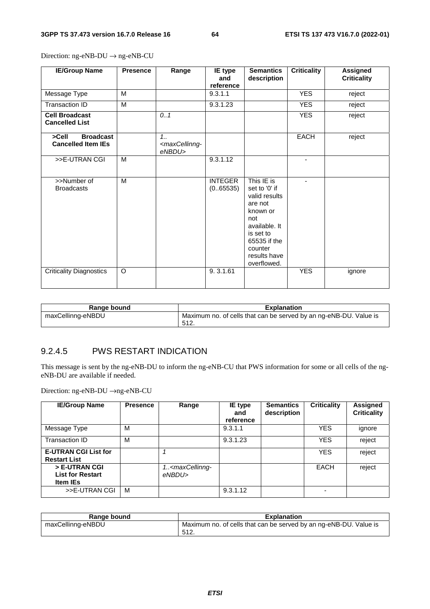| <b>IE/Group Name</b>                                   | <b>Presence</b> | Range                                                          | IE type<br>and<br>reference | <b>Semantics</b><br>description                                                                                                                                    | <b>Criticality</b> | <b>Assigned</b><br><b>Criticality</b> |
|--------------------------------------------------------|-----------------|----------------------------------------------------------------|-----------------------------|--------------------------------------------------------------------------------------------------------------------------------------------------------------------|--------------------|---------------------------------------|
| Message Type                                           | M               |                                                                | 9.3.1.1                     |                                                                                                                                                                    | <b>YES</b>         | reject                                |
| <b>Transaction ID</b>                                  | M               |                                                                | 9.3.1.23                    |                                                                                                                                                                    | <b>YES</b>         | reject                                |
| <b>Cell Broadcast</b><br><b>Cancelled List</b>         |                 | 0.1                                                            |                             |                                                                                                                                                                    | <b>YES</b>         | reject                                |
| <b>Broadcast</b><br>>Cell<br><b>Cancelled Item IEs</b> |                 | 1 <sub>1</sub><br><maxcellinng-<br>eNBDU&gt;</maxcellinng-<br> |                             |                                                                                                                                                                    | <b>EACH</b>        | reject                                |
| >>E-UTRAN CGI                                          | M               |                                                                | 9.3.1.12                    |                                                                                                                                                                    |                    |                                       |
| >>Number of<br><b>Broadcasts</b>                       | M               |                                                                | <b>INTEGER</b><br>(0.65535) | This IE is<br>set to '0' if<br>valid results<br>are not<br>known or<br>not<br>available. It<br>is set to<br>65535 if the<br>counter<br>results have<br>overflowed. | ٠                  |                                       |
| <b>Criticality Diagnostics</b>                         | $\Omega$        |                                                                | 9.3.1.61                    |                                                                                                                                                                    | <b>YES</b>         | ignore                                |

Direction: ng-eNB-DU → ng-eNB-CU

| Range bound       | <b>Explanation</b>                                                        |
|-------------------|---------------------------------------------------------------------------|
| maxCellinng-eNBDU | Maximum no. of cells that can be served by an ng-eNB-DU. Value is<br>512. |

#### 9.2.4.5 PWS RESTART INDICATION

This message is sent by the ng-eNB-DU to inform the ng-eNB-CU that PWS information for some or all cells of the ngeNB-DU are available if needed.

Direction: ng-eNB-DU →ng-eNB-CU

| <b>IE/Group Name</b>                                        | <b>Presence</b> | Range                                          | IE type<br>and<br>reference | <b>Semantics</b><br>description | <b>Criticality</b> | Assigned<br><b>Criticality</b> |
|-------------------------------------------------------------|-----------------|------------------------------------------------|-----------------------------|---------------------------------|--------------------|--------------------------------|
| Message Type                                                | м               |                                                | 9.3.1.1                     |                                 | <b>YES</b>         | ignore                         |
| Transaction ID                                              | M               |                                                | 9.3.1.23                    |                                 | <b>YES</b>         | reject                         |
| <b>E-UTRAN CGI List for</b><br><b>Restart List</b>          |                 |                                                |                             |                                 | <b>YES</b>         | reject                         |
| > E-UTRAN CGI<br><b>List for Restart</b><br><b>Item IEs</b> |                 | 1 <maxcellinng-<br>eNBDU&gt;</maxcellinng-<br> |                             |                                 | EACH               | reject                         |
| >>E-UTRAN CGI                                               | M               |                                                | 9.3.1.12                    |                                 |                    |                                |

| Range bound       | <b>Explanation</b>                                                |
|-------------------|-------------------------------------------------------------------|
| maxCellinng-eNBDU | Maximum no. of cells that can be served by an ng-eNB-DU. Value is |
|                   | 512<br><u>ວ⊺∠.</u>                                                |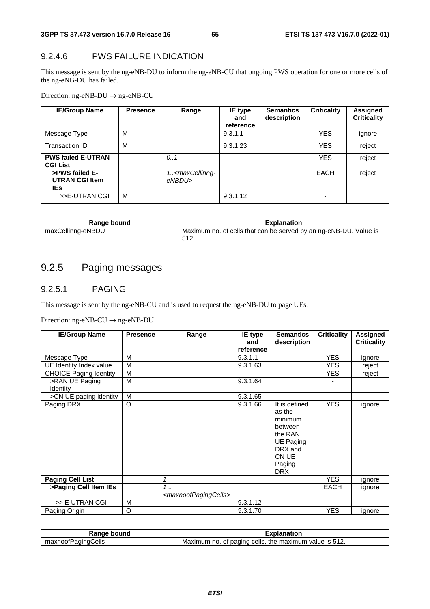## 9.2.4.6 PWS FAILURE INDICATION

This message is sent by the ng-eNB-DU to inform the ng-eNB-CU that ongoing PWS operation for one or more cells of the ng-eNB-DU has failed.

Direction: ng-eNB-DU → ng-eNB-CU

| <b>IE/Group Name</b>                            | <b>Presence</b> | Range                                          | IE type<br>and<br>reference | <b>Semantics</b><br>description | <b>Criticality</b> | Assigned<br><b>Criticality</b> |
|-------------------------------------------------|-----------------|------------------------------------------------|-----------------------------|---------------------------------|--------------------|--------------------------------|
| Message Type                                    | м               |                                                | 9.3.1.1                     |                                 | <b>YES</b>         | ignore                         |
| Transaction ID                                  | M               |                                                | 9.3.1.23                    |                                 | <b>YES</b>         | reject                         |
| <b>PWS failed E-UTRAN</b><br><b>CGI List</b>    |                 | 0.1                                            |                             |                                 | <b>YES</b>         | reject                         |
| >PWS failed E-<br><b>UTRAN CGI Item</b><br>IEs. |                 | 1 <maxcellinng-<br>eNBDU&gt;</maxcellinng-<br> |                             |                                 | EACH               | reject                         |
| >>E-UTRAN CGI                                   | M               |                                                | 9.3.1.12                    |                                 |                    |                                |

| Range bound       | <b>Explanation</b>                                                        |
|-------------------|---------------------------------------------------------------------------|
| maxCellinng-eNBDU | Maximum no. of cells that can be served by an ng-eNB-DU. Value is<br>512. |

# 9.2.5 Paging messages

#### 9.2.5.1 PAGING

This message is sent by the ng-eNB-CU and is used to request the ng-eNB-DU to page UEs.

Direction: ng-eNB-CU → ng-eNB-DU

| <b>IE/Group Name</b>          | <b>Presence</b> | Range                                                   | <b>IE</b> type<br>and<br>reference | <b>Semantics</b><br>description                                                                                          | <b>Criticality</b> | <b>Assigned</b><br><b>Criticality</b> |
|-------------------------------|-----------------|---------------------------------------------------------|------------------------------------|--------------------------------------------------------------------------------------------------------------------------|--------------------|---------------------------------------|
| Message Type                  | м               |                                                         | 9.3.1.1                            |                                                                                                                          | <b>YES</b>         | ignore                                |
| UE Identity Index value       | м               |                                                         | 9.3.1.63                           |                                                                                                                          | YES.               | reject                                |
| <b>CHOICE Paging Identity</b> | M               |                                                         |                                    |                                                                                                                          | <b>YES</b>         | reject                                |
| >RAN UE Paging<br>identity    | M               |                                                         | 9.3.1.64                           |                                                                                                                          |                    |                                       |
| >CN UE paging identity        | M               |                                                         | 9.3.1.65                           |                                                                                                                          |                    |                                       |
| Paging DRX                    | $\circ$         |                                                         | 9.3.1.66                           | It is defined<br>as the<br>minimum<br>between<br>the RAN<br><b>UE Paging</b><br>DRX and<br>CN UE<br>Paging<br><b>DRX</b> | <b>YES</b>         | ignore                                |
| <b>Paging Cell List</b>       |                 | 1                                                       |                                    |                                                                                                                          | <b>YES</b>         | ignore                                |
| >Paging Cell Item IEs         |                 | $1 \ldots$<br><maxnoofpagingcells></maxnoofpagingcells> |                                    |                                                                                                                          | <b>EACH</b>        | ignore                                |
| >> E-UTRAN CGI                | M               |                                                         | 9.3.1.12                           |                                                                                                                          |                    |                                       |
| Paging Origin                 | O               |                                                         | 9.3.1.70                           |                                                                                                                          | <b>YES</b>         | ignore                                |

| bound<br>Ranɑe<br>ue        | Explanation                                                                                     |
|-----------------------------|-------------------------------------------------------------------------------------------------|
| Cells<br>maxnoofP<br>aainat | 512<br>Maxir<br>cells.<br>num<br>the<br>mum<br>, maxım<br>paging<br>` IS∶<br>no.<br>value<br>0t |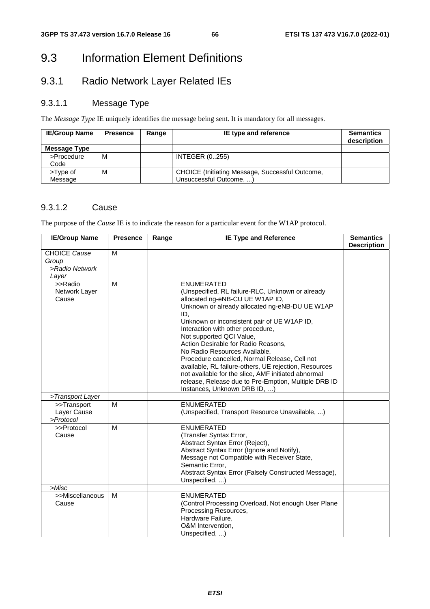# 9.3 Information Element Definitions

# 9.3.1 Radio Network Layer Related IEs

# 9.3.1.1 Message Type

The *Message Type* IE uniquely identifies the message being sent. It is mandatory for all messages.

| <b>IE/Group Name</b> | <b>Presence</b> | Range | IE type and reference                                                      | <b>Semantics</b><br>description |
|----------------------|-----------------|-------|----------------------------------------------------------------------------|---------------------------------|
| Message Type         |                 |       |                                                                            |                                 |
| >Procedure<br>Code   | м               |       | <b>INTEGER (0255)</b>                                                      |                                 |
| >Type of<br>Message  | м               |       | CHOICE (Initiating Message, Successful Outcome,<br>Unsuccessful Outcome, ) |                                 |

### 9.3.1.2 Cause

The purpose of the *Cause* IE is to indicate the reason for a particular event for the W1AP protocol.

| <b>IE/Group Name</b>              | <b>Presence</b> | Range | <b>IE Type and Reference</b>                                                                                                                                                                                                                                                                                                                                                                                                                                                                                                                                                       | <b>Semantics</b><br><b>Description</b> |
|-----------------------------------|-----------------|-------|------------------------------------------------------------------------------------------------------------------------------------------------------------------------------------------------------------------------------------------------------------------------------------------------------------------------------------------------------------------------------------------------------------------------------------------------------------------------------------------------------------------------------------------------------------------------------------|----------------------------------------|
| <b>CHOICE Cause</b>               | M               |       |                                                                                                                                                                                                                                                                                                                                                                                                                                                                                                                                                                                    |                                        |
| Group                             |                 |       |                                                                                                                                                                                                                                                                                                                                                                                                                                                                                                                                                                                    |                                        |
| >Radio Network                    |                 |       |                                                                                                                                                                                                                                                                                                                                                                                                                                                                                                                                                                                    |                                        |
| Layer                             |                 |       |                                                                                                                                                                                                                                                                                                                                                                                                                                                                                                                                                                                    |                                        |
| >>Radio<br>Network Layer<br>Cause | M               |       | <b>ENUMERATED</b><br>(Unspecified, RL failure-RLC, Unknown or already<br>allocated ng-eNB-CU UE W1AP ID,<br>Unknown or already allocated ng-eNB-DU UE W1AP<br>ID,<br>Unknown or inconsistent pair of UE W1AP ID,<br>Interaction with other procedure,<br>Not supported QCI Value,<br>Action Desirable for Radio Reasons,<br>No Radio Resources Available,<br>Procedure cancelled, Normal Release, Cell not<br>available, RL failure-others, UE rejection, Resources<br>not available for the slice, AMF initiated abnormal<br>release, Release due to Pre-Emption, Multiple DRB ID |                                        |
| >Transport Layer                  |                 |       | Instances, Unknown DRB ID, )                                                                                                                                                                                                                                                                                                                                                                                                                                                                                                                                                       |                                        |
| >>Transport                       | м               |       | <b>ENUMERATED</b>                                                                                                                                                                                                                                                                                                                                                                                                                                                                                                                                                                  |                                        |
| Layer Cause                       |                 |       | (Unspecified, Transport Resource Unavailable, )                                                                                                                                                                                                                                                                                                                                                                                                                                                                                                                                    |                                        |
| >Protocol                         |                 |       |                                                                                                                                                                                                                                                                                                                                                                                                                                                                                                                                                                                    |                                        |
| >>Protocol<br>Cause               | M               |       | <b>ENUMERATED</b><br>(Transfer Syntax Error,<br>Abstract Syntax Error (Reject),<br>Abstract Syntax Error (Ignore and Notify),<br>Message not Compatible with Receiver State,<br>Semantic Error,<br>Abstract Syntax Error (Falsely Constructed Message),<br>Unspecified, )                                                                                                                                                                                                                                                                                                          |                                        |
| >Misc                             |                 |       |                                                                                                                                                                                                                                                                                                                                                                                                                                                                                                                                                                                    |                                        |
| >>Miscellaneous<br>Cause          | M               |       | <b>ENUMERATED</b><br>(Control Processing Overload, Not enough User Plane<br>Processing Resources,<br>Hardware Failure,<br>O&M Intervention,<br>Unspecified, )                                                                                                                                                                                                                                                                                                                                                                                                                      |                                        |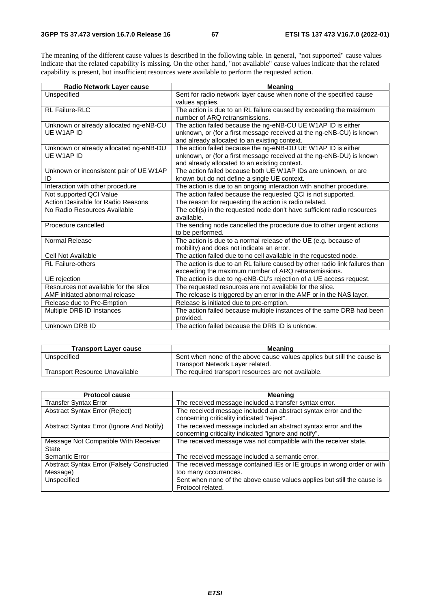The meaning of the different cause values is described in the following table. In general, "not supported" cause values indicate that the related capability is missing. On the other hand, "not available" cause values indicate that the related capability is present, but insufficient resources were available to perform the requested action.

| Radio Network Layer cause               | <b>Meaning</b>                                                              |
|-----------------------------------------|-----------------------------------------------------------------------------|
| Unspecified                             | Sent for radio network layer cause when none of the specified cause         |
|                                         | values applies.                                                             |
| RL Failure-RLC                          | The action is due to an RL failure caused by exceeding the maximum          |
|                                         | number of ARQ retransmissions.                                              |
| Unknown or already allocated ng-eNB-CU  | The action failed because the ng-eNB-CU UE W1AP ID is either                |
| UE W1AP ID                              | unknown, or (for a first message received at the ng-eNB-CU) is known        |
|                                         | and already allocated to an existing context.                               |
| Unknown or already allocated ng-eNB-DU  | The action failed because the ng-eNB-DU UE W1AP ID is either                |
| UE W1AP ID                              | unknown, or (for a first message received at the ng-eNB-DU) is known        |
|                                         | and already allocated to an existing context.                               |
| Unknown or inconsistent pair of UE W1AP | The action failed because both UE W1AP IDs are unknown, or are              |
| ID                                      | known but do not define a single UE context.                                |
| Interaction with other procedure        | The action is due to an ongoing interaction with another procedure.         |
| Not supported QCI Value                 | The action failed because the requested QCI is not supported.               |
| Action Desirable for Radio Reasons      | The reason for requesting the action is radio related.                      |
| No Radio Resources Available            | The cell(s) in the requested node don't have sufficient radio resources     |
|                                         | available.                                                                  |
| Procedure cancelled                     | The sending node cancelled the procedure due to other urgent actions        |
|                                         | to be performed.                                                            |
| Normal Release                          | The action is due to a normal release of the UE (e.g. because of            |
|                                         | mobility) and does not indicate an error.                                   |
| Cell Not Available                      | The action failed due to no cell available in the requested node.           |
| <b>RL Failure-others</b>                | The action is due to an RL failure caused by other radio link failures than |
|                                         | exceeding the maximum number of ARQ retransmissions.                        |
| UE rejection                            | The action is due to ng-eNB-CU's rejection of a UE access request.          |
| Resources not available for the slice   | The requested resources are not available for the slice.                    |
| AMF initiated abnormal release          | The release is triggered by an error in the AMF or in the NAS layer.        |
| Release due to Pre-Emption              | Release is initiated due to pre-emption.                                    |
| Multiple DRB ID Instances               | The action failed because multiple instances of the same DRB had been       |
|                                         | provided.                                                                   |
| Unknown DRB ID                          | The action failed because the DRB ID is unknow.                             |

| <b>Transport Layer cause</b>          | <b>Meaning</b>                                                          |  |  |
|---------------------------------------|-------------------------------------------------------------------------|--|--|
| Unspecified                           | Sent when none of the above cause values applies but still the cause is |  |  |
|                                       | Transport Network Layer related.                                        |  |  |
| <b>Transport Resource Unavailable</b> | The required transport resources are not available.                     |  |  |

| <b>Protocol cause</b>                                          | <b>Meaning</b>                                                                                                          |
|----------------------------------------------------------------|-------------------------------------------------------------------------------------------------------------------------|
| <b>Transfer Syntax Error</b>                                   | The received message included a transfer syntax error.                                                                  |
| Abstract Syntax Error (Reject)                                 | The received message included an abstract syntax error and the<br>concerning criticality indicated "reject".            |
| Abstract Syntax Error (Ignore And Notify)                      | The received message included an abstract syntax error and the<br>concerning criticality indicated "ignore and notify". |
| Message Not Compatible With Receiver<br>State                  | The received message was not compatible with the receiver state.                                                        |
| Semantic Error                                                 | The received message included a semantic error.                                                                         |
| <b>Abstract Syntax Error (Falsely Constructed)</b><br>Message) | The received message contained IEs or IE groups in wrong order or with<br>too many occurrences.                         |
| Unspecified                                                    | Sent when none of the above cause values applies but still the cause is<br>Protocol related.                            |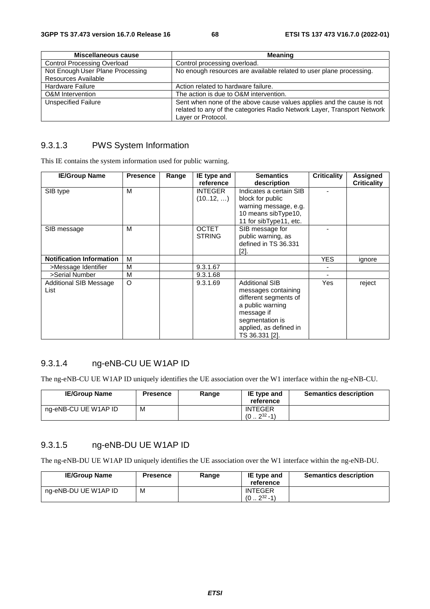| Miscellaneous cause                | <b>Meaning</b>                                                                                                                                                         |
|------------------------------------|------------------------------------------------------------------------------------------------------------------------------------------------------------------------|
| <b>Control Processing Overload</b> | Control processing overload.                                                                                                                                           |
| Not Enough User Plane Processing   | No enough resources are available related to user plane processing.                                                                                                    |
| Resources Available                |                                                                                                                                                                        |
| Hardware Failure                   | Action related to hardware failure.                                                                                                                                    |
| <b>O&amp;M</b> Intervention        | The action is due to O&M intervention.                                                                                                                                 |
| <b>Unspecified Failure</b>         | Sent when none of the above cause values applies and the cause is not<br>related to any of the categories Radio Network Layer, Transport Network<br>Layer or Protocol. |

#### 9.3.1.3 PWS System Information

This IE contains the system information used for public warning.

| <b>IE/Group Name</b>            | <b>Presence</b> | Range | IE type and    | <b>Semantics</b>        | <b>Criticality</b> | Assigned           |
|---------------------------------|-----------------|-------|----------------|-------------------------|--------------------|--------------------|
|                                 |                 |       | reference      | description             |                    | <b>Criticality</b> |
| SIB type                        | М               |       | <b>INTEGER</b> | Indicates a certain SIB |                    |                    |
|                                 |                 |       | (1012, )       | block for public        |                    |                    |
|                                 |                 |       |                | warning message, e.g.   |                    |                    |
|                                 |                 |       |                | 10 means sibType10,     |                    |                    |
|                                 |                 |       |                | 11 for sibType11, etc.  |                    |                    |
| SIB message                     | м               |       | <b>OCTET</b>   | SIB message for         |                    |                    |
|                                 |                 |       | <b>STRING</b>  | public warning, as      |                    |                    |
|                                 |                 |       |                | defined in TS 36.331    |                    |                    |
|                                 |                 |       |                | [2].                    |                    |                    |
| <b>Notification Information</b> | M               |       |                |                         | <b>YES</b>         | ignore             |
| >Message Identifier             | М               |       | 9.3.1.67       |                         |                    |                    |
| >Serial Number                  | М               |       | 9.3.1.68       |                         |                    |                    |
| <b>Additional SIB Message</b>   | $\circ$         |       | 9.3.1.69       | <b>Additional SIB</b>   | <b>Yes</b>         | reject             |
| List                            |                 |       |                | messages containing     |                    |                    |
|                                 |                 |       |                | different segments of   |                    |                    |
|                                 |                 |       |                | a public warning        |                    |                    |
|                                 |                 |       |                | message if              |                    |                    |
|                                 |                 |       |                | segmentation is         |                    |                    |
|                                 |                 |       |                | applied, as defined in  |                    |                    |
|                                 |                 |       |                | TS 36.331 [2].          |                    |                    |

# 9.3.1.4 ng-eNB-CU UE W1AP ID

The ng-eNB-CU UE W1AP ID uniquely identifies the UE association over the W1 interface within the ng-eNB-CU.

| <b>IE/Group Name</b> | <b>Presence</b> | Range | IE type and<br>reference                    | <b>Semantics description</b> |
|----------------------|-----------------|-------|---------------------------------------------|------------------------------|
| ng-eNB-CU UE W1AP ID | M               |       | <b>INTEGER</b><br>$232 - 11$<br>$(0 \ldots$ |                              |

## 9.3.1.5 ng-eNB-DU UE W1AP ID

The ng-eNB-DU UE W1AP ID uniquely identifies the UE association over the W1 interface within the ng-eNB-DU.

| <b>IE/Group Name</b> | <b>Presence</b> | Range | IE type and<br>reference             | <b>Semantics description</b> |
|----------------------|-----------------|-------|--------------------------------------|------------------------------|
| ng-eNB-DU UE W1AP ID | М               |       | <b>INTEGER</b><br>$232 - 1)$<br>(02) |                              |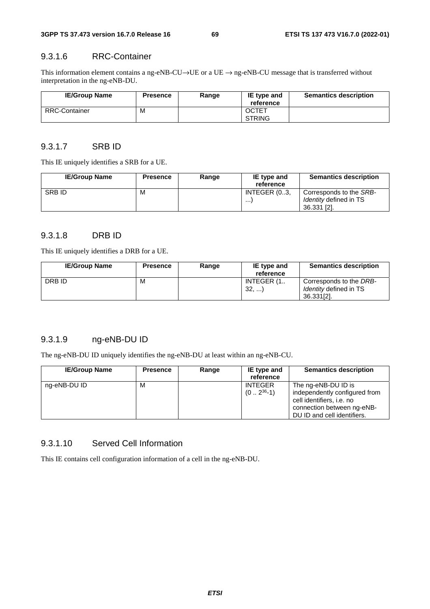#### 9.3.1.6 RRC-Container

This information element contains a ng-eNB-CU→UE or a UE → ng-eNB-CU message that is transferred without interpretation in the ng-eNB-DU.

| <b>IE/Group Name</b> | <b>Presence</b> | Range | IE type and<br>reference      | <b>Semantics description</b> |
|----------------------|-----------------|-------|-------------------------------|------------------------------|
| <b>RRC-Container</b> | М               |       | <b>OCTET</b><br><b>STRING</b> |                              |

#### 9.3.1.7 SRB ID

This IE uniquely identifies a SRB for a UE.

| <b>IE/Group Name</b> | <b>Presence</b> | Range | IE type and<br>reference | <b>Semantics description</b>                                            |
|----------------------|-----------------|-------|--------------------------|-------------------------------------------------------------------------|
| <b>SRBID</b>         | м               |       | INTEGER (03,<br>$\cdots$ | Corresponds to the SRB-<br><i>Identity</i> defined in TS<br>36.331 [2]. |

# 9.3.1.8 DRB ID

This IE uniquely identifies a DRB for a UE.

| <b>IE/Group Name</b> | <b>Presence</b> | Range | IE type and | <b>Semantics description</b>  |
|----------------------|-----------------|-------|-------------|-------------------------------|
|                      |                 |       | reference   |                               |
| DRB ID               | М               |       | INTEGER (1  | Corresponds to the DRB-       |
|                      |                 |       | 32,         | <i>Identity</i> defined in TS |
|                      |                 |       |             | 36.331[2].                    |

# 9.3.1.9 ng-eNB-DU ID

The ng-eNB-DU ID uniquely identifies the ng-eNB-DU at least within an ng-eNB-CU.

| <b>IE/Group Name</b> | <b>Presence</b> | Range | IE type and<br>reference        | <b>Semantics description</b>                                                                                                                   |
|----------------------|-----------------|-------|---------------------------------|------------------------------------------------------------------------------------------------------------------------------------------------|
| ng-eNB-DU ID         | м               |       | <b>INTEGER</b><br>$(02^{36}-1)$ | The ng-eNB-DU ID is<br>independently configured from<br>cell identifiers, i.e. no<br>connection between ng-eNB-<br>DU ID and cell identifiers. |

#### 9.3.1.10 Served Cell Information

This IE contains cell configuration information of a cell in the ng-eNB-DU.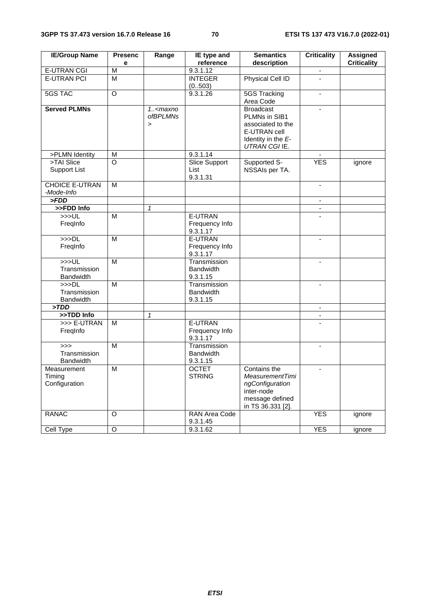| <b>IE/Group Name</b>                     | <b>Presenc</b><br>e     | Range                                                            | <b>IE</b> type and<br>reference              | <b>Semantics</b><br>description                                                                                 | <b>Criticality</b>       | <b>Assigned</b><br><b>Criticality</b> |
|------------------------------------------|-------------------------|------------------------------------------------------------------|----------------------------------------------|-----------------------------------------------------------------------------------------------------------------|--------------------------|---------------------------------------|
| <b>E-UTRAN CGI</b>                       | $\overline{\mathsf{M}}$ |                                                                  | 9.3.1.12                                     |                                                                                                                 |                          |                                       |
| <b>E-UTRAN PCI</b>                       | $\overline{M}$          |                                                                  | <b>INTEGER</b>                               | Physical Cell ID                                                                                                | $\overline{a}$           |                                       |
|                                          |                         |                                                                  | (0.503)                                      |                                                                                                                 |                          |                                       |
| <b>5GS TAC</b>                           | $\overline{O}$          |                                                                  | 9.3.1.26                                     | <b>5GS Tracking</b>                                                                                             | $\overline{\phantom{a}}$ |                                       |
|                                          |                         |                                                                  |                                              | Area Code                                                                                                       |                          |                                       |
| <b>Served PLMNs</b>                      |                         | $1.5$ <maxno<br><i>ofBPLMNs</i><br/><math>\geq</math></maxno<br> |                                              | <b>Broadcast</b><br>PLMNs in SIB1<br>associated to the<br>E-UTRAN cell<br>Identity in the E-<br>UTRAN CGI IE.   | $\blacksquare$           |                                       |
| >PLMN Identity                           | M                       |                                                                  | 9.3.1.14                                     |                                                                                                                 |                          |                                       |
| >TAI Slice<br><b>Support List</b>        | O                       |                                                                  | <b>Slice Support</b><br>List<br>9.3.1.31     | Supported S-<br>NSSAIs per TA.                                                                                  | <b>YES</b>               | ignore                                |
| <b>CHOICE E-UTRAN</b><br>-Mode-Info      | M                       |                                                                  |                                              |                                                                                                                 | $\overline{\phantom{a}}$ |                                       |
| > FDD                                    |                         |                                                                  |                                              |                                                                                                                 |                          |                                       |
| >>FDD Info                               |                         | $\mathbf{1}$                                                     |                                              |                                                                                                                 | $\blacksquare$           |                                       |
| >>UL<br>FreqInfo                         | M                       |                                                                  | E-UTRAN<br>Frequency Info<br>9.3.1.17        |                                                                                                                 |                          |                                       |
| >>DL<br>FreqInfo                         | M                       |                                                                  | E-UTRAN<br>Frequency Info<br>9.3.1.17        |                                                                                                                 | $\mathbf{r}$             |                                       |
| >>UL<br>Transmission<br><b>Bandwidth</b> | $\overline{M}$          |                                                                  | Transmission<br><b>Bandwidth</b><br>9.3.1.15 |                                                                                                                 |                          |                                       |
| >>DL<br>Transmission<br><b>Bandwidth</b> | M                       |                                                                  | Transmission<br><b>Bandwidth</b><br>9.3.1.15 |                                                                                                                 | $\blacksquare$           |                                       |
| >TDD                                     |                         |                                                                  |                                              |                                                                                                                 | $\blacksquare$           |                                       |
| >>TDD Info                               |                         | $\mathbf{1}$                                                     |                                              |                                                                                                                 |                          |                                       |
| >>> E-UTRAN<br>Freginfo                  | M                       |                                                                  | E-UTRAN<br>Frequency Info<br>9.3.1.17        |                                                                                                                 |                          |                                       |
| >><br>Transmission<br>Bandwidth          | M                       |                                                                  | Transmission<br><b>Bandwidth</b><br>9.3.1.15 |                                                                                                                 | $\blacksquare$           |                                       |
| Measurement<br>Timing<br>Configuration   | M                       |                                                                  | <b>OCTET</b><br><b>STRING</b>                | Contains the<br><b>MeasurementTimi</b><br>ngConfiguration<br>inter-node<br>message defined<br>in TS 36.331 [2]. | $\blacksquare$           |                                       |
| <b>RANAC</b>                             | O                       |                                                                  | RAN Area Code<br>9.3.1.45                    |                                                                                                                 | <b>YES</b>               | ignore                                |
| Cell Type                                | $\mathsf O$             |                                                                  | 9.3.1.62                                     |                                                                                                                 | <b>YES</b>               | ignore                                |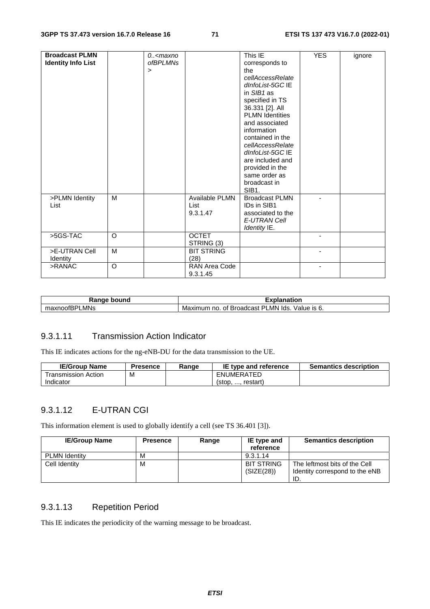| <b>Broadcast PLMN</b><br><b>Identity Info List</b> |         | 0 <maxno<br><i>ofBPLMNs</i><br/><math>\,&gt;\,</math></maxno<br> |                                    | This IE<br>corresponds to<br>the<br>cellAccessRelate<br>dInfoList-5GC IE<br>in $SIB1$ as<br>specified in TS<br>36.331 [2]. All<br><b>PLMN Identities</b><br>and associated | <b>YES</b> | ignore |
|----------------------------------------------------|---------|------------------------------------------------------------------|------------------------------------|----------------------------------------------------------------------------------------------------------------------------------------------------------------------------|------------|--------|
|                                                    |         |                                                                  |                                    | information<br>contained in the<br>cellAccessRelate<br>dInfoList-5GC IE<br>are included and<br>provided in the<br>same order as<br>broadcast in<br>SIB1.                   |            |        |
| >PLMN Identity<br>List                             | М       |                                                                  | Available PLMN<br>List<br>9.3.1.47 | <b>Broadcast PLMN</b><br>IDs in SIB1<br>associated to the<br>E-UTRAN Cell<br>Identity IE.                                                                                  |            |        |
| $>5GS-TAC$                                         | $\circ$ |                                                                  | <b>OCTET</b><br>STRING (3)         |                                                                                                                                                                            |            |        |
| >E-UTRAN Cell<br>Identity                          | M       |                                                                  | <b>BIT STRING</b><br>(28)          |                                                                                                                                                                            |            |        |
| >RANAC                                             | $\circ$ |                                                                  | RAN Area Code<br>9.3.1.45          |                                                                                                                                                                            |            |        |

| Janne<br>bound<br>nac          | anation                                                                        |  |  |
|--------------------------------|--------------------------------------------------------------------------------|--|--|
| LMNs<br>$\sim$<br>…u∧∩00IBH' " | LMN<br>וס<br>lds<br><b>Broadcast</b><br>Value is<br>Maximum<br>no.<br>Οt<br>о. |  |  |

#### 9.3.1.11 Transmission Action Indicator

This IE indicates actions for the ng-eNB-DU for the data transmission to the UE.

| <b>IE/Group Name</b> | Presence | Range | IE type and reference | <b>Semantics description</b> |
|----------------------|----------|-------|-----------------------|------------------------------|
| ⊺ransmission Action  | M        |       | ENUMERATED            |                              |
| Indicator            |          |       | restart<br>$5$        |                              |

# 9.3.1.12 E-UTRAN CGI

This information element is used to globally identify a cell (see TS 36.401 [3]).

| <b>IE/Group Name</b> | <b>Presence</b> | Range | IE type and<br>reference        | <b>Semantics description</b>                                           |
|----------------------|-----------------|-------|---------------------------------|------------------------------------------------------------------------|
| <b>PLMN Identity</b> | М               |       | 9.3.1.14                        |                                                                        |
| Cell Identity        | м               |       | <b>BIT STRING</b><br>(SIZE(28)) | The leftmost bits of the Cell<br>Identity correspond to the eNB<br>ID. |

# 9.3.1.13 Repetition Period

This IE indicates the periodicity of the warning message to be broadcast.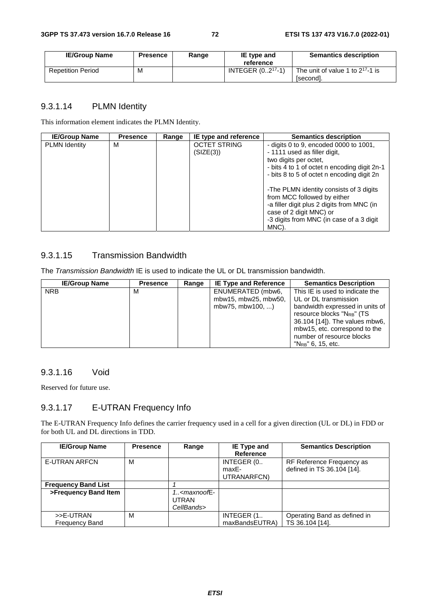| <b>IE/Group Name</b>     | <b>Presence</b> | Range | IE type and<br>reference | <b>Semantics description</b>                       |
|--------------------------|-----------------|-------|--------------------------|----------------------------------------------------|
| <b>Repetition Period</b> | M               |       | INTEGER $(0217 - 1)$     | The unit of value 1 to $2^{17}$ -1 is<br>[second]. |

## 9.3.1.14 PLMN Identity

This information element indicates the PLMN Identity.

| <b>IE/Group Name</b> | <b>Presence</b> | Range | IE type and reference            | <b>Semantics description</b>                                                                                                                                                                          |
|----------------------|-----------------|-------|----------------------------------|-------------------------------------------------------------------------------------------------------------------------------------------------------------------------------------------------------|
| <b>PLMN Identity</b> | м               |       | <b>OCTET STRING</b><br>(SIZE(3)) | - digits 0 to 9, encoded 0000 to $1001$ ,<br>- 1111 used as filler digit,<br>two digits per octet,<br>- bits 4 to 1 of octet n encoding digit 2n-1<br>- bits 8 to 5 of octet n encoding digit 2n      |
|                      |                 |       |                                  | -The PLMN identity consists of 3 digits<br>from MCC followed by either<br>-a filler digit plus 2 digits from MNC (in<br>case of 2 digit MNC) or<br>-3 digits from MNC (in case of a 3 digit)<br>MNC). |

## 9.3.1.15 Transmission Bandwidth

The *Transmission Bandwidth* IE is used to indicate the UL or DL transmission bandwidth.

| <b>IE/Group Name</b> | <b>Presence</b> | Range | <b>IE Type and Reference</b> | <b>Semantics Description</b>           |
|----------------------|-----------------|-------|------------------------------|----------------------------------------|
| <b>NRB</b>           | м               |       | ENUMERATED (mbw6,            | This IE is used to indicate the        |
|                      |                 |       | mbw15, mbw25, mbw50,         | UL or DL transmission                  |
|                      |                 |       | mbw75, mbw100, )             | bandwidth expressed in units of        |
|                      |                 |       |                              | resource blocks "N <sub>RB</sub> " (TS |
|                      |                 |       |                              | 36.104 [14]). The values mbw6,         |
|                      |                 |       |                              | mbw15, etc. correspond to the          |
|                      |                 |       |                              | number of resource blocks              |
|                      |                 |       |                              | $"N_{RB}"$ 6, 15, etc.                 |

#### 9.3.1.16 Void

Reserved for future use.

## 9.3.1.17 E-UTRAN Frequency Info

The E-UTRAN Frequency Info defines the carrier frequency used in a cell for a given direction (UL or DL) in FDD or for both UL and DL directions in TDD.

| <b>IE/Group Name</b>               | <b>Presence</b> | Range                         | IE Type and<br><b>Reference</b>    | <b>Semantics Description</b>                            |
|------------------------------------|-----------------|-------------------------------|------------------------------------|---------------------------------------------------------|
| <b>E-UTRAN ARFCN</b>               | м               |                               | INTEGER (0<br>maxE-<br>UTRANARFCN) | RF Reference Frequency as<br>defined in TS 36.104 [14]. |
| <b>Frequency Band List</b>         |                 |                               |                                    |                                                         |
| >Frequency Band Item               |                 | $1. maxnoofE-UTRANCellBands>$ |                                    |                                                         |
| >>E-UTRAN<br><b>Frequency Band</b> | м               |                               | INTEGER (1<br>maxBandsEUTRA)       | Operating Band as defined in<br>TS 36.104 [14].         |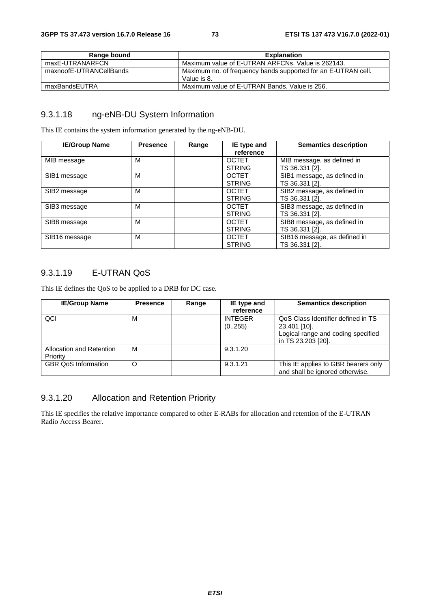| Range bound             | <b>Explanation</b>                                                           |
|-------------------------|------------------------------------------------------------------------------|
| maxE-UTRANARFCN         | Maximum value of E-UTRAN ARFCNs. Value is 262143.                            |
| maxnoofE-UTRANCellBands | Maximum no. of frequency bands supported for an E-UTRAN cell.<br>Value is 8. |
| maxBandsEUTRA           | Maximum value of E-UTRAN Bands. Value is 256.                                |

## 9.3.1.18 ng-eNB-DU System Information

This IE contains the system information generated by the ng-eNB-DU.

| <b>IE/Group Name</b> | <b>Presence</b> | Range | IE type and<br>reference                       | <b>Semantics description</b>                                    |
|----------------------|-----------------|-------|------------------------------------------------|-----------------------------------------------------------------|
| MIB message          | м               |       | <b>OCTET</b>                                   | MIB message, as defined in                                      |
| SIB1 message         | м               |       | <b>STRING</b><br><b>OCTET</b><br><b>STRING</b> | TS 36.331 [2].<br>SIB1 message, as defined in<br>TS 36.331 [2]. |
| SIB2 message         | м               |       | <b>OCTET</b><br><b>STRING</b>                  | SIB2 message, as defined in<br>TS 36.331 [2].                   |
| SIB3 message         | м               |       | <b>OCTET</b><br><b>STRING</b>                  | SIB3 message, as defined in<br>TS 36.331 [2].                   |
| SIB8 message         | м               |       | <b>OCTET</b><br><b>STRING</b>                  | SIB8 message, as defined in<br>TS 36.331 [2].                   |
| SIB16 message        | м               |       | <b>OCTET</b><br><b>STRING</b>                  | SIB16 message, as defined in<br>TS 36.331 [2].                  |

## 9.3.1.19 E-UTRAN QoS

This IE defines the QoS to be applied to a DRB for DC case.

| <b>IE/Group Name</b>       | <b>Presence</b> | Range | IE type and    | <b>Semantics description</b>        |
|----------------------------|-----------------|-------|----------------|-------------------------------------|
|                            |                 |       | reference      |                                     |
| QCI                        | М               |       | <b>INTEGER</b> | QoS Class Identifier defined in TS  |
|                            |                 |       | (0255)         | 23.401 [10].                        |
|                            |                 |       |                | Logical range and coding specified  |
|                            |                 |       |                | in TS 23.203 [20].                  |
| Allocation and Retention   | м               |       | 9.3.1.20       |                                     |
| Priority                   |                 |       |                |                                     |
| <b>GBR QoS Information</b> | O               |       | 9.3.1.21       | This IE applies to GBR bearers only |
|                            |                 |       |                | and shall be ignored otherwise.     |

## 9.3.1.20 Allocation and Retention Priority

This IE specifies the relative importance compared to other E-RABs for allocation and retention of the E-UTRAN Radio Access Bearer.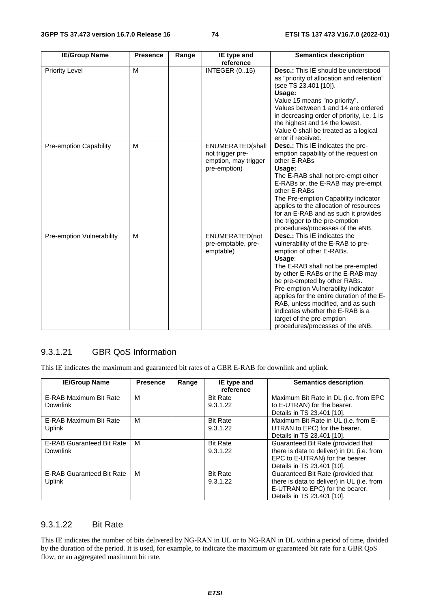| <b>IE/Group Name</b>      | <b>Presence</b> | Range | IE type and<br>reference                                                     | <b>Semantics description</b>                                                                                                                                                                                                                                                                                                                                                                                                                           |
|---------------------------|-----------------|-------|------------------------------------------------------------------------------|--------------------------------------------------------------------------------------------------------------------------------------------------------------------------------------------------------------------------------------------------------------------------------------------------------------------------------------------------------------------------------------------------------------------------------------------------------|
| <b>Priority Level</b>     | M               |       | <b>INTEGER (015)</b>                                                         | <b>Desc.:</b> This IE should be understood<br>as "priority of allocation and retention"<br>(see TS 23.401 [10]).<br>Usage:<br>Value 15 means "no priority".<br>Values between 1 and 14 are ordered<br>in decreasing order of priority, i.e. 1 is<br>the highest and 14 the lowest.<br>Value 0 shall be treated as a logical<br>error if received.                                                                                                      |
| Pre-emption Capability    | M               |       | ENUMERATED(shall<br>not trigger pre-<br>emption, may trigger<br>pre-emption) | <b>Desc.:</b> This IE indicates the pre-<br>emption capability of the request on<br>other E-RABs<br>Usage:<br>The E-RAB shall not pre-empt other<br>E-RABs or, the E-RAB may pre-empt<br>other E-RABs<br>The Pre-emption Capability indicator<br>applies to the allocation of resources<br>for an E-RAB and as such it provides<br>the trigger to the pre-emption<br>procedures/processes of the eNB.                                                  |
| Pre-emption Vulnerability | M               |       | ENUMERATED(not<br>pre-emptable, pre-<br>emptable)                            | <b>Desc.:</b> This IE indicates the<br>vulnerability of the E-RAB to pre-<br>emption of other E-RABs.<br>Usage:<br>The E-RAB shall not be pre-empted<br>by other E-RABs or the E-RAB may<br>be pre-empted by other RABs.<br>Pre-emption Vulnerability indicator<br>applies for the entire duration of the E-<br>RAB, unless modified, and as such<br>indicates whether the E-RAB is a<br>target of the pre-emption<br>procedures/processes of the eNB. |

## 9.3.1.21 GBR QoS Information

This IE indicates the maximum and guaranteed bit rates of a GBR E-RAB for downlink and uplink.

| <b>IE/Group Name</b>             | <b>Presence</b> | Range | IE type and     | <b>Semantics description</b>               |
|----------------------------------|-----------------|-------|-----------------|--------------------------------------------|
|                                  |                 |       | reference       |                                            |
| E-RAB Maximum Bit Rate           | M               |       | <b>Bit Rate</b> | Maximum Bit Rate in DL (i.e. from EPC      |
| <b>Downlink</b>                  |                 |       | 9.3.1.22        | to E-UTRAN) for the bearer.                |
|                                  |                 |       |                 | Details in TS 23.401 [10].                 |
| E-RAB Maximum Bit Rate           | м               |       | <b>Bit Rate</b> | Maximum Bit Rate in UL (i.e. from E-       |
| <b>Uplink</b>                    |                 |       | 9.3.1.22        | UTRAN to EPC) for the bearer.              |
|                                  |                 |       |                 | Details in TS 23.401 [10].                 |
| <b>E-RAB Guaranteed Bit Rate</b> | M               |       | <b>Bit Rate</b> | Guaranteed Bit Rate (provided that         |
| <b>Downlink</b>                  |                 |       | 9.3.1.22        | there is data to deliver) in DL (i.e. from |
|                                  |                 |       |                 | EPC to E-UTRAN) for the bearer.            |
|                                  |                 |       |                 | Details in TS 23.401 [10].                 |
| <b>E-RAB Guaranteed Bit Rate</b> | M               |       | <b>Bit Rate</b> | Guaranteed Bit Rate (provided that         |
| Uplink                           |                 |       | 9.3.1.22        | there is data to deliver) in UL (i.e. from |
|                                  |                 |       |                 | E-UTRAN to EPC) for the bearer.            |
|                                  |                 |       |                 | Details in TS 23.401 [10].                 |

## 9.3.1.22 Bit Rate

This IE indicates the number of bits delivered by NG-RAN in UL or to NG-RAN in DL within a period of time, divided by the duration of the period. It is used, for example, to indicate the maximum or guaranteed bit rate for a GBR QoS flow, or an aggregated maximum bit rate.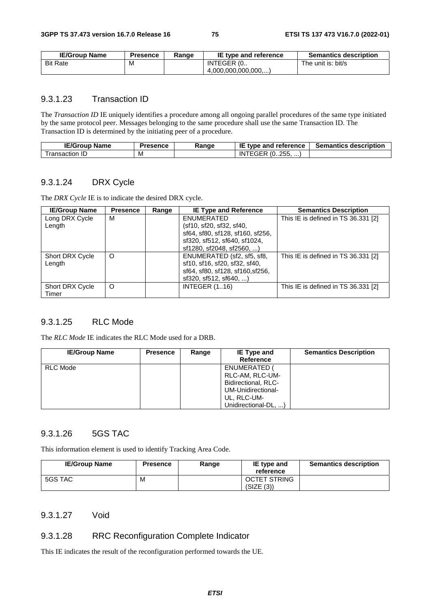| <b>IE/Group Name</b> | <b>Presence</b> | Ranɑe | IE type and reference | <b>Semantics description</b> |
|----------------------|-----------------|-------|-----------------------|------------------------------|
| <b>Bit Rate</b>      | M               |       | INTEGER (0            | The unit is: bit/s           |
|                      |                 |       | (4.000.000.000.000)   |                              |

#### 9.3.1.23 Transaction ID

The *Transaction ID* IE uniquely identifies a procedure among all ongoing parallel procedures of the same type initiated by the same protocol peer. Messages belonging to the same procedure shall use the same Transaction ID. The Transaction ID is determined by the initiating peer of a procedure.

| <b>IE/Group</b><br><b>Name</b> | <b>Presence</b> | Ranɑe | IE<br>type and reference          | <b>Semantics description</b> |
|--------------------------------|-----------------|-------|-----------------------------------|------------------------------|
| ransaction<br>. IL/            | M               |       | つらら<br>ີ (0255, …,<br>IN<br>r Grk |                              |

#### 9.3.1.24 DRX Cycle

The *DRX Cycle* IE is to indicate the desired DRX cycle.

| <b>IE/Group Name</b>   | <b>Presence</b> | Range | <b>IE Type and Reference</b>     | <b>Semantics Description</b>        |
|------------------------|-----------------|-------|----------------------------------|-------------------------------------|
| Long DRX Cycle         | М               |       | ENUMERATED                       | This IE is defined in TS 36.331 [2] |
| Length                 |                 |       | (sf10, sf20, sf32, sf40,         |                                     |
|                        |                 |       | sf64, sf80, sf128, sf160, sf256, |                                     |
|                        |                 |       | sf320, sf512, sf640, sf1024,     |                                     |
|                        |                 |       | sf1280, sf2048, sf2560, )        |                                     |
| <b>Short DRX Cycle</b> | O               |       | ENUMERATED (sf2, sf5, sf8,       | This IE is defined in TS 36.331 [2] |
| Length                 |                 |       | sf10, sf16, sf20, sf32, sf40,    |                                     |
|                        |                 |       | sf64, sf80, sf128, sf160, sf256, |                                     |
|                        |                 |       | $sf320, sf512, sf640, \ldots$    |                                     |
| <b>Short DRX Cycle</b> | O               |       | <b>INTEGER (116)</b>             | This IE is defined in TS 36.331 [2] |
| Timer                  |                 |       |                                  |                                     |

## 9.3.1.25 RLC Mode

The *RLC Mode* IE indicates the RLC Mode used for a DRB.

| <b>IE/Group Name</b> | <b>Presence</b> | Range | IE Type and          | <b>Semantics Description</b> |
|----------------------|-----------------|-------|----------------------|------------------------------|
|                      |                 |       | <b>Reference</b>     |                              |
| RLC Mode             |                 |       | ENUMERATED           |                              |
|                      |                 |       | RLC-AM, RLC-UM-      |                              |
|                      |                 |       | Bidirectional, RLC-  |                              |
|                      |                 |       | UM-Unidirectional-   |                              |
|                      |                 |       | UL, RLC-UM-          |                              |
|                      |                 |       | Unidirectional-DL, ) |                              |

## 9.3.1.26 5GS TAC

This information element is used to identify Tracking Area Code.

| <b>IE/Group Name</b> | <b>Presence</b> | Range | IE type and<br>reference          | <b>Semantics description</b> |
|----------------------|-----------------|-------|-----------------------------------|------------------------------|
| 5GS TAC              | М               |       | <b>OCTET STRING</b><br>(SIZE (3)) |                              |

#### 9.3.1.27 Void

#### 9.3.1.28 RRC Reconfiguration Complete Indicator

This IE indicates the result of the reconfiguration performed towards the UE.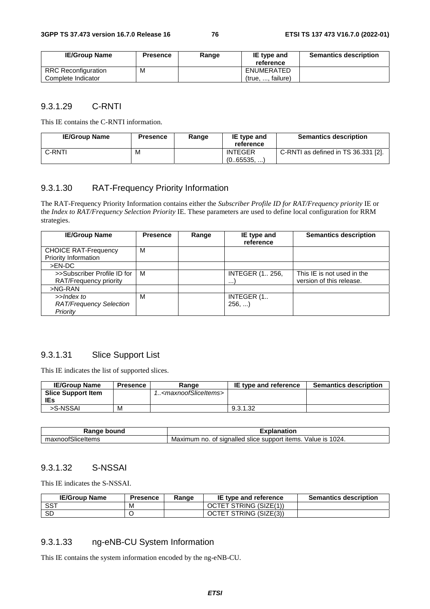| <b>IE/Group Name</b> | <b>Presence</b> | Range | IE type and<br>reference | <b>Semantics description</b> |
|----------------------|-----------------|-------|--------------------------|------------------------------|
| RRC Reconfiguration  | M               |       | ENUMERATED               |                              |
| Complete Indicator   |                 |       | (true, , failure)        |                              |

#### 9.3.1.29 C-RNTI

This IE contains the C-RNTI information.

| <b>IE/Group Name</b> | <b>Presence</b> | Range | IE type and<br>reference    | <b>Semantics description</b>        |
|----------------------|-----------------|-------|-----------------------------|-------------------------------------|
| C-RNTI               | M               |       | <b>INTEGER</b><br>(065535,) | C-RNTI as defined in TS 36.331 [2]. |

## 9.3.1.30 RAT-Frequency Priority Information

The RAT-Frequency Priority Information contains either the *Subscriber Profile ID for RAT/Frequency priority* IE or the *Index to RAT/Frequency Selection Priority* IE. These parameters are used to define local configuration for RRM strategies.

| <b>IE/Group Name</b>                                     | <b>Presence</b> | Range | IE type and<br>reference           | <b>Semantics description</b>                           |
|----------------------------------------------------------|-----------------|-------|------------------------------------|--------------------------------------------------------|
| <b>CHOICE RAT-Frequency</b><br>Priority Information      | м               |       |                                    |                                                        |
| $>EN-DC$                                                 |                 |       |                                    |                                                        |
| >>Subscriber Profile ID for<br>RAT/Frequency priority    | м               |       | <b>INTEGER (1 256,</b><br>$\cdots$ | This IE is not used in the<br>version of this release. |
| $>NG-RAN$                                                |                 |       |                                    |                                                        |
| >>Index to<br><b>RAT/Frequency Selection</b><br>Priority | м               |       | INTEGER (1.<br>256,                |                                                        |

#### 9.3.1.31 Slice Support List

This IE indicates the list of supported slices.

| <b>IE/Group Name</b>      | <b>Presence</b> | Range                                     | IE type and reference | <b>Semantics description</b> |
|---------------------------|-----------------|-------------------------------------------|-----------------------|------------------------------|
| <b>Slice Support Item</b> |                 | 1 <maxnoofsliceitems></maxnoofsliceitems> |                       |                              |
| IEs                       |                 |                                           |                       |                              |
| >S-NSSAI                  | M               |                                           | 9.3.1.32              |                              |

| Range                                   | $- - -$                                                                                                     |
|-----------------------------------------|-------------------------------------------------------------------------------------------------------------|
| bound                                   | anation                                                                                                     |
| $\cdots$<br>'SliceItems<br>maλ<br>noor: | 1024.<br>signalled<br>Value<br>support<br>items<br>no<br>ıs<br>slice<br>num<br>$\frac{1}{2}$<br>Maxır<br>οt |

#### 9.3.1.32 S-NSSAI

This IE indicates the S-NSSAI.

| <b>IE/Group Name</b> | <b>Presence</b> | Range | IE type and reference  | <b>Semantics description</b> |
|----------------------|-----------------|-------|------------------------|------------------------------|
| SST                  | M               |       | OCTET STRING (SIZE(1)) |                              |
| <b>SD</b>            |                 |       | OCTET STRING (SIZE(3)) |                              |

#### 9.3.1.33 ng-eNB-CU System Information

This IE contains the system information encoded by the ng-eNB-CU.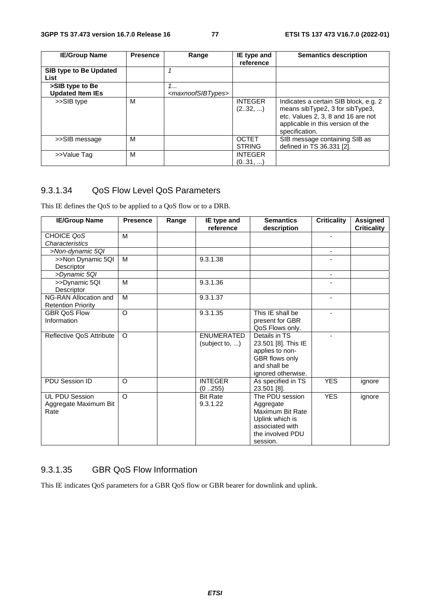| <b>IE/Group Name</b>           | <b>Presence</b> | Range                               | IE type and                   | <b>Semantics description</b>                                                                                                                                          |
|--------------------------------|-----------------|-------------------------------------|-------------------------------|-----------------------------------------------------------------------------------------------------------------------------------------------------------------------|
|                                |                 |                                     | reference                     |                                                                                                                                                                       |
| SIB type to Be Updated<br>List |                 |                                     |                               |                                                                                                                                                                       |
| >SIB type to Be                |                 | 1                                   |                               |                                                                                                                                                                       |
| <b>Updated Item IEs</b>        |                 | <maxnoofsibtypes></maxnoofsibtypes> |                               |                                                                                                                                                                       |
| >>SIB type                     | м               |                                     | <b>INTEGER</b><br>(232, )     | Indicates a certain SIB block, e.g. 2<br>means sibType2, 3 for sibType3,<br>etc. Values 2, 3, 8 and 16 are not<br>applicable in this version of the<br>specification. |
| >>SIB message                  | M               |                                     | <b>OCTET</b><br><b>STRING</b> | SIB message containing SIB as<br>defined in TS 36.331 [2].                                                                                                            |
| >>Value Tag                    | м               |                                     | <b>INTEGER</b><br>(031, )     |                                                                                                                                                                       |

## 9.3.1.34 QoS Flow Level QoS Parameters

This IE defines the QoS to be applied to a QoS flow or to a DRB.

| <b>IE/Group Name</b>                                   | <b>Presence</b> | Range | IE type and<br>reference            | <b>Semantics</b><br>description                                                                                        | <b>Criticality</b> | Assigned<br><b>Criticality</b> |
|--------------------------------------------------------|-----------------|-------|-------------------------------------|------------------------------------------------------------------------------------------------------------------------|--------------------|--------------------------------|
| CHOICE QoS<br>Characteristics                          | M               |       |                                     |                                                                                                                        | ٠                  |                                |
| >Non-dynamic 5QI                                       |                 |       |                                     |                                                                                                                        | $\blacksquare$     |                                |
| >>Non Dynamic 5QI<br>Descriptor                        | M               |       | 9.3.1.38                            |                                                                                                                        |                    |                                |
| >Dynamic 5QI                                           |                 |       |                                     |                                                                                                                        | ۰                  |                                |
| >>Dynamic 5QI<br><b>Descriptor</b>                     | M               |       | 9.3.1.36                            |                                                                                                                        |                    |                                |
| NG-RAN Allocation and<br><b>Retention Priority</b>     | M               |       | 9.3.1.37                            |                                                                                                                        | ٠                  |                                |
| <b>GBR OoS Flow</b><br>Information                     | $\Omega$        |       | 9.3.1.35                            | This IE shall be<br>present for GBR<br>QoS Flows only.                                                                 |                    |                                |
| Reflective QoS Attribute                               | $\Omega$        |       | <b>ENUMERATED</b><br>(subject to, ) | Details in TS<br>23.501 [8]. This IE<br>applies to non-<br>GBR flows only<br>and shall be<br>ignored otherwise.        |                    |                                |
| PDU Session ID                                         | O               |       | <b>INTEGER</b><br>(0255)            | As specified in TS<br>23.501 [8].                                                                                      | <b>YES</b>         | ignore                         |
| <b>UL PDU Session</b><br>Aggregate Maximum Bit<br>Rate | $\Omega$        |       | <b>Bit Rate</b><br>9.3.1.22         | The PDU session<br>Aggregate<br>Maximum Bit Rate<br>Uplink which is<br>associated with<br>the involved PDU<br>session. | <b>YES</b>         | ignore                         |

## 9.3.1.35 GBR QoS Flow Information

This IE indicates QoS parameters for a GBR QoS flow or GBR bearer for downlink and uplink.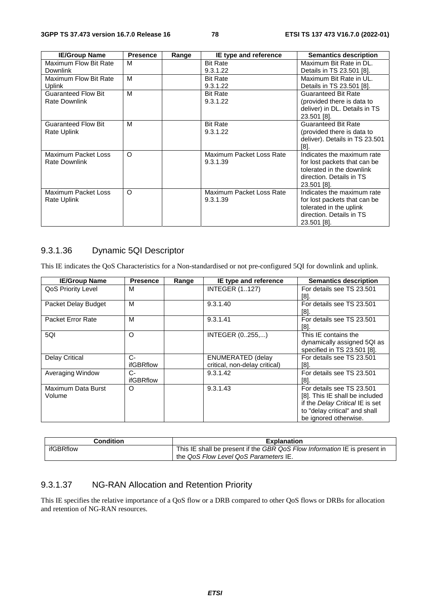| <b>IE/Group Name</b>       | <b>Presence</b> | Range | IE type and reference    | <b>Semantics description</b>   |
|----------------------------|-----------------|-------|--------------------------|--------------------------------|
| Maximum Flow Bit Rate      | M               |       | <b>Bit Rate</b>          | Maximum Bit Rate in DL.        |
| <b>Downlink</b>            |                 |       | 9.3.1.22                 | Details in TS 23.501 [8].      |
| Maximum Flow Bit Rate      | M               |       | <b>Bit Rate</b>          | Maximum Bit Rate in UL.        |
| Uplink                     |                 |       | 9.3.1.22                 | Details in TS 23.501 [8].      |
| <b>Guaranteed Flow Bit</b> | M               |       | <b>Bit Rate</b>          | <b>Guaranteed Bit Rate</b>     |
| <b>Rate Downlink</b>       |                 |       | 9.3.1.22                 | (provided there is data to     |
|                            |                 |       |                          | deliver) in DL. Details in TS  |
|                            |                 |       |                          | 23.501 [8].                    |
| <b>Guaranteed Flow Bit</b> | м               |       | <b>Bit Rate</b>          | <b>Guaranteed Bit Rate</b>     |
| Rate Uplink                |                 |       | 9.3.1.22                 | (provided there is data to     |
|                            |                 |       |                          | deliver). Details in TS 23.501 |
|                            |                 |       |                          | [8]                            |
| Maximum Packet Loss        | O               |       | Maximum Packet Loss Rate | Indicates the maximum rate     |
| Rate Downlink              |                 |       | 9.3.1.39                 | for lost packets that can be   |
|                            |                 |       |                          | tolerated in the downlink      |
|                            |                 |       |                          | direction. Details in TS       |
|                            |                 |       |                          | 23.501 [8].                    |
| Maximum Packet Loss        | O               |       | Maximum Packet Loss Rate | Indicates the maximum rate     |
| Rate Uplink                |                 |       | 9.3.1.39                 | for lost packets that can be   |
|                            |                 |       |                          | tolerated in the uplink        |
|                            |                 |       |                          | direction. Details in TS       |
|                            |                 |       |                          | 23.501 [8].                    |

## 9.3.1.36 Dynamic 5QI Descriptor

This IE indicates the QoS Characteristics for a Non-standardised or not pre-configured 5QI for downlink and uplink.

| <b>IE/Group Name</b>  | <b>Presence</b>  | Range | IE type and reference         | <b>Semantics description</b>    |
|-----------------------|------------------|-------|-------------------------------|---------------------------------|
| QoS Priority Level    | м                |       | <b>INTEGER (1127)</b>         | For details see TS 23.501       |
|                       |                  |       |                               | [8].                            |
| Packet Delay Budget   | м                |       | 9.3.1.40                      | For details see TS 23.501       |
|                       |                  |       |                               | [8].                            |
| Packet Error Rate     | М                |       | 9.3.1.41                      | For details see TS 23.501       |
|                       |                  |       |                               | [8].                            |
| 5QI                   | $\circ$          |       | INTEGER (0255,)               | This IE contains the            |
|                       |                  |       |                               | dynamically assigned 5QI as     |
|                       |                  |       |                               | specified in TS 23.501 [8].     |
| <b>Delay Critical</b> | $C-$             |       | <b>ENUMERATED (delay</b>      | For details see TS 23.501       |
|                       | ifGBRflow        |       | critical, non-delay critical) | [8].                            |
| Averaging Window      | C-               |       | 9.3.1.42                      | For details see TS 23.501       |
|                       | <b>ifGBRflow</b> |       |                               | [8]                             |
| Maximum Data Burst    | O                |       | 9.3.1.43                      | For details see TS 23.501       |
| Volume                |                  |       |                               | [8]. This IE shall be included  |
|                       |                  |       |                               | if the Delay Critical IE is set |
|                       |                  |       |                               | to "delay critical" and shall   |
|                       |                  |       |                               | be ignored otherwise.           |

| Condition | <b>Explanation</b>                                                        |
|-----------|---------------------------------------------------------------------------|
| ifGBRflow | This IE shall be present if the GBR QoS Flow Information IE is present in |
|           | the QoS Flow Level QoS Parameters IE.                                     |

## 9.3.1.37 NG-RAN Allocation and Retention Priority

This IE specifies the relative importance of a QoS flow or a DRB compared to other QoS flows or DRBs for allocation and retention of NG-RAN resources.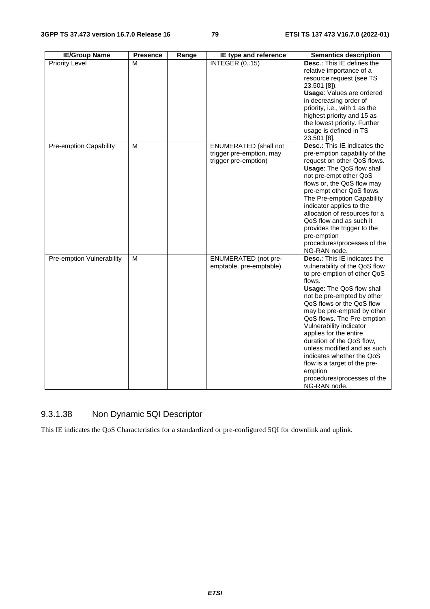| <b>IE/Group Name</b>      | <b>Presence</b> | Range | IE type and reference                                                            | <b>Semantics description</b>                                                                                                                                                                                                                                                                                                                                                                                                                                                                                     |
|---------------------------|-----------------|-------|----------------------------------------------------------------------------------|------------------------------------------------------------------------------------------------------------------------------------------------------------------------------------------------------------------------------------------------------------------------------------------------------------------------------------------------------------------------------------------------------------------------------------------------------------------------------------------------------------------|
| <b>Priority Level</b>     | М               |       | <b>INTEGER (015)</b>                                                             | Desc.: This IE defines the<br>relative importance of a<br>resource request (see TS<br>23.501 [8]).<br><b>Usage: Values are ordered</b><br>in decreasing order of<br>priority, i.e., with 1 as the<br>highest priority and 15 as<br>the lowest priority. Further<br>usage is defined in TS<br>23.501 [8].                                                                                                                                                                                                         |
| Pre-emption Capability    | M               |       | <b>ENUMERATED</b> (shall not<br>trigger pre-emption, may<br>trigger pre-emption) | <b>Desc.:</b> This IE indicates the<br>pre-emption capability of the<br>request on other QoS flows.<br><b>Usage: The QoS flow shall</b><br>not pre-empt other QoS<br>flows or, the QoS flow may<br>pre-empt other QoS flows.<br>The Pre-emption Capability<br>indicator applies to the<br>allocation of resources for a<br>QoS flow and as such it<br>provides the trigger to the<br>pre-emption<br>procedures/processes of the<br>NG-RAN node.                                                                  |
| Pre-emption Vulnerability | М               |       | <b>ENUMERATED</b> (not pre-<br>emptable, pre-emptable)                           | <b>Desc.:</b> This IE indicates the<br>vulnerability of the QoS flow<br>to pre-emption of other QoS<br>flows.<br><b>Usage: The QoS flow shall</b><br>not be pre-empted by other<br>QoS flows or the QoS flow<br>may be pre-empted by other<br>QoS flows. The Pre-emption<br>Vulnerability indicator<br>applies for the entire<br>duration of the QoS flow,<br>unless modified and as such<br>indicates whether the QoS<br>flow is a target of the pre-<br>emption<br>procedures/processes of the<br>NG-RAN node. |

## 9.3.1.38 Non Dynamic 5QI Descriptor

This IE indicates the QoS Characteristics for a standardized or pre-configured 5QI for downlink and uplink.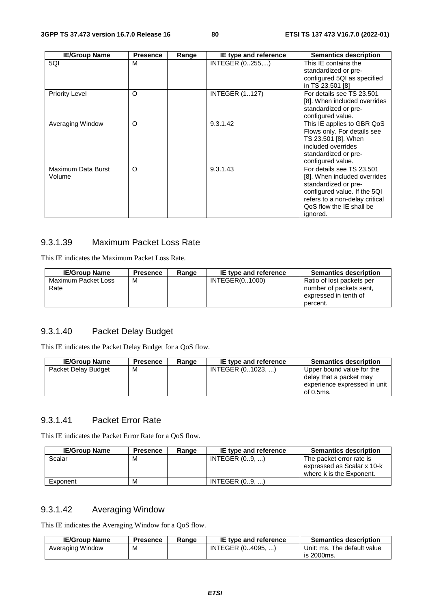| <b>IE/Group Name</b>         | <b>Presence</b> | Range | IE type and reference | <b>Semantics description</b>                                                                                                                                                                |
|------------------------------|-----------------|-------|-----------------------|---------------------------------------------------------------------------------------------------------------------------------------------------------------------------------------------|
| 5QI                          | M               |       | INTEGER (0255,)       | This IE contains the<br>standardized or pre-<br>configured 5QI as specified<br>in TS 23.501 [8]                                                                                             |
| <b>Priority Level</b>        | O               |       | <b>INTEGER (1127)</b> | For details see TS 23.501<br>[8]. When included overrides<br>standardized or pre-<br>configured value.                                                                                      |
| Averaging Window             | $\circ$         |       | 9.3.1.42              | This IE applies to GBR QoS<br>Flows only. For details see<br>TS 23.501 [8]. When<br>included overrides<br>standardized or pre-<br>configured value.                                         |
| Maximum Data Burst<br>Volume | O               |       | 9.3.1.43              | For details see TS 23.501<br>[8]. When included overrides<br>standardized or pre-<br>configured value. If the 5QI<br>refers to a non-delay critical<br>QoS flow the IE shall be<br>ignored. |

## 9.3.1.39 Maximum Packet Loss Rate

This IE indicates the Maximum Packet Loss Rate.

| <b>IE/Group Name</b>        | <b>Presence</b> | Range | IE type and reference | <b>Semantics description</b>                                                              |
|-----------------------------|-----------------|-------|-----------------------|-------------------------------------------------------------------------------------------|
| Maximum Packet Loss<br>Rate | м               |       | INTEGER(01000)        | Ratio of lost packets per<br>number of packets sent.<br>expressed in tenth of<br>percent. |

## 9.3.1.40 Packet Delay Budget

This IE indicates the Packet Delay Budget for a QoS flow.

| <b>IE/Group Name</b> | <b>Presence</b> | Range | IE type and reference | <b>Semantics description</b>                                                                      |
|----------------------|-----------------|-------|-----------------------|---------------------------------------------------------------------------------------------------|
| Packet Delay Budget  | м               |       | INTEGER (01023, )     | Upper bound value for the<br>delay that a packet may<br>experience expressed in unit<br>of 0.5ms. |

## 9.3.1.41 Packet Error Rate

This IE indicates the Packet Error Rate for a QoS flow.

| <b>IE/Group Name</b> | <b>Presence</b> | Range | IE type and reference | <b>Semantics description</b>                                                       |
|----------------------|-----------------|-------|-----------------------|------------------------------------------------------------------------------------|
| Scalar               | м               |       | INTEGR (09, )         | The packet error rate is<br>expressed as Scalar x 10-k<br>where k is the Exponent. |
| Exponent             | м               |       | INTEGR (09, )         |                                                                                    |

## 9.3.1.42 Averaging Window

This IE indicates the Averaging Window for a QoS flow.

| <b>IE/Group Name</b> | Presence | Range | IE type and reference | <b>Semantics description</b> |
|----------------------|----------|-------|-----------------------|------------------------------|
| Averaging Window     | М        |       | INTEGER (04095. )     | Unit: ms. The default value  |
|                      |          |       |                       | is 2000ms.                   |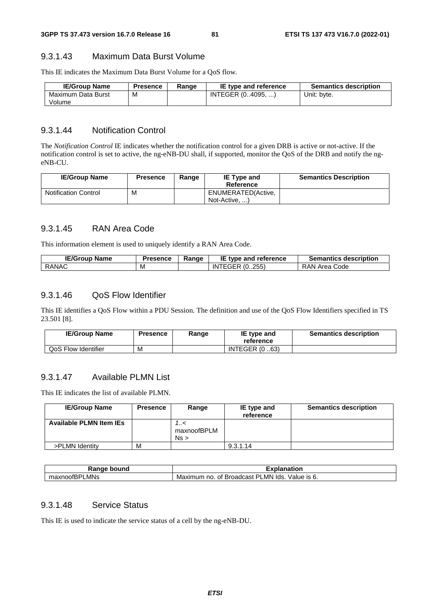#### 9.3.1.43 Maximum Data Burst Volume

This IE indicates the Maximum Data Burst Volume for a QoS flow.

| <b>IE/Group Name</b> | <b>Presence</b> | Range | IE type and reference | <b>Semantics description</b> |
|----------------------|-----------------|-------|-----------------------|------------------------------|
| Maximum Data Burst   | M               |       | INTEGER (04095, )     | Unit: byte.                  |
| Volume               |                 |       |                       |                              |

#### 9.3.1.44 Notification Control

The *Notification Control* IE indicates whether the notification control for a given DRB is active or not-active. If the notification control is set to active, the ng-eNB-DU shall, if supported, monitor the QoS of the DRB and notify the ngeNB-CU.

| <b>IE/Group Name</b>        | Presence | Range | <b>IE Type and</b><br>Reference     | <b>Semantics Description</b> |
|-----------------------------|----------|-------|-------------------------------------|------------------------------|
| <b>Notification Control</b> | М        |       | ENUMERATED(Active,<br>Not-Active, ) |                              |

#### 9.3.1.45 RAN Area Code

This information element is used to uniquely identify a RAN Area Code.

| <b>IE/Group Name</b> | <b>Presence</b> | Ranɑe | IE type and reference | <b>Semantics description</b> |
|----------------------|-----------------|-------|-----------------------|------------------------------|
| RANAC                | M               |       | ITEGER (0255)<br>ΙN   | RAN Area Code                |

#### 9.3.1.46 QoS Flow Identifier

This IE identifies a QoS Flow within a PDU Session. The definition and use of the QoS Flow Identifiers specified in TS 23.501 [8].

| <b>IE/Group Name</b> | Presence | Range | IE type and<br>reference | <b>Semantics description</b> |
|----------------------|----------|-------|--------------------------|------------------------------|
| QoS Flow Identifier  | M        |       | <b>INTEGER (0.63)</b>    |                              |

## 9.3.1.47 Available PLMN List

This IE indicates the list of available PLMN.

| <b>IE/Group Name</b>           | <b>Presence</b> | Range                   | IE type and<br>reference | <b>Semantics description</b> |
|--------------------------------|-----------------|-------------------------|--------------------------|------------------------------|
| <b>Available PLMN Item IEs</b> |                 | >/<br>maxnoofBPLM<br>Ns |                          |                              |
| >PLMN Identity                 | M               |                         | 9.3.1.14                 |                              |

| ⊀anqe<br>bound                | <b>TAP 60</b><br>าnation<br>ла<br>.А                                         |
|-------------------------------|------------------------------------------------------------------------------|
| LMNs<br>וחס<br>maxnoofL<br>n- | lds.<br>Value is 6.<br>_MN.<br><b>Broadcast</b><br>Maximum<br>◡<br>no.<br>Οt |

## 9.3.1.48 Service Status

This IE is used to indicate the service status of a cell by the ng-eNB-DU.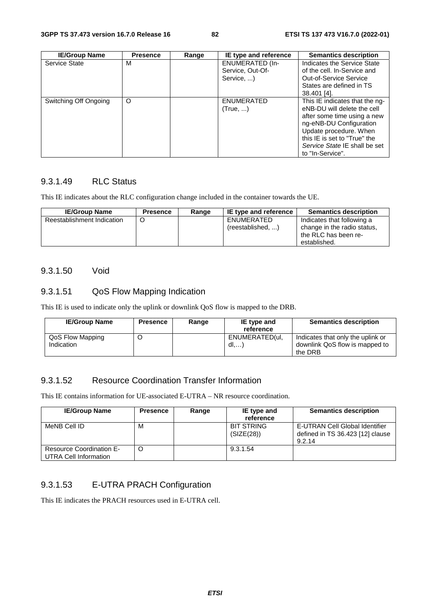| <b>IE/Group Name</b>  | <b>Presence</b> | Range | IE type and reference                                    | <b>Semantics description</b>                                                                                                                                                                                                           |
|-----------------------|-----------------|-------|----------------------------------------------------------|----------------------------------------------------------------------------------------------------------------------------------------------------------------------------------------------------------------------------------------|
| Service State         | м               |       | <b>ENUMERATED (In-</b><br>Service, Out-Of-<br>Service, ) | Indicates the Service State<br>of the cell. In-Service and<br><b>Out-of-Service Service</b><br>States are defined in TS<br>38.401 [4].                                                                                                 |
| Switching Off Ongoing | $\circ$         |       | <b>ENUMERATED</b><br>(True, )                            | This IE indicates that the ng-<br>eNB-DU will delete the cell<br>after some time using a new<br>ng-eNB-DU Configuration<br>Update procedure. When<br>this IE is set to "True" the<br>Service State IE shall be set<br>to "In-Service". |

## 9.3.1.49 RLC Status

This IE indicates about the RLC configuration change included in the container towards the UE.

| <b>IE/Group Name</b>       | <b>Presence</b> | Range | IE type and reference            | <b>Semantics description</b>                                                                      |
|----------------------------|-----------------|-------|----------------------------------|---------------------------------------------------------------------------------------------------|
| Reestablishment Indication |                 |       | ENUMERATED<br>(reestabilished, ) | Indicates that following a<br>change in the radio status,<br>the RLC has been re-<br>established. |

#### 9.3.1.50 Void

## 9.3.1.51 QoS Flow Mapping Indication

This IE is used to indicate only the uplink or downlink QoS flow is mapped to the DRB.

| <b>IE/Group Name</b>           | <b>Presence</b> | Range | IE type and<br>reference       | <b>Semantics description</b>                                                   |
|--------------------------------|-----------------|-------|--------------------------------|--------------------------------------------------------------------------------|
| QoS Flow Mapping<br>Indication |                 |       | ENUMERATED(ul,<br>$dl, \ldots$ | Indicates that only the uplink or<br>downlink QoS flow is mapped to<br>the DRB |

## 9.3.1.52 Resource Coordination Transfer Information

This IE contains information for UE-associated E-UTRA – NR resource coordination.

| <b>IE/Group Name</b>                                     | <b>Presence</b> | Range | IE type and<br>reference        | <b>Semantics description</b>                                                 |
|----------------------------------------------------------|-----------------|-------|---------------------------------|------------------------------------------------------------------------------|
| MeNB Cell ID                                             | м               |       | <b>BIT STRING</b><br>(SIZE(28)) | E-UTRAN Cell Global Identifier<br>defined in TS 36.423 [12] clause<br>9.2.14 |
| <b>Resource Coordination E-</b><br>UTRA Cell Information | C               |       | 9.3.1.54                        |                                                                              |

## 9.3.1.53 E-UTRA PRACH Configuration

This IE indicates the PRACH resources used in E-UTRA cell.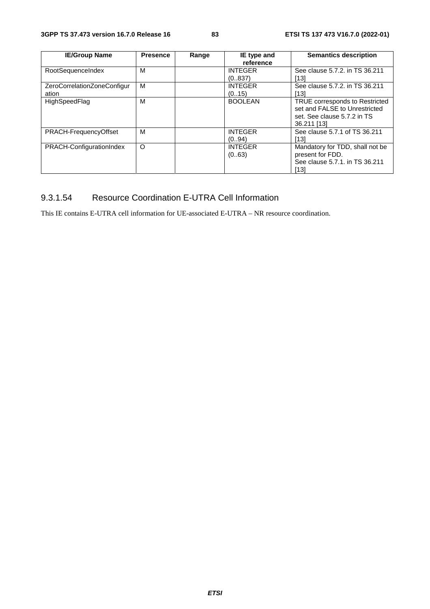| <b>IE/Group Name</b>        | <b>Presence</b> | Range | IE type and    | <b>Semantics description</b>    |
|-----------------------------|-----------------|-------|----------------|---------------------------------|
|                             |                 |       | reference      |                                 |
| RootSequenceIndex           | M               |       | <b>INTEGER</b> | See clause 5.7.2. in TS 36.211  |
|                             |                 |       | (0.837)        | [13]                            |
| ZeroCorrelationZoneConfigur | м               |       | <b>INTEGER</b> | See clause 5.7.2. in TS 36.211  |
| ation                       |                 |       | (0.15)         | [13]                            |
| HighSpeedFlag               | M               |       | <b>BOOLEAN</b> | TRUE corresponds to Restricted  |
|                             |                 |       |                | set and FALSE to Unrestricted   |
|                             |                 |       |                | set. See clause 5.7.2 in TS     |
|                             |                 |       |                | 36.211 [13]                     |
| PRACH-FrequencyOffset       | м               |       | <b>INTEGER</b> | See clause 5.7.1 of TS 36.211   |
|                             |                 |       | (0.94)         | [13]                            |
| PRACH-ConfigurationIndex    | O               |       | <b>INTEGER</b> | Mandatory for TDD, shall not be |
|                             |                 |       | (063)          | present for FDD.                |
|                             |                 |       |                | See clause 5.7.1, in TS 36.211  |
|                             |                 |       |                | [13]                            |

## 9.3.1.54 Resource Coordination E-UTRA Cell Information

This IE contains E-UTRA cell information for UE-associated E-UTRA – NR resource coordination.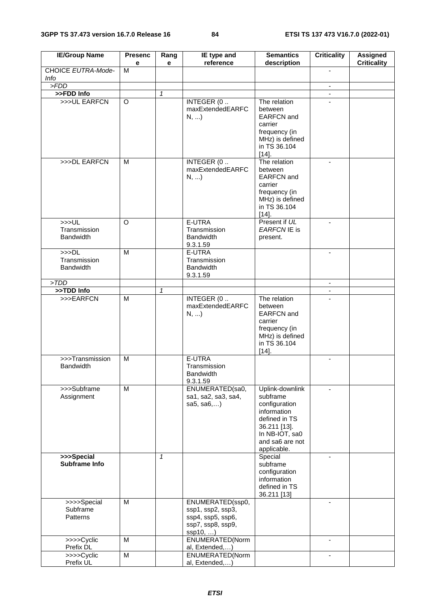| <b>IE/Group Name</b>                                 | <b>Presenc</b><br>е | Rang<br>e    | IE type and<br>reference                                                                  | <b>Semantics</b><br>description                                                                                                                  | <b>Criticality</b>       | <b>Assigned</b><br><b>Criticality</b> |
|------------------------------------------------------|---------------------|--------------|-------------------------------------------------------------------------------------------|--------------------------------------------------------------------------------------------------------------------------------------------------|--------------------------|---------------------------------------|
| CHOICE EUTRA-Mode-<br><b>Info</b>                    | M                   |              |                                                                                           |                                                                                                                                                  | $\blacksquare$           |                                       |
| > FDD                                                |                     |              |                                                                                           |                                                                                                                                                  | $\omega$ .               |                                       |
| >>FDD Info                                           |                     | $\mathbf{1}$ |                                                                                           |                                                                                                                                                  | $\blacksquare$           |                                       |
| >>>UL EARFCN                                         | O                   |              | INTEGER (0<br>maxExtendedEARFC<br>N,                                                      | The relation<br>between<br><b>EARFCN</b> and<br>carrier<br>frequency (in<br>MHz) is defined<br>in TS 36.104<br>$[14]$ .                          |                          |                                       |
| >>>DL EARFCN                                         | M                   |              | INTEGER (0.<br>maxExtendedEARFC<br>$N, $ )                                                | The relation<br>between<br><b>EARFCN</b> and<br>carrier<br>frequency (in<br>MHz) is defined<br>in TS 36.104<br>$[14]$ .                          | $\blacksquare$           |                                       |
| >>UL<br>Transmission<br><b>Bandwidth</b>             | $\Omega$            |              | E-UTRA<br>Transmission<br><b>Bandwidth</b><br>9.3.1.59                                    | Present if UL<br>EARFCN IE is<br>present.                                                                                                        |                          |                                       |
| >>D <sub>L</sub><br>Transmission<br><b>Bandwidth</b> | M                   |              | E-UTRA<br>Transmission<br><b>Bandwidth</b><br>9.3.1.59                                    |                                                                                                                                                  |                          |                                       |
| > TDD                                                |                     |              |                                                                                           |                                                                                                                                                  | $\blacksquare$           |                                       |
| >>TDD Info                                           |                     | $\mathbf{1}$ |                                                                                           |                                                                                                                                                  |                          |                                       |
| >>>EARFCN                                            | M                   |              | INTEGER (0<br>maxExtendedEARFC<br>$N, $ )                                                 | The relation<br>between<br><b>EARFCN</b> and<br>carrier<br>frequency (in<br>MHz) is defined<br>in TS 36.104<br>$[14]$ .                          | $\overline{a}$           |                                       |
| >>>Transmission<br><b>Bandwidth</b>                  | M                   |              | E-UTRA<br>Transmission<br>Bandwidth<br>9.3.1.59                                           |                                                                                                                                                  | $\overline{\phantom{a}}$ |                                       |
| >>>Subframe<br>Assignment                            | M                   |              | ENUMERATED(sa0,<br>sa1, sa2, sa3, sa4,<br>sa $5,$ sa $6,$                                 | Uplink-downlink<br>subframe<br>configuration<br>information<br>defined in TS<br>36.211 [13].<br>In NB-IOT, sa0<br>and sa6 are not<br>applicable. | $\blacksquare$           |                                       |
| >>>Special<br>Subframe Info                          |                     | $\mathbf{1}$ |                                                                                           | Special<br>subframe<br>configuration<br>information<br>defined in TS<br>36.211 [13]                                                              | $\blacksquare$           |                                       |
| $\overline{\gg}$ >>Special<br>Subframe<br>Patterns   | M                   |              | ENUMERATED(ssp0,<br>ssp1, ssp2, ssp3,<br>ssp4, ssp5, ssp6,<br>ssp7, ssp8, ssp9,<br>ssp10, |                                                                                                                                                  | $\overline{a}$           |                                       |
| >>>>Cyclic<br>Prefix DL                              | M                   |              | ENUMERATED(Norm<br>al, Extended,)                                                         |                                                                                                                                                  | $\blacksquare$           |                                       |
| >>>>Cyclic<br>Prefix UL                              | M                   |              | ENUMERATED(Norm<br>al, Extended,)                                                         |                                                                                                                                                  |                          |                                       |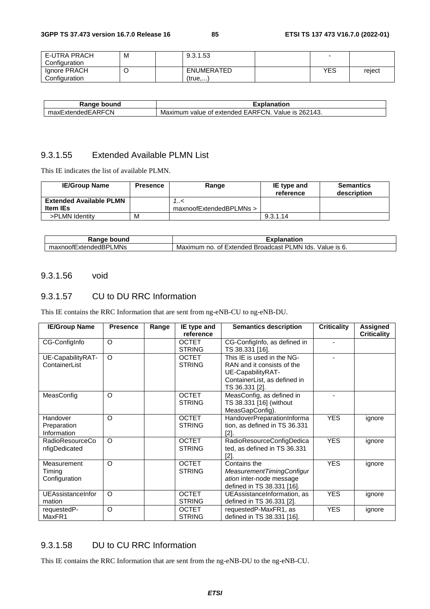| E-UTRA PRACH  | М | 9.3.1.53          |            |        |
|---------------|---|-------------------|------------|--------|
| Configuration |   |                   |            |        |
| Ignore PRACH  |   | <b>ENUMERATED</b> | <b>YES</b> | reject |
| Configuration |   | (true,            |            |        |

| bound<br>Range          | Explanation                                                                      |
|-------------------------|----------------------------------------------------------------------------------|
| ExtendedEARFCN<br>maxE, | 262143.<br>TCN.<br><b>EARFO</b><br>Value is<br>⊧of extended.<br>Maximum<br>value |

## 9.3.1.55 Extended Available PLMN List

This IE indicates the list of available PLMN.

| <b>IE/Group Name</b>           | <b>Presence</b> | Range                   | IE type and<br>reference | <b>Semantics</b><br>description |
|--------------------------------|-----------------|-------------------------|--------------------------|---------------------------------|
| <b>Extended Available PLMN</b> |                 | >/                      |                          |                                 |
| <b>Item IEs</b>                |                 | maxnoofExtendedBPLMNs > |                          |                                 |
| >PLMN Identity                 | M               |                         | 9.3.1.14                 |                                 |

| วนทc<br>nae.<br>וונזו<br>٦a                                                    | ----<br>nation                                                                                       |
|--------------------------------------------------------------------------------|------------------------------------------------------------------------------------------------------|
| ∟MNs<br>$\overline{\phantom{0}}$<br>∟xter<br>under:<br>axnoor<br>115 F<br>l lo | יכ<br>_MN<br>alue/<br>lds.<br>Broadcast<br>IS.<br><b>Extended</b><br>Maxir<br>nc<br>0t<br>num<br>. ب |

#### 9.3.1.56 void

### 9.3.1.57 CU to DU RRC Information

This IE contains the RRC Information that are sent from ng-eNB-CU to ng-eNB-DU.

| <b>IE/Group Name</b>                    | <b>Presence</b> | Range | IE type and<br>reference      | <b>Semantics description</b>                                                                                                    | <b>Criticality</b> | Assigned<br><b>Criticality</b> |
|-----------------------------------------|-----------------|-------|-------------------------------|---------------------------------------------------------------------------------------------------------------------------------|--------------------|--------------------------------|
| CG-Configlnfo                           | $\circ$         |       | <b>OCTET</b><br><b>STRING</b> | CG-ConfigInfo, as defined in<br>TS 38.331 [16].                                                                                 |                    |                                |
| UE-CapabilityRAT-<br>ContainerList      | $\circ$         |       | <b>OCTET</b><br><b>STRING</b> | This IE is used in the NG-<br>RAN and it consists of the<br>UE-CapabilityRAT-<br>ContainerList, as defined in<br>TS 36.331 [2]. |                    |                                |
| MeasConfig                              | $\circ$         |       | <b>OCTET</b><br><b>STRING</b> | MeasConfig, as defined in<br>TS 38.331 [16] (without<br>MeasGapConfig).                                                         |                    |                                |
| Handover<br>Preparation<br>Information  | $\circ$         |       | <b>OCTET</b><br><b>STRING</b> | HandoverPreparationInforma<br>tion, as defined in TS 36.331<br>[2].                                                             | <b>YES</b>         | ignore                         |
| <b>RadioResourceCo</b><br>nfigDedicated | $\Omega$        |       | <b>OCTET</b><br><b>STRING</b> | RadioResourceConfigDedica<br>ted, as defined in TS 36.331<br>[2]                                                                | <b>YES</b>         | ignore                         |
| Measurement<br>Timing<br>Configuration  | $\Omega$        |       | <b>OCTET</b><br><b>STRING</b> | Contains the<br>MeasurementTimingConfigur<br>ation inter-node message<br>defined in TS 38.331 [16].                             | <b>YES</b>         | ignore                         |
| UEAssistanceInfor<br>mation             | $\Omega$        |       | <b>OCTET</b><br><b>STRING</b> | UEAssistanceInformation, as<br>defined in TS 36.331 [2].                                                                        | <b>YES</b>         | ignore                         |
| requestedP-<br>MaxFR1                   | $\circ$         |       | <b>OCTET</b><br><b>STRING</b> | requestedP-MaxFR1, as<br>defined in TS 38.331 [16].                                                                             | <b>YES</b>         | ignore                         |

## 9.3.1.58 DU to CU RRC Information

This IE contains the RRC Information that are sent from the ng-eNB-DU to the ng-eNB-CU.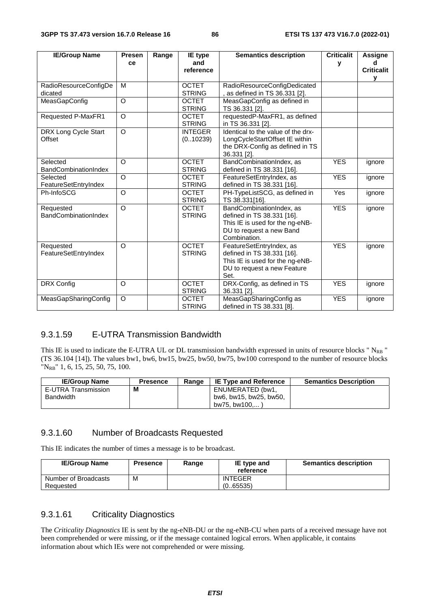| <b>IE/Group Name</b>                     | Presen   | Range | IE type                       | <b>Semantics description</b>                                                                                                          | <b>Criticalit</b> | <b>Assigne</b>         |
|------------------------------------------|----------|-------|-------------------------------|---------------------------------------------------------------------------------------------------------------------------------------|-------------------|------------------------|
|                                          | ce       |       | and<br>reference              |                                                                                                                                       | у                 | d<br><b>Criticalit</b> |
|                                          |          |       |                               |                                                                                                                                       |                   | У                      |
| RadioResourceConfigDe<br>dicated         | M        |       | <b>OCTET</b><br><b>STRING</b> | RadioResourceConfigDedicated<br>as defined in TS 36.331 [2].                                                                          |                   |                        |
| MeasGapConfig                            | O        |       | <b>OCTET</b><br><b>STRING</b> | MeasGapConfig as defined in<br>TS 36.331 [2].                                                                                         |                   |                        |
| <b>Requested P-MaxFR1</b>                | $\circ$  |       | <b>OCTET</b><br><b>STRING</b> | requestedP-MaxFR1, as defined<br>in TS 36.331 [2].                                                                                    |                   |                        |
| DRX Long Cycle Start<br>Offset           | $\circ$  |       | <b>INTEGER</b><br>(0.10239)   | Identical to the value of the drx-<br>LongCycleStartOffset IE within<br>the DRX-Config as defined in TS<br>36.331 [2].                |                   |                        |
| Selected<br><b>BandCombinationIndex</b>  | O        |       | <b>OCTET</b><br><b>STRING</b> | BandCombinationIndex, as<br>defined in TS 38.331 [16].                                                                                | <b>YES</b>        | ignore                 |
| Selected<br>FeatureSetEntryIndex         | $\Omega$ |       | <b>OCTET</b><br><b>STRING</b> | FeatureSetEntryIndex, as<br>defined in TS 38.331 [16].                                                                                | <b>YES</b>        | ignore                 |
| Ph-InfoSCG                               | $\circ$  |       | <b>OCTET</b><br><b>STRING</b> | PH-TypeListSCG, as defined in<br>TS 38.331[16].                                                                                       | Yes               | ignore                 |
| Requested<br><b>BandCombinationIndex</b> | $\Omega$ |       | <b>OCTET</b><br><b>STRING</b> | BandCombinationIndex, as<br>defined in TS 38.331 [16].<br>This IE is used for the ng-eNB-<br>DU to request a new Band<br>Combination. | <b>YES</b>        | ignore                 |
| Requested<br>FeatureSetEntryIndex        | O        |       | <b>OCTET</b><br><b>STRING</b> | FeatureSetEntryIndex, as<br>defined in TS 38.331 [16].<br>This IE is used for the ng-eNB-<br>DU to request a new Feature<br>Set.      | <b>YES</b>        | ignore                 |
| DRX Config                               | $\circ$  |       | <b>OCTET</b><br><b>STRING</b> | DRX-Config, as defined in TS<br>36.331 [2].                                                                                           | <b>YES</b>        | ignore                 |
| MeasGapSharingConfig                     | O        |       | <b>OCTET</b><br><b>STRING</b> | MeasGapSharingConfig as<br>defined in TS 38.331 [8].                                                                                  | <b>YES</b>        | ignore                 |

#### 9.3.1.59 E-UTRA Transmission Bandwidth

This IE is used to indicate the E-UTRA UL or DL transmission bandwidth expressed in units of resource blocks " N<sub>RB</sub> " (TS 36.104 [14]). The values bw1, bw6, bw15, bw25, bw50, bw75, bw100 correspond to the number of resource blocks "NRB" 1, 6, 15, 25, 50, 75, 100.

| <b>IE/Group Name</b> | <b>Presence</b> | Range | <b>IE Type and Reference</b> | <b>Semantics Description</b> |
|----------------------|-----------------|-------|------------------------------|------------------------------|
| E-UTRA Transmission  | M               |       | ENUMERATED (bw1,             |                              |
| <b>Bandwidth</b>     |                 |       | bw6, bw15, bw25, bw50,       |                              |
|                      |                 |       | bw75. bw100                  |                              |

#### 9.3.1.60 Number of Broadcasts Requested

This IE indicates the number of times a message is to be broadcast.

| <b>IE/Group Name</b> | <b>Presence</b> | Range | IE type and<br>reference | <b>Semantics description</b> |
|----------------------|-----------------|-------|--------------------------|------------------------------|
| Number of Broadcasts | M               |       | <b>INTEGER</b>           |                              |
| Requested            |                 |       | (0.65535)                |                              |

## 9.3.1.61 Criticality Diagnostics

The *Criticality Diagnostics* IE is sent by the ng-eNB-DU or the ng-eNB-CU when parts of a received message have not been comprehended or were missing, or if the message contained logical errors. When applicable, it contains information about which IEs were not comprehended or were missing.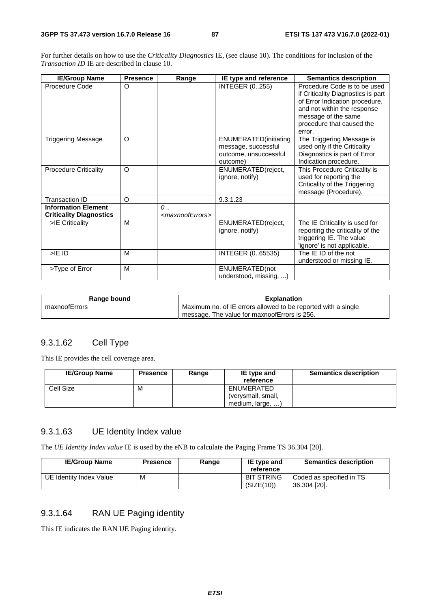For further details on how to use the *Criticality Diagnostics* IE, (see clause 10). The conditions for inclusion of the *Transaction ID* IE are described in clause 10.

| <b>IE/Group Name</b>                                         | <b>Presence</b> | Range                                       | IE type and reference                                                             | <b>Semantics description</b>                                                                                                                                                                      |
|--------------------------------------------------------------|-----------------|---------------------------------------------|-----------------------------------------------------------------------------------|---------------------------------------------------------------------------------------------------------------------------------------------------------------------------------------------------|
| Procedure Code                                               | O               |                                             | <b>INTEGER (0255)</b>                                                             | Procedure Code is to be used<br>if Criticality Diagnostics is part<br>of Error Indication procedure,<br>and not within the response<br>message of the same<br>procedure that caused the<br>error. |
| <b>Triggering Message</b>                                    | $\circ$         |                                             | ENUMERATED(initiating<br>message, successful<br>outcome, unsuccessful<br>outcome) | The Triggering Message is<br>used only if the Criticality<br>Diagnostics is part of Error<br>Indication procedure.                                                                                |
| <b>Procedure Criticality</b>                                 | $\circ$         |                                             | ENUMERATED(reject,<br>ignore, notify)                                             | This Procedure Criticality is<br>used for reporting the<br>Criticality of the Triggering<br>message (Procedure).                                                                                  |
| <b>Transaction ID</b>                                        | O               |                                             | 9.3.1.23                                                                          |                                                                                                                                                                                                   |
| <b>Information Element</b><br><b>Criticality Diagnostics</b> |                 | $\theta$<br><maxnooferrors></maxnooferrors> |                                                                                   |                                                                                                                                                                                                   |
| >IE Criticality                                              | M               |                                             | ENUMERATED(reject,<br>ignore, notify)                                             | The IE Criticality is used for<br>reporting the criticality of the<br>triggering IE. The value<br>'ignore' is not applicable.                                                                     |
| $>$ IE ID                                                    | M               |                                             | INTEGER (065535)                                                                  | The IE ID of the not<br>understood or missing IE.                                                                                                                                                 |
| >Type of Error                                               | M               |                                             | ENUMERATED(not<br>understood, missing,                                            |                                                                                                                                                                                                   |

| Range bound   | <b>Explanation</b>                                            |
|---------------|---------------------------------------------------------------|
| maxnoofErrors | Maximum no. of IE errors allowed to be reported with a single |
|               | message. The value for maxnoofErrors is 256.                  |

#### 9.3.1.62 Cell Type

This IE provides the cell coverage area.

| <b>IE/Group Name</b> | <b>Presence</b> | Range | IE type and<br>reference | <b>Semantics description</b> |
|----------------------|-----------------|-------|--------------------------|------------------------------|
| Cell Size            | M               |       | ENUMERATED               |                              |
|                      |                 |       | (verysmall, small,       |                              |
|                      |                 |       | medium, large, )         |                              |

## 9.3.1.63 UE Identity Index value

The *UE Identity Index value* IE is used by the eNB to calculate the Paging Frame TS 36.304 [20].

| <b>IE/Group Name</b>    | <b>Presence</b> | Range | IE type and<br>reference        | <b>Semantics description</b>             |
|-------------------------|-----------------|-------|---------------------------------|------------------------------------------|
| UE Identity Index Value | м               |       | <b>BIT STRING</b><br>(SIZE(10)) | Coded as specified in TS<br>36.304 [20]. |

## 9.3.1.64 RAN UE Paging identity

This IE indicates the RAN UE Paging identity.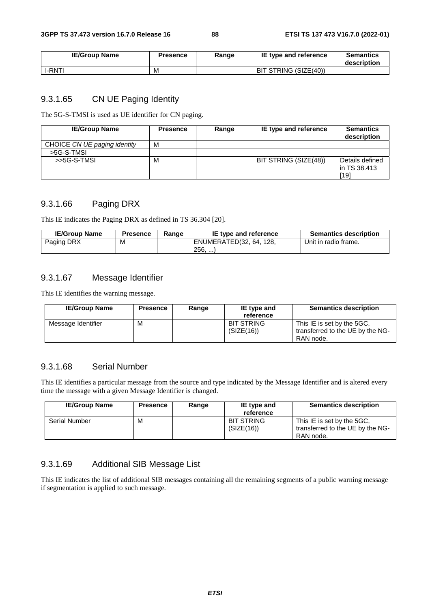| <b>IE/Group Name</b> | <b>Presence</b> | Range | IE type and reference | <b>Semantics</b><br>description |
|----------------------|-----------------|-------|-----------------------|---------------------------------|
| <b>I-RNT!</b>        | M               |       | BIT STRING (SIZE(40)) |                                 |

## 9.3.1.65 CN UE Paging Identity

The 5G-S-TMSI is used as UE identifier for CN paging.

| <b>IE/Group Name</b>         | <b>Presence</b> | Range | IE type and reference | <b>Semantics</b><br>description         |
|------------------------------|-----------------|-------|-----------------------|-----------------------------------------|
| CHOICE CN UE paging identity | M               |       |                       |                                         |
| >5G-S-TMSL                   |                 |       |                       |                                         |
| $>5G-S-TMSI$                 | М               |       | BIT STRING (SIZE(48)) | Details defined<br>in TS 38.413<br>[19] |

## 9.3.1.66 Paging DRX

This IE indicates the Paging DRX as defined in TS 36.304 [20].

| <b>IE/Group Name</b> | <b>Presence</b> | Range | IE type and reference   | <b>Semantics description</b> |
|----------------------|-----------------|-------|-------------------------|------------------------------|
| Paging DRX           | М               |       | ENUMERATED(32, 64, 128, | Unit in radio frame.         |
|                      |                 |       | 256,                    |                              |

#### 9.3.1.67 Message Identifier

This IE identifies the warning message.

| <b>IE/Group Name</b> | <b>Presence</b> | Range | IE type and<br>reference        | <b>Semantics description</b>                                                |
|----------------------|-----------------|-------|---------------------------------|-----------------------------------------------------------------------------|
| Message Identifier   | м               |       | <b>BIT STRING</b><br>(SIZE(16)) | This IE is set by the 5GC.<br>transferred to the UE by the NG-<br>RAN node. |

#### 9.3.1.68 Serial Number

This IE identifies a particular message from the source and type indicated by the Message Identifier and is altered every time the message with a given Message Identifier is changed.

| <b>IE/Group Name</b> | <b>Presence</b> | Range | IE type and<br>reference        | <b>Semantics description</b>                                                |
|----------------------|-----------------|-------|---------------------------------|-----------------------------------------------------------------------------|
| <b>Serial Number</b> | м               |       | <b>BIT STRING</b><br>(SIZE(16)) | This IE is set by the 5GC.<br>transferred to the UE by the NG-<br>RAN node. |

## 9.3.1.69 Additional SIB Message List

This IE indicates the list of additional SIB messages containing all the remaining segments of a public warning message if segmentation is applied to such message.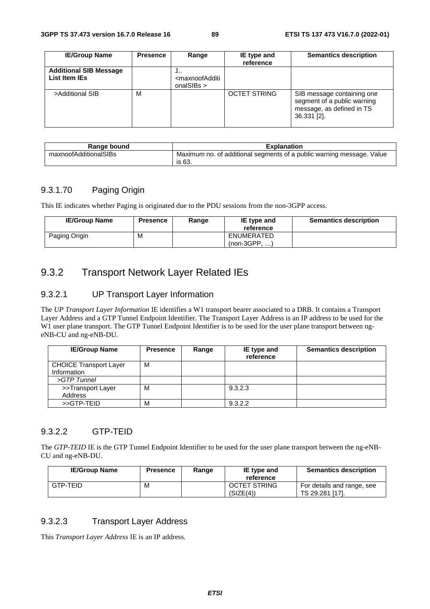| <b>IE/Group Name</b>                           | <b>Presence</b> | Range                                                               | IE type and<br>reference | <b>Semantics description</b>                                                                          |
|------------------------------------------------|-----------------|---------------------------------------------------------------------|--------------------------|-------------------------------------------------------------------------------------------------------|
| <b>Additional SIB Message</b><br>List Item IEs |                 | <br><maxnoofadditi<br>onalSIBs <math>&gt;</math></maxnoofadditi<br> |                          |                                                                                                       |
| >Additional SIB                                | M               |                                                                     | <b>OCTET STRING</b>      | SIB message containing one<br>segment of a public warning<br>message, as defined in TS<br>36.331 [2]. |

| Range bound           | <b>Explanation</b>                                                              |  |  |
|-----------------------|---------------------------------------------------------------------------------|--|--|
| maxnoofAdditionalSIBs | Maximum no. of additional segments of a public warning message. Value<br>is 63. |  |  |

## 9.3.1.70 Paging Origin

This IE indicates whether Paging is originated due to the PDU sessions from the non-3GPP access.

| <b>IE/Group Name</b> | Presence | Range | IE type and<br>reference     | <b>Semantics description</b> |
|----------------------|----------|-------|------------------------------|------------------------------|
| Paging Origin        | M        |       | ENUMERATED<br>$(non-3GPP, )$ |                              |

# 9.3.2 Transport Network Layer Related IEs

## 9.3.2.1 UP Transport Layer Information

The *UP Transport Layer Information* IE identifies a W1 transport bearer associated to a DRB. It contains a Transport Layer Address and a GTP Tunnel Endpoint Identifier. The Transport Layer Address is an IP address to be used for the W1 user plane transport. The GTP Tunnel Endpoint Identifier is to be used for the user plane transport between ngeNB-CU and ng-eNB-DU.

| <b>IE/Group Name</b>          | <b>Presence</b> | Range | IE type and<br>reference | <b>Semantics description</b> |
|-------------------------------|-----------------|-------|--------------------------|------------------------------|
| <b>CHOICE Transport Layer</b> | M               |       |                          |                              |
| Information                   |                 |       |                          |                              |
| $>GTP$ Tunnel                 |                 |       |                          |                              |
| >>Transport Layer             | м               |       | 9.3.2.3                  |                              |
| Address                       |                 |       |                          |                              |
| >>GTP-TEID                    | M               |       | 9.3.2.2                  |                              |

#### 9.3.2.2 GTP-TEID

The *GTP-TEID* IE is the GTP Tunnel Endpoint Identifier to be used for the user plane transport between the ng-eNB-CU and ng-eNB-DU.

| <b>IE/Group Name</b> | <b>Presence</b> | Range | IE type and<br>reference         | <b>Semantics description</b>                  |
|----------------------|-----------------|-------|----------------------------------|-----------------------------------------------|
| GTP-TEID             | М               |       | <b>OCTET STRING</b><br>(SIZE(4)) | For details and range, see<br>TS 29.281 [17]. |

#### 9.3.2.3 Transport Layer Address

This *Transport Layer Address* IE is an IP address.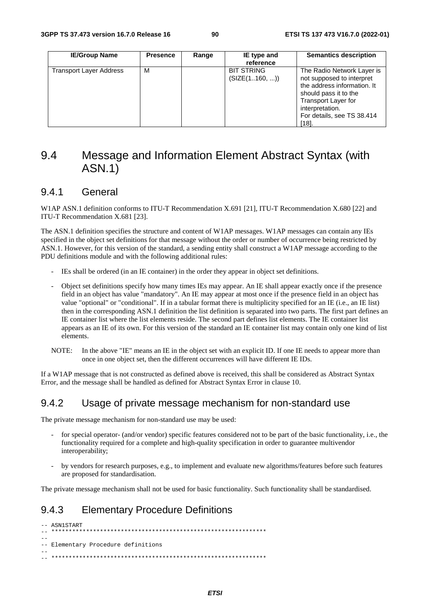| <b>IE/Group Name</b>           | <b>Presence</b> | Range | IE type and<br>reference           | <b>Semantics description</b>                                                                                                                                                                           |
|--------------------------------|-----------------|-------|------------------------------------|--------------------------------------------------------------------------------------------------------------------------------------------------------------------------------------------------------|
| <b>Transport Layer Address</b> | м               |       | <b>BIT STRING</b><br>(SIZE(1160, ) | The Radio Network Layer is<br>not supposed to interpret<br>the address information. It<br>should pass it to the<br><b>Transport Layer for</b><br>interpretation.<br>For details, see TS 38.414<br>[18] |

# 9.4 Message and Information Element Abstract Syntax (with ASN.1)

## 9.4.1 General

W1AP ASN.1 definition conforms to ITU-T Recommendation X.691 [21], ITU-T Recommendation X.680 [22] and ITU-T Recommendation X.681 [23].

The ASN.1 definition specifies the structure and content of W1AP messages. W1AP messages can contain any IEs specified in the object set definitions for that message without the order or number of occurrence being restricted by ASN.1. However, for this version of the standard, a sending entity shall construct a W1AP message according to the PDU definitions module and with the following additional rules:

- IEs shall be ordered (in an IE container) in the order they appear in object set definitions.
- Object set definitions specify how many times IEs may appear. An IE shall appear exactly once if the presence field in an object has value "mandatory". An IE may appear at most once if the presence field in an object has value "optional" or "conditional". If in a tabular format there is multiplicity specified for an IE (i.e., an IE list) then in the corresponding ASN.1 definition the list definition is separated into two parts. The first part defines an IE container list where the list elements reside. The second part defines list elements. The IE container list appears as an IE of its own. For this version of the standard an IE container list may contain only one kind of list elements.
- NOTE: In the above "IE" means an IE in the object set with an explicit ID. If one IE needs to appear more than once in one object set, then the different occurrences will have different IE IDs.

If a W1AP message that is not constructed as defined above is received, this shall be considered as Abstract Syntax Error, and the message shall be handled as defined for Abstract Syntax Error in clause 10.

## 9.4.2 Usage of private message mechanism for non-standard use

The private message mechanism for non-standard use may be used:

- for special operator- (and/or vendor) specific features considered not to be part of the basic functionality, i.e., the functionality required for a complete and high-quality specification in order to guarantee multivendor interoperability;
- by vendors for research purposes, e.g., to implement and evaluate new algorithms/features before such features are proposed for standardisation.

The private message mechanism shall not be used for basic functionality. Such functionality shall be standardised.

## 9.4.3 Elementary Procedure Definitions

```
-- ASN1START 
-- ************************************************************** 
-- 
-- Elementary Procedure definitions 
-- 
-- **************************************************************
```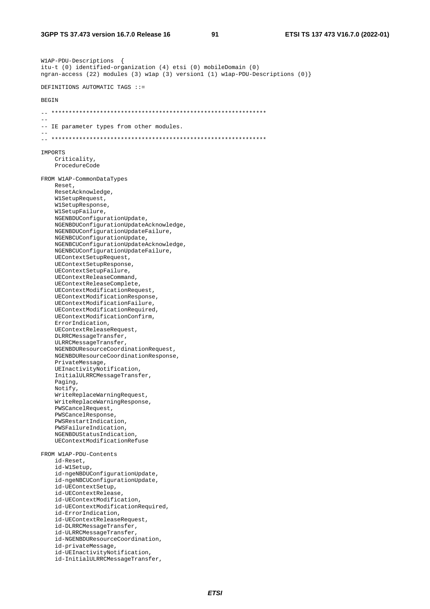W1AP-PDU-Descriptions { itu-t (0) identified-organization (4) etsi (0) mobileDomain (0) ngran-access (22) modules (3) w1ap (3) version1 (1) w1ap-PDU-Descriptions (0)} DEFINITIONS AUTOMATIC TAGS ::= BEGIN -- \*\*\*\*\*\*\*\*\*\*\*\*\*\*\*\*\*\*\*\*\*\*\*\*\*\*\*\*\*\*\*\*\*\*\*\*\*\*\*\*\*\*\*\*\*\*\*\*\*\*\*\*\*\*\*\*\*\*\*\*\*\* -- -- IE parameter types from other modules. -- -- \*\*\*\*\*\*\*\*\*\*\*\*\*\*\*\*\*\*\*\*\*\*\*\*\*\*\*\*\*\*\*\*\*\*\*\*\*\*\*\*\*\*\*\*\*\*\*\*\*\*\*\*\*\*\*\*\*\*\*\*\*\* IMPORTS Criticality, ProcedureCode FROM W1AP-CommonDataTypes Reset, ResetAcknowledge, W1SetupRequest, W1SetupResponse, W1SetupFailure, NGENBDUConfigurationUpdate, NGENBDUConfigurationUpdateAcknowledge, NGENBDUConfigurationUpdateFailure, NGENBCUConfigurationUpdate, NGENBCUConfigurationUpdateAcknowledge, NGENBCUConfigurationUpdateFailure, UEContextSetupRequest, UEContextSetupResponse, UEContextSetupFailure, UEContextReleaseCommand, UEContextReleaseComplete, UEContextModificationRequest, UEContextModificationResponse, UEContextModificationFailure, UEContextModificationRequired, UEContextModificationConfirm, ErrorIndication, UEContextReleaseRequest, DLRRCMessageTransfer, ULRRCMessageTransfer, NGENBDUResourceCoordinationRequest, NGENBDUResourceCoordinationResponse, PrivateMessage, UEInactivityNotification, InitialULRRCMessageTransfer, Paging, Notify, WriteReplaceWarningRequest, WriteReplaceWarningResponse, PWSCancelRequest, PWSCancelResponse, PWSRestartIndication, PWSFailureIndication, NGENBDUStatusIndication, UEContextModificationRefuse FROM W1AP-PDU-Contents id-Reset, id-W1Setup, id-ngeNBDUConfigurationUpdate, id-ngeNBCUConfigurationUpdate, id-UEContextSetup, id-UEContextRelease, id-UEContextModification, id-UEContextModificationRequired, id-ErrorIndication, id-UEContextReleaseRequest, id-DLRRCMessageTransfer, id-ULRRCMessageTransfer, id-NGENBDUResourceCoordination, id-privateMessage, id-UEInactivityNotification, id-InitialULRRCMessageTransfer,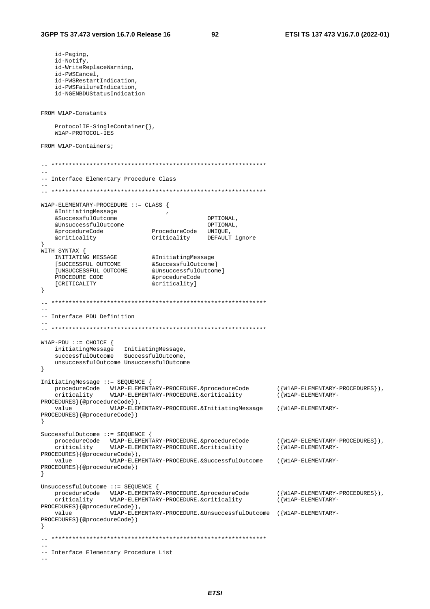```
 id-Paging, 
    id-Notify, 
    id-WriteReplaceWarning, 
    id-PWSCancel, 
    id-PWSRestartIndication, 
    id-PWSFailureIndication, 
    id-NGENBDUStatusIndication 
FROM W1AP-Constants 
    ProtocolIE-SingleContainer{}, 
    W1AP-PROTOCOL-IES 
FROM W1AP-Containers; 
\mathbf{1}--- Interface Elementary Procedure Class 
-- 
-- ************************************************************** 
W1AP-ELEMENTARY-PROCEDURE ::= CLASS { 
    &InitiatingMessage , 
 &SuccessfulOutcome OPTIONAL, 
 &UnsuccessfulOutcome OPTIONAL, 
 &procedureCode ProcedureCode UNIQUE, 
 &criticality Criticality DEFAULT ignore 
} 
WITH SYNTAX { 
 INITIATING MESSAGE &InitiatingMessage 
 [SUCCESSFUL OUTCOME &SuccessfulOutcome] 
 [UNSUCCESSFUL OUTCOME &UnsuccessfulOutcome] 
PROCEDURE CODE 6 & <sub>forocedureCode</sub>
   [CRITICALITY \&criticality]
} 
\hspace{1.3cm} - \hspace{1.3cm} - \hspace{1.3cm}-- 
-- Interface PDU Definition 
-- 
-- ************************************************************** 
W1AP-PDU ::= CHOICE { 
 initiatingMessage InitiatingMessage, 
 successfulOutcome SuccessfulOutcome, 
    unsuccessfulOutcome UnsuccessfulOutcome 
} 
InitiatingMessage ::= SEQUENCE { 
 procedureCode W1AP-ELEMENTARY-PROCEDURE.&procedureCode ({W1AP-ELEMENTARY-PROCEDURES}), 
 criticality W1AP-ELEMENTARY-PROCEDURE.&criticality ({W1AP-ELEMENTARY-
PROCEDURES}{@procedureCode}), 
            value W1AP-ELEMENTARY-PROCEDURE.&InitiatingMessage ({W1AP-ELEMENTARY-
PROCEDURES}{@procedureCode}) 
} 
SuccessfulOutcome ::= SEQUENCE { 
 procedureCode W1AP-ELEMENTARY-PROCEDURE.&procedureCode ({W1AP-ELEMENTARY-PROCEDURES}), 
 criticality W1AP-ELEMENTARY-PROCEDURE.&criticality ({W1AP-ELEMENTARY-
PROCEDURES}{@procedureCode}), 
    value W1AP-ELEMENTARY-PROCEDURE.&SuccessfulOutcome ({W1AP-ELEMENTARY-
PROCEDURES}{@procedureCode}) 
} 
UnsuccessfulOutcome ::= SEQUENCE { 
 procedureCode W1AP-ELEMENTARY-PROCEDURE.&procedureCode ({W1AP-ELEMENTARY-PROCEDURES}), 
 criticality W1AP-ELEMENTARY-PROCEDURE.&criticality ({W1AP-ELEMENTARY-
PROCEDURES}{@procedureCode}), 
    value W1AP-ELEMENTARY-PROCEDURE.&UnsuccessfulOutcome ({W1AP-ELEMENTARY-
PROCEDURES}{@procedureCode}) 
} 
-- ************************************************************** 
-- 
-- Interface Elementary Procedure List 
--
```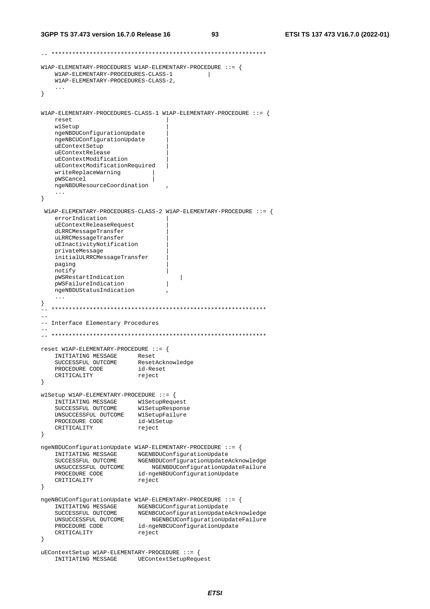```
-- ************************************************************** 
W1AP-ELEMENTARY-PROCEDURES W1AP-ELEMENTARY-PROCEDURE ::= { 
    W1AP-ELEMENTARY-PROCEDURES-CLASS-1 | 
    W1AP-ELEMENTARY-PROCEDURES-CLASS-2, 
     ... 
} 
W1AP-ELEMENTARY-PROCEDURES-CLASS-1 W1AP-ELEMENTARY-PROCEDURE ::= { 
    reset | 
    w1Setup | 
    ngeNBDUConfigurationUpdate | 
    ngeNBCUConfigurationUpdate | 
    uEContextSetup | 
    uEContextRelease | 
    uEContextModification | 
    uEContextModificationRequired | 
    writeReplaceWarning | 
    pWSCancel | 
    ngeNBDUResourceCoordination , 
    ... 
} 
  W1AP-ELEMENTARY-PROCEDURES-CLASS-2 W1AP-ELEMENTARY-PROCEDURE ::= { 
    errorIndication | 
    uEContextReleaseRequest | 
    dLRRCMessageTransfer | 
    uLRRCMessageTransfer | 
    uEInactivityNotification | 
    privateMessage | 
    initialULRRCMessageTransfer | 
   paging
    notify | 
    pWSRestartIndication | 
    pWSFailureIndication | 
    ngeNBDUStatusIndication , 
    ... 
} 
 -- ************************************************************** 
-- 
-- Interface Elementary Procedures 
-- 
-- ************************************************************** 
reset W1AP-ELEMENTARY-PROCEDURE ::= { 
    INITIATING MESSAGE Reset 
 SUCCESSFUL OUTCOME ResetAcknowledge 
 PROCEDURE CODE id-Reset 
CRITICALITY reject
} 
w1Setup W1AP-ELEMENTARY-PROCEDURE ::= { 
 INITIATING MESSAGE W1SetupRequest 
 SUCCESSFUL OUTCOME W1SetupResponse 
 UNSUCCESSFUL OUTCOME W1SetupFailure 
 PROCEDURE CODE id-W1Setup 
   PROCEDURE CODE id-W1S<br>CRITICALITY reject
} 
ngeNBDUConfigurationUpdate W1AP-ELEMENTARY-PROCEDURE ::= { 
 INITIATING MESSAGE NGENBDUConfigurationUpdate 
 SUCCESSFUL OUTCOME NGENBDUConfigurationUpdateAcknowledge 
 UNSUCCESSFUL OUTCOME NGENBDUConfigurationUpdateFailure 
PROCEDURE CODE id-ngeNBDUConfigurationUpdate
CRITICALITY reject
} 
ngeNBCUConfigurationUpdate W1AP-ELEMENTARY-PROCEDURE ::= { 
 INITIATING MESSAGE NGENBCUConfigurationUpdate 
 SUCCESSFUL OUTCOME NGENBCUConfigurationUpdateAcknowledge 
 UNSUCCESSFUL OUTCOME NGENBCUConfigurationUpdateFailure 
 PROCEDURE CODE id-ngeNBCUConfigurationUpdate 
CRITICALITY reject
} 
uEContextSetup W1AP-ELEMENTARY-PROCEDURE ::= { 
    INITIATING MESSAGE UEContextSetupRequest
```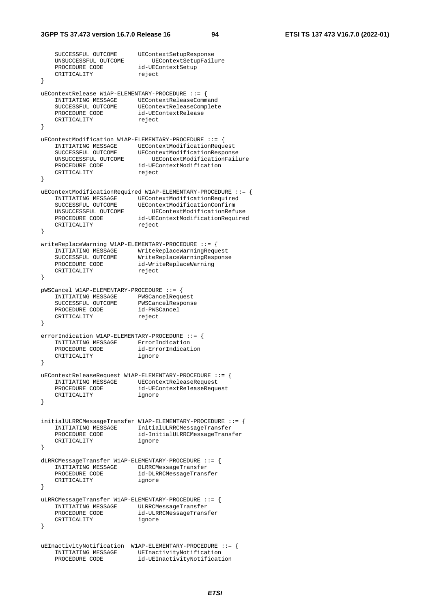```
SUCCESSFUL OUTCOME UEContextSetupResponse
    UNSUCCESSFUL OUTCOME UEContextSetupFailure 
 PROCEDURE CODE id-UEContextSetup 
CRITICALITY reject
} 
uEContextRelease W1AP-ELEMENTARY-PROCEDURE ::= { 
 INITIATING MESSAGE UEContextReleaseCommand 
 SUCCESSFUL OUTCOME UEContextReleaseComplete 
 PROCEDURE CODE id-UEContextRelease 
CRITICALITY reject
} 
uEContextModification W1AP-ELEMENTARY-PROCEDURE ::= { 
 INITIATING MESSAGE UEContextModificationRequest 
 SUCCESSFUL OUTCOME UEContextModificationResponse 
 UNSUCCESSFUL OUTCOME UEContextModificationFailure 
 PROCEDURE CODE id-UEContextModification 
CRITICALITY reject
} 
uEContextModificationRequired W1AP-ELEMENTARY-PROCEDURE ::= { 
   INITIATING MESSAGE UEContextModificationRequired<br>SUCCESSFUL OUTCOME UEContextModificationConfirm
 SUCCESSFUL OUTCOME UEContextModificationConfirm 
 UNSUCCESSFUL OUTCOME UEContextModificationRefuse 
 PROCEDURE CODE id-UEContextModificationRequired 
CRITICALITY reject
} 
writeReplaceWarning W1AP-ELEMENTARY-PROCEDURE ::= { 
 INITIATING MESSAGE WriteReplaceWarningRequest 
 SUCCESSFUL OUTCOME WriteReplaceWarningResponse 
 PROCEDURE CODE id-WriteReplaceWarning 
CRITICALITY reject
} 
pWSCancel W1AP-ELEMENTARY-PROCEDURE ::= { 
 INITIATING MESSAGE PWSCancelRequest 
 SUCCESSFUL OUTCOME PWSCancelResponse 
 PROCEDURE CODE id-PWSCancel 
CRITICALITY reject
} 
errorIndication W1AP-ELEMENTARY-PROCEDURE ::= { 
   INITIATING MESSAGE ErrorIndication<br>PROCEDURE CODE id-ErrorIndication
   PROCEDURE CODE
    CRITICALITY ignore 
} 
uEContextReleaseRequest W1AP-ELEMENTARY-PROCEDURE ::= { 
    INITIATING MESSAGE UEContextReleaseRequest 
 PROCEDURE CODE id-UEContextReleaseRequest 
CRITICALITY ignore
} 
initialULRRCMessageTransfer W1AP-ELEMENTARY-PROCEDURE ::= { 
    INITIATING MESSAGE InitialULRRCMessageTransfer 
 PROCEDURE CODE id-InitialULRRCMessageTransfer 
 CRITICALITY ignore 
} 
dLRRCMessageTransfer W1AP-ELEMENTARY-PROCEDURE ::= { 
    INITIATING MESSAGE DLRRCMessageTransfer 
                        id-DLRRCMessageTransfer
    CRITICALITY ignore 
} 
uLRRCMessageTransfer W1AP-ELEMENTARY-PROCEDURE ::= { 
    INITIATING MESSAGE ULRRCMessageTransfer 
                        id-ULRRCMessageTransfer
    CRITICALITY ignore 
} 
uEInactivityNotification W1AP-ELEMENTARY-PROCEDURE ::= { 
   INITIATING MESSAGE UEInactivityNotification
    PROCEDURE CODE id-UEInactivityNotification
```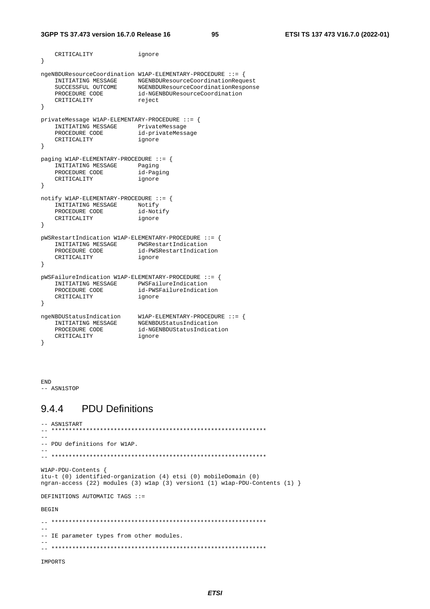```
 CRITICALITY ignore 
} 
ngeNBDUResourceCoordination W1AP-ELEMENTARY-PROCEDURE ::= { 
 INITIATING MESSAGE NGENBDUResourceCoordinationRequest 
 SUCCESSFUL OUTCOME NGENBDUResourceCoordinationResponse 
 PROCEDURE CODE id-NGENBDUResourceCoordination 
CRITICALITY reject
} 
privateMessage W1AP-ELEMENTARY-PROCEDURE ::= { 
   INITIATING MESSAGE PrivateMessage
   PROCEDURE CODE id-privateMessage
    CRITICALITY ignore 
} 
paging W1AP-ELEMENTARY-PROCEDURE ::= { 
   INITIATING MESSAGE Paging<br>PROCEDURE CODE id-Paging
   PROCEDURE CODE id-Paging id-Paging CRITICALITY
   CRITICALITY
} 
notify W1AP-ELEMENTARY-PROCEDURE ::= { 
    INITIATING MESSAGE Notify 
   PROCEDURE CODE id-Notify
    CRITICALITY ignore 
} 
pWSRestartIndication W1AP-ELEMENTARY-PROCEDURE ::= { 
    INITIATING MESSAGE PWSRestartIndication 
 PROCEDURE CODE id-PWSRestartIndication 
 CRITICALITY ignore 
} 
pWSFailureIndication W1AP-ELEMENTARY-PROCEDURE ::= { 
   INITIATING MESSAGE PWSFailureIndication
   PROCEDURE CODE id-PWSFailureIndication<br>CRITICALITY ignore
   INITIATING THEORICE<br>PROCEDURE CODE id-PWS<br>CRITICALITY ignore
} 
ngeNBDUStatusIndication W1AP-ELEMENTARY-PROCEDURE ::= { 
 INITIATING MESSAGE NGENBDUStatusIndication 
 PROCEDURE CODE id-NGENBDUStatusIndication 
 CRITICALITY ignore 
}
```
END  $--$  ASN1STOP

# 9.4.4 PDU Definitions

```
-- ASN1START 
-- ************************************************************** 
--- PDU definitions for W1AP. 
-- 
-- ************************************************************** 
W1AP-PDU-Contents { 
itu-t (0) identified-organization (4) etsi (0) mobileDomain (0) 
ngran-access (22) modules (3) w1ap (3) version1 (1) w1ap-PDU-Contents (1) } 
DEFINITIONS AUTOMATIC TAGS ::= 
BEGIN 
\hspace{1.3cm} - \hspace{1.3cm} - \hspace{1.3cm}--- IE parameter types from other modules. 
-- 
-- ************************************************************** 
IMPORTS
```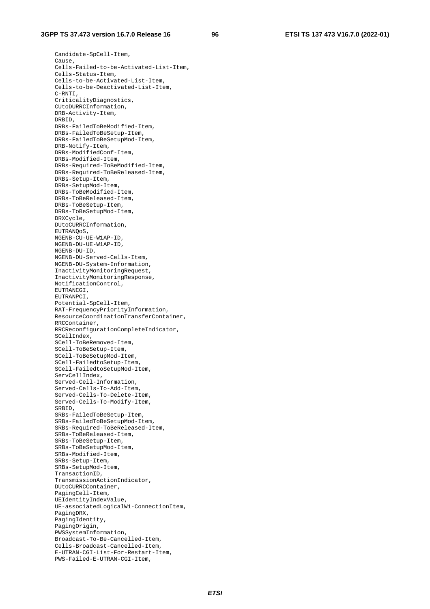Candidate-SpCell-Item, Cause, Cells-Failed-to-be-Activated-List-Item, Cells-Status-Item, Cells-to-be-Activated-List-Item, Cells-to-be-Deactivated-List-Item, C-RNTI, CriticalityDiagnostics, CUtoDURRCInformation, DRB-Activity-Item, DRBID, DRBs-FailedToBeModified-Item, DRBs-FailedToBeSetup-Item, DRBs-FailedToBeSetupMod-Item, DRB-Notify-Item, DRBs-ModifiedConf-Item, DRBs-Modified-Item, DRBs-Required-ToBeModified-Item, DRBs-Required-ToBeReleased-Item, DRBs-Setup-Item, DRBs-SetupMod-Item, DRBs-ToBeModified-Item, DRBs-ToBeReleased-Item, DRBs-ToBeSetup-Item, DRBs-ToBeSetupMod-Item, DRXCycle, DUtoCURRCInformation, EUTRANQoS, NGENB-CU-UE-W1AP-ID, NGENB-DU-UE-W1AP-ID, NGENB-DU-ID, NGENB-DU-Served-Cells-Item, NGENB-DU-System-Information, InactivityMonitoringRequest, InactivityMonitoringResponse, NotificationControl, EUTRANCGI, EUTRANPCI, Potential-SpCell-Item, RAT-FrequencyPriorityInformation, ResourceCoordinationTransferContainer, RRCContainer, RRCReconfigurationCompleteIndicator, SCellIndex, SCell-ToBeRemoved-Item, SCell-ToBeSetup-Item, SCell-ToBeSetupMod-Item, SCell-FailedtoSetup-Item, SCell-FailedtoSetupMod-Item, ServCellIndex, Served-Cell-Information, Served-Cells-To-Add-Item, Served-Cells-To-Delete-Item, Served-Cells-To-Modify-Item, SRBID, SRBs-FailedToBeSetup-Item, SRBs-FailedToBeSetupMod-Item, SRBs-Required-ToBeReleased-Item, SRBs-ToBeReleased-Item, SRBs-ToBeSetup-Item, SRBs-ToBeSetupMod-Item, SRBs-Modified-Item, SRBs-Setup-Item, SRBs-SetupMod-Item, TransactionID. TransmissionActionIndicator, DUtoCURRCContainer, PagingCell-Item, UEIdentityIndexValue, UE-associatedLogicalW1-ConnectionItem, PagingDRX, PagingIdentity, PagingOrigin, PWSSystemInformation, Broadcast-To-Be-Cancelled-Item, Cells-Broadcast-Cancelled-Item, E-UTRAN-CGI-List-For-Restart-Item, PWS-Failed-E-UTRAN-CGI-Item,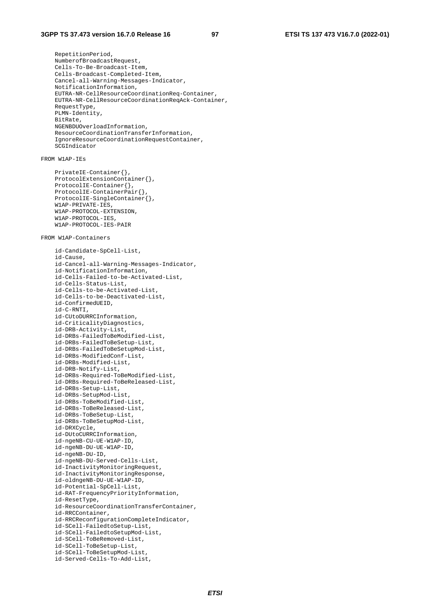RepetitionPeriod, NumberofBroadcastRequest, Cells-To-Be-Broadcast-Item, Cells-Broadcast-Completed-Item, Cancel-all-Warning-Messages-Indicator, NotificationInformation, EUTRA-NR-CellResourceCoordinationReq-Container, EUTRA-NR-CellResourceCoordinationReqAck-Container, RequestType, PLMN-Identity, BitRate, NGENBDUOverloadInformation, ResourceCoordinationTransferInformation, IgnoreResourceCoordinationRequestContainer, SCGIndicator

#### FROM W1AP-IEs

```
 PrivateIE-Container{}, 
 ProtocolExtensionContainer{}, 
 ProtocolIE-Container{}, 
 ProtocolIE-ContainerPair{}, 
 ProtocolIE-SingleContainer{}, 
 W1AP-PRIVATE-IES, 
 W1AP-PROTOCOL-EXTENSION, 
 W1AP-PROTOCOL-IES, 
 W1AP-PROTOCOL-IES-PAIR
```
#### FROM W1AP-Containers

 id-Candidate-SpCell-List, id-Cause, id-Cancel-all-Warning-Messages-Indicator, id-NotificationInformation, id-Cells-Failed-to-be-Activated-List, id-Cells-Status-List, id-Cells-to-be-Activated-List, id-Cells-to-be-Deactivated-List, id-ConfirmedUEID, id-C-RNTI, id-CUtoDURRCInformation, id-CriticalityDiagnostics, id-DRB-Activity-List, id-DRBs-FailedToBeModified-List, id-DRBs-FailedToBeSetup-List, id-DRBs-FailedToBeSetupMod-List, id-DRBs-ModifiedConf-List, id-DRBs-Modified-List, id-DRB-Notify-List, id-DRBs-Required-ToBeModified-List, id-DRBs-Required-ToBeReleased-List, id-DRBs-Setup-List, id-DRBs-SetupMod-List, id-DRBs-ToBeModified-List, id-DRBs-ToBeReleased-List, id-DRBs-ToBeSetup-List, id-DRBs-ToBeSetupMod-List, id-DRXCycle, id-DUtoCURRCInformation, id-ngeNB-CU-UE-W1AP-ID, id-ngeNB-DU-UE-W1AP-ID, id-ngeNB-DU-ID, id-ngeNB-DU-Served-Cells-List, id-InactivityMonitoringRequest, id-InactivityMonitoringResponse, id-oldngeNB-DU-UE-W1AP-ID, id-Potential-SpCell-List, id-RAT-FrequencyPriorityInformation, id-ResetType, id-ResourceCoordinationTransferContainer, id-RRCContainer, id-RRCReconfigurationCompleteIndicator, id-SCell-FailedtoSetup-List, id-SCell-FailedtoSetupMod-List, id-SCell-ToBeRemoved-List, id-SCell-ToBeSetup-List, id-SCell-ToBeSetupMod-List, id-Served-Cells-To-Add-List,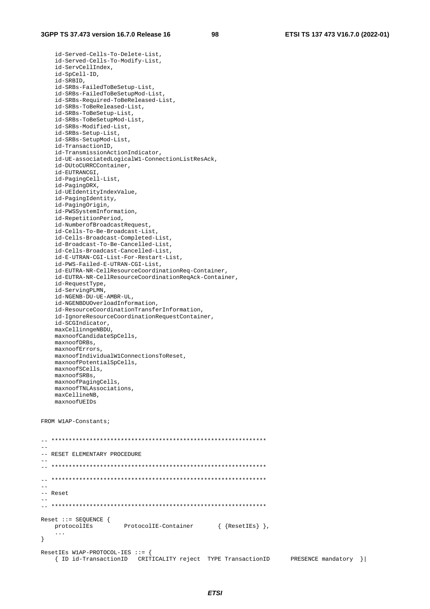id-Served-Cells-To-Delete-List, id-Served-Cells-To-Modify-List, id-ServCellIndex, id-SpCell-ID, id-SRBID, id-SRBs-FailedToBeSetup-List, id-SRBs-FailedToBeSetupMod-List, id-SRBs-Required-ToBeReleased-List, id-SRBs-ToBeReleased-List, id-SRBs-ToBeSetup-List, id-SRBs-ToBeSetupMod-List, id-SRBs-Modified-List, id-SRBs-Setup-List, id-SRBs-SetupMod-List, id-TransactionID, id-TransmissionActionIndicator, id-UE-associatedLogicalW1-ConnectionListResAck, id-DUtoCURRCContainer, id-EUTRANCGI, id-PagingCell-List, id-PagingDRX, id-UEIdentityIndexValue, id-PagingIdentity, id-PagingOrigin, id-PWSSystemInformation, id-RepetitionPeriod, id-NumberofBroadcastRequest, id-Cells-To-Be-Broadcast-List, id-Cells-Broadcast-Completed-List, id-Broadcast-To-Be-Cancelled-List, id-Cells-Broadcast-Cancelled-List, id-E-UTRAN-CGI-List-For-Restart-List, id-PWS-Failed-E-UTRAN-CGI-List, id-EUTRA-NR-CellResourceCoordinationReq-Container, id-EUTRA-NR-CellResourceCoordinationReqAck-Container, id-RequestType, id-ServingPLMN, id-NGENB-DU-UE-AMBR-UL, id-NGENBDUOverloadInformation, id-ResourceCoordinationTransferInformation, id-IgnoreResourceCoordinationRequestContainer, id-SCGIndicator, maxCellinngeNBDU, maxnoofCandidateSpCells, maxnoofDRBs, maxnoofErrors, maxnoofIndividualW1ConnectionsToReset, maxnoofPotentialSpCells, maxnoofSCells, maxnoofSRBs, maxnoofPagingCells, maxnoofTNLAssociations, maxCellineNB, maxnoofUEIDs

FROM W1AP-Constants;

-- \*\*\*\*\*\*\*\*\*\*\*\*\*\*\*\*\*\*\*\*\*\*\*\*\*\*\*\*\*\*\*\*\*\*\*\*\*\*\*\*\*\*\*\*\*\*\*\*\*\*\*\*\*\*\*\*\*\*\*\*\*\*  $-$ -- RESET ELEMENTARY PROCEDURE -- -- \*\*\*\*\*\*\*\*\*\*\*\*\*\*\*\*\*\*\*\*\*\*\*\*\*\*\*\*\*\*\*\*\*\*\*\*\*\*\*\*\*\*\*\*\*\*\*\*\*\*\*\*\*\*\*\*\*\*\*\*\*\* -- \*\*\*\*\*\*\*\*\*\*\*\*\*\*\*\*\*\*\*\*\*\*\*\*\*\*\*\*\*\*\*\*\*\*\*\*\*\*\*\*\*\*\*\*\*\*\*\*\*\*\*\*\*\*\*\*\*\*\*\*\*\* -- -- Reset -- -- \*\*\*\*\*\*\*\*\*\*\*\*\*\*\*\*\*\*\*\*\*\*\*\*\*\*\*\*\*\*\*\*\*\*\*\*\*\*\*\*\*\*\*\*\*\*\*\*\*\*\*\*\*\*\*\*\*\*\*\*\*\* Reset ::= SEQUENCE { protocolIEs ProtocolIE-Container { {ResetIEs} }, ... } ResetIEs W1AP-PROTOCOL-IES ::= { { ID id-TransactionID CRITICALITY reject TYPE TransactionID PRESENCE mandatory }|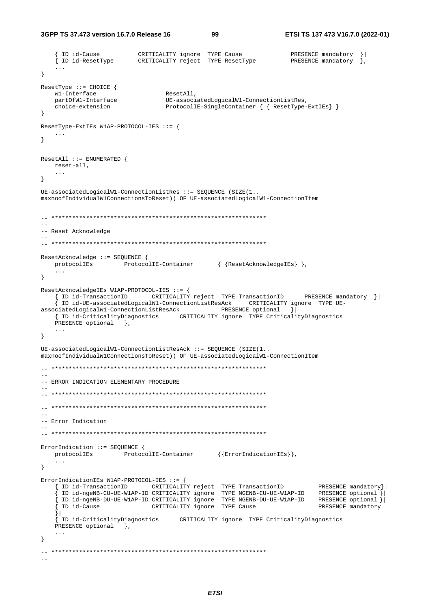**3GPP TS 37.473 version 16.7.0 Release 16 99 ETSI TS 137 473 V16.7.0 (2022-01)**

```
 { ID id-Cause CRITICALITY ignore TYPE Cause PRESENCE mandatory }| 
 { ID id-ResetType CRITICALITY reject TYPE ResetType PRESENCE mandatory }, 
     ... 
} 
ResetType ::= CHOICE { 
   w1-Interface ResetAll,<br>
nart0fW1-Interface IIE-associ
                                   partOfW1-Interface UE-associatedLogicalW1-ConnectionListRes, 
   choice-extension ProtocolIE-SingleContainer { { ResetType-ExtIEs} }
} 
ResetType-ExtIEs W1AP-PROTOCOL-IES ::= { 
   ... 
} 
ResetAll ::= ENUMERATED { 
    reset-all, 
    ... 
} 
UE-associatedLogicalW1-ConnectionListRes ::= SEQUENCE (SIZE(1.. 
maxnoofIndividualW1ConnectionsToReset)) OF UE-associatedLogicalW1-ConnectionItem 
-- ************************************************************** 
-- 
-- Reset Acknowledge 
-- 
-- ************************************************************** 
ResetAcknowledge ::= SEQUENCE { 
   protocolIEs ProtocolIE-Container { {ResetAcknowledgeIEs} }, 
     ... 
} 
ResetAcknowledgeIEs W1AP-PROTOCOL-IES ::= { 
    { ID id-TransactionID CRITICALITY reject TYPE TransactionID PRESENCE mandatory }| 
     { ID id-UE-associatedLogicalW1-ConnectionListResAck CRITICALITY ignore TYPE UE-
associatedLogicalW1-ConnectionListResAck PRESENCE optional \sqrt{ } { ID id-CriticalityDiagnostics CRITICALITY ignore TYPE CriticalityDiagnostics 
   PRESENCE optional },
    ... 
} 
UE-associatedLogicalW1-ConnectionListResAck ::= SEQUENCE (SIZE(1.. 
maxnoofIndividualW1ConnectionsToReset)) OF UE-associatedLogicalW1-ConnectionItem 
-- ************************************************************** 
-- 
-- ERROR INDICATION ELEMENTARY PROCEDURE 
-- 
-- ************************************************************** 
-- ************************************************************** 
--- Error Indication 
-- 
-- ************************************************************** 
ErrorIndication ::= SEQUENCE { 
   protocolIEs ProtocolIE-Container \{\{\text{ErrorIndicationIES}\}\}\, ... 
} 
ErrorIndicationIEs W1AP-PROTOCOL-IES ::= { 
 { ID id-TransactionID CRITICALITY reject TYPE TransactionID PRESENCE mandatory}| 
 { ID id-ngeNB-CU-UE-W1AP-ID CRITICALITY ignore TYPE NGENB-CU-UE-W1AP-ID PRESENCE optional }| 
 { ID id-ngeNB-DU-UE-W1AP-ID CRITICALITY ignore TYPE NGENB-DU-UE-W1AP-ID PRESENCE optional }| 
 { ID id-Cause CRITICALITY ignore TYPE Cause PRESENCE mandatory
     }| 
     { ID id-CriticalityDiagnostics CRITICALITY ignore TYPE CriticalityDiagnostics 
   PRESENCE optional },
 ... 
} 
-- ************************************************************** 
--
```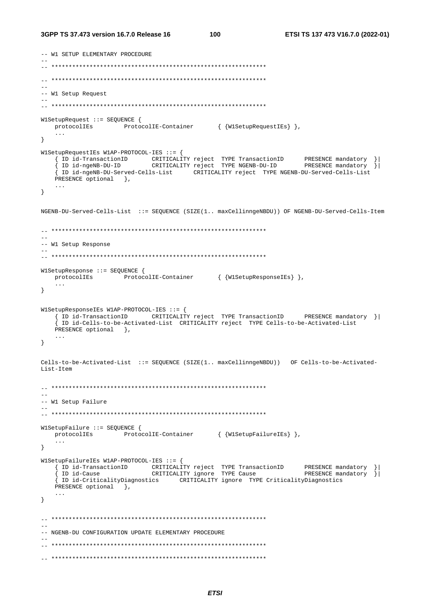```
-- W1 SETUP ELEMENTARY PROCEDURE 
-- 
-- ************************************************************** 
\hspace{1.3cm} - \hspace{1.3cm} - \hspace{1.3cm}-- 
-- W1 Setup Request 
-- 
-- ************************************************************** 
W1SetupRequest ::= SEQUENCE { 
   protocolIEs ProtocolIE-Container { {W1SetupRequestIEs} },
    ... 
} 
W1SetupRequestIEs W1AP-PROTOCOL-IES ::= { 
 { ID id-TransactionID CRITICALITY reject TYPE TransactionID PRESENCE mandatory }| 
 { ID id-ngeNB-DU-ID CRITICALITY reject TYPE NGENB-DU-ID PRESENCE mandatory }| 
     { ID id-ngeNB-DU-Served-Cells-List CRITICALITY reject TYPE NGENB-DU-Served-Cells-List
   PRESENCE optional },
    ... 
} 
NGENB-DU-Served-Cells-List ::= SEQUENCE (SIZE(1.. maxCellinngeNBDU)) OF NGENB-DU-Served-Cells-Item 
-- ************************************************************** 
-- 
-- W1 Setup Response 
-- 
-- ************************************************************** 
W1SetupResponse ::= SEQUENCE { 
   protocolIEs ProtocolIE-Container { {W1SetupResponseIEs} },
    ... 
} 
W1SetupResponseIEs W1AP-PROTOCOL-IES ::= { 
    { ID id-TransactionID CRITICALITY reject TYPE TransactionID PRESENCE mandatory }| 
     { ID id-Cells-to-be-Activated-List CRITICALITY reject TYPE Cells-to-be-Activated-List 
   PRESENCE optional },
    ... 
} 
Cells-to-be-Activated-List ::= SEQUENCE (SIZE(1.. maxCellinngeNBDU)) OF Cells-to-be-Activated-
List-Item 
\mathbf{1}-- 
-- W1 Setup Failure 
-- 
-- ************************************************************** 
W1SetupFailure ::= SEQUENCE { 
   protocolIEs ProtocolIE-Container { {W1SetupFailureIEs} },
    ... 
} 
W1SetupFailureIEs W1AP-PROTOCOL-IES ::= { 
 { ID id-TransactionID CRITICALITY reject TYPE TransactionID PRESENCE mandatory }| 
 { ID id-Cause CRITICALITY ignore TYPE Cause PRESENCE mandatory }| 
     { ID id-CriticalityDiagnostics CRITICALITY ignore TYPE CriticalityDiagnostics 
   PRESENCE optional },
    ... 
} 
-- ************************************************************** 
-- 
-- NGENB-DU CONFIGURATION UPDATE ELEMENTARY PROCEDURE 
-- 
-- ************************************************************** 
-- **************************************************************
```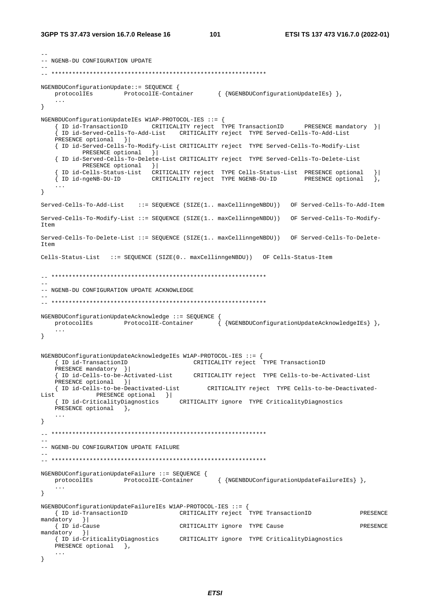--

```
-- NGENB-DU CONFIGURATION UPDATE 
-- 
-- ************************************************************** 
NGENBDUConfigurationUpdate::= SEQUENCE { 
   protocolIEs ProtocolIE-Container { {NGENBDUConfigurationUpdateIEs} },
    ... 
} 
NGENBDUConfigurationUpdateIEs W1AP-PROTOCOL-IES ::= { 
     { ID id-TransactionID CRITICALITY reject TYPE TransactionID PRESENCE mandatory }| 
     { ID id-Served-Cells-To-Add-List CRITICALITY reject TYPE Served-Cells-To-Add-List 
    PRESENCE optional }| 
    { ID id-Served-Cells-To-Modify-List CRITICALITY reject TYPE Served-Cells-To-Modify-List 
          PRESENCE optional }|
    { ID id-Served-Cells-To-Delete-List CRITICALITY reject TYPE Served-Cells-To-Delete-List 
           PRESENCE optional } |
     { ID id-Cells-Status-List CRITICALITY reject TYPE Cells-Status-List PRESENCE optional }| 
     { ID id-ngeNB-DU-ID CRITICALITY reject TYPE NGENB-DU-ID PRESENCE optional }, 
     ... 
} 
Served-Cells-To-Add-List ::= SEQUENCE (SIZE(1.. maxCellinngeNBDU)) OF Served-Cells-To-Add-Item 
Served-Cells-To-Modify-List ::= SEQUENCE (SIZE(1.. maxCellinngeNBDU)) OF Served-Cells-To-Modify-
Item 
Served-Cells-To-Delete-List ::= SEQUENCE (SIZE(1.. maxCellinngeNBDU)) OF Served-Cells-To-Delete-
T \uparrow \sim mCells-Status-List ::= SEQUENCE (SIZE(0.. maxCellinngeNBDU)) OF Cells-Status-Item 
\hspace{1.3cm} - \hspace{1.3cm} - \hspace{1.3cm}-- 
-- NGENB-DU CONFIGURATION UPDATE ACKNOWLEDGE 
-- 
-- ************************************************************** 
NGENBDUConfigurationUpdateAcknowledge ::= SEQUENCE { 
   protocolIEs ProtocolIE-Container { {NGENBDUConfigurationUpdateAcknowledgeIEs} },
     ... 
} 
NGENBDUConfigurationUpdateAcknowledgeIEs W1AP-PROTOCOL-IES ::= { 
    { ID id-TransactionID CRITICALITY reject TYPE TransactionID 
   PRESENCE mandatory } |
    { ID id-Cells-to-be-Activated-List CRITICALITY reject TYPE Cells-to-be-Activated-List 
    PRESENCE optional }| 
                                             CRITICALITY reject TYPE Cells-to-be-Deactivated-
List PRESENCE optional } |<br>{ ID id-CriticalityDiagnostics
                                      { ID id-CriticalityDiagnostics CRITICALITY ignore TYPE CriticalityDiagnostics 
   PRESENCE optional },
    ... 
} 
-- ************************************************************** 
-- 
-- NGENB-DU CONFIGURATION UPDATE FAILURE 
-- 
-- ************************************************************** 
NGENBDUConfigurationUpdateFailure ::= SEQUENCE { 
                     ProtocolIE-Container { {NGENBDUConfigurationUpdateFailureIEs} },
    ... 
} 
NGENBDUConfigurationUpdateFailureIEs W1AP-PROTOCOL-IES ::= { 
    { ID id-TransactionID CRITICALITY reject TYPE TransactionID PRESENCE 
mandatory }| 
   { ID id-Cause CRITICALITY ignore TYPE Cause PRESENCE 
mandatory }| 
    { ID id-CriticalityDiagnostics CRITICALITY ignore TYPE CriticalityDiagnostics 
   PRESENCE optional },
    ... 
}
```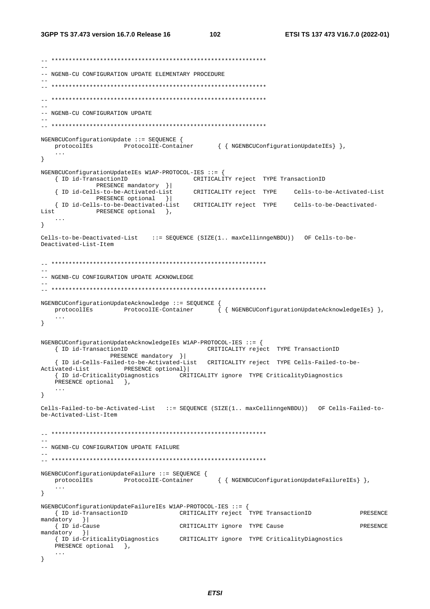```
-- ************************************************************** 
-- 
-- NGENB-CU CONFIGURATION UPDATE ELEMENTARY PROCEDURE 
-- 
-- ************************************************************** 
-- ************************************************************** 
\sim-- NGENB-CU CONFIGURATION UPDATE 
-- 
-- ************************************************************** 
NGENBCUConfigurationUpdate ::= SEQUENCE { 
   protocolIEs ProtocolIE-Container { { NGENBCUConfigurationUpdateIEs} },
    ... 
} 
NGENBCUConfigurationUpdateIEs W1AP-PROTOCOL-IES ::= { 
                                      { ID id-TransactionID CRITICALITY reject TYPE TransactionID 
               PRESENCE mandatory }| 
    { ID id-Cells-to-be-Activated-List CRITICALITY reject TYPE Cells-to-be-Activated-List
              PRESENCE optional } |
    { ID id-Cells-to-be-Deactivated-List CRITICALITY reject TYPE Cells-to-be-Deactivated-
List PRESENCE optional },
 ... 
} 
Cells-to-be-Deactivated-List ::= SEQUENCE (SIZE(1.. maxCellinngeNBDU)) OF Cells-to-be-
Deactivated-List-Item 
-- ************************************************************** 
-- 
-- NGENB-CU CONFIGURATION UPDATE ACKNOWLEDGE 
-- 
-- ************************************************************** 
NGENBCUConfigurationUpdateAcknowledge ::= SEQUENCE { 
   protocolIEs ProtocolIE-Container { { NGENBCUConfigurationUpdateAcknowledgeIEs} },
    ... 
} 
NGENBCUConfigurationUpdateAcknowledgeIEs W1AP-PROTOCOL-IES ::= { 
   { ID id-TransactionID CRITICALITY reject TYPE TransactionID 
                PRESENCE mandatory }| 
    { ID id-Cells-Failed-to-be-Activated-List CRITICALITY reject TYPE Cells-Failed-to-be-
Activated-List PRESENCE optional}| 
    { ID id-CriticalityDiagnostics CRITICALITY ignore TYPE CriticalityDiagnostics 
   PRESENCE optional },
    ... 
} 
Cells-Failed-to-be-Activated-List ::= SEQUENCE (SIZE(1.. maxCellinngeNBDU)) OF Cells-Failed-to-
be-Activated-List-Item 
-- ************************************************************** 
-- 
-- NGENB-CU CONFIGURATION UPDATE FAILURE 
-- 
-- ************************************************************** 
NGENBCUConfigurationUpdateFailure ::= SEQUENCE { 
    protocolIEs ProtocolIE-Container { { NGENBCUConfigurationUpdateFailureIEs} }, 
    ... 
} 
NGENBCUConfigurationUpdateFailureIEs W1AP-PROTOCOL-IES ::= { 
    { ID id-TransactionID CRITICALITY reject TYPE TransactionID PRESENCE 
mandatory } |<br>{ ID id-Cause
                                     CRITICALITY ignore TYPE Cause PRESENCE
mandatory }| 
    { ID id-CriticalityDiagnostics CRITICALITY ignore TYPE CriticalityDiagnostics 
   PRESENCE optional },
    ... 
}
```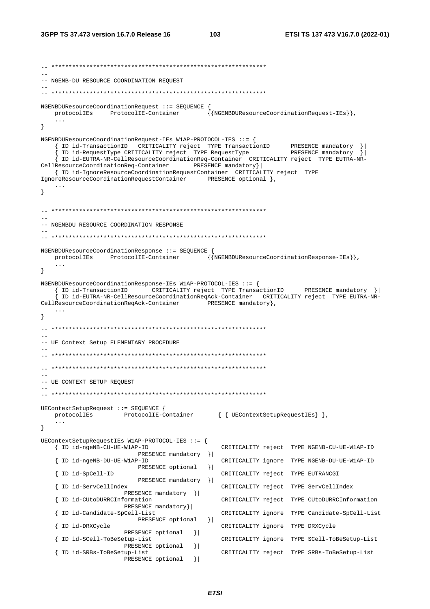-- \*\*\*\*\*\*\*\*\*\*\*\*\*\*\*\*\*\*\*\*\*\*\*\*\*\*\*\*\*\*\*\*\*\*\*\*\*\*\*\*\*\*\*\*\*\*\*\*\*\*\*\*\*\*\*\*\*\*\*\*\*\* -- -- NGENB-DU RESOURCE COORDINATION REQUEST -- -- \*\*\*\*\*\*\*\*\*\*\*\*\*\*\*\*\*\*\*\*\*\*\*\*\*\*\*\*\*\*\*\*\*\*\*\*\*\*\*\*\*\*\*\*\*\*\*\*\*\*\*\*\*\*\*\*\*\*\*\*\*\* NGENBDUResourceCoordinationRequest ::= SEQUENCE { protocolIEs ProtocolIE-Container {{NGENBDUResourceCoordinationRequest-IEs}}, ... } NGENBDUResourceCoordinationRequest-IEs W1AP-PROTOCOL-IES ::= { { ID id-TransactionID CRITICALITY reject TYPE TransactionID PRESENCE mandatory }| { ID id-RequestType CRITICALITY reject TYPE RequestType PRESENCE mandatory }| { ID id-EUTRA-NR-CellResourceCoordinationReq-Container CRITICALITY reject TYPE EUTRA-NR-CellResourceCoordinationReq-Container PRESENCE mandatory}| { ID id-IgnoreResourceCoordinationRequestContainer CRITICALITY reject TYPE IgnoreResourceCoordinationRequestContainer PRESENCE optional }, ... } -- \*\*\*\*\*\*\*\*\*\*\*\*\*\*\*\*\*\*\*\*\*\*\*\*\*\*\*\*\*\*\*\*\*\*\*\*\*\*\*\*\*\*\*\*\*\*\*\*\*\*\*\*\*\*\*\*\*\*\*\*\*\*  $-$ -- NGENBDU RESOURCE COORDINATION RESPONSE -- -- \*\*\*\*\*\*\*\*\*\*\*\*\*\*\*\*\*\*\*\*\*\*\*\*\*\*\*\*\*\*\*\*\*\*\*\*\*\*\*\*\*\*\*\*\*\*\*\*\*\*\*\*\*\*\*\*\*\*\*\*\*\* NGENBDUResourceCoordinationResponse ::= SEQUENCE { protocolIEs ProtocolIE-Container {{NGENBDUResourceCoordinationResponse-IEs}}, ... } NGENBDUResourceCoordinationResponse-IEs W1AP-PROTOCOL-IES ::= { { ID id-TransactionID CRITICALITY reject TYPE TransactionID PRESENCE mandatory }| { ID id-EUTRA-NR-CellResourceCoordinationReqAck-Container CRITICALITY reject TYPE EUTRA-NR-CellResourceCoordinationReqAck-Container PRESENCE mandatory }, ... }  $\hspace{1.3cm} - \hspace{1.3cm} - \hspace{1.3cm}$ -- -- UE Context Setup ELEMENTARY PROCEDURE -- -- \*\*\*\*\*\*\*\*\*\*\*\*\*\*\*\*\*\*\*\*\*\*\*\*\*\*\*\*\*\*\*\*\*\*\*\*\*\*\*\*\*\*\*\*\*\*\*\*\*\*\*\*\*\*\*\*\*\*\*\*\*\* -- \*\*\*\*\*\*\*\*\*\*\*\*\*\*\*\*\*\*\*\*\*\*\*\*\*\*\*\*\*\*\*\*\*\*\*\*\*\*\*\*\*\*\*\*\*\*\*\*\*\*\*\*\*\*\*\*\*\*\*\*\*\* -- -- UE CONTEXT SETUP REQUEST -- -- \*\*\*\*\*\*\*\*\*\*\*\*\*\*\*\*\*\*\*\*\*\*\*\*\*\*\*\*\*\*\*\*\*\*\*\*\*\*\*\*\*\*\*\*\*\*\*\*\*\*\*\*\*\*\*\*\*\*\*\*\*\* UEContextSetupRequest ::= SEQUENCE {<br>protocolIEs ProtocolIE-CO ProtocolIE-Container { { UEContextSetupRequestIEs } }, ... } UEContextSetupRequestIEs W1AP-PROTOCOL-IES ::= { { ID id-ngeNB-CU-UE-W1AP-ID CRITICALITY reject TYPE NGENB-CU-UE-W1AP-ID PRESENCE mandatory } |<br>{ ID id-ngeNB-DU-UE-W1AP-ID CRITICALITY ignore TYPE NGENB-DU-UE-W1AP-ID PRESENCE optional } |<br>{ ID id-SpCell-ID CRITICALITY reject TYPE EUTRANCGI PRESENCE mandatory } |<br>{ ID id-ServCellIndex CRITICALITY reject TYPE ServCellIndex .<br>{ ID id-CUtoDURRCInformation }| { ID id-CUtoDURRCInformation CRITICALITY reject TYPE CUtoDURRCInformation PRESENCE mandatory}<br>{ ID id-Candidate-SpCell-List { ID id-Candidate-SpCell-List CRITICALITY ignore TYPE Candidate-SpCell-List PRESENCE optional }| { ID id-DRXCycle CRITICALITY ignore TYPE DRXCycle PRESENCE optional } | { ID id-SCell-ToBeSetup-List CRITICALITY ignore TYPE SCell-ToBeSetup-List PRESENCE optional  $\{$  ID id-SRBs-ToBeSetup-List { ID id-SRBs-ToBeSetup-List CRITICALITY reject TYPE SRBs-ToBeSetup-List PRESENCE optional }|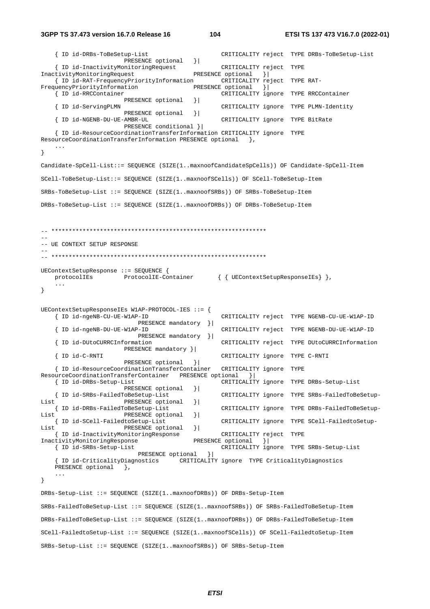**3GPP TS 37.473 version 16.7.0 Release 16 104 ETSI TS 137 473 V16.7.0 (2022-01)**

```
 { ID id-DRBs-ToBeSetup-List CRITICALITY reject TYPE DRBs-ToBeSetup-List 
                       PRESENCE optional } |
    { ID id-InactivityMonitoringRequest CRITICALITY reject TYPE 
InactivityMonitoringRequest PRESENCE optional }| 
    { ID id-RAT-FrequencyPriorityInformation CRITICALITY reject TYPE RAT-
FrequencyPriorityInformation PRESENCE optional \{ ID id-RRCContainer CRITICALITY ig
                                                  CRITICALITY ignore TYPE RRCContainer
   \RESENCE optional } |<br>{ ID id-ServingPLMN
                                                  CRITICALITY ignore TYPE PLMN-Identity
                       PRESENCE optional } |
    { ID id-NGENB-DU-UE-AMBR-UL CRITICALITY ignore TYPE BitRate 
                        PRESENCE conditional }| 
     { ID id-ResourceCoordinationTransferInformation CRITICALITY ignore TYPE 
ResourceCoordinationTransferInformation PRESENCE optional },
    ... 
} 
Candidate-SpCell-List::= SEQUENCE (SIZE(1..maxnoofCandidateSpCells)) OF Candidate-SpCell-Item 
SCell-ToBeSetup-List::= SEQUENCE (SIZE(1..maxnoofSCells)) OF SCell-ToBeSetup-Item 
SRBs-ToBeSetup-List ::= SEQUENCE (SIZE(1..maxnoofSRBs)) OF SRBs-ToBeSetup-Item 
DRBs-ToBeSetup-List ::= SEQUENCE (SIZE(1..maxnoofDRBs)) OF DRBs-ToBeSetup-Item 
-- ************************************************************** 
-- 
-- UE CONTEXT SETUP RESPONSE
-- 
-- ************************************************************** 
UEContextSetupResponse ::= SEQUENCE { 
   protocolIEs ProtocolIE-Container { { UEContextSetupResponseIEs} },
     ... 
} 
UEContextSetupResponseIEs W1AP-PROTOCOL-IES ::= { 
                                                    { ID id-ngeNB-CU-UE-W1AP-ID CRITICALITY reject TYPE NGENB-CU-UE-W1AP-ID 
   PRESENCE mandatory } |<br>{ ID id-ngeNB-DU-UE-W1AP-ID
                                                    { ID id-ngeNB-DU-UE-W1AP-ID CRITICALITY reject TYPE NGENB-DU-UE-W1AP-ID 
                            PRESENCE mandatory }| 
    { ID id-DUtoCURRCInformation CRITICALITY reject TYPE DUtoCURRCInformation 
                        PRESENCE mandatory }| 
    { ID id-C-RNTI CRITICALITY ignore TYPE C-RNTI 
                       PRESENCE optional }
    { ID id-ResourceCoordinationTransferContainer CRITICALITY ignore TYPE 
ResourceCoordinationTransferContainer PRESENCE optional }<br>{ ID id-DRBs-Setup-List cRITICALIT!
                                                   CRITICALITY ignore TYPE DRBs-Setup-List
                       PRESENCE optional } |
    { ID id-SRBs-FailedToBeSetup-List CRITICALITY ignore TYPE SRBs-FailedToBeSetup-
List PRESENCE optional }<br> { ID id-DRBs-FailedToBeSetup-List
                                                    { ID id-DRBs-FailedToBeSetup-List CRITICALITY ignore TYPE DRBs-FailedToBeSetup-
List PRESENCE optional }
    { ID id-SCell-FailedtoSetup-List CRITICALITY ignore TYPE SCell-FailedtoSetup-
List PRESENCE optional || { ID id-InactivityMonitoringResponse CRITICALITY reject TYPE 
InactivityMonitoringResponse PRESENCE optional }| 
    { ID id-SRBs-Setup-List CRITICALITY ignore TYPE SRBs-Setup-List 
                          PRESENCE optional }
     { ID id-CriticalityDiagnostics CRITICALITY ignore TYPE CriticalityDiagnostics 
   PRESENCE optional },
     ... 
} 
DRBs-Setup-List ::= SEQUENCE (SIZE(1..maxnoofDRBs)) OF DRBs-Setup-Item 
SRBs-FailedToBeSetup-List ::= SEQUENCE (SIZE(1..maxnoofSRBs)) OF SRBs-FailedToBeSetup-Item 
DRBs-FailedToBeSetup-List ::= SEQUENCE (SIZE(1..maxnoofDRBs)) OF DRBs-FailedToBeSetup-Item 
SCell-FailedtoSetup-List ::= SEQUENCE (SIZE(1..maxnoofSCells)) OF SCell-FailedtoSetup-Item 
SRBs-Setup-List ::= SEQUENCE (SIZE(1..maxnoofSRBs)) OF SRBs-Setup-Item
```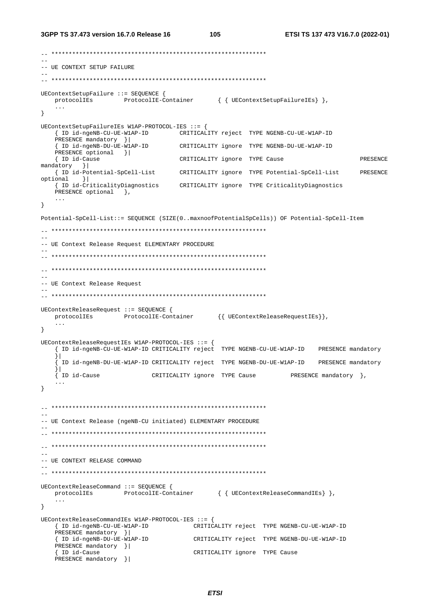#### **3GPP TS 37.473 version 16.7.0 Release 16 105 ETSI TS 137 473 V16.7.0 (2022-01)**

```
-- ************************************************************** 
-- 
-- UE CONTEXT SETUP FAILURE 
-- 
-- ************************************************************** 
UEContextSetupFailure ::= SEQUENCE { 
  protocolIEs ProtocolIE-Container { { UEContextSetupFailureIEs} },
    ... 
} 
UEContextSetupFailureIEs W1AP-PROTOCOL-IES ::= { 
     { ID id-ngeNB-CU-UE-W1AP-ID CRITICALITY reject TYPE NGENB-CU-UE-W1AP-ID 
   PRESENCE mandatory }|<br>{ ID id-ngeNB-DU-UE-WIAP-ID
                                      { ID id-ngeNB-DU-UE-W1AP-ID CRITICALITY ignore TYPE NGENB-DU-UE-W1AP-ID 
   PRESENCE optional }|<br>{ ID id-Cause
                                      CRITICALITY ignore TYPE Cause PRESENCE
mandatory }|<br>{ ID id-Potential-SpCell-List
                                      CRITICALITY ignore TYPE Potential-SpCell-List PRESENCE
optional }| 
                                       { ID id-CriticalityDiagnostics CRITICALITY ignore TYPE CriticalityDiagnostics 
   PRESENCE optional },
    ... 
} 
Potential-SpCell-List::= SEQUENCE (SIZE(0..maxnoofPotentialSpCells)) OF Potential-SpCell-Item 
-- ************************************************************** 
-- 
-- UE Context Release Request ELEMENTARY PROCEDURE 
-- 
-- ************************************************************** 
-- ************************************************************** 
-- 
-- UE Context Release Request 
-- 
-- ************************************************************** 
UEContextReleaseRequest ::= SEQUENCE { 
   protocolIEs ProtocolIE-Container {{ UEContextReleaseRequestIEs}}, 
     ... 
} 
UEContextReleaseRequestIEs W1AP-PROTOCOL-IES ::= { 
     { ID id-ngeNB-CU-UE-W1AP-ID CRITICALITY reject TYPE NGENB-CU-UE-W1AP-ID PRESENCE mandatory
     }| 
      { ID id-ngeNB-DU-UE-W1AP-ID CRITICALITY reject TYPE NGENB-DU-UE-W1AP-ID PRESENCE mandatory
 }| 
     { ID id-Cause CRITICALITY ignore TYPE Cause PRESENCE mandatory }, 
     ... 
} 
-- ************************************************************** 
-- 
-- UE Context Release (ngeNB-CU initiated) ELEMENTARY PROCEDURE 
-- 
  -- ************************************************************** 
-- ************************************************************** 
-- 
-- UE CONTEXT RELEASE COMMAND 
-- 
-- ************************************************************** 
UEContextReleaseCommand ::= SEQUENCE { 
   protocolIEs ProtocolIE-Container { { UEContextReleaseCommandIEs} }, 
    ... 
} 
UEContextReleaseCommandIEs W1AP-PROTOCOL-IES ::= { 
    { ID id-ngeNB-CU-UE-W1AP-ID CRITICALITY reject TYPE NGENB-CU-UE-W1AP-ID 
    PRESENCE mandatory }| 
    { ID id-ngeNB-DU-UE-W1AP-ID CRITICALITY reject TYPE NGENB-DU-UE-W1AP-ID 
   PRESENCE mandatory }|<br>{ ID id-Cause
                                          CRITICALITY ignore TYPE Cause
    PRESENCE mandatory }|
```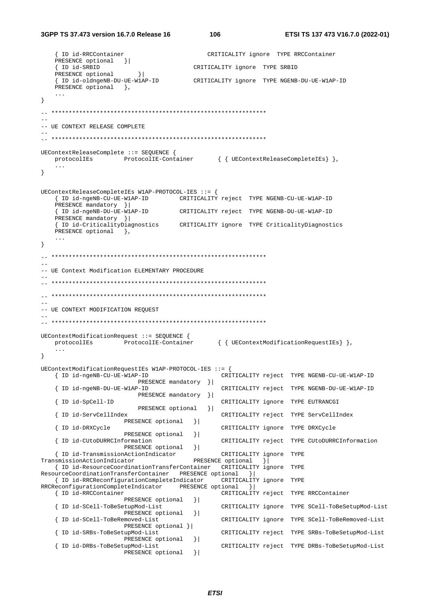{ ID id-RRCContainer CRITICALITY ignore TYPE RRCContainer PRESENCE optional }| { ID id-SRBID CRITICALITY ignore TYPE SRBID PRESENCE optional  $\vert$  { ID id-oldngeNB-DU-UE-W1AP-ID CRITICALITY ignore TYPE NGENB-DU-UE-W1AP-ID PRESENCE optional }, ... } -- \*\*\*\*\*\*\*\*\*\*\*\*\*\*\*\*\*\*\*\*\*\*\*\*\*\*\*\*\*\*\*\*\*\*\*\*\*\*\*\*\*\*\*\*\*\*\*\*\*\*\*\*\*\*\*\*\*\*\*\*\*\* --  $--$  UE CONTEXT RELEASE COMPLETE -- -- \*\*\*\*\*\*\*\*\*\*\*\*\*\*\*\*\*\*\*\*\*\*\*\*\*\*\*\*\*\*\*\*\*\*\*\*\*\*\*\*\*\*\*\*\*\*\*\*\*\*\*\*\*\*\*\*\*\*\*\*\*\* UEContextReleaseComplete ::= SEQUENCE { protocolIEs ProtocolIE-Container { { UEContextReleaseCompleteIEs } }, ... } UEContextReleaseCompleteIEs W1AP-PROTOCOL-IES ::= { { ID id-ngeNB-CU-UE-W1AP-ID CRITICALITY reject TYPE NGENB-CU-UE-W1AP-ID PRESENCE mandatory }| { ID id-ngeNB-DU-UE-W1AP-ID CRITICALITY reject TYPE NGENB-DU-UE-W1AP-ID PRESENCE mandatory }| { ID id-CriticalityDiagnostics CRITICALITY ignore TYPE CriticalityDiagnostics PRESENCE optional }, ... } -- \*\*\*\*\*\*\*\*\*\*\*\*\*\*\*\*\*\*\*\*\*\*\*\*\*\*\*\*\*\*\*\*\*\*\*\*\*\*\*\*\*\*\*\*\*\*\*\*\*\*\*\*\*\*\*\*\*\*\*\*\*\* -- -- UE Context Modification ELEMENTARY PROCEDURE -- -- \*\*\*\*\*\*\*\*\*\*\*\*\*\*\*\*\*\*\*\*\*\*\*\*\*\*\*\*\*\*\*\*\*\*\*\*\*\*\*\*\*\*\*\*\*\*\*\*\*\*\*\*\*\*\*\*\*\*\*\*\*\* -- \*\*\*\*\*\*\*\*\*\*\*\*\*\*\*\*\*\*\*\*\*\*\*\*\*\*\*\*\*\*\*\*\*\*\*\*\*\*\*\*\*\*\*\*\*\*\*\*\*\*\*\*\*\*\*\*\*\*\*\*\*\*  $-$ -- UE CONTEXT MODIFICATION REQUEST -- -- \*\*\*\*\*\*\*\*\*\*\*\*\*\*\*\*\*\*\*\*\*\*\*\*\*\*\*\*\*\*\*\*\*\*\*\*\*\*\*\*\*\*\*\*\*\*\*\*\*\*\*\*\*\*\*\*\*\*\*\*\*\* UEContextModificationRequest ::= SEQUENCE { protocolIEs ProtocolIE-Container { { UEContextModificationRequestIEs} }, ... } UEContextModificationRequestIEs W1AP-PROTOCOL-IES ::= { { ID id-ngeNB-CU-UE-W1AP-ID CRITICALITY reject TYPE NGENB-CU-UE-W1AP-ID PRESENCE mandatory }| { ID id-ngeNB-DU-UE-W1AP-ID CRITICALITY reject TYPE NGENB-DU-UE-W1AP-ID PRESENCE mandatory } | CRITICALITY ignore TYPE EUTRANCGI .<br>{ ID id-ServCellIndex PRESENCE optional }| CRITICALITY reject TYPE ServCellIndex PRESENCE optional } | { ID id-DRXCycle CRITICALITY ignore TYPE DRXCycle PRESENCE optional } | { ID id-CUtoDURRCInformation CRITICALITY reject TYPE CUtoDURRCInformation PRESENCE optional }| { ID id-TransmissionActionIndicator CRITICALITY ignore TYPE TransmissionActionIndicator PRESENCE optional  $\{$  { ID id-ResourceCoordinationTransferContainer CRITICALITY ignore TYPE ResourceCoordinationTransferContainer PRESENCE optional }| { ID id-RRCReconfigurationCompleteIndicator CRITICALITY ignore TYPE RRCReconfigurationCompleteIndicator PRESENCE optional }| CRITICALITY reject TYPE RRCContainer PRESENCE optional } | { ID id-SCell-ToBeSetupMod-List CRITICALITY ignore TYPE SCell-ToBeSetupMod-List PRESENCE optional }| { ID id-SCell-ToBeRemoved-List CRITICALITY ignore TYPE SCell-ToBeRemoved-List PRESENCE optional }| { ID id-SRBs-ToBeSetupMod-List CRITICALITY reject TYPE SRBs-ToBeSetupMod-List PRESENCE optional } | { ID id-DRBs-ToBeSetupMod-List CRITICALITY reject TYPE DRBs-ToBeSetupMod-List PRESENCE optional } |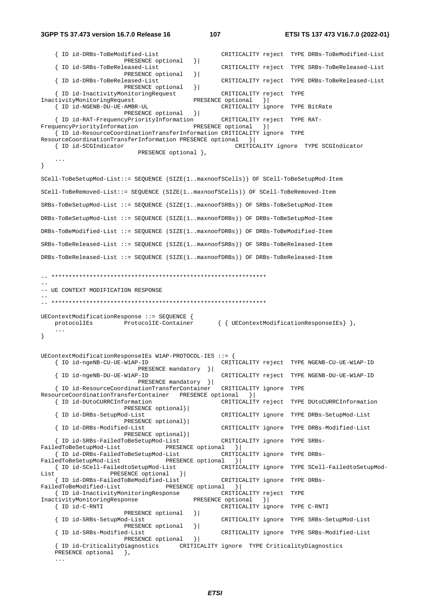#### **3GPP TS 37.473 version 16.7.0 Release 16 107 ETSI TS 137 473 V16.7.0 (2022-01)**

```
 { ID id-DRBs-ToBeModified-List CRITICALITY reject TYPE DRBs-ToBeModified-List
                        PRESENCE optional }| 
     { ID id-SRBs-ToBeReleased-List CRITICALITY reject TYPE SRBs-ToBeReleased-List
                       PRESENCE optional } |
     { ID id-DRBs-ToBeReleased-List CRITICALITY reject TYPE DRBs-ToBeReleased-List
                        PRESENCE optional }| 
    { ID id-InactivityMonitoringRequest CRITICALITY reject TYPE<br>tivityMonitoringRequest PRESENCE optional }|
InactivityMonitoringRequest<br>{ ID id-NGENB-DU-UE-AMBR-UL
                                                   CRITICALITY ignore TYPE BitRate
                        PRESENCE optional }| 
     { ID id-RAT-FrequencyPriorityInformation CRITICALITY reject TYPE RAT-
FrequencyPriorityInformation PRESENCE optional || { ID id-ResourceCoordinationTransferInformation CRITICALITY ignore TYPE 
ResourceCoordinationTransferInformation PRESENCE optional }<br>{ ID id-SCGIndicator CRITIC
                                                      CRITICALITY ignore TYPE SCGIndicator
                           PRESENCE optional },
 ... 
} 
SCell-ToBeSetupMod-List::= SEQUENCE (SIZE(1..maxnoofSCells)) OF SCell-ToBeSetupMod-Item 
SCell-ToBeRemoved-List::= SEQUENCE (SIZE(1..maxnoofSCells)) OF SCell-ToBeRemoved-Item 
SRBs-ToBeSetupMod-List ::= SEQUENCE (SIZE(1..maxnoofSRBs)) OF SRBs-ToBeSetupMod-Item 
DRBs-ToBeSetupMod-List ::= SEQUENCE (SIZE(1..maxnoofDRBs)) OF DRBs-ToBeSetupMod-Item 
DRBs-ToBeModified-List ::= SEQUENCE (SIZE(1..maxnoofDRBs)) OF DRBs-ToBeModified-Item 
SRBs-ToBeReleased-List ::= SEQUENCE (SIZE(1..maxnoofSRBs)) OF SRBs-ToBeReleased-Item 
DRBs-ToBeReleased-List ::= SEQUENCE (SIZE(1..maxnoofDRBs)) OF DRBs-ToBeReleased-Item 
-- ************************************************************** 
-- 
-- UE CONTEXT MODIFICATION RESPONSE
-- 
-- ************************************************************** 
UEContextModificationResponse ::= SEQUENCE { 
    protocolIEs ProtocolIE-Container { { UEContextModificationResponseIEs} }, 
     ... 
} 
UEContextModificationResponseIEs W1AP-PROTOCOL-IES ::= { 
     { ID id-ngeNB-CU-UE-W1AP-ID CRITICALITY reject TYPE NGENB-CU-UE-W1AP-ID 
                            PRESENCE mandatory }| 
     { ID id-ngeNB-DU-UE-W1AP-ID CRITICALITY reject TYPE NGENB-DU-UE-W1AP-ID 
                            PRESENCE mandatory }| 
     { ID id-ResourceCoordinationTransferContainer CRITICALITY ignore TYPE 
ResourceCoordinationTransferContainer PRESENCE optional }| 
                                                   CRITICALITY reject TYPE DUtoCURRCInformation
    PRESENCE optional}|<br>| ID id-DRBs-SetupMod-List
                                                    { ID id-DRBs-SetupMod-List CRITICALITY ignore TYPE DRBs-SetupMod-List 
                        PRESENCE optional}| 
     { ID id-DRBs-Modified-List CRITICALITY ignore TYPE DRBs-Modified-List 
                        PRESENCE optional}| 
     { ID id-SRBs-FailedToBeSetupMod-List CRITICALITY ignore TYPE SRBs-
FailedToBeSetupMod-List PRESENCE optional \{ { ID id-DRBs-FailedToBeSetupMod-List CRITICALITY ignore TYPE DRBs-
FailedToBeSetupMod-List PRESENCE optional }<br>{ ID id-SCell-FailedtoSetupMod-List CRITIC
                                                    { ID id-SCell-FailedtoSetupMod-List CRITICALITY ignore TYPE SCell-FailedtoSetupMod-
List PRESENCE optional } |
 { ID id-DRBs-FailedToBeModified-List CRITICALITY ignore TYPE DRBs-
                                   FRESENCE optional }|<br>France CRITICALITY reject TYPE
   {ID id-InactivityMonitoringResponse CRITICALITY rejectivityMonitoringResponse PRESENCE optional
InactivityMonitoringResponse
     { ID id-C-RNTI CRITICALITY ignore TYPE C-RNTI 
                       PRESENCE optional } |
     { ID id-SRBs-SetupMod-List CRITICALITY ignore TYPE SRBs-SetupMod-List 
                       PRESENCE optional } |
     { ID id-SRBs-Modified-List CRITICALITY ignore TYPE SRBs-Modified-List 
                       PRESENCE optional } |
     { ID id-CriticalityDiagnostics CRITICALITY ignore TYPE CriticalityDiagnostics 
    PRESENCE optional },
     ...
```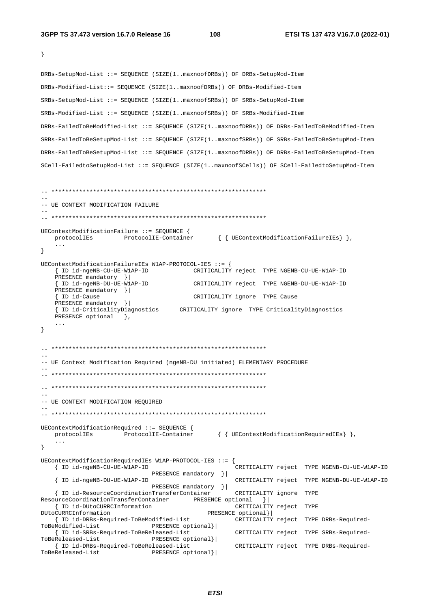```
\left\{ \right\}DRBs-SetupMod-List ::= SEQUENCE (SIZE(1..maxnoofDRBs)) OF DRBs-SetupMod-Item
DRBs-Modified-List::= SEQUENCE (SIZE(1..maxnoofDRBs)) OF DRBs-Modified-Item
SRBs-SetupMod-List ::= SEOUENCE (SIZE(1..maxnoofSRBs)) OF SRBs-SetupMod-Item
SRBs-Modified-List ::= SEQUENCE (SIZE(1..maxnoofSRBs)) OF SRBs-Modified-Item
DRBs-FailedToBeModified-List ::= SEQUENCE (SIZE(1..maxnoofDRBs)) OF DRBs-FailedToBeModified-Item
SRBs-FailedToBeSetupMod-List ::= SEQUENCE (SIZE(1..maxnoofSRBs)) OF SRBs-FailedToBeSetupMod-Item
DRBs-FailedToBeSetupMod-List ::= SEQUENCE (SIZE(1..maxnoofDRBs)) OF DRBs-FailedToBeSetupMod-Item
SCell-FailedtoSetupMod-List ::= SEQUENCE (SIZE(1..maxnoofSCells)) OF SCell-FailedtoSetupMod-Item
-- UE CONTEXT MODIFICATION FAILURE
UEContextModificationFailure ::= SEQUENCE {
   protocolIEs ProtocolIE-Container { { UEContextModificationFailureIEs } },
\rightarrowUEContextModificationFailureIEs W1AP-PROTOCOL-IES ::= {
                                    CRITICALITY reject TYPE NGENB-CU-UE-W1AP-ID
   { ID id-ngeNB-CU-UE-W1AP-ID
   PRESENCE mandatory ||{ ID id-ngeNB-DU-UE-W1AP-ID
                                    CRITICALITY reject TYPE NGENB-DU-UE-W1AP-ID
   PRESENCE mandatory } |
   { ID id-Cause
                                    CRITICALITY ignore TYPE Cause
   PRESENCE mandatory } |
   { ID id-CriticalityDiagnostics CRITICALITY ignore TYPE CriticalityDiagnostics
   PRESENCE optional },
   \cdots\lambda-- UE Context Modification Required (ngeNB-DU initiated) ELEMENTARY PROCEDURE
-- UE CONTEXT MODIFICATION REQUIRED
UEContextModificationRequired ::= SEQUENCE {
                                          { { UEContextModificationRequiredIEs } },
   protocolIEs ProtocolIE-Container
   \sim \sim \sim\}UEContextModificationRequiredIEs W1AP-PROTOCOL-IES ::= {
   { ID id-ngeNB-CU-UE-W1AP-ID
                                                CRITICALITY reject TYPE NGENB-CU-UE-W1AP-ID
                          PRESENCE mandatory } |
                                               CRITICALITY reject TYPE NGENB-DU-UE-W1AP-ID
   { ID id-ngeNB-DU-UE-W1AP-ID
                          PRESENCE mandatory |{ ID id-ResourceCoordinationTransferContainer
                                               CRITICALITY ignore TYPE
ResourceCoordinationTransferContainer PRESENCE optional }|
   { ID id-DUtoCURRCInformation
                                               CRITICALITY reject TYPE
                                        PRESENCE optional} |
DUtoCURRCInformation
   { ID id-DRBs-Required-ToBeModified-List
                                               CRITICALITY reject TYPE DRBs-Required-
                          PRESENCE optional}|
ToBeModified-List
   { ID id-SRBs-Required-ToBeReleased-List
                                               CRITICALITY reject TYPE SRBs-Required-
ToBeReleased-List
                          PRESENCE optional}|
   { ID id-DRBs-Required-ToBeReleased-List
                                               CRITICALITY reject TYPE DRBs-Required-
ToBeReleased-List
                          PRESENCE optional}
```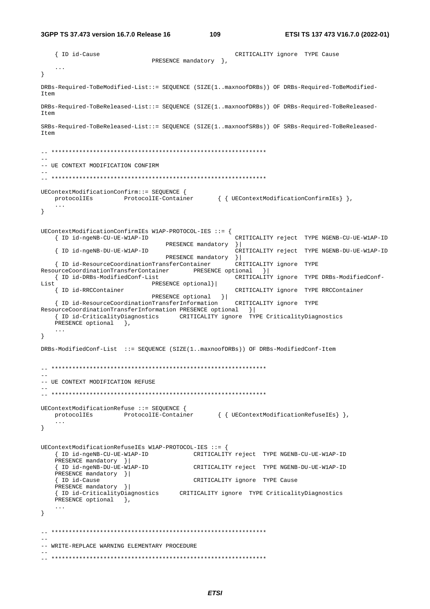3GPP TS 37.473 version 16.7.0 Release 16

109

{ ID id-Cause CRITICALITY ignore TYPE Cause PRESENCE mandatory },  $\ddots$  $\}$ DRBs-Required-ToBeModified-List::= SEQUENCE (SIZE(1..maxnoofDRBs)) OF DRBs-Required-ToBeModified- $T \uparrow \sim m$ DRBs-Required-ToBeReleased-List::= SEQUENCE (SIZE(1..maxnoofDRBs)) OF DRBs-Required-ToBeReleased-Item SRBs-Required-ToBeReleased-List::= SEQUENCE (SIZE(1..maxnoofSRBs)) OF SRBs-Required-ToBeReleased- $T \uparrow \rho m$ -- UE CONTEXT MODIFICATION CONFIRM UEContextModificationConfirm::= SEQUENCE { protocolIEs ProtocolIE-Container { { UEContextModificationConfirmIEs} },  $\sim$   $\sim$   $\sim$  $\}$  $\texttt{UEContextModificationConfig} \texttt{Wlap-PROTOCOL-IES} :: = \{$ { ID id-ngeNB-CU-UE-W1AP-ID CRITICALITY reject TYPE NGENB-CU-UE-W1AP-ID PRESENCE mandatory } | { ID id-ngeNB-DU-UE-W1AP-ID CRITICALITY reject TYPE NGENB-DU-UE-W1AP-ID PRESENCE mandatory }|<br>nnsferContainer CRITICALITY ignore TYPE { ID id-ResourceCoordinationTransferContainer PRESENCE optional } ResourceCoordinationTransferContainer { ID id-DRBs-ModifiedConf-List CRITICALITY ignore TYPE DRBs-ModifiedConf-List PRESENCE optional}| PRESENCE optional }|<br>- The CRITICALITY ignore TYPE { ID id-RRCContainer CRITICALITY ignore TYPE RRCContainer { ID id-ResourceCoordinationTransferInformation ResourceCoordinationTransferInformation PRESENCE optional { ID id-CriticalityDiagnostics CRITICALITY ignore TYPE CriticalityDiagnostics PRESENCE optional },  $\mathbf{1}$  $\left\{ \right.$ DRBs-ModifiedConf-List ::= SEQUENCE (SIZE(1..maxnoofDRBs)) OF DRBs-ModifiedConf-Item -- UE CONTEXT MODIFICATION REFUSE UEContextModificationRefuse ::= SEQUENCE { protocolIEs ProtocolIE-Container { { UEContextModificationRefuseIEs } }  $\ddotsc$  $\}$ UEContextModificationRefuseIEs W1AP-PROTOCOL-IES ::= { { ID id-ngeNB-CU-UE-W1AP-ID CRITICALITY reject TYPE NGENB-CU-UE-W1AP-ID PRESENCE mandatory } | { ID id-ngeNB-DU-UE-W1AP-ID CRITICALITY reject TYPE NGENB-DU-UE-W1AP-ID PRESENCE mandatory }| { ID id-Cause CRITICALITY ignore TYPE Cause PRESENCE mandatory } | { ID id-CriticalityDiagnostics CRITICALITY ignore TYPE CriticalityDiagnostics PRESENCE optional },  $\sim$   $\sim$   $\sim$  $\left\{ \right\}$ -- WRITE-REPLACE WARNING ELEMENTARY PROCEDURE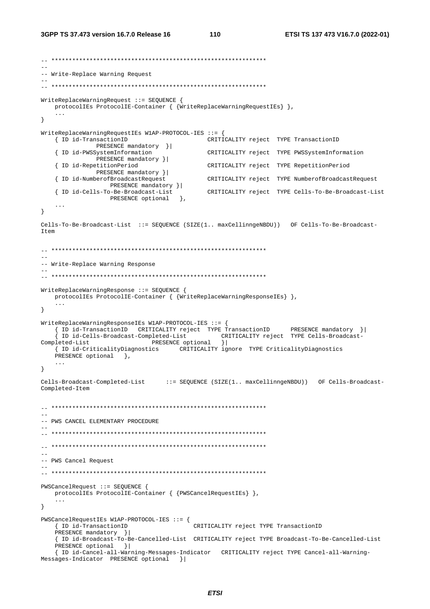```
-- ************************************************************** 
-- 
-- Write-Replace Warning Request 
-- 
-- ************************************************************** 
WriteReplaceWarningRequest ::= SEQUENCE { 
    protocolIEs ProtocolIE-Container { {WriteReplaceWarningRequestIEs} }, 
     ... 
} 
WriteReplaceWarningRequestIEs W1AP-PROTOCOL-IES ::= { 
                                                CRITICALITY reject TYPE TransactionID
    PRESENCE mandatory } |<br>{ ID id-PWSSystemInformation
                                                CRITICALITY reject TYPE PWSSystemInformation
                PRESENCE mandatory }| 
     { ID id-RepetitionPeriod CRITICALITY reject TYPE RepetitionPeriod 
    PRESENCE mandatory } |<br>{ ID id-NumberofBroadcastRequest
                                                { ID id-NumberofBroadcastRequest CRITICALITY reject TYPE NumberofBroadcastRequest 
                   PRESENCE mandatory }| 
     { ID id-Cells-To-Be-Broadcast-List CRITICALITY reject TYPE Cells-To-Be-Broadcast-List
                   PRESENCE optional },
 ... 
} 
Cells-To-Be-Broadcast-List ::= SEQUENCE (SIZE(1.. maxCellinngeNBDU)) OF Cells-To-Be-Broadcast-
Item 
-- ************************************************************** 
-- 
-- Write-Replace Warning Response 
-- 
-- ************************************************************** 
WriteReplaceWarningResponse ::= SEQUENCE { 
    protocolIEs ProtocolIE-Container { {WriteReplaceWarningResponseIEs} }, 
 ... 
} 
WriteReplaceWarningResponseIEs W1AP-PROTOCOL-IES ::= { 
     { ID id-TransactionID CRITICALITY reject TYPE TransactionID PRESENCE mandatory }| 
     { ID id-Cells-Broadcast-Completed-List CRITICALITY reject TYPE Cells-Broadcast-
Completed-List PRESENCE optional || { ID id-CriticalityDiagnostics CRITICALITY ignore TYPE CriticalityDiagnostics 
   PRESENCE optional },
     ... 
} 
Cells-Broadcast-Completed-List ::= SEQUENCE (SIZE(1.. maxCellinngeNBDU)) OF Cells-Broadcast-
Completed-Item 
-- ************************************************************** 
-- 
-- PWS CANCEL ELEMENTARY PROCEDURE 
-- 
  -- ************************************************************** 
-- ************************************************************** 
-- 
-- PWS Cancel Request 
-- 
-- ************************************************************** 
PWSCancelRequest ::= SEQUENCE { 
    protocolIEs ProtocolIE-Container { {PWSCancelRequestIEs} }, 
 ... 
} 
PWSCancelRequestIEs W1AP-PROTOCOL-IES ::= { 
     { ID id-TransactionID CRITICALITY reject TYPE TransactionID 
   PRESENCE mandatory } |
     { ID id-Broadcast-To-Be-Cancelled-List CRITICALITY reject TYPE Broadcast-To-Be-Cancelled-List
    PRESENCE optional } |
     { ID id-Cancel-all-Warning-Messages-Indicator CRITICALITY reject TYPE Cancel-all-Warning-
Messages-Indicator PRESENCE optional }|
```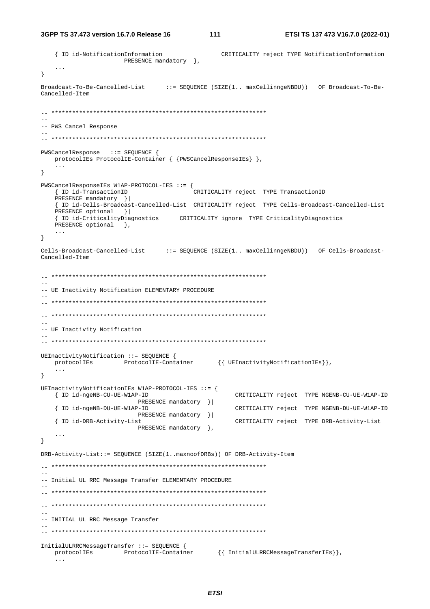```
3GPP TS 37.473 version 16.7.0 Release 16
```
{ ID id-NotificationInformation CRITICALITY reject TYPE NotificationInformation PRESENCE mandatory },  $\ddots$  $\}$ Broadcast-To-Be-Cancelled-List ::= SEQUENCE (SIZE(1.. maxCellinngeNBDU)) OF Broadcast-To-Be-Cancelled-Item  $-$ -- PWS Cancel Response  $\sim$   $\sim$ PWSCancelResponse ::= SEQUENCE { protocolIEs ProtocolIE-Container { {PWSCancelResponseIEs} },  $\ddots$  $\left\{ \right\}$  $PWSCance1ResponseIES W1AP-PROTOCOL-IES :: = {$ { ID id-TransactionID CRITICALITY reject TYPE TransactionID PRESENCE mandatory } | { ID id-Cells-Broadcast-Cancelled-List CRITICALITY reject TYPE Cells-Broadcast-Cancelled-List PRESENCE optional } | { ID id-CriticalityDiagnostics CRITICALITY ignore TYPE CriticalityDiagnostics PRESENCE optional },  $\ldots$  $\mathcal{E}$ Cells-Broadcast-Cancelled-List ::= SEQUENCE (SIZE(1.. maxCellinngeNBDU)) OF Cells-Broadcast-Cancelled-Item -- UE Inactivity Notification ELEMENTARY PROCEDURE -- UE Inactivity Notification UEInactivityNotification ::= SEQUENCE { ProtocolIE-Container {{ UEInactivityNotificationIEs}}, protocolIEs  $\sim$   $\sim$   $\sim$  $\}$ UEInactivityNotificationIEs W1AP-PROTOCOL-IES ::= { { ID id-ngeNB-CU-UE-W1AP-ID CRITICALITY reject TYPE NGENB-CU-UE-W1AP-ID PRESENCE mandatory } | { ID id-ngeNB-DU-UE-W1AP-ID CRITICALITY reject TYPE NGENB-DU-UE-W1AP-ID PRESENCE mandatory } | { ID id-DRB-Activity-List CRITICALITY reject TYPE DRB-Activity-List PRESENCE mandatory },  $\sim$   $\sim$   $\sim$  $\mathcal{F}$ DRB-Activity-List::= SEQUENCE (SIZE(1..maxnoofDRBs)) OF DRB-Activity-Item -- Initial UL RRC Message Transfer ELEMENTARY PROCEDURE -- INITIAL UL RRC Message Transfer InitialULRRCMessageTransfer ::= SEQUENCE { protocollEs ProtocollE-Container {{ InitialULRRCMessageTransferIEs}}  $\sim$   $\sim$   $\sim$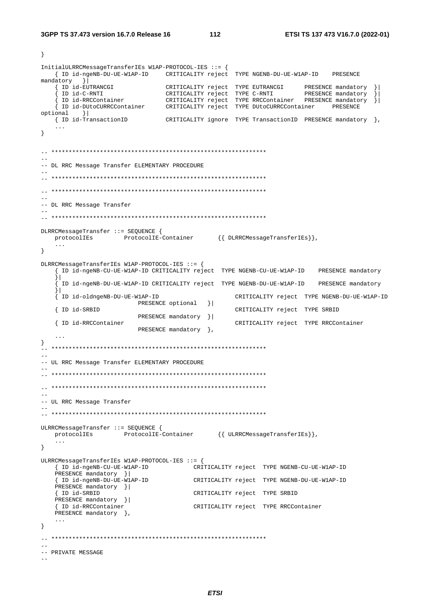$\left\{ \right.$ 

 $\sim$  112

InitialULRRCMessageTransferIEs W1AP-PROTOCOL-IES ::= { { ID id-ngeNB-DU-UE-W1AP-ID CRITICALITY reject TYPE NGENB-DU-UE-W1AP-ID PRESENCE mandatory  $\vert$ |<br>| ID id-EUTRANCGI | CRITICALITY reject TYPE EUTRANCGI | PRESENCE mandatory ||<br>| ID id-C-RNTI | CRITICALITY reject TYPE C-RNTI | PRESENCE mandatory ||<br>| ID id-RRCContainer | CRITICALITY reject TYPE RRCContainer PRESENCE m  $optional$  } { ID id-TransactionID CRITICALITY ignore TYPE TransactionID PRESENCE mandatory },  $\sim$   $\sim$   $\sim$  $\}$ -- DL RRC Message Transfer ELEMENTARY PROCEDURE -- DL RRC Message Transfer DLRRCMessageTransfer ::= SEQUENCE { ProtocolIE-Container {{ DLRRCMessageTransferIEs}}, protocolIEs  $\sim$  .  $\sim$  $\lambda$ DLRRCMessageTransferIEs W1AP-PROTOCOL-IES ::= { { ID id-ngeNB-CU-UE-W1AP-ID CRITICALITY reject TYPE NGENB-CU-UE-W1AP-ID PRESENCE mandatory  $\vert$ ID id-ngeNB-DU-UE-W1AP-ID CRITICALITY reject TYPE NGENB-DU-UE-W1AP-ID PRESENCE mandatory  $|1|$ .<br>ID id-oldngeNB-DU-UE-W1AP-ID CRITICALITY reject TYPE NGENB-DU-UE-W1AP-ID PRESENCE optional }| { ID id-SRBID CRITICALITY reject TYPE SRBID PRESENCE mandatory } | { ID id-RRCContainer CRITICALITY reject TYPE RRCContainer PRESENCE mandatory },  $\rightarrow$  $\sim$   $\sim$ -- UL RRC Message Transfer ELEMENTARY PROCEDURE  $\sim$   $\sim$ -- UL RRC Message Transfer ULRRCMessageTransfer ::= SEQUENCE {  $\verb|protocolIES| \hspace{2.5cm} \verb|ProtocolIE-Container| \hspace{1.5cm} } \{ \hspace{2.5mm} \verb|ULARCMessageTransferIES| \} \hspace{1.5cm} ,$  $\sim 10$  .  $\}$ ULRRCMessageTransferIEs W1AP-PROTOCOL-IES ::= { { ID id-ngeNB-CU-UE-W1AP-ID CRITICALITY reject TYPE NGENB-CU-UE-W1AP-ID PRESENCE mandatory  $\|$ PRESENCE mandatory }| { ID id-SRBID CRITICALITY reject TYPE SRBID PRESENCE mandatory }| CRITICALITY reject TYPE RRCContainer { ID id-RRCContainer PRESENCE mandatory },  $\ldots$  $\}$ -- PRIVATE MESSAGE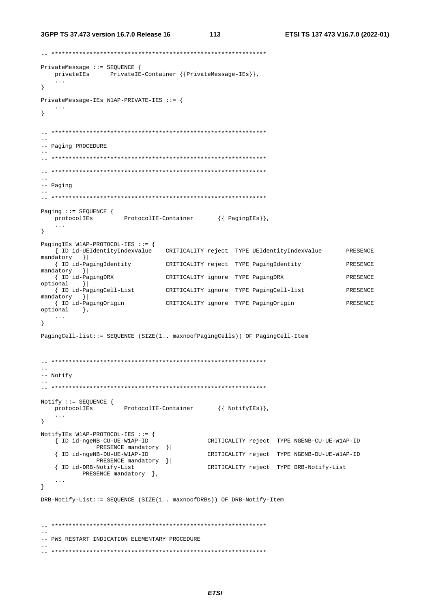3GPP TS 37.473 version 16.7.0 Release 16

 $113$ 

PrivateMessage : = SEQUENCE { privateIEs PrivateIE-Container {{PrivateMessage-IEs}},  $\sim$  .  $\sim$  $\mathcal{F}$ PrivateMessage-IEs W1AP-PRIVATE-IES ::= {  $\sim$  . .  $\}$  $\perp$  . -- Paging PROCEDURE  $\equiv$  $--$  Paging Paging ::= SEQUENCE { ProtocolIE-Container {{PagingIEs}}, protocolIEs  $\sim$   $\sim$   $\sim$  $\mathcal{F}$ PagingIEs W1AP-PROTOCOL-IES ::= { CRITICALITY reject TYPE UEIdentityIndexValue { ID id-UEIdentityIndexValue **PRESENCE** mandatory  $\vert \vert$ {| ID id-PagingIdentity | CRITICALITY reject | TYPE PagingIdentity PRESENCE mandatory } | { ID id-PagingDRX CRITICALITY ignore TYPE PagingDRX PRESENCE optional  $\vert$ { ID id-PagingCell-List CRITICALITY ignore TYPE PagingCell-list PRESENCE  $mandatory$  } CRITICALITY ignore TYPE PagingOrigin { ID id-PagingOrigin PRESENCE  $optional$ ,  $\left\{ \right.$ PagingCell-list: = SEQUENCE (SIZE(1.. maxnoofPagingCells)) OF PagingCell-Item -- Notify  $\equiv$   $\equiv$  $\begin{aligned} \mathtt{Notify} &::=\mathtt{SEQUENCE}\ \{ \\ &\mathtt{protocolIES}\qquad \texttt{ProtocolIE-Container}\qquad \{\ \mathtt{NotifyIES}\}\}, \end{aligned}$  $\sim 100$  $\left\{ \right.$ NotifyIEs W1AP-PROTOCOL-IES ::= { { ID id-ngeNB-CU-UE-W1AP-ID CRITICALITY reject TYPE NGENB-CU-UE-W1AP-ID PRESENCE mandatory } | CRITICALITY reject TYPE NGENB-DU-UE-W1AP-ID { ID id-ngeNB-DU-UE-W1AP-ID PRESENCE mandatory }| { ID id-DRB-Notify-List CRITICALITY reject TYPE DRB-Notify-List PRESENCE mandatory },  $\}$ DRB-Notify-List::= SEOUENCE (SIZE(1.. maxnoofDRBs)) OF DRB-Notify-Item -- PWS RESTART INDICATION ELEMENTARY PROCEDURE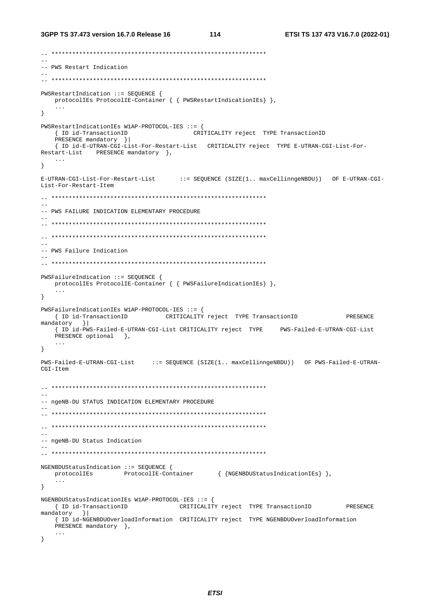```
-- PWS Restart Indication
PWSRestartIndication ::= SEQUENCE {
  nervariance.com/newsletch/20115-0011E-Container { { PWSRestartIndicationIEs} },
  \sim .
\}PWSRestartIndicationIEs W1AP-PROTOCOL-IES ::= {
                   CRITICALITY reject TYPE TransactionID
  { ID id-TransactionID
  PRESENCE mandatory }|
  { ID id-E-UTRAN-CGI-List-For-Restart-List CRITICALITY reject TYPE E-UTRAN-CGI-List-For-
Restart-List PRESENCE mandatory },
  \sim . .
\}E-UTRAN-CGI-List-For-Restart-List
                           ::= SEQUENCE (SIZE(1.. maxCellinngeNBDU)) OF E-UTRAN-CGI-
List-For-Restart-Item
-- PWS FAILURE INDICATION ELEMENTARY PROCEDURE
\equiv\sim-- PWS Failure Indication
PWSFailureIndication ::= SEQUENCE {
 protocolIEs ProtocolIE-Container { { PWSFailureIndicationIEs} },
  \sim \sim \sim\}PWSFailureIndicationIEs W1AP-PROTOCOL-IES ::= {
  { ID id-TransactionID CRITICALITY reject TYPE TransactionID
                                                             PRESENCE
mandatory }|
  { ID id-PWS-Failed-E-UTRAN-CGI-List CRITICALITY reject TYPE PWS-Failed-E-UTRAN-CGI-List
  PRESENCE optional },
  \sim .
\mathcal{F}PWS-Failed-E-UTRAN-CGI-List := SEQUENCE (SIZE(1.. maxCellinngeNBDU)) OF PWS-Failed-E-UTRAN-
CGI-Item\sim \sim-- ngeNB-DU STATUS INDICATION ELEMENTARY PROCEDURE
- --- ngeNB-DU Status Indication
- -NGENBDUStatusIndication ::= SEQUENCE {
  protocolIEs ProtocolIE-Container { {NGENBDUStatusIndicationIEs} },
  \ldots\left\{ \right\}NGENBDUStatusIndicationIEs W1AP-PROTOCOL-IES ::= {
  { ID id-TransactionID   CRITICALITY reject TYPE TransactionID   PRESENCE
mandatory }
  { ID id-NGENBDUOverloadInformation CRITICALITY reject TYPE NGENBDUOverloadInformation
  PRESENCE mandatory },
  \ldots\mathcal{F}
```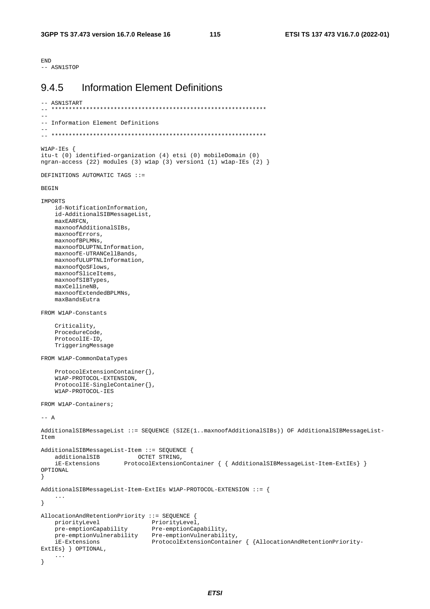**END** ---<br>-- ASN1STOP

#### **Information Element Definitions** 945

```
-- ASN1START
             + + + +-- Information Element Definitions
W1AP-IES {
itu-t (0) identified-organization (4) etsi (0) mobileDomain (0)
ngran-access (22) modules (3) wlap (3) version1 (1) wlap-IEs (2) }
DEFINITIONS AUTOMATIC TAGS ::=
BEGIN
IMPORTS
    id-NotificationInformation.
    id-AdditionalSIBMessageList
    maxEARFCN,
    maxnoofAdditionalSIBs,
    maxnoofErrors.
    maxnoofBPLMNs.
    maxnoofDLUPTNLInformation,
    maxnoofE-UTRANCellBands,
    maxnoofULUPTNLInformation.
    maxnoofOoSFlows,
    maxnoofSliceItems
    maxnoofSIBTypes,
    maxCellineNB,
    maxnoofExtendedBPLMNs.
    maxBandsEutra
FROM W1AP-Constants
    Criticality,
    ProcedureCode,
    ProtocolIE-ID,
    TriggeringMessage
FROM W1AP-CommonDataTypes
    ProtocolExtensionContainer{},
    W1AP-PROTOCOL-EXTENSION
    ProtocolIE-SingleContainer{},
    W1AP-PROTOCOL-IES
FROM W1AP-Containers;
--- AAdditionalSIBMessageList ::= SEQUENCE (SIZE(1..maxnoofAdditionalSIBs)) OF AdditionalSIBMessageList-
Ttem
AdditionalSIBMessageList-Item ::= SEQUENCE {
                             OCTET STRING,
    additionalSIB
    iE-Extensions
                          ProtocolExtensionContainer { { AdditionalSIBMessageList-Item-ExtIEs} }
OPTIONAL
\rightarrowAdditionalSIBMessageList-Item-ExtIEs W1AP-PROTOCOL-EXTENSION ::= {
     \sim 100\}AllocationAndRetentionPriority ::= SEQUENCE {
    \begin{tabular}{lcl} \texttt{priorityLevel} & \texttt{priorityLevel} \\ \texttt{pre-emptionCapability} & \texttt{Pre-emptionCapability} \\ \texttt{pre-emptionCapability} & \texttt{Pre-emptionCapability} \\ \texttt{pre-emptionVulnerability} & \texttt{Pre-emptionVulnerability} \\ \texttt{if-Extensions} & \texttt{ProtocolExtensionCondition} & \texttt{{} \end{tabular} \end{tabular}ExtIEs } } OPTIONAL,
    \sim .
\rightarrow
```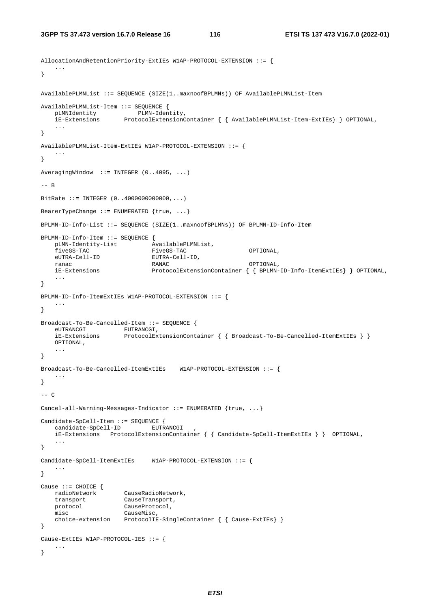```
AllocationAndRetentionPriority-ExtIEs W1AP-PROTOCOL-EXTENSION ::= { 
     ... 
} 
AvailablePLMNList ::= SEQUENCE (SIZE(1..maxnoofBPLMNs)) OF AvailablePLMNList-Item 
AvailablePLMNList-Item ::= SEQUENCE { 
    pLMNIdentity PLMN-Identity, 
     iE-Extensions ProtocolExtensionContainer { { AvailablePLMNList-Item-ExtIEs} } OPTIONAL, 
 ... 
} 
AvailablePLMNList-Item-ExtIEs W1AP-PROTOCOL-EXTENSION ::= { 
 ... 
} 
AveragingWindow ::= INTEGER (0..4095, ...) 
-- B 
BitRate ::= INTEGER (0..4000000000000,...) 
BearerTypeChange ::= ENUMERATED {true, ...} 
BPLMN-ID-Info-List ::= SEQUENCE (SIZE(1..maxnoofBPLMNs)) OF BPLMN-ID-Info-Item 
BPLMN-ID-Info-Item ::= SEQUENCE { 
 pLMN-Identity-List AvailablePLMNList, 
 fiveGS-TAC FiveGS-TAC OPTIONAL, 
    eUTRA-Cell-ID EUTRA-Cell-ID,<br>ranac RANAC
 ranac RANAC OPTIONAL, 
 iE-Extensions ProtocolExtensionContainer { { BPLMN-ID-Info-ItemExtIEs} } OPTIONAL, 
     ... 
} 
BPLMN-ID-Info-ItemExtIEs W1AP-PROTOCOL-EXTENSION ::= { 
 ... 
} 
Broadcast-To-Be-Cancelled-Item ::= SEQUENCE { 
 eUTRANCGI EUTRANCGI, 
 iE-Extensions ProtocolExtensionContainer { { Broadcast-To-Be-Cancelled-ItemExtIEs } }
     OPTIONAL, 
     ... 
} 
Broadcast-To-Be-Cancelled-ItemExtIEs W1AP-PROTOCOL-EXTENSION ::= { 
    ... 
} 
--- CCancel-all-Warning-Messages-Indicator ::= ENUMERATED {true, ...} 
\begin{tabular}{ll} \multicolumn{2}{l}{\textbf{C}} and \textbf{id} = \textbf{S} & \textbf{S} & \textbf{S} & \textbf{S} & \textbf{S} \\ \multicolumn{2}{l}{\textbf{C}} and \textbf{id} & \textbf{S} & \textbf{S} & \textbf{S} & \textbf{S} \\ \multicolumn{2}{l}{\textbf{C}} and \textbf{id} & \textbf{S} & \textbf{S} & \textbf{S} & \textbf{S} & \textbf{S} \\ \multicolumn{2}{l}{\textbf{C}} & \textbf{S} & \textbf{S} & \textbf{S} & \textbf{S} & \textcandidate-SpCell-ID
     iE-Extensions ProtocolExtensionContainer { { Candidate-SpCell-ItemExtIEs } } OPTIONAL, 
 ... 
} 
Candidate-SpCell-ItemExtIEs W1AP-PROTOCOL-EXTENSION ::= { 
     ... 
} 
Cause ::= CHOICE {<br>radioNetwork
                         CauseRadioNetwork,<br>CauseTransport,
 transport CauseTransport, 
 protocol CauseProtocol, 
     misc CauseMisc, 
     choice-extension ProtocolIE-SingleContainer { { Cause-ExtIEs} } 
} 
Cause-ExtIEs W1AP-PROTOCOL-IES ::= { 
    ... 
}
```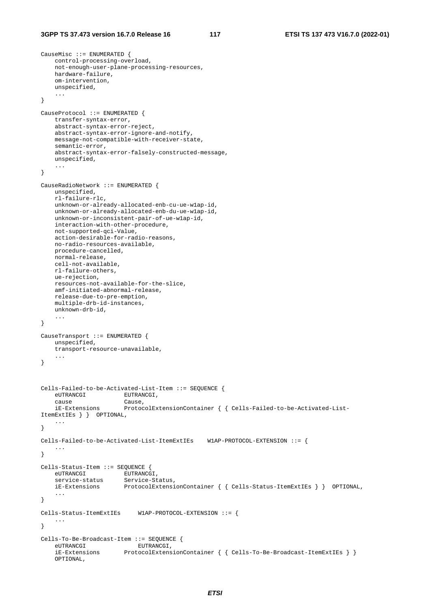CauseMisc ::= ENUMERATED {

```
 control-processing-overload, 
     not-enough-user-plane-processing-resources, 
     hardware-failure, 
     om-intervention, 
     unspecified, 
     ... 
} 
CauseProtocol ::= ENUMERATED { 
    transfer-syntax-error, 
     abstract-syntax-error-reject, 
     abstract-syntax-error-ignore-and-notify, 
     message-not-compatible-with-receiver-state, 
     semantic-error, 
     abstract-syntax-error-falsely-constructed-message, 
     unspecified, 
     ... 
} 
CauseRadioNetwork ::= ENUMERATED { 
     unspecified, 
     rl-failure-rlc, 
     unknown-or-already-allocated-enb-cu-ue-w1ap-id, 
     unknown-or-already-allocated-enb-du-ue-w1ap-id, 
     unknown-or-inconsistent-pair-of-ue-w1ap-id, 
     interaction-with-other-procedure, 
     not-supported-qci-Value, 
    action-desirable-for-radio-reasons, 
     no-radio-resources-available, 
     procedure-cancelled, 
     normal-release, 
     cell-not-available, 
    rl-failure-others, 
     ue-rejection, 
     resources-not-available-for-the-slice, 
     amf-initiated-abnormal-release, 
     release-due-to-pre-emption, 
     multiple-drb-id-instances, 
     unknown-drb-id, 
     ... 
} 
CauseTransport ::= ENUMERATED { 
     unspecified, 
     transport-resource-unavailable, 
 ... 
} 
Cells-Failed-to-be-Activated-List-Item ::= SEQUENCE { 
     eUTRANCGI EUTRANCGI, 
     cause Cause, 
     iE-Extensions ProtocolExtensionContainer { { Cells-Failed-to-be-Activated-List-
ItemExtIEs } } OPTIONAL, 
     ... 
} 
Cells-Failed-to-be-Activated-List-ItemExtIEs W1AP-PROTOCOL-EXTENSION ::= { 
     ... 
} 
Cells-Status-Item ::= SEQUENCE { 
     eUTRANCGI EUTRANCGI, 
    eurkancer Eurkancer,<br>service-status Service-Status,<br>iE-Extensions ProtocolExtensi
                         ProtocolExtensionContainer { { Cells-Status-ItemExtIEs } } OPTIONAL,
     ... 
} 
Cells-Status-ItemExtIEs W1AP-PROTOCOL-EXTENSION ::= { 
     ... 
} 
Cells-To-Be-Broadcast-Item ::= SEQUENCE { 
    eUTRANCGI EUTRANCGI,<br>iE-Extensions ProtocolExtens
                        ProtocolExtensionContainer { { cells-To-Be-Broadcast-ItemExtIES } } OPTIONAL,
```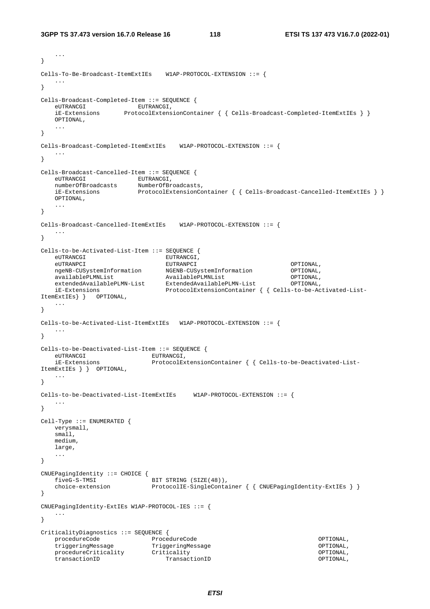```
 ... 
} 
Cells-To-Be-Broadcast-ItemExtIEs W1AP-PROTOCOL-EXTENSION ::= { 
    ... 
} 
Cells-Broadcast-Completed-Item ::= SEQUENCE { 
   ES DI CARCADO COMPIESO EUTRANCGI,<br>eUTRANCGI EUTRANCGI ProtocolExtens
                   FrotocolExtensionContainer { { cells-Broadcast-Completed-ItemExtIES } } OPTIONAL, 
 ... 
} 
Cells-Broadcast-Completed-ItemExtIEs W1AP-PROTOCOL-EXTENSION ::= { 
 ... 
} 
Cells-Broadcast-Cancelled-Item ::= SEQUENCE { 
                  EUTRANCGI,
    numberOfBroadcasts NumberOfBroadcasts, 
    iE-Extensions ProtocolExtensionContainer { { Cells-Broadcast-Cancelled-ItemExtIEs } }
    OPTIONAL, 
    ... 
} 
Cells-Broadcast-Cancelled-ItemExtIEs W1AP-PROTOCOL-EXTENSION ::= { 
    ... 
} 
Cells-to-be-Activated-List-Item ::= SEQUENCE { 
   eUTRANCGI EUTRANCGI, 
 eUTRANPCI EUTRANPCI OPTIONAL, 
 ngeNB-CUSystemInformation NGENB-CUSystemInformation OPTIONAL, 
 availablePLMNList AvailablePLMNList OPTIONAL, 
 extendedAvailablePLMN-List ExtendedAvailablePLMN-List OPTIONAL, 
 iE-Extensions ProtocolExtensionContainer { { Cells-to-be-Activated-List-
ItemExtIEs} } OPTIONAL, 
    ... 
} 
Cells-to-be-Activated-List-ItemExtIEs W1AP-PROTOCOL-EXTENSION ::= { 
 ... 
} 
Cells-to-be-Deactivated-List-Item ::= SEQUENCE { 
   eUTRANCGI EUTRANCGI,
    iE-Extensions ProtocolExtensionContainer { { Cells-to-be-Deactivated-List-
ItemExtIEs } } OPTIONAL, 
    ... 
} 
Cells-to-be-Deactivated-List-ItemExtIEs W1AP-PROTOCOL-EXTENSION ::= { 
   ... 
} 
Cell-Type ::= ENUMERATED { 
   verysmall, 
    small, 
    medium, 
    large, 
    ... 
} 
CNUEPagingIdentity ::= CHOICE { 
   fiveG-S-TMSI BIT STRING (SIZE(48)),<br>choice-extension ProtocolIE-SingleConta
                            ProtocolIE-SingleContainer { { CNUEPagingIdentity-ExtIEs } }
} 
CNUEPagingIdentity-ExtIEs W1AP-PROTOCOL-IES ::= { 
    ... 
} 
CriticalityDiagnostics ::= SEQUENCE { 
 procedureCode ProcedureCode OPTIONAL, 
 triggeringMessage TriggeringMessage OPTIONAL, 
procedureCriticality Criticality Criticality Criticality OPTIONAL,
 transactionID TransactionID OPTIONAL,
```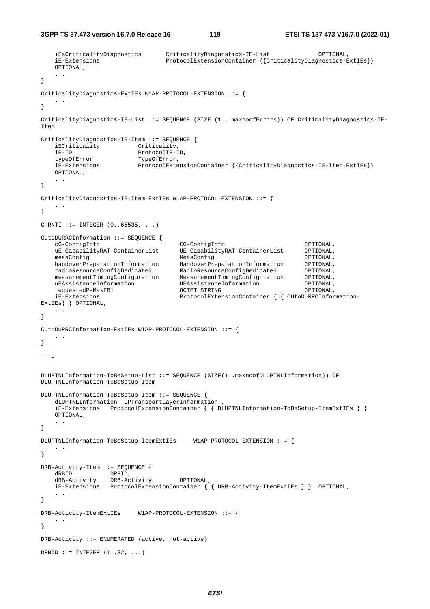```
 iEsCriticalityDiagnostics CriticalityDiagnostics-IE-List OPTIONAL, 
    iE-Extensions ProtocolExtensionContainer {{CriticalityDiagnostics-ExtIEs}} 
    OPTIONAL, 
 ... 
} 
CriticalityDiagnostics-ExtIEs W1AP-PROTOCOL-EXTENSION ::= { 
 ... 
} 
CriticalityDiagnostics-IE-List ::= SEQUENCE (SIZE (1.. maxnoofErrors)) OF CriticalityDiagnostics-IE-
Item 
CriticalityDiagnostics-IE-Item ::= SEQUENCE { 
    iECriticality Criticality, 
   iE-ID ProtocolIE-ID,<br>typeOfError TypeOfError.
typeOfError TypeOfError,
 iE-Extensions ProtocolExtensionContainer {{CriticalityDiagnostics-IE-Item-ExtIEs}}
    OPTIONAL, 
    ... 
} 
CriticalityDiagnostics-IE-Item-ExtIEs W1AP-PROTOCOL-EXTENSION ::= { 
 ... 
} 
C-RTI ::= INTEGER (0..65535, ...)CUtoDURRCInformation ::= SEQUENCE { 
    cG-ConfigInfo CG-ConfigInfo OPTIONAL, 
 uE-CapabilityRAT-ContainerList UE-CapabilityRAT-ContainerList OPTIONAL, 
 measConfig MeasConfig OPTIONAL, 
handoverPreparationInformation HandoverPreparationInformation OPTIONAL,
 radioResourceConfigDedicated RadioResourceConfigDedicated OPTIONAL, 
 measurementTimingConfiguration MeasurementTimingConfiguration OPTIONAL, 
 uEAssistanceInformation UEAssistanceInformation OPTIONAL, 
 requestedP-MaxFR1 OCTET STRING OPTIONAL, 
    iE-Extensions ProtocolExtensionContainer { { CUtoDURRCInformation-
ExtIEs} } OPTIONAL, 
    ... 
} 
CUtoDURRCInformation-ExtIEs W1AP-PROTOCOL-EXTENSION ::= { 
 ... 
} 
-- D 
DLUPTNLInformation-ToBeSetup-List ::= SEQUENCE (SIZE(1..maxnoofDLUPTNLInformation)) OF 
DLUPTNLInformation-ToBeSetup-Item 
DLUPTNLInformation-ToBeSetup-Item ::= SEQUENCE { 
    dLUPTNLInformation UPTransportLayerInformation , 
    iE-Extensions ProtocolExtensionContainer { { DLUPTNLInformation-ToBeSetup-ItemExtIEs } }
    OPTIONAL, 
    ... 
} 
DLUPTNLInformation-ToBeSetup-ItemExtIEs W1AP-PROTOCOL-EXTENSION ::= { 
    ... 
} 
DRB-Activity-Item ::= SEQUENCE { 
dRBID DRBID,
 dRB-Activity DRB-Activity OPTIONAL, 
 iE-Extensions ProtocolExtensionContainer { { DRB-Activity-ItemExtIEs } } OPTIONAL, 
    ... 
} 
DRB-Activity-ItemExtIEs W1AP-PROTOCOL-EXTENSION ::= { 
    ... 
} 
DRB-Activity ::= ENUMERATED {active, not-active} 
DRBID  ::= INTEGER (1..32, ...)
```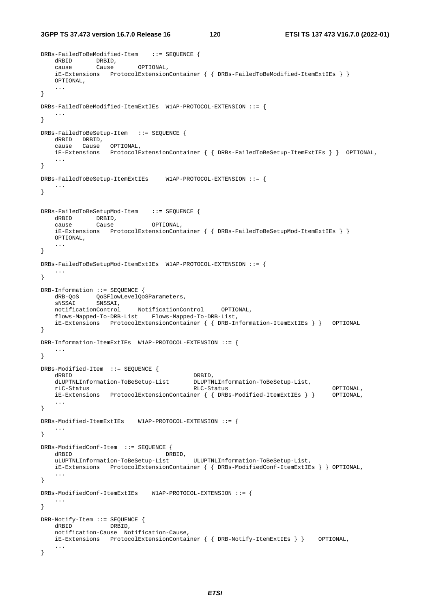**3GPP TS 37.473 version 16.7.0 Release 16 120 ETSI TS 137 473 V16.7.0 (2022-01)**

```
DRBs-FailedToBeModified-Item ::= SEQUENCE { 
 dRBID DRBID, 
 cause Cause OPTIONAL, 
    iE-Extensions ProtocolExtensionContainer { { DRBs-FailedToBeModified-ItemExtIEs } }
    OPTIONAL, 
    ... 
} 
DRBs-FailedToBeModified-ItemExtIEs W1AP-PROTOCOL-EXTENSION ::= { 
    ... 
} 
DRBs-FailedToBeSetup-Item ::= SEQUENCE { 
    dRBID DRBID, 
 cause Cause OPTIONAL, 
 iE-Extensions ProtocolExtensionContainer { { DRBs-FailedToBeSetup-ItemExtIEs } } OPTIONAL, 
 ... 
} 
DRBs-FailedToBeSetup-ItemExtIEs W1AP-PROTOCOL-EXTENSION ::= { 
    ... 
} 
DRBs-FailedToBeSetupMod-Item ::= SEQUENCE { 
  dRBID DRBID,
    cause Cause OPTIONAL, 
    iE-Extensions ProtocolExtensionContainer { { DRBs-FailedToBeSetupMod-ItemExtIEs } }
    OPTIONAL, 
    ... 
} 
DRBs-FailedToBeSetupMod-ItemExtIEs W1AP-PROTOCOL-EXTENSION ::= { 
 ... 
} 
DRB-Information ::= SEQUENCE { 
dRB-QoS  QoSFlowLevelQoSParameters,
 sNSSAI SNSSAI, 
    notificationControl NotificationControl OPTIONAL, 
    flows-Mapped-To-DRB-List Flows-Mapped-To-DRB-List, 
    iE-Extensions ProtocolExtensionContainer { { DRB-Information-ItemExtIEs } } OPTIONAL 
} 
DRB-Information-ItemExtIEs W1AP-PROTOCOL-EXTENSION ::= { 
    ... 
} 
DRBs-Modified-Item ::= SEQUENCE { 
  dRBID DRBID,
    dLUPTNLInformation-ToBeSetup-List DLUPTNLInformation-ToBeSetup-List, 
 rLC-Status RLC-Status OPTIONAL, 
    iE-Extensions ProtocolExtensionContainer { { DRBs-Modified-ItemExtIEs } } OPTIONAL, 
    ... 
} 
DRBs-Modified-ItemExtIEs W1AP-PROTOCOL-EXTENSION ::= { 
    ... 
} 
DRBs-ModifiedConf-Item ::= SEQUENCE { 
   dRBID DRBID,<br>uLUPTNLInformation-ToBeSetup-List
                                          uLUPTNLInformation-ToBeSetup-List ULUPTNLInformation-ToBeSetup-List, 
    iE-Extensions ProtocolExtensionContainer { { DRBs-ModifiedConf-ItemExtIEs } } OPTIONAL, 
 ... 
} 
DRBs-ModifiedConf-ItemExtIEs W1AP-PROTOCOL-EXTENSION ::= { 
 ... 
} 
DRB-Notify-Item ::= SEQUENCE { 
    dRBID DRBID, 
    notification-Cause Notification-Cause, 
    iE-Extensions ProtocolExtensionContainer { { DRB-Notify-ItemExtIEs } } OPTIONAL, 
    ... 
}
```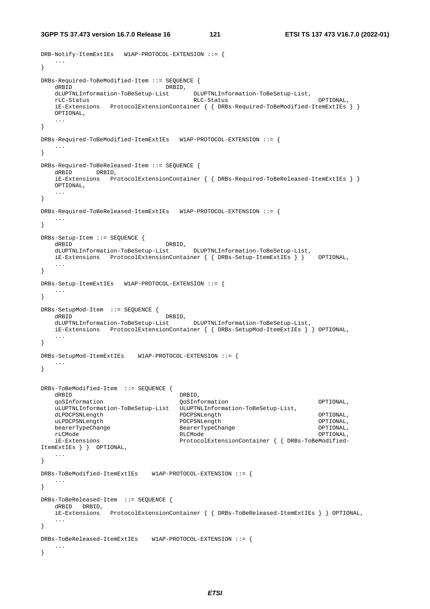**3GPP TS 37.473 version 16.7.0 Release 16 121 ETSI TS 137 473 V16.7.0 (2022-01)**

```
DRB-Notify-ItemExtIEs W1AP-PROTOCOL-EXTENSION ::= { 
    ... 
} 
DRBs-Required-ToBeModified-Item ::= SEQUENCE { 
  dRBID DRBID,<br>dLUPTNLInformation-ToBeSetup-List
                                       DLUPTNLInformation-ToBeSetup-List,<br>RLC-Status
 rLC-Status RLC-Status OPTIONAL, 
    iE-Extensions ProtocolExtensionContainer { { DRBs-Required-ToBeModified-ItemExtIEs } }
    OPTIONAL, 
    ... 
} 
DRBs-Required-ToBeModified-ItemExtIEs W1AP-PROTOCOL-EXTENSION ::= { 
    ... 
} 
DRBs-Required-ToBeReleased-Item ::= SEQUENCE { 
    dRBID DRBID, 
    iE-Extensions ProtocolExtensionContainer { { DRBs-Required-ToBeReleased-ItemExtIEs } }
    OPTIONAL, 
    ... 
} 
DRBs-Required-ToBeReleased-ItemExtIEs W1AP-PROTOCOL-EXTENSION ::= { 
 ... 
} 
DRBs-Setup-Item ::= SEQUENCE { 
    dRBID DRBID, 
    dLUPTNLInformation-ToBeSetup-List DLUPTNLInformation-ToBeSetup-List, 
    iE-Extensions ProtocolExtensionContainer { { DRBs-Setup-ItemExtIEs } } OPTIONAL, 
    ... 
} 
DRBs-Setup-ItemExtIEs W1AP-PROTOCOL-EXTENSION ::= { 
    ... 
} 
DRBs-SetupMod-Item ::= SEQUENCE { 
   dRBID<br>dLUPTNLInformation-ToBeSetup-List<br>DLUPTNLInformation-ToBeSetup-List<br>DLUPTNLInformation-ToBeSetup-List
    dLUPTNLInformation-ToBeSetup-List DLUPTNLInformation-ToBeSetup-List, 
    iE-Extensions ProtocolExtensionContainer { { DRBs-SetupMod-ItemExtIEs } } OPTIONAL, 
 ... 
} 
DRBs-SetupMod-ItemExtIEs W1AP-PROTOCOL-EXTENSION ::= { 
    ... 
} 
DRBs-ToBeModified-Item ::= SEQUENCE { 
dRBID DRBID,
    qoSInformation QoSInformation OPTIONAL, 
   uLUPTNLInformation-ToBeSetup-List ULUPTNLInformation-ToBeSetup-List,<br>dLPDCPSNLength PDCPSNLength
    dLPDCPSNLength PDCPSNLength OPTIONAL, 
    uLPDCPSNLength PDCPSNLength OPTIONAL, 
    bearerTypeChange BearerTypeChange OPTIONAL, 
 rLCMode RLCMode OPTIONAL, 
    iE-Extensions ProtocolExtensionContainer { { DRBs-ToBeModified-
ItemExtIEs } } OPTIONAL, 
    ... 
} 
DRBs-ToBeModified-ItemExtIEs W1AP-PROTOCOL-EXTENSION ::= { 
 ... 
} 
DRBs-ToBeReleased-Item ::= SEQUENCE { 
    dRBID DRBID, 
    iE-Extensions ProtocolExtensionContainer { { DRBs-ToBeReleased-ItemExtIEs } } OPTIONAL, 
    ... 
} 
DRBs-ToBeReleased-ItemExtIEs W1AP-PROTOCOL-EXTENSION ::= { 
    ... 
}
```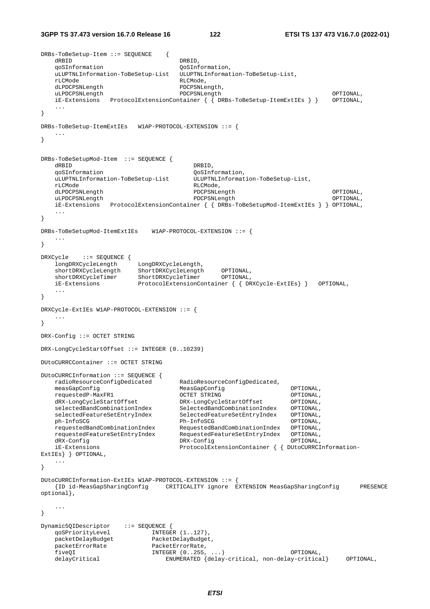**3GPP TS 37.473 version 16.7.0 Release 16 122 ETSI TS 137 473 V16.7.0 (2022-01)**

```
DRBs-ToBeSetup-Item ::= SEQUENCE { 
   dRBID DRBID,
    qoSInformation QoSInformation, 
    uLUPTNLInformation-ToBeSetup-List ULUPTNLInformation-ToBeSetup-List, 
    rLCMode RLCMode, 
   dLPDCPSNLength PDCPSNLength<br>uLPDCPSNLength PDCPSNLength
 uLPDCPSNLength PDCPSNLength OPTIONAL, 
 iE-Extensions ProtocolExtensionContainer { { DRBs-ToBeSetup-ItemExtIEs } } OPTIONAL, 
 ... 
} 
DRBs-ToBeSetup-ItemExtIEs W1AP-PROTOCOL-EXTENSION ::= { 
 ... 
} 
DRBs-ToBeSetupMod-Item ::= SEQUENCE { 
dRBID DRBID,
   qoSInformation QoSInformation,<br>uLUPTNLInformation-ToBeSetup-List ULUPTNLInformat
                                      uLUPTNLInformation-ToBeSetup-List ULUPTNLInformation-ToBeSetup-List, 
    rLCMode RLCMode, 
    dLPDCPSNLength PDCPSNLength OPTIONAL, 
    uLPDCPSNLength PDCPSNLength OPTIONAL, 
    iE-Extensions ProtocolExtensionContainer { { DRBs-ToBeSetupMod-ItemExtIEs } } OPTIONAL, 
    ... 
} 
DRBs-ToBeSetupMod-ItemExtIEs W1AP-PROTOCOL-EXTENSION ::= { 
 ... 
} 
DRXCycle ::= SEQUENCE { 
 longDRXCycleLength LongDRXCycleLength, 
 shortDRXCycleLength ShortDRXCycleLength OPTIONAL, 
   shortDRXCycleLength ShortDRXCycleLength OPTIONAL,<br>shortDRXCycleTimer ShortDRXCycleTimer OPTIONAL,<br>iE-Extensions ProtocolExtensionContainer{{DR
    iE-Extensions ProtocolExtensionContainer { { DRXCycle-ExtIEs} } OPTIONAL, 
    ... 
} 
DRXCycle-ExtIEs W1AP-PROTOCOL-EXTENSION ::= { 
 ... 
} 
DRX-Config ::= OCTET STRING 
DRX-LongCycleStartOffset ::= INTEGER (0..10239) 
DUtoCURRCContainer ::= OCTET STRING 
DUtoCURRCInformation ::= SEQUENCE { 
    radioResourceConfigDedicated RadioResourceConfigDedicated, 
    measGapConfig MeasGapConfig OPTIONAL, 
 requestedP-MaxFR1 OCTET STRING OPTIONAL, 
 dRX-LongCycleStartOffset DRX-LongCycleStartOffset OPTIONAL, 
 selectedBandCombinationIndex SelectedBandCombinationIndex OPTIONAL, 
 selectedFeatureSetEntryIndex SelectedFeatureSetEntryIndex OPTIONAL, 
 ph-InfoSCG Ph-InfoSCG OPTIONAL, 
 requestedBandCombinationIndex RequestedBandCombinationIndex OPTIONAL, 
 requestedFeatureSetEntryIndex RequestedFeatureSetEntryIndex OPTIONAL, 
 dRX-Config DRX-Config OPTIONAL, 
    iE-Extensions ProtocolExtensionContainer { { DUtoCURRCInformation-
ExtIEs} } OPTIONAL, 
    ... 
} 
DUtoCURRCInformation-ExtIEs W1AP-PROTOCOL-EXTENSION ::= { 
    {ID id-MeasGapSharingConfig CRITICALITY ignore EXTENSION MeasGapSharingConfig PRESENCE 
optional}, 
    ... 
} 
Dynamic5QIDescriptor ::= SEQUENCE {
qoSPriorityLevel INTEGER (1..127),
 packetDelayBudget PacketDelayBudget, 
   packetErrorRate PacketErrorRate,<br>fiveOI 1NTEGER (0..255,
                          INTEGR (0..255, ...) OPTIONAL,
    delayCritical ENUMERATED {delay-critical, non-delay-critical} OPTIONAL,
```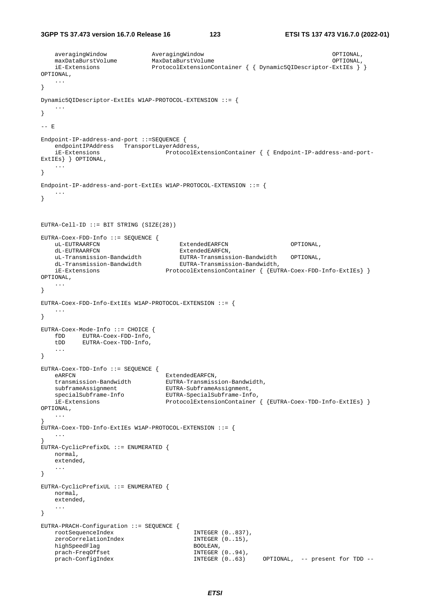**3GPP TS 37.473 version 16.7.0 Release 16 123 ETSI TS 137 473 V16.7.0 (2022-01)**

```
 averagingWindow AveragingWindow OPTIONAL, 
    maxDataBurstVolume MaxDataBurstVolume OPTIONAL, 
    iE-Extensions ProtocolExtensionContainer { { Dynamic5QIDescriptor-ExtIEs } } 
OPTIONAL, 
    ... 
} 
Dynamic5QIDescriptor-ExtIEs W1AP-PROTOCOL-EXTENSION ::= { 
 ... 
} 
-- E
Endpoint-IP-address-and-port ::=SEQUENCE { 
   endpointIPAddress TransportLayerAddress,
    iE-Extensions ProtocolExtensionContainer { { Endpoint-IP-address-and-port-
ExtIEs} } OPTIONAL, 
    ... 
} 
Endpoint-IP-address-and-port-ExtIEs W1AP-PROTOCOL-EXTENSION ::= {
    ... 
} 
EUTRA-Cell-ID ::= BIT STRING (SIZE(28)) 
EUTRA-Coex-FDD-Info ::= SEQUENCE { 
    uL-EUTRAARFCN ExtendedEARFCN OPTIONAL, 
   dL-EUTRAARFCN ExtendedEARFCN,<br>uL-Transmission-Bandwidth EUTRA-Transmiss
 uL-Transmission-Bandwidth EUTRA-Transmission-Bandwidth OPTIONAL, 
 dL-Transmission-Bandwidth EUTRA-Transmission-Bandwidth, 
   un-fransmission-Bandwidth<br>dL-Transmission-Bandwidth<br>iE-Extensions ProtocolExtensionContainer { {EUTRA-Coex-FDD-Info-ExtIEs} }
OPTIONAL, 
    ... 
} 
EUTRA-Coex-FDD-Info-ExtIEs W1AP-PROTOCOL-EXTENSION ::= { 
    ... 
} 
EUTRA-Coex-Mode-Info ::= CHOICE { 
    fDD EUTRA-Coex-FDD-Info, 
    tDD EUTRA-Coex-TDD-Info, 
    ... 
} 
EUTRA-Coex-TDD-Info ::= SEQUENCE { 
  eARFCN ExtendedEARFCN,
    transmission-Bandwidth EUTRA-Transmission-Bandwidth, 
    subframeAssignment EUTRA-SubframeAssignment, 
    specialSubframe-Info EUTRA-SpecialSubframe-Info, 
                                 ProtocolExtensionContainer { {EUTRA-Coex-TDD-Info-ExtIEs} }
OPTIONAL, 
    ... 
} 
EUTRA-Coex-TDD-Info-ExtIEs W1AP-PROTOCOL-EXTENSION ::= { 
 ... 
} 
EUTRA-CyclicPrefixDL ::= ENUMERATED { 
   normal, 
    extended, 
    ... 
} 
EUTRA-CyclicPrefixUL ::= ENUMERATED { 
   normal, 
    extended, 
    ... 
} 
EUTRA-PRACH-Configuration ::= SEQUENCE { 
    rootSequenceIndex INTEGER (0..837), 
   zeroCorrelationIndex INTEGER (0..15),
   highSpeedFlag BOOLEAN,<br>prach-FreqOffset BOOLEAN, INTEGER (0..94),
   prach-FreqOffset 1NTEGER (0..94),<br>prach-ConfigIndex 1NTEGER (0..63)
    prach-ConfigIndex INTEGER (0..63) OPTIONAL, -- present for TDD --
```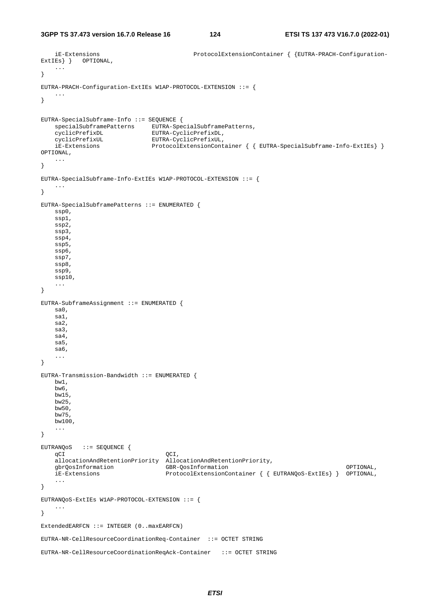**3GPP TS 37.473 version 16.7.0 Release 16 124 ETSI TS 137 473 V16.7.0 (2022-01)**

```
 iE-Extensions ProtocolExtensionContainer { {EUTRA-PRACH-Configuration-
ExtIEs } } OPTIONAL,
     ... 
} 
EUTRA-PRACH-Configuration-ExtIEs W1AP-PROTOCOL-EXTENSION ::= { 
 ... 
} 
EUTRA-SpecialSubframe-Info ::= SEQUENCE { 
 specialSubframePatterns EUTRA-SpecialSubframePatterns, 
 cyclicPrefixDL EUTRA-CyclicPrefixDL, 
    cyclicPrefixDL<br>cyclicPrefixUL EUTRA-CyclicPrefixUL,<br>iE-Extensions ProtocolExtensionCont
                                ProtocolExtensionContainer { { EUTRA-SpecialSubframe-Info-ExtIEs} }
OPTIONAL, 
     ... 
} 
EUTRA-SpecialSubframe-Info-ExtIEs W1AP-PROTOCOL-EXTENSION ::= { 
     ... 
} 
EUTRA-SpecialSubframePatterns ::= ENUMERATED { 
     ssp0, 
     ssp1, 
     ssp2, 
    ssp3, 
    ssp4, 
     ssp5, 
     ssp6, 
    ssp7, 
    ssp8, 
    ssp9, 
     ssp10, 
     ... 
} 
EUTRA-SubframeAssignment ::= ENUMERATED { 
    sa0, 
     sa1, 
    sa2, 
    sa3, 
    sa4, 
    sa5, 
     sa6, 
     ... 
} 
EUTRA-Transmission-Bandwidth ::= ENUMERATED { 
    bw1, 
    bw6, 
    bw15, 
    bw25, 
    bw50, 
    bw75, 
    bw100, 
     ... 
} 
EUTRANQoS ::= SEQUENCE { 
    qCI QCI,
    allocationAndRetentionPriority AllocationAndRetentionPriority,<br>dbrOosInformation GBR-OosInformation
    gbrQosInformation GBR-QosInformation OPTIONAL, 
     iE-Extensions ProtocolExtensionContainer { { EUTRANQoS-ExtIEs} } OPTIONAL, 
     ... 
} 
EUTRANQoS-ExtIEs W1AP-PROTOCOL-EXTENSION ::= { 
     ... 
} 
ExtendedEARFCN ::= INTEGER (0..maxEARFCN) 
EUTRA-NR-CellResourceCoordinationReq-Container ::= OCTET STRING 
EUTRA-NR-CellResourceCoordinationReqAck-Container ::= OCTET STRING
```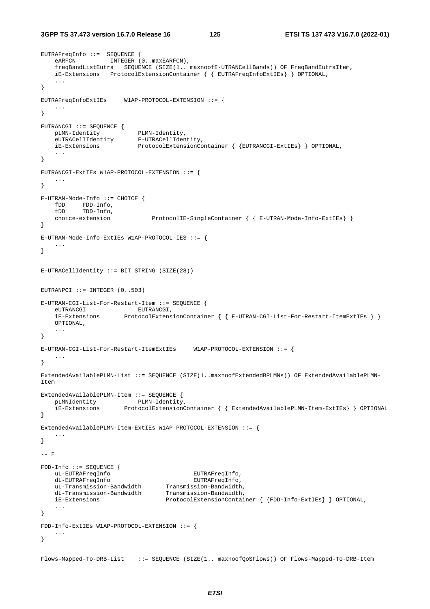```
EUTRAFreqInfo ::= SEQUENCE { 
   eARFCN INTEGER (0..maxEARFCN),
    freqBandListEutra SEQUENCE (SIZE(1.. maxnoofE-UTRANCellBands)) OF FreqBandEutraItem, 
    iE-Extensions ProtocolExtensionContainer { { EUTRAFreqInfoExtIEs} } OPTIONAL, 
    ... 
} 
EUTRAFreqInfoExtIEs W1AP-PROTOCOL-EXTENSION ::= { 
    ... 
} 
EUTRANCGI ::= SEQUENCE { 
 pLMN-Identity PLMN-Identity, 
 eUTRACellIdentity E-UTRACellIdentity, 
    iE-Extensions ProtocolExtensionContainer { {EUTRANCGI-ExtIEs} } OPTIONAL, 
    ... 
} 
EUTRANCGI-ExtIEs W1AP-PROTOCOL-EXTENSION ::= { 
    ... 
} 
E-UTRAN-Mode-Info ::= CHOICE { 
   fDD FDD-Info, 
    tDD TDD-Info, 
    choice-extension ProtocolIE-SingleContainer { { E-UTRAN-Mode-Info-ExtIEs} } 
} 
E-UTRAN-Mode-Info-ExtIEs W1AP-PROTOCOL-IES ::= { 
 ... 
} 
E-UTRACellIdentity ::= BIT STRING (SIZE(28)) 
EUTRANPCI ::= INTEGER (0..503)E-UTRAN-CGI-List-For-Restart-Item ::= SEQUENCE { 
                         EUTRANCGI,
    iE-Extensions ProtocolExtensionContainer { { E-UTRAN-CGI-List-For-Restart-ItemExtIEs } }
    OPTIONAL, 
    ... 
} 
E-UTRAN-CGI-List-For-Restart-ItemExtIEs W1AP-PROTOCOL-EXTENSION ::= {
 ... 
} 
ExtendedAvailablePLMN-List ::= SEQUENCE (SIZE(1..maxnoofExtendedBPLMNs)) OF ExtendedAvailablePLMN-
Item 
ExtendedAvailablePLMN-Item ::= SEQUENCE { 
 pLMNIdentity PLMN-Identity, 
 iE-Extensions ProtocolExtensionContainer { { ExtendedAvailablePLMN-Item-ExtIEs} } OPTIONAL 
} 
ExtendedAvailablePLMN-Item-ExtIEs W1AP-PROTOCOL-EXTENSION ::= { 
 ... 
} 
-- F 
FDD-Info ::= SEQUENCE { 
    uL-EUTRAFreqInfo EUTRAFreqInfo, 
 dL-EUTRAFreqInfo EUTRAFreqInfo, 
 uL-Transmission-Bandwidth Transmission-Bandwidth, 
 dL-Transmission-Bandwidth Transmission-Bandwidth, 
    iE-Extensions ProtocolExtensionContainer { {FDD-Info-ExtIEs} } OPTIONAL, 
    ... 
} 
FDD-Info-ExtIEs W1AP-PROTOCOL-EXTENSION ::= { 
    ... 
} 
Flows-Mapped-To-DRB-List ::= SEQUENCE (SIZE(1.. maxnoofQoSFlows)) OF Flows-Mapped-To-DRB-Item
```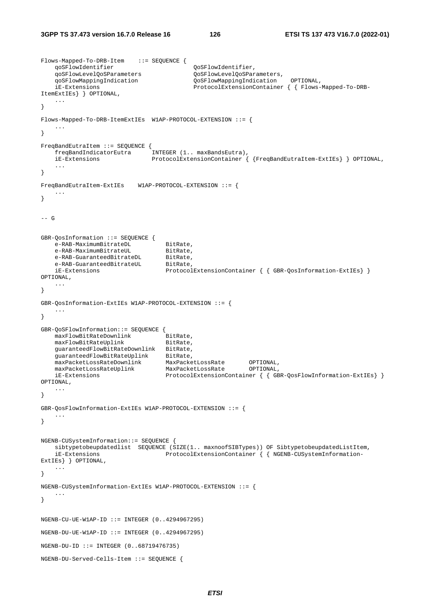```
Flows-Mapped-To-DRB-Item ::= SEQUENCE { 
 qoSFlowIdentifier QoSFlowIdentifier, 
 qoSFlowLevelQoSParameters QoSFlowLevelQoSParameters, 
 qoSFlowMappingIndication QoSFlowMappingIndication OPTIONAL, 
    iE-Extensions ProtocolExtensionContainer { { Flows-Mapped-To-DRB-
ItemExtIEs} } OPTIONAL, 
    ... 
} 
Flows-Mapped-To-DRB-ItemExtIEs W1AP-PROTOCOL-EXTENSION ::= { 
 ... 
} 
FreqBandEutraItem ::= SEQUENCE { 
   freqBandIndicatorEutra
    iE-Extensions ProtocolExtensionContainer { {FreqBandEutraItem-ExtIEs} } OPTIONAL, 
    ... 
} 
FreqBandEutraItem-ExtIEs W1AP-PROTOCOL-EXTENSION ::= { 
    ... 
} 
--- G
GBR-QosInformation ::= SEQUENCE { 
   e-RAB-MaximumBitrateDL BitRate,<br>e-RAB-MaximumBitrateUL BitRate,
   e-RAB-MaximumBitrateUL BitRate,<br>e-RAB-GuaranteedBitrateDL BitRate,
   e-RAB-GuaranteedBitrateDL
   e-RAB-GuaranteedBitrateUL
   e-RAB-GuaranteedBitrateUL<br>iE-Extensions ProtocolExtensionContainer { { GBR-QosInformation-ExtIEs} }
OPTIONAL, 
    ... 
} 
GBR-QosInformation-ExtIEs W1AP-PROTOCOL-EXTENSION ::= { 
    ... 
} 
GBR-QoSFlowInformation::= SEQUENCE { 
maxFlowBitRateDownlink BitRate,
maxFlowBitRateUplink BitRate,
 guaranteedFlowBitRateDownlink BitRate, 
 guaranteedFlowBitRateUplink BitRate, 
 maxPacketLossRateDownlink MaxPacketLossRate OPTIONAL, 
 maxPacketLossRateUplink MaxPacketLossRate OPTIONAL, 
 iE-Extensions ProtocolExtensionContainer { { GBR-QosFlowInformation-ExtIEs} } 
OPTIONAL, 
    ... 
} 
GBR-QosFlowInformation-ExtIEs W1AP-PROTOCOL-EXTENSION ::= { 
    ... 
} 
NGENB-CUSystemInformation::= SEQUENCE { 
    sibtypetobeupdatedlist SEQUENCE (SIZE(1.. maxnoofSIBTypes)) OF SibtypetobeupdatedListItem, 
    iE-Extensions ProtocolExtensionContainer { { NGENB-CUSystemInformation-
ExtIEs} } OPTIONAL, 
    ... 
} 
NGENB-CUSystemInformation-ExtIEs W1AP-PROTOCOL-EXTENSION ::= { 
    ... 
} 
NGENB-CU-UE-W1AP-ID ::= INTEGR (0..4294967295)NGENB-DU-UE-W1AP-ID ::= INTEGER (0.14294967295)NGENB-DU-ID ::= INTEGER (0..68719476735) 
NGENB-DU-Served-Cells-Item ::= SEQUENCE {
```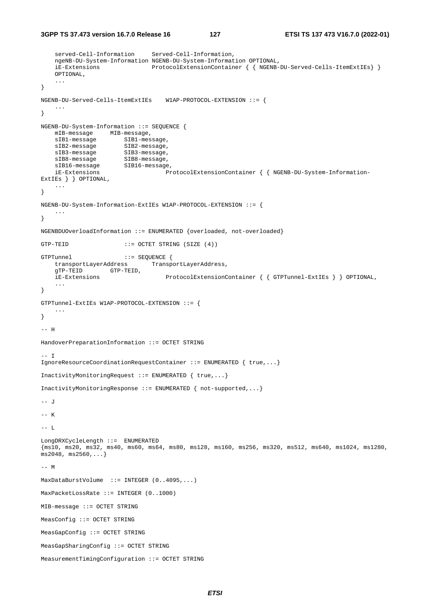```
3GPP TS 37.473 version 16.7.0 Release 16 127 ETSI TS 137 473 V16.7.0 (2022-01)
```

```
 served-Cell-Information Served-Cell-Information, 
     ngeNB-DU-System-Information NGENB-DU-System-Information OPTIONAL, 
     iE-Extensions ProtocolExtensionContainer { { NGENB-DU-Served-Cells-ItemExtIEs} }
     OPTIONAL, 
     ... 
} 
NGENB-DU-Served-Cells-ItemExtIEs W1AP-PROTOCOL-EXTENSION ::= { 
     ... 
} 
NGENB-DU-System-Information ::= SEQUENCE { 
 mIB-message MIB-message, 
sIB1-message SIB1-message,
   sIB1-message SIB1-message,<br>sIB2-message SIB2-message,<br>sIB3-message SIB3-message,
   sIB3-message SIB3-message,<br>sIB8-message SIB8-message,<br>sIB16-message SIB16-message
sIB8-message SIB8-message,
 sIB16-message SIB16-message, 
    iE-Extensions ProtocolExtensionContainer { { NGENB-DU-System-Information-
ExtIEs } } OPTIONAL, 
     ... 
} 
NGENB-DU-System-Information-ExtIEs W1AP-PROTOCOL-EXTENSION ::= { 
 ... 
} 
NGENBDUOverloadInformation ::= ENUMERATED {overloaded, not-overloaded} 
GTP-TEID ::= OCTET STRING (SIZE (4))
GTPTunnel ::= SEQUENCE {<br>transportLayerAddress Transp
                               ransportLayerAddress,
     gTP-TEID GTP-TEID, 
     iE-Extensions ProtocolExtensionContainer { { GTPTunnel-ExtIEs } } OPTIONAL, 
     ... 
} 
GTPTunnel-ExtIEs W1AP-PROTOCOL-EXTENSION ::= { 
     ... 
} 
-- H 
HandoverPreparationInformation ::= OCTET STRING 
-- I
IgnoreResourceCoordinationRequestContainer ::= ENUMERATED { true,...} 
InactivityMonitoringRequest ::= ENUMERATED { true,...} 
InactivityMonitoringResponse ::= ENUMERATED { not-supported,...} 
-- J
-- K 
-- L 
LongDRXCycleLength ::= ENUMERATED 
{ms10, ms20, ms32, ms40, ms60, ms64, ms80, ms128, ms160, ms256, ms320, ms512, ms640, ms1024, ms1280, 
ms2048, ms2560,...} 
--- MMaxDataBurstVolume ::= INTEGER (0..4095,...) 
MaxPacketLossRate ::= INTEGER (0..1000) 
MIB-message ::= OCTET STRING 
MeasConfig ::= OCTET STRING 
MeasGapConfig ::= OCTET STRING 
MeasGapSharingConfig ::= OCTET STRING 
MeasurementTimingConfiguration ::= OCTET STRING
```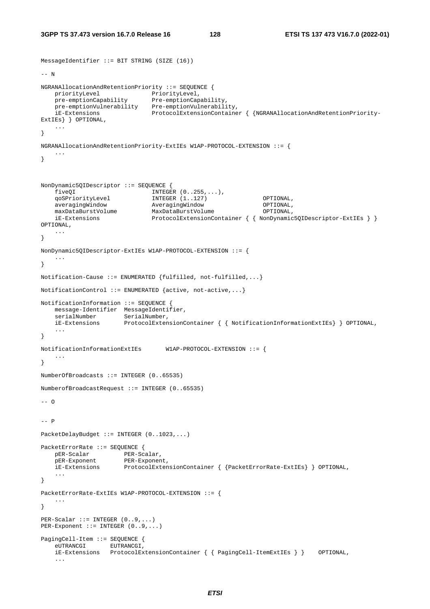MessageIdentifier ::= BIT STRING (SIZE (16))

```
--- N
NGRANAllocationAndRetentionPriority ::= SEQUENCE { 
priorityLevel PriorityLevel,
 pre-emptionCapability Pre-emptionCapability, 
   pre-emptionVulnerability Pre-emptionVulnerability,
    iE-Extensions ProtocolExtensionContainer { {NGRANAllocationAndRetentionPriority-
ExtIEs} } OPTIONAL, 
    ... 
} 
NGRANAllocationAndRetentionPriority-ExtIEs W1AP-PROTOCOL-EXTENSION ::= { 
 ... 
} 
NonDynamic5QIDescriptor ::= SEQUENCE { 
    fiveQI INTEGER (0..255,...), 
    qoSPriorityLevel INTEGER (1..127) OPTIONAL, 
   averagingWindow AveragingWindow OPTIONAL,<br>maxDataBurstVolume MaxDataBurstVolume OPTIONAL,
 maxDataBurstVolume MaxDataBurstVolume OPTIONAL, 
 iE-Extensions ProtocolExtensionContainer { { NonDynamic5QIDescriptor-ExtIEs } } 
OPTIONAL, 
    ... 
} 
NonDynamic5QIDescriptor-ExtIEs W1AP-PROTOCOL-EXTENSION ::= { 
    ... 
} 
Notification-Cause ::= ENUMERATED {fulfilled, not-fulfilled,...} 
NotificationControl ::= ENUMERATED {active, not-active,...} 
NotificationInformation ::= SEQUENCE { 
    message-Identifier MessageIdentifier, 
    serialNumber SerialNumber, 
    iE-Extensions ProtocolExtensionContainer { { NotificationInformationExtIEs} } OPTIONAL, 
    ... 
} 
NotificationInformationExtIEs W1AP-PROTOCOL-EXTENSION ::= { 
     ... 
} 
NumberOfBroadcasts ::= INTEGER (0..65535) 
NumberofBroadcastRequest ::= INTEGER (0..65535) 
--- 0--- DPacketDelayBudget ::= INTEGER (0..1023,...) 
PacketErrorRate ::= SEQUENCE { 
   pER-Scalar PER-Scalar,
    pER-Exponent PER-Exponent, 
    iE-Extensions ProtocolExtensionContainer { {PacketErrorRate-ExtIEs} } OPTIONAL, 
     ... 
} 
PacketErrorRate-ExtIEs W1AP-PROTOCOL-EXTENSION ::= { 
 ... 
} 
PER-Scalar ::= INTEGR (0..9,...)PER-Exponent ::= INTEGER (0..9,...) 
PagingCell-Item ::= SEQUENCE { 
    eUTRANCGI EUTRANCGI, 
    iE-Extensions ProtocolExtensionContainer { { PagingCell-ItemExtIEs } } OPTIONAL, 
     ...
```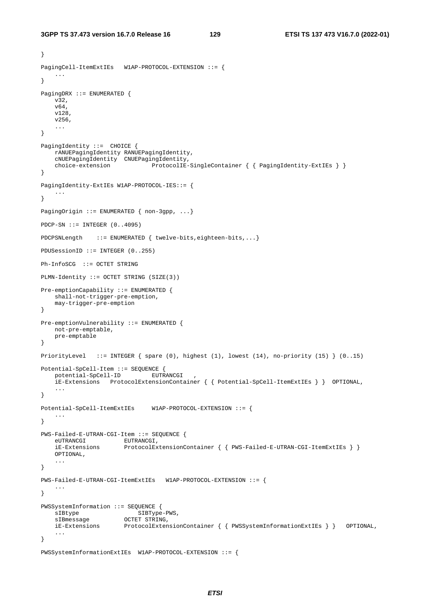}

```
PagingCell-ItemExtIEs W1AP-PROTOCOL-EXTENSION ::= { 
 ... 
} 
PagingDRX ::= ENUMERATED { 
     v32, 
     v64, 
     v128, 
     v256, 
     ... 
} 
PagingIdentity ::= CHOICE {
     rANUEPagingIdentity RANUEPagingIdentity, 
     cNUEPagingIdentity CNUEPagingIdentity, 
    choice-extension ProtocolIE-SingleContainer { { PagingIdentity-ExtIEs } }
} 
PagingIdentity-ExtIEs W1AP-PROTOCOL-IES::= { 
     ... 
} 
PagingOrigin ::= ENUMERATED { non-3gpp, ...}
PDCP-SN ::= INTEGER (0..4095) 
PDCPSNLength ::= ENUMERATED { twelve-bits,eighteen-bits,...}
PDUSessionID ::= INTEGER (0..255) 
Ph-InfoSCG ::= OCTET STRING 
PLMN-Identity ::= OCTET STRING (SIZE(3)) 
Pre-emptionCapability ::= ENUMERATED { 
    shall-not-trigger-pre-emption, 
     may-trigger-pre-emption 
} 
Pre-emptionVulnerability ::= ENUMERATED { 
    not-pre-emptable, 
     pre-emptable 
} 
PriorityLevel ::= INTEGER { spare (0), highest (1), lowest (14), no-priority (15) } (0..15) 
Potential-SpCell-Item ::= SEQUENCE { 
    potential-SpCell-ID EUTRANCGI , 
     iE-Extensions ProtocolExtensionContainer { { Potential-SpCell-ItemExtIEs } } OPTIONAL, 
 ... 
} 
Potential-SpCell-ItemExtIEs W1AP-PROTOCOL-EXTENSION ::= { 
     ... 
} 
PWS-Failed-E-UTRAN-CGI-Item ::= SEQUENCE { 
   eUTRANCGI EUTRANCGI,<br>iE-Extensions ProtocolEx
                        ProtocolExtensionContainer { } { PWS-Failed-E-UTRAN-CGI-ItemExtIES } } OPTIONAL, 
     ... 
} 
PWS-Failed-E-UTRAN-CGI-ItemExtIEs W1AP-PROTOCOL-EXTENSION ::= { 
     ... 
} 
{\tt PWSSystemInformation::= SEQUENCE~\{\\ SLBType~SIBmessage~OCTET~STRIN~\} }sIBtype SIBType-PWS,
   sIBmessage             OCTET STRING,<br>iE-Extensions         ProtocolExten
                        ProtocolExtensionContainer { { PWSSystemInformationExtIEs } } OPTIONAL,
     ... 
} 
PWSSystemInformationExtIEs W1AP-PROTOCOL-EXTENSION ::= {
```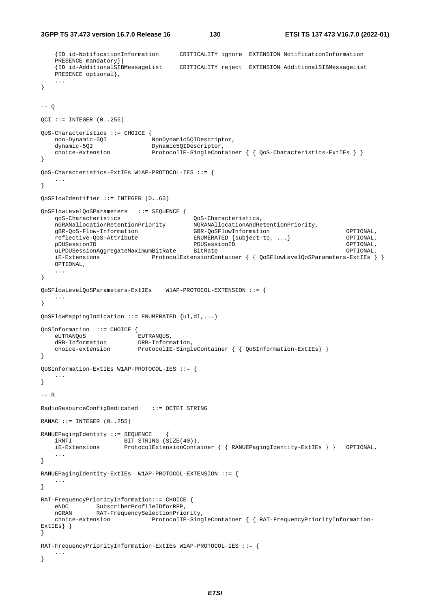```
 {ID id-NotificationInformation CRITICALITY ignore EXTENSION NotificationInformation 
    PRESENCE mandatory}| 
    {ID id-AdditionalSIBMessageList CRITICALITY reject EXTENSION AdditionalSIBMessageList 
   PRESENCE optional},
    ... 
} 
-- OQCI ::= INTEGER (0..255)QoS-Characteristics ::= CHOICE { 
   non-Dynamic-5QI NonDynamic5QIDescriptor,<br>dynamic-5QI Dynamic5QIDescriptor,
                              Dynamic5QIDescriptor,
   choice-extension ProtocolIE-SingleContainer { { QoS-Characteristics-ExtIEs } }
} 
QoS-Characteristics-ExtIEs W1AP-PROTOCOL-IES ::= { 
    ... 
} 
QoSFlowIdentifier ::= INTEGER (0..63) 
QoSFlowLevelQoSParameters ::= SEQUENCE { 
    qoS-Characteristics QoS-Characteristics, 
    nGRANallocationRetentionPriority NGRANAllocationAndRetentionPriority, 
   gBR-QoS-Flow-Information GBR-QoSFlowInformation OPTIONAL,<br>
reflective-QoS-Attribute ENUMERATED {subject-to, ...} OPTIONAL,
                                         ENUMERATED {subject-to, ...} OPTIONAL,
    pDUSessionID PDUSessionID OPTIONAL, 
   uLPDUSessionAggregateMaximumBitRate BitRate Contract Contract Contract Contract Contract OPTIONAL,
    iE-Extensions ProtocolExtensionContainer { { QoSFlowLevelQoSParameters-ExtIEs } }
    OPTIONAL, 
     ... 
} 
QoSFlowLevelQoSParameters-ExtIEs W1AP-PROTOCOL-EXTENSION ::= { 
 ... 
} 
QoSFlowMappingIndication ::= ENUMERATED {ul,dl,...} 
QoSInformation ::= CHOICE { 
    eUTRANQoS EUTRANQoS, 
    dRB-Information DRB-Information, 
    choice-extension ProtocolIE-SingleContainer { { QoSInformation-ExtIEs} } 
} 
QoSInformation-ExtIEs W1AP-PROTOCOL-IES ::= { 
    ... 
} 
--- RRadioResourceConfigDedicated ::= OCTET STRING 
RANAC ::= INTEGER (0, .255)RANUEPagingIdentity ::= SEQUENCE { 
 iRNTI BIT STRING (SIZE(40)), 
                     ProtocolExtensionContainer { { RANUEPagingIdentity-ExtIEs } } OPTIONAL,
 ... 
} 
RANUEPagingIdentity-ExtIEs W1AP-PROTOCOL-EXTENSION ::= { 
 ... 
} 
RAT-FrequencyPriorityInformation::= CHOICE { 
 eNDC SubscriberProfileIDforRFP, 
 nGRAN RAT-FrequencySelectionPriority, 
    choice-extension ProtocolIE-SingleContainer { { RAT-FrequencyPriorityInformation-
ExtIEs } }
} 
RAT-FrequencyPriorityInformation-ExtIEs W1AP-PROTOCOL-IES ::= { 
    ... 
}
```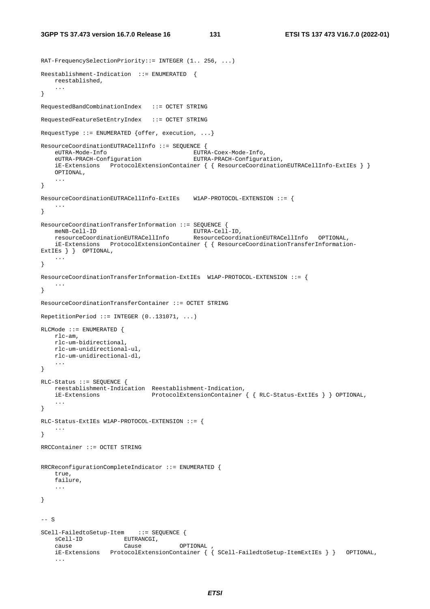RAT-FrequencySelectionPriority::= INTEGER (1.. 256, ...)

```
Reestablishment-Indication ::= ENUMERATED { 
    reestablished, 
    ... 
} 
RequestedBandCombinationIndex ::= OCTET STRING 
RequestedFeatureSetEntryIndex ::= OCTET STRING 
RequestType ::= ENUMERATED {offer, execution, ...} 
ResourceCoordinationEUTRACellInfo ::= SEQUENCE { 
   eUTRA-Mode-Info EUTRA-Coex-Mode-Info, 
    eUTRA-PRACH-Configuration EUTRA-PRACH-Configuration, 
    iE-Extensions ProtocolExtensionContainer { { ResourceCoordinationEUTRACellInfo-ExtIEs } }
    OPTIONAL, 
    ... 
} 
ResourceCoordinationEUTRACellInfo-ExtIEs W1AP-PROTOCOL-EXTENSION ::= { 
 ... 
} 
ResourceCoordinationTransferInformation ::= SEQUENCE { 
meNB-Cell-ID EUTRA-Cell-ID,
 resourceCoordinationEUTRACellInfo ResourceCoordinationEUTRACellInfo OPTIONAL, 
    iE-Extensions ProtocolExtensionContainer { { ResourceCoordinationTransferInformation-
ExtIEs } } OPTIONAL,
    ... 
} 
ResourceCoordinationTransferInformation-ExtIEs W1AP-PROTOCOL-EXTENSION ::= { 
 ... 
} 
ResourceCoordinationTransferContainer ::= OCTET STRING 
RepetitionPeriod ::= INTEGER (0..131071, ...) 
RLCMode ::= ENUMERATED { 
    rlc-am, 
    rlc-um-bidirectional, 
    rlc-um-unidirectional-ul, 
    rlc-um-unidirectional-dl, 
    ... 
} 
RLC-Status ::= SEQUENCE { 
    reestablishment-Indication Reestablishment-Indication, 
    iE-Extensions ProtocolExtensionContainer { { RLC-Status-ExtIEs } } OPTIONAL, 
    ... 
} 
RLC-Status-ExtIEs W1AP-PROTOCOL-EXTENSION ::= { 
    ... 
} 
RRCContainer ::= OCTET STRING 
RRCReconfigurationCompleteIndicator ::= ENUMERATED { 
    true, 
    failure, 
    ... 
} 
-- S
SCell-FailedtoSetup-Item ::= SEQUENCE { 
sCell-ID EUTRANCGI,
 cause Cause OPTIONAL , 
    iE-Extensions ProtocolExtensionContainer { { SCell-FailedtoSetup-ItemExtIEs } } OPTIONAL, 
     ...
```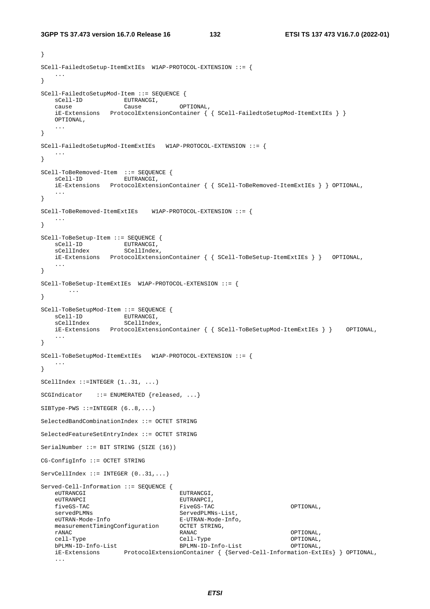```
3GPP TS 37.473 version 16.7.0 Release 16 132 ETSI TS 137 473 V16.7.0 (2022-01)
```

```
} 
SCell-FailedtoSetup-ItemExtIEs W1AP-PROTOCOL-EXTENSION ::= { 
 ... 
} 
SCell-FailedtoSetupMod-Item ::= SEQUENCE { 
sCell-ID EUTRANCGI,
 cause Cause OPTIONAL, 
    iE-Extensions ProtocolExtensionContainer { { SCell-FailedtoSetupMod-ItemExtIEs } }
   OPTIONAL, 
 ... 
} 
SCell-FailedtoSetupMod-ItemExtIEs W1AP-PROTOCOL-EXTENSION ::= { 
 ... 
} 
SCell-ToBeRemoved-Item ::= SEQUENCE {<br>sCell-ID EUTRANCGI,
                   EUTRANCGI,
    iE-Extensions ProtocolExtensionContainer { { SCell-ToBeRemoved-ItemExtIEs } } OPTIONAL, 
    ... 
} 
SCell-ToBeRemoved-ItemExtIEs W1AP-PROTOCOL-EXTENSION ::= { 
 ... 
} 
SCell-ToBeSetup-Item ::= SEQUENCE { 
sCell-ID EUTRANCGI,
sCellIndex SCellIndex,
    iE-Extensions ProtocolExtensionContainer { { SCell-ToBeSetup-ItemExtIEs } } OPTIONAL, 
    ... 
} 
SCell-ToBeSetup-ItemExtIEs W1AP-PROTOCOL-EXTENSION ::= { 
       ... 
} 
SCell-ToBeSetupMod-Item ::= SEQUENCE { 
sCell-ID EUTRANCGI,
 sCellIndex SCellIndex, 
    iE-Extensions ProtocolExtensionContainer { { SCell-ToBeSetupMod-ItemExtIEs } } OPTIONAL, 
 ... 
} 
SCell-ToBeSetupMod-ItemExtIEs W1AP-PROTOCOL-EXTENSION ::= { 
    ... 
} 
SCellIndex ::=INTEGER (1..31, ...) 
SCGIndicator ::= ENUMERATED {released, ...}
SIBType-PWS :: = INTEGR (6..8,...)SelectedBandCombinationIndex ::= OCTET STRING 
SelectedFeatureSetEntryIndex ::= OCTET STRING 
SerialNumber ::= BIT STRING (SIZE (16)) 
CG-ConfigInfo ::= OCTET STRING 
ServeellIndex ::=INTER (0..31, ...)Served-Cell-Information ::= SEQUENCE { 
  eUTRANCGI EUTRANCGI,
   eUTRANPCI EUTRALIC EUTRALIC EUTRALIC EUR
    fiveGS-TAC FiveGS-TAC OPTIONAL, 
   servedPLMNs ServedPLMNs-List,
    eUTRAN-Mode-Info E-UTRAN-Mode-Info, 
    measurementTimingConfiguration OCTET STRING, 
 rANAC RANAC OPTIONAL, 
 cell-Type Cell-Type OPTIONAL, 
 bPLMN-ID-Info-List BPLMN-ID-Info-List OPTIONAL, 
 iE-Extensions ProtocolExtensionContainer { {Served-Cell-Information-ExtIEs} } OPTIONAL, 
 ...
```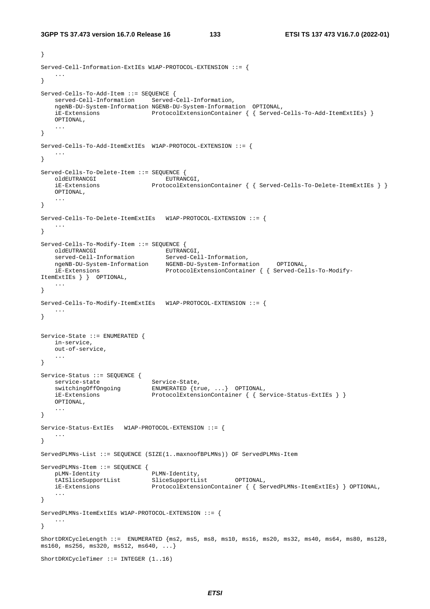```
} 
Served-Cell-Information-ExtIEs W1AP-PROTOCOL-EXTENSION ::= { 
 ... 
} 
Served-Cells-To-Add-Item ::= SEQUENCE { 
    served-Cell-Information Served-Cell-Information, 
    ngeNB-DU-System-Information NGENB-DU-System-Information OPTIONAL, 
    iE-Extensions ProtocolExtensionContainer { { Served-Cells-To-Add-ItemExtIEs} }
    OPTIONAL, 
 ... 
} 
Served-Cells-To-Add-ItemExtIEs W1AP-PROTOCOL-EXTENSION ::= { 
 ... 
} 
Served-Cells-To-Delete-Item ::= SEQUENCE { 
   oldEUTRANCGI
    iE-Extensions ProtocolExtensionContainer { { Served-Cells-To-Delete-ItemExtIEs } }
    OPTIONAL, 
    ... 
} 
Served-Cells-To-Delete-ItemExtIEs W1AP-PROTOCOL-EXTENSION ::= { 
    ... 
} 
Served-Cells-To-Modify-Item ::= SEQUENCE { 
 oldEUTRANCGI EUTRANCGI, 
 served-Cell-Information Served-Cell-Information, 
 ngeNB-DU-System-Information NGENB-DU-System-Information OPTIONAL, 
 iE-Extensions ProtocolExtensionContainer { { Served-Cells-To-Modify-
ItemExtIEs } } OPTIONAL, 
    ... 
} 
Served-Cells-To-Modify-ItemExtIEs W1AP-PROTOCOL-EXTENSION ::= { 
   ... 
} 
Service-State ::= ENUMERATED { 
    in-service, 
    out-of-service, 
     ... 
} 
Service-Status ::= SEQUENCE { 
service-state Service-State,
 switchingOffOngoing ENUMERATED {true, ...} OPTIONAL, 
iE-Extensions ProtocolExtensionContainer { { Service-Status-ExtIEs } }
 OPTIONAL, 
    ... 
} 
Service-Status-ExtIEs W1AP-PROTOCOL-EXTENSION ::= { 
 ... 
} 
ServedPLMNs-List ::= SEQUENCE (SIZE(1..maxnoofBPLMNs)) OF ServedPLMNs-Item 
ServedPLMNs-Item ::= SEQUENCE {<br>pLMN-Identity PLMN-Identity,
   pLMN-Identity
   tAISliceSupportList SliceSupportList OPTIONAL,<br>iE-Extensions ProtocolExtensionContainer { { Se
                              ProtocolExtensionContainer { { ServedPLMNs-ItemExtIEs} } OPTIONAL,
    ... 
} 
ServedPLMNs-ItemExtIEs W1AP-PROTOCOL-EXTENSION ::= { 
    ... 
} 
ShortDRXCycleLength ::= ENUMERATED {ms2, ms5, ms8, ms10, ms16, ms20, ms32, ms40, ms64, ms80, ms128, 
ms160, ms256, ms320, ms512, ms640, ...} 
ShortDRXCycleTimer ::= INTEGER (1..16)
```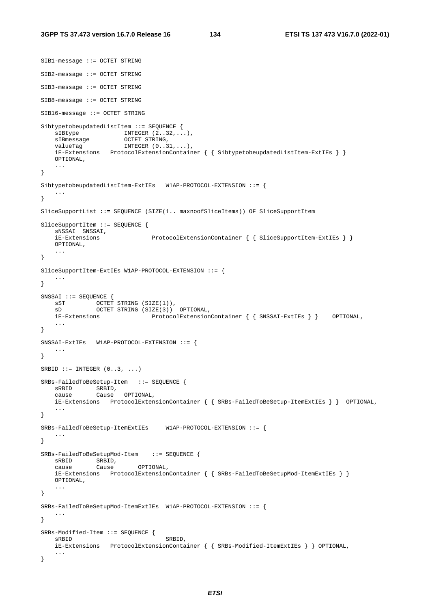```
SIB1-message ::= OCTET STRING 
SIB2-message ::= OCTET STRING 
SIB3-message ::= OCTET STRING 
SIB8-message ::= OCTET STRING 
SIB16-message ::= OCTET STRING 
SibtypetobeupdatedListItem ::= SEQUENCE { 
sIBtype INTEGER (2..32,...),sIBmessage OCTET STRING,
   valueTag INTEGER (0..31,...), iE-Extensions ProtocolExtensionContainer { { SibtypetobeupdatedListItem-ExtIEs } }
    OPTIONAL, 
    ... 
} 
SibtypetobeupdatedListItem-ExtIEs W1AP-PROTOCOL-EXTENSION ::= { 
    ... 
} 
SliceSupportList ::= SEQUENCE (SIZE(1.. maxnoofSliceItems)) OF SliceSupportItem
SliceSupportItem ::= SEQUENCE { 
    sNSSAI SNSSAI, 
    iE-Extensions ProtocolExtensionContainer { { SliceSupportItem-ExtIEs } }
    OPTIONAL, 
 ... 
} 
SliceSupportItem-ExtIEs W1AP-PROTOCOL-EXTENSION ::= { 
    ... 
} 
SNSSAI ::= SEQUENCE { 
 sST OCTET STRING (SIZE(1)), 
 sD OCTET STRING (SIZE(3)) OPTIONAL, 
    iE-Extensions ProtocolExtensionContainer { { SNSSAI-ExtIEs } } OPTIONAL, 
    ... 
} 
SNSSAI-ExtIEs W1AP-PROTOCOL-EXTENSION ::= { 
    ... 
} 
SRBID ::= INTEGER (0..3, ...)SRBs-FailedToBeSetup-Item ::= SEQUENCE { 
    sRBID SRBID, 
    cause Cause OPTIONAL, 
    iE-Extensions ProtocolExtensionContainer { { SRBs-FailedToBeSetup-ItemExtIEs } } OPTIONAL, 
    ... 
} 
SRBs-FailedToBeSetup-ItemExtIEs W1AP-PROTOCOL-EXTENSION ::= { 
 ... 
} 
SRBs-FailedToBeSetupMod-Item ::= SEQUENCE { 
 sRBID SRBID, 
 cause Cause OPTIONAL, 
    iE-Extensions ProtocolExtensionContainer { { SRBs-FailedToBeSetupMod-ItemExtIEs } }
    OPTIONAL, 
    ... 
} 
SRBs-FailedToBeSetupMod-ItemExtIEs W1AP-PROTOCOL-EXTENSION ::= { 
    ... 
} 
SRBs-Modified-Item ::= SEQUENCE { 
   sRBID SRBID,
    iE-Extensions ProtocolExtensionContainer { { SRBs-Modified-ItemExtIEs } } OPTIONAL, 
    ... 
}
```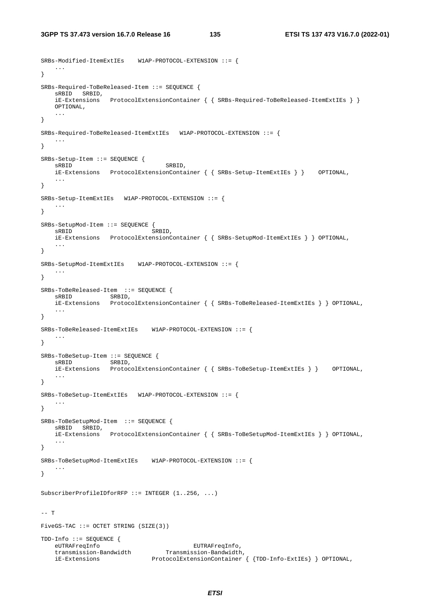SRBs-Modified-ItemExtIEs W1AP-PROTOCOL-EXTENSION ::= {

```
 ... 
} 
SRBs-Required-ToBeReleased-Item ::= SEQUENCE { 
     sRBID SRBID, 
     iE-Extensions ProtocolExtensionContainer { { SRBs-Required-ToBeReleased-ItemExtIEs } }
    OPTIONAL, 
     ... 
} 
SRBs-Required-ToBeReleased-ItemExtIEs W1AP-PROTOCOL-EXTENSION ::= { 
    ... 
} 
SRBs-Setup-Item ::= SEQUENCE { 
   sRBID SRBID,
    iE-Extensions ProtocolExtensionContainer { { SRBs-Setup-ItemExtIEs } } OPTIONAL, 
     ... 
} 
SRBs-Setup-ItemExtIEs W1AP-PROTOCOL-EXTENSION ::= { 
 ... 
} 
SRBs-SetupMod-Item ::= SEQUENCE { 
   sRBID
sRBID
sRBID
sRBID
sRBID
sRBID
sRBID
sRBID
sRBID
sRBID
sRBID
sRBID
sRBID
sRBID
sRBID
sRBID
sRBID
sRBID
sRBID
sRBID
sRBID
sRBID
sRBID
sRBID
sRBID
sRBID
sRBID
sRBID
sRBID
sRBID
sRBID
sRBID
sRBID
sRBID
sRBID
sRBID
sRBID

     iE-Extensions ProtocolExtensionContainer { { SRBs-SetupMod-ItemExtIEs } } OPTIONAL, 
 ... 
} 
SRBs-SetupMod-ItemExtIEs W1AP-PROTOCOL-EXTENSION ::= { 
 ... 
} 
SRBs-ToBeReleased-Item ::= SEQUENCE { 
sRBID SRBID,
 iE-Extensions ProtocolExtensionContainer { { SRBs-ToBeReleased-ItemExtIEs } } OPTIONAL, 
     ... 
} 
SRBs-ToBeReleased-ItemExtIEs W1AP-PROTOCOL-EXTENSION ::= { 
     ... 
} 
SRBs-ToBeSetup-Item ::= SEQUENCE { 
sRBID SRBID,
 iE-Extensions ProtocolExtensionContainer { { SRBs-ToBeSetup-ItemExtIEs } } OPTIONAL, 
     ... 
} 
SRBs-ToBeSetup-ItemExtIEs W1AP-PROTOCOL-EXTENSION ::= { 
    ... 
} 
SRBs-ToBeSetupMod-Item ::= SEQUENCE { 
    sRBID SRBID, 
     iE-Extensions ProtocolExtensionContainer { { SRBs-ToBeSetupMod-ItemExtIEs } } OPTIONAL, 
     ... 
} 
SRBs-ToBeSetupMod-ItemExtIEs W1AP-PROTOCOL-EXTENSION ::= { 
 ... 
} 
SubscriberProfileIDforRFP ::= INTEGER (1..256, ...) 
-- T 
FiveGS-TAC ::= OCTET STRING (SIZE(3)) 
TDD-Info ::= SEQUENCE { 
    eUTRAFreqInfo<br>transmission-Bandwidth fransmission-Bandwidth,
 transmission-Bandwidth Transmission-Bandwidth, 
 iE-Extensions ProtocolExtensionContainer { {TDD-Info-ExtIEs} } OPTIONAL,
```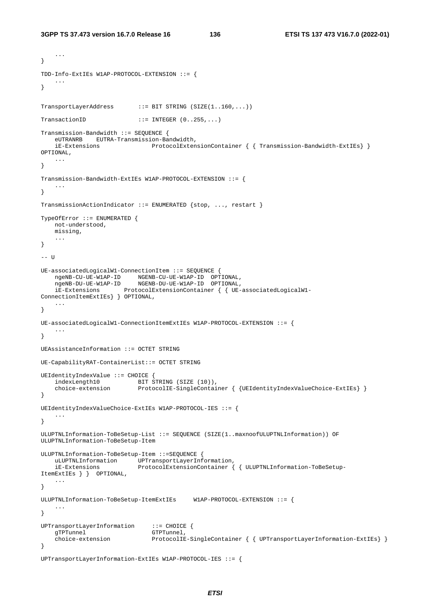```
 ... 
} 
TDD-Info-ExtIEs W1AP-PROTOCOL-EXTENSION ::= { 
    ... 
} 
TransportLayerAddress ::= BIT STRING (SIZE(1..160,...)) 
TransactionID ::= INTEGER (0..255,...)Transmission-Bandwidth ::= SEQUENCE { 
    eUTRANRB EUTRA-Transmission-Bandwidth, 
                             ProtocolExtensionContainer { { Transmission-Bandwidth-ExtIEs} }
OPTIONAL, 
    ... 
} 
Transmission-Bandwidth-ExtIEs W1AP-PROTOCOL-EXTENSION ::= { 
 ... 
} 
TransmissionActionIndicator ::= ENUMERATED {stop, ..., restart } 
TypeOfError ::= ENUMERATED { 
    not-understood, 
    missing, 
     ... 
} 
-- U 
UE-associatedLogicalW1-ConnectionItem ::= SEQUENCE { 
 ngeNB-CU-UE-W1AP-ID NGENB-CU-UE-W1AP-ID OPTIONAL, 
 ngeNB-DU-UE-W1AP-ID NGENB-DU-UE-W1AP-ID OPTIONAL, 
    iE-Extensions ProtocolExtensionContainer { { UE-associatedLogicalW1-
ConnectionItemExtIEs} } OPTIONAL, 
 ... 
} 
UE-associatedLogicalW1-ConnectionItemExtIEs W1AP-PROTOCOL-EXTENSION ::= { 
 ... 
} 
UEAssistanceInformation ::= OCTET STRING 
UE-CapabilityRAT-ContainerList::= OCTET STRING 
UEIdentityIndexValue ::= CHOICE { 
   indexLength10 BIT STRING (SIZE (10)),
    choice-extension ProtocolIE-SingleContainer { {UEIdentityIndexValueChoice-ExtIEs} } 
} 
UEIdentityIndexValueChoice-ExtIEs W1AP-PROTOCOL-IES ::= { 
    ... 
} 
ULUPTNLInformation-ToBeSetup-List ::= SEQUENCE (SIZE(1..maxnoofULUPTNLInformation)) OF 
ULUPTNLInformation-ToBeSetup-Item 
ULUPTNLInformation-ToBeSetup-Item ::=SEQUENCE { 
   uLUPTNLInformation UPTransportLayerInformation, 
    iE-Extensions ProtocolExtensionContainer { { ULUPTNLInformation-ToBeSetup-
ItemExtIEs } } OPTIONAL, 
    ... 
} 
ULUPTNLInformation-ToBeSetup-ItemExtIEs W1AP-PROTOCOL-EXTENSION ::= { 
    ... 
} 
UPTransportLayerInformation ::= CHOICE { 
   gTPTunnel GTPTunnel,
    choice-extension ProtocolIE-SingleContainer { { UPTransportLayerInformation-ExtIEs} } 
} 
UPTransportLayerInformation-ExtIEs W1AP-PROTOCOL-IES ::= {
```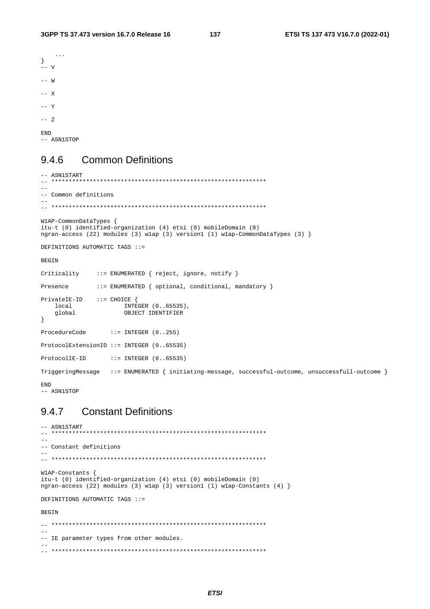```
\sim . . .
\mathcal{E}\frac{1}{x} - v
---W--- X\overline{z} = \overline{y}--- ZF.ND-- ASN1STOP
```
### **Common Definitions** 9.4.6

```
-- ASN1START
                 - **********
\sim-- Common definitions
\sim .
W1AP-CommonDataTypes {
itu-t (0) identified-organization (4) etsi (0) mobileDomain (0)
ngran-access (22) modules (3) wlap (3) version1 (1) wlap-CommonDataTypes (3) }
DEFINITIONS AUTOMATIC TAGS ::=
BEGIN
Criticality
             ::= ENUMERATED { reject, ignore, notify }
Presence
            ::= ENUMERATED { optional, conditional, mandatory }
PrivateIE-ID ::= CHOICE {\nlocal
                  INTEGER (0..65535),
                    OBJECT IDENTIFIER
   global
\left\{ \right.::= INTEGER (0..255)ProcedureCode
ProtocolExtensionID ::= INTEGER (0.05535)ProtocolIE-ID
                ::= INTEGER (0..65535)TriggeringMessage ::= ENUMERATED { initiating-message, successful-outcome, unsuccessfull-outcome }
FMD
-- ASN1STOP
```
### **Constant Definitions** 9.4.7

```
-- ASN1START
\Delta \Delta-- Constant definitions
\simW1AP-Constants {
itu-t (0) identified-organization (4) etsi (0) mobileDomain (0)
ngran-access (22) modules (3) wlap (3) version1 (1) wlap-Constants (4) }
DEFINITIONS AUTOMATIC TAGS : :=
BEGIN
-- IE parameter types from other modules.
```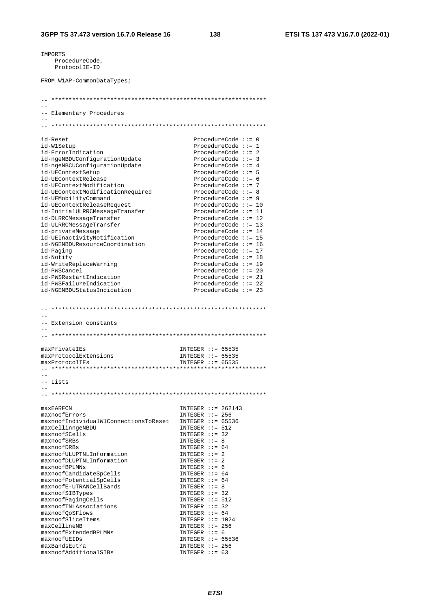IMPORTS ProcedureCode, ProtocolIE-ID

FROM W1AP-CommonDataTypes;

| -- Elementary Procedures              |                        |
|---------------------------------------|------------------------|
|                                       |                        |
|                                       |                        |
|                                       |                        |
| id-Reset                              | ProcedureCode $::= 0$  |
| id-W1Setup                            | ProcedureCode $::= 1$  |
| id-ErrorIndication                    | ProcedureCode $::= 2$  |
| id-ngeNBDUConfigurationUpdate         | ProcedureCode $::= 3$  |
| id-ngeNBCUConfigurationUpdate         | ProcedureCode $::= 4$  |
| id-UEContextSetup                     | ProcedureCode $:= 5$   |
| id-UEContextRelease                   | ProcedureCode $:= 6$   |
| id-UEContextModification              | ProcedureCode $::= 7$  |
| id-UEContextModificationRequired      | ProcedureCode ::= 8    |
| id-UEMobilityCommand                  | ProcedureCode $::= 9$  |
| id-UEContextReleaseRequest            | ProcedureCode ::= 10   |
| id-InitialULRRCMessageTransfer        | ProcedureCode ::= 11   |
| id-DLRRCMessageTransfer               | ProcedureCode $::= 12$ |
| id-ULRRCMessageTransfer               | ProcedureCode $::= 13$ |
| id-privateMessage                     | ProcedureCode $::= 14$ |
| id-UEInactivityNotification           | ProcedureCode $::= 15$ |
| id-NGENBDUResourceCoordination        | ProcedureCode $::= 16$ |
| id-Paging                             | ProcedureCode $::= 17$ |
| id-Notify                             | ProcedureCode $::= 18$ |
| id-WriteReplaceWarning                | ProcedureCode $::= 19$ |
| id-PWSCancel                          | ProcedureCode $::= 20$ |
| id-PWSRestartIndication               | ProcedureCode $::= 21$ |
| id-PWSFailureIndication               | ProcedureCode $::= 22$ |
|                                       |                        |
| id-NGENBDUStatusIndication            | ProcedureCode $:= 23$  |
| - Extension constants                 |                        |
|                                       |                        |
| maxPrivateIEs                         | INTEGER $::= 65535$    |
| maxProtocolExtensions                 | INTEGER $::= 65535$    |
| maxProtocolIEs                        | INTEGER $::= 65535$    |
|                                       |                        |
|                                       |                        |
| -- Lists                              |                        |
|                                       |                        |
|                                       |                        |
| maxEARFCN                             | INTEGER $::= 262143$   |
| maxnoofErrors                         | INTEGER $::= 256$      |
| maxnoofIndividualW1ConnectionsToReset | INTEGER $::= 65536$    |
| maxCellinngeNBDU                      | INTEGER $::= 512$      |
| maxnoofSCells                         | INTEGER $::= 32$       |
| maxnoofSRBs                           | INTEGER $::= 8$        |
| maxnoofDRBs                           | INTEGER $::= 64$       |
|                                       |                        |
| maxnoofULUPTNLInformation             | INTEGER $::= 2$        |
| maxnoofDLUPTNLInformation             | INTEGER $::= 2$        |
| maxnoofBPLMNs                         | INTEGER $::= 6$        |
| maxnoofCandidateSpCells               | INTEGER $::= 64$       |
| maxnoofPotentialSpCells               | INTEGER $::= 64$       |
| maxnoofE-UTRANCellBands               | INTEGER $::= 8$        |
| maxnoofSIBTypes                       | INTEGER $::=$ 32       |
| maxnoofPagingCells                    | INTEGER $::= 512$      |
| maxnoofTNLAssociations                | $INTER :: = 32$        |
| maxnoofQoSFlows                       | INTEGER $::= 64$       |
| maxnoofSliceItems                     | INTEGER $::= 1024$     |
| maxCellineNB                          | INTEGER $::= 256$      |
| maxnoofExtendedBPLMNs                 | INTEGER $::= 6$        |
| maxnoofUEIDs                          | INTEGER $::= 65536$    |
| maxBandsEutra                         | INTEGER $::= 256$      |
| maxnoofAdditionalSIBs                 | INTEGER $::= 63$       |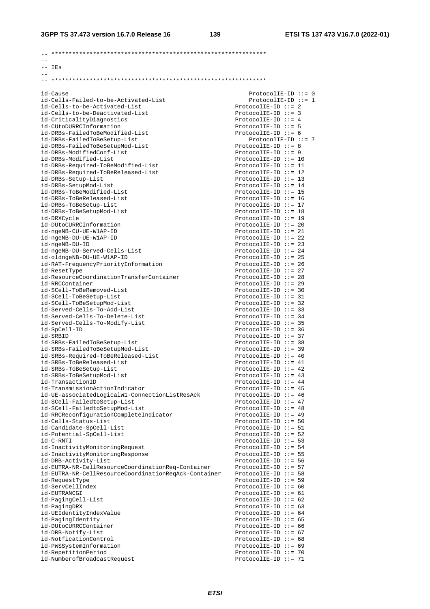**3GPP TS 37.473 version 16.7.0 Release 16 139 ETSI TS 137 473 V16.7.0 (2022-01)**

| $--$ IEs                                                                         |                                                    |
|----------------------------------------------------------------------------------|----------------------------------------------------|
|                                                                                  |                                                    |
|                                                                                  |                                                    |
| id-Cause                                                                         | ProtocolIE-ID ::= $0$                              |
| id-Cells-Failed-to-be-Activated-List                                             | $ProtocolIE-ID ::= 1$                              |
| id-Cells-to-be-Activated-List                                                    | ProtocolIE-ID $::= 2$                              |
| id-Cells-to-be-Deactivated-List                                                  | ProtocolIE-ID $::= 3$                              |
| id-CriticalityDiagnostics                                                        | ProtocolIE-ID ::= $4$                              |
| id-CUtoDURRCInformation<br>id-DRBs-FailedToBeModified-List                       | ProtocolIE-ID $::= 5$<br>ProtocolIE-ID $::= 6$     |
| id-DRBs-FailedToBeSetup-List                                                     | $ProtocolIE-ID :: = 7$                             |
| id-DRBs-FailedToBeSetupMod-List                                                  | ProtocolIE-ID $::= 8$                              |
| id-DRBs-ModifiedConf-List                                                        | $ProtocolIE-ID ::= 9$                              |
| id-DRBs-Modified-List                                                            | ProtocolIE-ID ::= 10                               |
| id-DRBs-Required-ToBeModified-List                                               | $ProtocolIE-ID :: = 11$                            |
| id-DRBs-Required-ToBeReleased-List                                               | ProtocolIE-ID ::= 12                               |
| id-DRBs-Setup-List                                                               | $ProtocolIE-ID :: = 13$                            |
| id-DRBs-SetupMod-List                                                            | ProtocolIE-ID ::= $14$                             |
| id-DRBs-ToBeModified-List<br>id-DRBs-ToBeReleased-List                           | $ProtocolIE-ID :: = 15$<br>$ProtocolIE-ID :: = 16$ |
| id-DRBs-ToBeSetup-List                                                           | ProtocolIE-ID ::= 17                               |
| id-DRBs-ToBeSetupMod-List                                                        | ProtocolIE-ID ::= 18                               |
| id-DRXCycle                                                                      | $ProtocolIE-ID ::= 19$                             |
| id-DUtoCURRCInformation                                                          | ProtocolIE-ID ::= 20                               |
| id-ngeNB-CU-UE-W1AP-ID                                                           | $ProtocolIE-ID ::= 21$                             |
| id-ngeNB-DU-UE-W1AP-ID                                                           | ProtocolIE-ID ::= 22                               |
| id-ngeNB-DU-ID                                                                   | $ProtocolIE-ID :: = 23$                            |
| id-ngeNB-DU-Served-Cells-List                                                    | ProtocolIE-ID ::= 24                               |
| id-oldngeNB-DU-UE-W1AP-ID                                                        | $ProtocolIE-ID :: = 25$                            |
| id-RAT-FrequencyPriorityInformation<br>id-ResetType                              | $ProtocolIE-ID :: = 26$<br>$ProtocolIE-ID :: = 27$ |
| id-ResourceCoordinationTransferContainer                                         | ProtocolIE-ID ::= 28                               |
| id-RRCContainer                                                                  | $ProtocolIE-ID :: = 29$                            |
| id-SCell-ToBeRemoved-List                                                        | ProtocolIE-ID ::= 30                               |
| id-SCell-ToBeSetup-List                                                          | $ProtocolIE-ID ::= 31$                             |
| id-SCell-ToBeSetupMod-List                                                       | $ProtocolIE-ID :: = 32$                            |
| id-Served-Cells-To-Add-List                                                      | $ProtocolIE-ID :: = 33$                            |
| id-Served-Cells-To-Delete-List                                                   | $ProtocolIE-ID :: = 34$                            |
| id-Served-Cells-To-Modify-List                                                   | $ProtocolIE-ID :: = 35$                            |
| id-SpCell-ID<br>id-SRBID                                                         | ProtocolIE-ID ::= 36<br>$ProtocolIE-ID :: = 37$    |
| id-SRBs-FailedToBeSetup-List                                                     | ProtocolIE-ID ::= 38                               |
| id-SRBs-FailedToBeSetupMod-List                                                  | $ProtocolIE-ID :: = 39$                            |
| id-SRBs-Required-ToBeReleased-List                                               | ProtocolIE-ID ::= $40$                             |
| id-SRBs-ToBeReleased-List                                                        | ProtocolIE-ID ::= $41$                             |
| id-SRBs-ToBeSetup-List                                                           | ProtocolIE-ID ::= $42$                             |
| id-SRBs-ToBeSetupMod-List                                                        | ProtocolIE-ID ::= $43$                             |
| id-TransactionID                                                                 | ProtocolIE-ID ::= $44$                             |
| id-TransmissionActionIndicator<br>id-UE-associatedLogicalW1-ConnectionListResAck | ProtocolIE-ID ::= $45$<br>ProtocolIE-ID ::= $46$   |
| id-SCell-FailedtoSetup-List                                                      | ProtocolIE-ID ::= $47$                             |
| id-SCell-FailedtoSetupMod-List                                                   | ProtocolIE-ID ::= $48$                             |
| id-RRCReconfigurationCompleteIndicator                                           | ProtocolIE-ID $::= 49$                             |
| id-Cells-Status-List                                                             | ProtocolIE-ID $::= 50$                             |
| id-Candidate-SpCell-List                                                         | ProtocolIE-ID $::= 51$                             |
| id-Potential-SpCell-List                                                         | ProtocolIE-ID ::= 52                               |
| id-C-RNTI                                                                        | ProtocolIE-ID ::= 53                               |
| id-InactivityMonitoringRequest                                                   | ProtocolIE-ID ::= $54$                             |
| id-InactivityMonitoringResponse<br>id-DRB-Activity-List                          | $ProtocolIE-ID :: = 55$<br>ProtocolIE-ID $::= 56$  |
| id-EUTRA-NR-CellResourceCoordinationReq-Container                                | ProtocolIE-ID ::= 57                               |
| id-EUTRA-NR-CellResourceCoordinationReqAck-Container                             | ProtocolIE-ID ::= 58                               |
| id-RequestType                                                                   | ProtocolIE-ID ::= 59                               |
| id-ServCellIndex                                                                 | ProtocolIE-ID ::= $60$                             |
| id-EUTRANCGI                                                                     | ProtocolIE-ID $::= 61$                             |
| id-PagingCell-List                                                               | ProtocolIE-ID $::= 62$                             |
| id-PagingDRX                                                                     | ProtocolIE-ID $::= 63$                             |
| id-UEIdentityIndexValue                                                          | ProtocolIE-ID ::= $64$                             |
| id-PagingIdentity<br>id-DUtoCURRCContainer                                       | ProtocolIE-ID $::= 65$<br>ProtocolIE-ID ::= $66$   |
| id-DRB-Notify-List                                                               | ProtocolIE-ID ::= $67$                             |
| id-NotficationControl                                                            | ProtocolIE-ID $::= 68$                             |
| id-PWSSystemInformation                                                          | ProtocolIE-ID $::= 69$                             |
| id-RepetitionPeriod                                                              | ProtocolIE-ID ::= 70                               |
| id-NumberofBroadcastRequest                                                      | ProtocolIE-ID ::= $71$                             |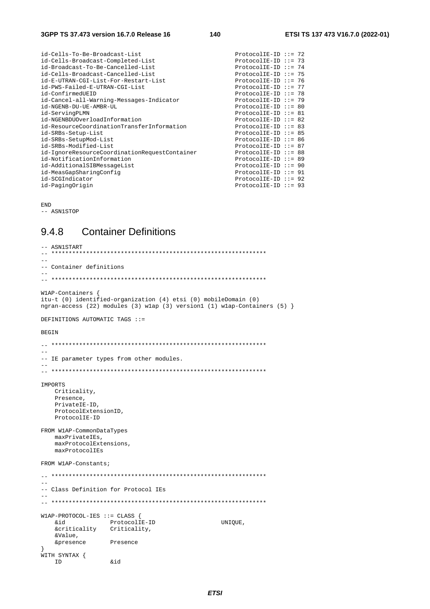| ProtocolIE-ID ::= 73<br>ProtocolIE-ID ::= $74$<br>ProtocolIE-ID ::= 75<br>ProtocolIE-ID ::= 76<br>ProtocolIE-ID ::= 77<br>ProtocolIE-ID ::= 78<br>$ProtocolIE-ID :: = 79$<br>ProtocolIE-ID ::= 80<br>ProtocolIE-ID ::= 81<br>$ProtocolIE-ID :: = 82$<br>ProtocolIE-ID ::= 83<br>$ProtocolIE-ID :: = 85$<br>ProtocolIE-ID ::= 86<br>ProtocolIE-ID ::= 87<br>$ProtocolIE-ID :: = 88$<br>$ProtocolIE-ID :: = 89$<br>$ProtocolIE-ID :: = 90$<br>ProtocolIE-ID $::= 91$<br>$ProtocolIE-ID :: = 92$<br>$ProtocolIE-ID :: = 93$ | id-Cells-To-Be-Broadcast-List                 | ProtocolIE-ID ::= 72 |  |
|--------------------------------------------------------------------------------------------------------------------------------------------------------------------------------------------------------------------------------------------------------------------------------------------------------------------------------------------------------------------------------------------------------------------------------------------------------------------------------------------------------------------------|-----------------------------------------------|----------------------|--|
|                                                                                                                                                                                                                                                                                                                                                                                                                                                                                                                          | id-Cells-Broadcast-Completed-List             |                      |  |
|                                                                                                                                                                                                                                                                                                                                                                                                                                                                                                                          | id-Broadcast-To-Be-Cancelled-List             |                      |  |
|                                                                                                                                                                                                                                                                                                                                                                                                                                                                                                                          | id-Cells-Broadcast-Cancelled-List             |                      |  |
|                                                                                                                                                                                                                                                                                                                                                                                                                                                                                                                          | id-E-UTRAN-CGI-List-For-Restart-List          |                      |  |
|                                                                                                                                                                                                                                                                                                                                                                                                                                                                                                                          | id-PWS-Failed-E-UTRAN-CGI-List                |                      |  |
|                                                                                                                                                                                                                                                                                                                                                                                                                                                                                                                          | id-ConfirmedUEID                              |                      |  |
|                                                                                                                                                                                                                                                                                                                                                                                                                                                                                                                          | id-Cancel-all-Warning-Messages-Indicator      |                      |  |
|                                                                                                                                                                                                                                                                                                                                                                                                                                                                                                                          | id-NGENB-DU-UE-AMBR-UL                        |                      |  |
|                                                                                                                                                                                                                                                                                                                                                                                                                                                                                                                          | id-ServingPLMN                                |                      |  |
|                                                                                                                                                                                                                                                                                                                                                                                                                                                                                                                          | id-NGENBDUOverloadInformation                 |                      |  |
|                                                                                                                                                                                                                                                                                                                                                                                                                                                                                                                          | id-ResourceCoordinationTransferInformation    |                      |  |
|                                                                                                                                                                                                                                                                                                                                                                                                                                                                                                                          | id-SRBs-Setup-List                            |                      |  |
|                                                                                                                                                                                                                                                                                                                                                                                                                                                                                                                          | id-SRBs-SetupMod-List                         |                      |  |
|                                                                                                                                                                                                                                                                                                                                                                                                                                                                                                                          | id-SRBs-Modified-List                         |                      |  |
|                                                                                                                                                                                                                                                                                                                                                                                                                                                                                                                          | id-IgnoreResourceCoordinationRequestContainer |                      |  |
|                                                                                                                                                                                                                                                                                                                                                                                                                                                                                                                          | id-NotificationInformation                    |                      |  |
|                                                                                                                                                                                                                                                                                                                                                                                                                                                                                                                          | id-AdditionalSIBMessageList                   |                      |  |
|                                                                                                                                                                                                                                                                                                                                                                                                                                                                                                                          | id-MeasGapSharingConfig                       |                      |  |
|                                                                                                                                                                                                                                                                                                                                                                                                                                                                                                                          | id-SCGIndicator                               |                      |  |
|                                                                                                                                                                                                                                                                                                                                                                                                                                                                                                                          | id-PagingOrigin                               |                      |  |

END -- ASN1STOP

### 9.4.8 Container Definitions

-- ASN1START<br>-- \*\*\*\*\*\*\*\*\* -- \*\*\*\*\*\*\*\*\*\*\*\*\*\*\*\*\*\*\*\*\*\*\*\*\*\*\*\*\*\*\*\*\*\*\*\*\*\*\*\*\*\*\*\*\*\*\*\*\*\*\*\*\*\*\*\*\*\*\*\*\*\* -- -- Container definitions -- -- \*\*\*\*\*\*\*\*\*\*\*\*\*\*\*\*\*\*\*\*\*\*\*\*\*\*\*\*\*\*\*\*\*\*\*\*\*\*\*\*\*\*\*\*\*\*\*\*\*\*\*\*\*\*\*\*\*\*\*\*\*\* W1AP-Containers \ itu-t (0) identified-organization (4) etsi (0) mobileDomain (0) ngran-access (22) modules (3) w1ap (3) version1 (1) w1ap-Containers (5) } DEFINITIONS AUTOMATIC TAGS ::= BEGIN -- \*\*\*\*\*\*\*\*\*\*\*\*\*\*\*\*\*\*\*\*\*\*\*\*\*\*\*\*\*\*\*\*\*\*\*\*\*\*\*\*\*\*\*\*\*\*\*\*\*\*\*\*\*\*\*\*\*\*\*\*\*\* -- -- IE parameter types from other modules. -- -- \*\*\*\*\*\*\*\*\*\*\*\*\*\*\*\*\*\*\*\*\*\*\*\*\*\*\*\*\*\*\*\*\*\*\*\*\*\*\*\*\*\*\*\*\*\*\*\*\*\*\*\*\*\*\*\*\*\*\*\*\*\* IMPORTS Criticality, Presence, PrivateIE-ID, ProtocolExtensionID, ProtocolIE-ID FROM W1AP-CommonDataTypes maxPrivateIEs, maxProtocolExtensions, maxProtocolIEs FROM W1AP-Constants; -- \*\*\*\*\*\*\*\*\*\*\*\*\*\*\*\*\*\*\*\*\*\*\*\*\*\*\*\*\*\*\*\*\*\*\*\*\*\*\*\*\*\*\*\*\*\*\*\*\*\*\*\*\*\*\*\*\*\*\*\*\*\* -- -- Class Definition for Protocol IEs  $-$ -- \*\*\*\*\*\*\*\*\*\*\*\*\*\*\*\*\*\*\*\*\*\*\*\*\*\*\*\*\*\*\*\*\*\*\*\*\*\*\*\*\*\*\*\*\*\*\*\*\*\*\*\*\*\*\*\*\*\*\*\*\*\* W1AP-PROTOCOL-IES ::= CLASS { &id ProtocolIE-ID UNIQUE, &criticality Criticality, &Value, &presence Presence } WITH SYNTAX { ID &id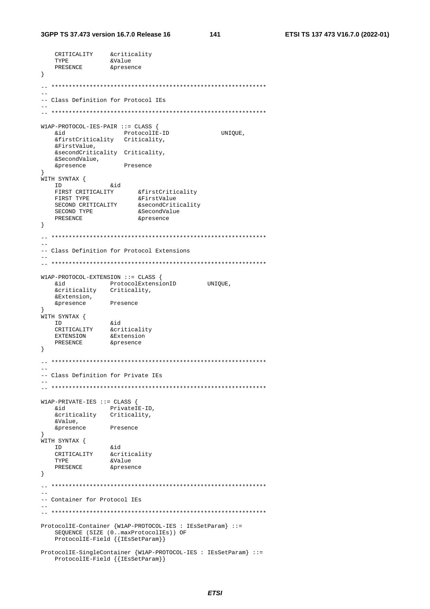```
CRITICALITY & criticality
    TYPE
                      &Value
    TYPE                  &Value<br>PRESENCE               &presence
\}-- Class Definition for Protocol IEs
\pm \pmW1AP-PROTOCOL-IES-PAIR ::= CLASS {
                                                 UNIQUE,
                          ProtocolIE-ID
    hia
    &firstCriticality Criticality,
    &FirstValue,
    &secondCriticality Criticality,
    &SecondValue,
                        Presence
    &presence
}<br>WITH SYNTAX {<br>&id
    \begin{array}{lll}\n & & & \\
\text{FIRST CRITICALITY} & & & \text{sfCrist} & \\
\text{FIRST TYPE} & & & & \\
\text{FIRST TYPE} & & & & \\
\end{array}PRESENCE
                               &presence
\left\{ \right\}\sim-- Class Definition for Protocol Extensions
W1AP-PROTOCOL-EXTENSION ::= CLASS {
    &id
                    ProtocolExtensionID UNIQUE,
    &criticality
                    Criticality,
    &Extension,
                    Presence
    &presence
WITH SYNTAX {
   I SINTAR \<br>CRITICALITY &criticality<br>EXTENSION &Extension<br>PRESENCE &presence
   ID
\left\{ \right\}-- Class Definition for Private IEs
\sim \simW1AP-PRIVATE-IES ::= CLASS {
    &id PrivateIE-ID,<br>&criticality Criticality,
  bia
    5572119&presence
                    Presence
WITH SYNTAX {
    \begin{tabular}{ll} \bf \end{tabular} \begin{tabular}{ll} \bf \end{tabular} \begin{tabular}{ll} \bf \end{tabular} \begin{tabular}{ll} \bf \end{tabular} \begin{tabular}{ll} \bf \end{tabular} \begin{tabular}{ll} \bf \end{tabular} \begin{tabular}{ll} \bf \end{tabular} \end{tabular} \begin{tabular}{ll} \bf \end{tabular} \begin{tabular}{ll} \bf \end{tabular} \end{tabular} \begin{tabular}{ll} \bf \end{tabular} \begin{tabular}{ll} \bf \end{tabular} \end{tabular} \begin{tabular}{ll} \bf \end{tabular} \begin{tabular}{ll} \bfID
              acritical<br>Evalue
                      &criticality
    TYPE
    PRESENCE
                     &presence
\left\{ \right\}-- Container for Protocol IEs
ProtocolIE-Container {W1AP-PROTOCOL-IES : IEsSetParam} ::=
    SEQUENCE (SIZE (0..maxProtocolIEs)) OF<br>ProtocolIE-Field {{IEsSetParam}}
ProtocolIE-SingleContainer {W1AP-PROTOCOL-IES : IEsSetParam} ::=
    ProtocolIE-Field { {IESSetParam}}
```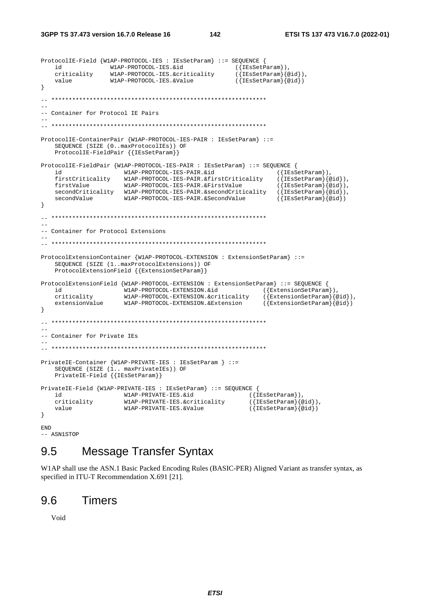```
ProtocolIE-Field {W1AP-PROTOCOL-IES : IEsSetParam} ::= SEQUENCE { 
 id W1AP-PROTOCOL-IES.&id ({IEsSetParam}), 
 criticality W1AP-PROTOCOL-IES.&criticality ({IEsSetParam}{@id}), 
     value W1AP-PROTOCOL-IES.&Value ({IEsSetParam}{@id}) 
} 
-- ************************************************************** 
-- 
-- Container for Protocol IE Pairs 
-- 
-- ************************************************************** 
ProtocolIE-ContainerPair {W1AP-PROTOCOL-IES-PAIR : IEsSetParam} ::= 
     SEQUENCE (SIZE (0..maxProtocolIEs)) OF 
     ProtocolIE-FieldPair {{IEsSetParam}} 
ProtocolIE-FieldPair {W1AP-PROTOCOL-IES-PAIR : IEsSetParam} ::= SEQUENCE { 
    id W1AP-PROTOCOL-IES-PAIR.&id (IEsSetParam)),<br>firstCriticality W1AP-PROTOCOL-IES-PAIR.&firstCriticality ({IEsSetParam}{@id}),
 firstCriticality W1AP-PROTOCOL-IES-PAIR.&firstCriticality ({IEsSetParam}{@id}), 
 firstValue W1AP-PROTOCOL-IES-PAIR.&FirstValue ({IEsSetParam}{@id}), 
     secondCriticality W1AP-PROTOCOL-IES-PAIR.&secondCriticality ({IEsSetParam}{@id}), 
    secondValue W1AP-PROTOCOL-IES-PAIR.&SecondValue ({\text{IESsetParam}}\{qid\})} 
-- ************************************************************** 
-- 
-- Container for Protocol Extensions 
-- 
-- ************************************************************** 
ProtocolExtensionContainer {W1AP-PROTOCOL-EXTENSION : ExtensionSetParam} ::= 
     SEQUENCE (SIZE (1..maxProtocolExtensions)) OF 
     ProtocolExtensionField {{ExtensionSetParam}} 
ProtocolExtensionField {W1AP-PROTOCOL-EXTENSION : ExtensionSetParam} ::= SEQUENCE { 
   id W1AP-PROTOCOL-EXTENSION. \& id \ ({ExtensionSetParam}),<br>criticality W1AP-PROTOCOL-EXTENSION. \& criticality \qquad (\{ExtensionSetParam\}{@id}),
    criticality W1AP-PROTOCOL-EXTENSION.&criticality
     extensionValue W1AP-PROTOCOL-EXTENSION.&Extension ({ExtensionSetParam}{@id}) 
} 
-- ************************************************************** 
-- 
-- Container for Private IEs 
-- 
-- ************************************************************** 
PrivateIE-Container {W1AP-PRIVATE-IES : IEsSetParam } ::= 
     SEQUENCE (SIZE (1.. maxPrivateIEs)) OF 
     PrivateIE-Field {{IEsSetParam}} 
PrivateIE-Field {W1AP-PRIVATE-IES : IEsSetParam} ::= SEQUENCE {<br>id ([IEsSetParam}),
    id (\text{W1AP-PRIVATE-IES}.\&\text{id} ({IEsSetParam}),<br>criticality W1AP-PRIVATE-IES.&criticality ({IEsSetParam}{@id}),
    criticality W1AP-PRIVATE-IES.&criticality ({IEsSetParam}{@id})<br>value W1AP-PRIVATE-IES.&Value ({IEsSetParam}{@id})
                       W1AP-PRIVATE-IES.&Value
} 
END
```
-- ASN1STOP

## 9.5 Message Transfer Syntax

W1AP shall use the ASN.1 Basic Packed Encoding Rules (BASIC-PER) Aligned Variant as transfer syntax, as specified in ITU-T Recommendation X.691 [21].

### 9.6 Timers

Void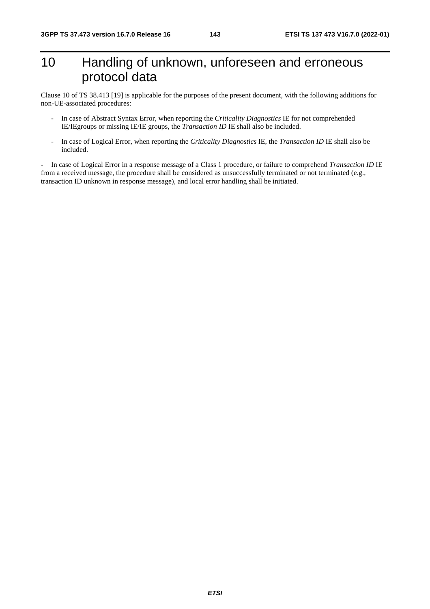# 10 Handling of unknown, unforeseen and erroneous protocol data

Clause 10 of TS 38.413 [19] is applicable for the purposes of the present document, with the following additions for non-UE-associated procedures:

- In case of Abstract Syntax Error, when reporting the *Criticality Diagnostics* IE for not comprehended IE/IEgroups or missing IE/IE groups, the *Transaction ID* IE shall also be included.
- In case of Logical Error, when reporting the *Criticality Diagnostics* IE, the *Transaction ID* IE shall also be included.

- In case of Logical Error in a response message of a Class 1 procedure, or failure to comprehend *Transaction ID* IE from a received message, the procedure shall be considered as unsuccessfully terminated or not terminated (e.g., transaction ID unknown in response message), and local error handling shall be initiated.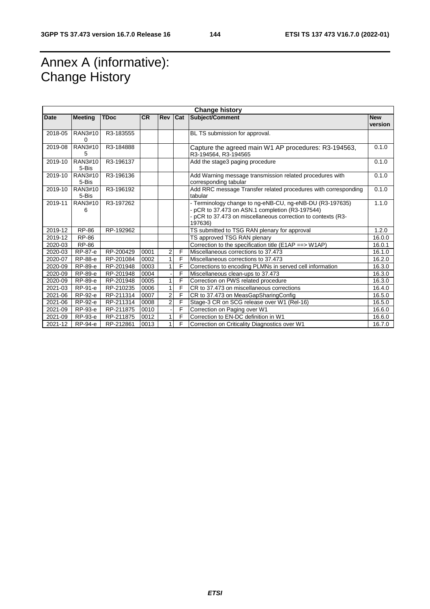## Annex A (informative): Change History

| <b>Change history</b> |                  |             |           |                |         |                                                                                                                                                                                      |                       |
|-----------------------|------------------|-------------|-----------|----------------|---------|--------------------------------------------------------------------------------------------------------------------------------------------------------------------------------------|-----------------------|
| Date                  | <b>Meeting</b>   | <b>TDoc</b> | <b>CR</b> |                | Rev Cat | Subject/Comment                                                                                                                                                                      | <b>New</b><br>version |
| 2018-05               | RAN3#10<br>0     | R3-183555   |           |                |         | BL TS submission for approval.                                                                                                                                                       |                       |
| 2019-08               | RAN3#10<br>5     | R3-184888   |           |                |         | Capture the agreed main W1 AP procedures: R3-194563,<br>R3-194564, R3-194565                                                                                                         | 0.1.0                 |
| 2019-10               | RAN3#10<br>5-Bis | R3-196137   |           |                |         | Add the stage3 paging procedure                                                                                                                                                      | 0.1.0                 |
| 2019-10               | RAN3#10<br>5-Bis | R3-196136   |           |                |         | Add Warning message transmission related procedures with<br>corresponding tabular                                                                                                    | 0.1.0                 |
| 2019-10               | RAN3#10<br>5-Bis | R3-196192   |           |                |         | Add RRC message Transfer related procedures with corresponding<br>tabular                                                                                                            | 0.1.0                 |
| 2019-11               | RAN3#10<br>6     | R3-197262   |           |                |         | - Terminology change to ng-eNB-CU, ng-eNB-DU (R3-197635)<br>pCR to 37.473 on ASN.1 completion (R3-197544)<br>- pCR to 37.473 on miscellaneous correction to contexts (R3-<br>197636) | 1.1.0                 |
| 2019-12               | RP-86            | RP-192962   |           |                |         | TS submitted to TSG RAN plenary for approval                                                                                                                                         | 1.2.0                 |
| 2019-12               | RP-86            |             |           |                |         | TS approved TSG RAN plenary                                                                                                                                                          | 16.0.0                |
| 2020-03               | RP-86            |             |           |                |         | Correction to the specification title (E1AP ==> W1AP)                                                                                                                                | 16.0.1                |
| 2020-03               | RP-87-e          | RP-200429   | 0001      | 2              | F       | Miscellaneous corrections to 37.473                                                                                                                                                  | 16.1.0                |
| 2020-07               | RP-88-e          | RP-201084   | 0002      | 1              | F       | Miscellaneous corrections to 37.473                                                                                                                                                  | 16.2.0                |
| 2020-09               | RP-89-e          | RP-201948   | 0003      |                | F       | Corrections to encoding PLMNs in served cell information                                                                                                                             | 16.3.0                |
| 2020-09               | RP-89-e          | RP-201948   | 0004      |                | F       | Miscellaneous clean-ups to 37.473                                                                                                                                                    | 16.3.0                |
| 2020-09               | RP-89-e          | RP-201948   | 0005      | 1              | F       | Correction on PWS related procedure                                                                                                                                                  | 16.3.0                |
| 2021-03               | RP-91-e          | RP-210235   | 0006      | 1              | F       | CR to 37.473 on miscellaneous corrections                                                                                                                                            | 16.4.0                |
| 2021-06               | RP-92-e          | RP-211314   | 0007      | $\overline{2}$ | F       | CR to 37.473 on MeasGapSharingConfig                                                                                                                                                 | 16.5.0                |
| 2021-06               | RP-92-e          | RP-211314   | 0008      | $\overline{2}$ | F       | Stage-3 CR on SCG release over W1 (Rel-16)                                                                                                                                           | 16.5.0                |
| 2021-09               | RP-93-e          | RP-211875   | 0010      |                | F       | Correction on Paging over W1                                                                                                                                                         | 16.6.0                |
| 2021-09               | RP-93-e          | RP-211875   | 0012      |                | F       | Correction to EN-DC definition in W1                                                                                                                                                 | 16.6.0                |
| 2021-12               | RP-94-e          | RP-212861   | 0013      | 1              | F       | Correction on Criticality Diagnostics over W1                                                                                                                                        | 16.7.0                |